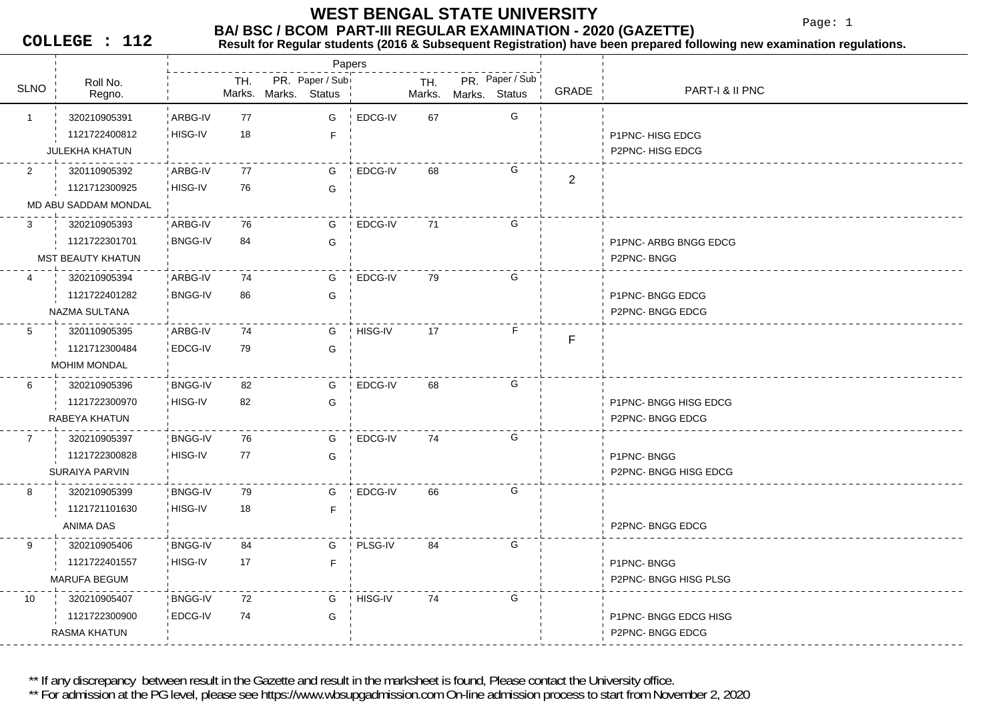Page: 1

**COLLEGE : 112**

#### **BA/ BSC / BCOM PART-III REGULAR EXAMINATION - 2020 (GAZETTE)**<br>Result for Requiar students (2016 & Subsequent Registration) have been prepared fo **Result for Regular students (2016 & Subsequent Registration) have been prepared following new examination regulations.**

|                 |                          |                |     |                      | Papers          |         |               |               |                 |                |                       |
|-----------------|--------------------------|----------------|-----|----------------------|-----------------|---------|---------------|---------------|-----------------|----------------|-----------------------|
| <b>SLNO</b>     | Roll No.<br>Regno.       |                | TH. | Marks. Marks. Status | PR. Paper / Sub |         | TH.<br>Marks. | Marks. Status | PR. Paper / Sub | GRADE          | PART-I & II PNC       |
| $\mathbf{1}$    | 320210905391             | ARBG-IV        | 77  |                      | G               | EDCG-IV | 67            |               | G               |                |                       |
|                 |                          |                |     |                      |                 |         |               |               |                 |                |                       |
|                 | 1121722400812            | HISG-IV        | 18  |                      | F.              |         |               |               |                 |                | P1PNC-HISG EDCG       |
|                 | <b>JULEKHA KHATUN</b>    |                |     |                      |                 |         |               |               |                 |                | P2PNC-HISG EDCG       |
| 2               | 320110905392             | ARBG-IV        | 77  |                      | G               | EDCG-IV | 68            |               | G               | $\overline{2}$ |                       |
|                 | 1121712300925            | HISG-IV        | 76  |                      | G               |         |               |               |                 |                |                       |
|                 | MD ABU SADDAM MONDAL     |                |     |                      |                 |         |               |               |                 |                |                       |
| 3               | 320210905393             | ARBG-IV        | 76  |                      | G               | EDCG-IV | 71            |               | G               |                |                       |
|                 | 1121722301701            | <b>BNGG-IV</b> | 84  |                      | G               |         |               |               |                 |                | P1PNC- ARBG BNGG EDCG |
|                 | <b>MST BEAUTY KHATUN</b> |                |     |                      |                 |         |               |               |                 |                | P2PNC-BNGG            |
| 4               | 320210905394             | ARBG-IV        | 74  |                      | G               | EDCG-IV | 79            |               | G               |                |                       |
|                 | 1121722401282            | <b>BNGG-IV</b> | 86  |                      | G               |         |               |               |                 |                | P1PNC-BNGG EDCG       |
|                 | NAZMA SULTANA            |                |     |                      |                 |         |               |               |                 |                | P2PNC-BNGG EDCG       |
| $5^{\circ}$     | 320110905395             | ARBG-IV        | 74  |                      | G               | HISG-IV | 17            |               | F               |                |                       |
|                 | 1121712300484            | EDCG-IV        | 79  |                      | G               |         |               |               |                 | F              |                       |
|                 | <b>MOHIM MONDAL</b>      |                |     |                      |                 |         |               |               |                 |                |                       |
|                 |                          |                |     |                      |                 |         |               |               | G               |                |                       |
| 6               | 320210905396             | <b>BNGG-IV</b> | 82  |                      | G               | EDCG-IV | 68            |               |                 |                |                       |
|                 | 1121722300970            | HISG-IV        | 82  |                      | G               |         |               |               |                 |                | P1PNC- BNGG HISG EDCG |
|                 | RABEYA KHATUN            |                |     |                      |                 |         |               |               |                 |                | P2PNC-BNGG EDCG       |
| $7\overline{ }$ | 320210905397             | <b>BNGG-IV</b> | 76  |                      | G               | EDCG-IV | 74            |               | G               |                |                       |
|                 | 1121722300828            | HISG-IV        | 77  |                      | G               |         |               |               |                 |                | P1PNC-BNGG            |
|                 | SURAIYA PARVIN           |                |     |                      |                 |         |               |               |                 |                | P2PNC-BNGG HISG EDCG  |
| 8               | 320210905399             | <b>BNGG-IV</b> | 79  |                      | G               | EDCG-IV | 66            |               | G               |                |                       |
|                 | 1121721101630            | HISG-IV        | 18  |                      | F               |         |               |               |                 |                |                       |
|                 | ANIMA DAS                |                |     |                      |                 |         |               |               |                 |                | P2PNC-BNGG EDCG       |
| 9               | 320210905406             | <b>BNGG-IV</b> | 84  |                      | G               | PLSG-IV | 84            |               | G               |                |                       |
|                 | 1121722401557            | HISG-IV        | 17  |                      | F               |         |               |               |                 |                | P1PNC-BNGG            |
|                 | <b>MARUFA BEGUM</b>      |                |     |                      |                 |         |               |               |                 |                | P2PNC-BNGG HISG PLSG  |
| 10              | 320210905407             | <b>BNGG-IV</b> | 72  |                      | G               | HISG-IV | 74            |               | G               |                |                       |
|                 | 1121722300900            | EDCG-IV        | 74  |                      | G               |         |               |               |                 |                |                       |
|                 |                          |                |     |                      |                 |         |               |               |                 |                | P1PNC-BNGG EDCG HISG  |
|                 | RASMA KHATUN             |                |     |                      |                 |         |               |               |                 |                | P2PNC-BNGG EDCG       |

\*\* If any discrepancy between result in the Gazette and result in the marksheet is found, Please contact the University office.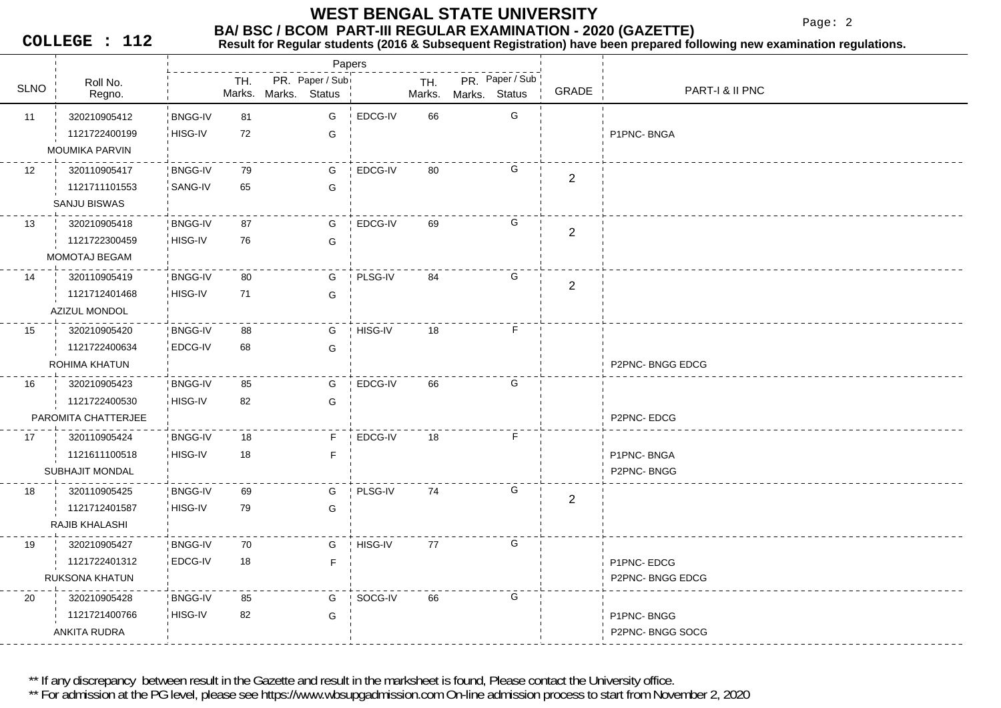Page: 2

**COLLEGE : 112**

#### **Result for Regular students (2016 & Subsequent Registration) have been prepared following new examination regulations.**

|             |                       |                |     |                      | Papers          |         |        |               |                 |                |                 |
|-------------|-----------------------|----------------|-----|----------------------|-----------------|---------|--------|---------------|-----------------|----------------|-----------------|
| <b>SLNO</b> | Roll No.              |                | TH. |                      | PR. Paper / Sub |         | TH.    |               | PR. Paper / Sub | <b>GRADE</b>   | PART-I & II PNC |
|             | Regno.                |                |     | Marks. Marks. Status |                 |         | Marks. | Marks. Status |                 |                |                 |
| 11          | 320210905412          | <b>BNGG-IV</b> | 81  |                      | G               | EDCG-IV | 66     |               | G               |                |                 |
|             | 1121722400199         | HISG-IV        | 72  |                      | G               |         |        |               |                 |                | P1PNC-BNGA      |
|             | <b>MOUMIKA PARVIN</b> |                |     |                      |                 |         |        |               |                 |                |                 |
| 12          | 320110905417          | <b>BNGG-IV</b> | 79  |                      | G               | EDCG-IV | 80     |               | G               | $\overline{2}$ |                 |
|             | 1121711101553         | SANG-IV        | 65  |                      | G               |         |        |               |                 |                |                 |
|             | SANJU BISWAS          |                |     |                      |                 |         |        |               |                 |                |                 |
| 13          | 320210905418          | <b>BNGG-IV</b> | 87  |                      | G               | EDCG-IV | 69     |               | G               | $\overline{2}$ |                 |
|             | 1121722300459         | HISG-IV        | 76  |                      | G               |         |        |               |                 |                |                 |
|             | MOMOTAJ BEGAM         |                |     |                      |                 |         |        |               |                 |                |                 |
| 14          | 320110905419          | <b>BNGG-IV</b> | 80  |                      | G               | PLSG-IV | 84     |               | G               |                |                 |
|             | 1121712401468         | HISG-IV        | 71  |                      | G               |         |        |               |                 | $\overline{2}$ |                 |
|             | <b>AZIZUL MONDOL</b>  |                |     |                      |                 |         |        |               |                 |                |                 |
| 15          | 320210905420          | <b>BNGG-IV</b> | 88  |                      | G               | HISG-IV | 18     |               | F               |                |                 |
|             | 1121722400634         | EDCG-IV        | 68  |                      | G               |         |        |               |                 |                |                 |
|             | ROHIMA KHATUN         |                |     |                      |                 |         |        |               |                 |                | P2PNC-BNGG EDCG |
| 16          | 320210905423          | <b>BNGG-IV</b> | 85  |                      | G               | EDCG-IV | 66     |               | G               |                |                 |
|             | 1121722400530         | HISG-IV        | 82  |                      | G               |         |        |               |                 |                |                 |
|             | PAROMITA CHATTERJEE   |                |     |                      |                 |         |        |               |                 |                | P2PNC-EDCG      |
| 17          | 320110905424          | <b>BNGG-IV</b> | 18  |                      | E               | EDCG-IV | 18     |               | $\mathsf F$     |                |                 |
|             | 1121611100518         | HISG-IV        | 18  |                      | F               |         |        |               |                 |                | P1PNC-BNGA      |
|             | SUBHAJIT MONDAL       |                |     |                      |                 |         |        |               |                 |                | P2PNC-BNGG      |
| 18          | 320110905425          | <b>BNGG-IV</b> | 69  |                      | G               | PLSG-IV | 74     |               | G               |                |                 |
|             | 1121712401587         | HISG-IV        | 79  |                      | G               |         |        |               |                 | $\mathbf{2}$   |                 |
|             | RAJIB KHALASHI        |                |     |                      |                 |         |        |               |                 |                |                 |
| 19          | 320210905427          | <b>BNGG-IV</b> | 70  |                      | G               | HISG-IV | 77     |               | G               |                |                 |
|             | 1121722401312         | EDCG-IV        | 18  |                      | F               |         |        |               |                 |                | P1PNC-EDCG      |
|             | <b>RUKSONA KHATUN</b> |                |     |                      |                 |         |        |               |                 |                | P2PNC-BNGG EDCG |
| 20          | 320210905428          | <b>BNGG-IV</b> | 85  |                      | G               | SOCG-IV | 66     |               | G               |                |                 |
|             | 1121721400766         | HISG-IV        | 82  |                      | G               |         |        |               |                 |                | P1PNC-BNGG      |
|             | ANKITA RUDRA          |                |     |                      |                 |         |        |               |                 |                | P2PNC-BNGG SOCG |
|             |                       |                |     |                      |                 |         |        |               |                 |                |                 |

\*\* If any discrepancy between result in the Gazette and result in the marksheet is found, Please contact the University office.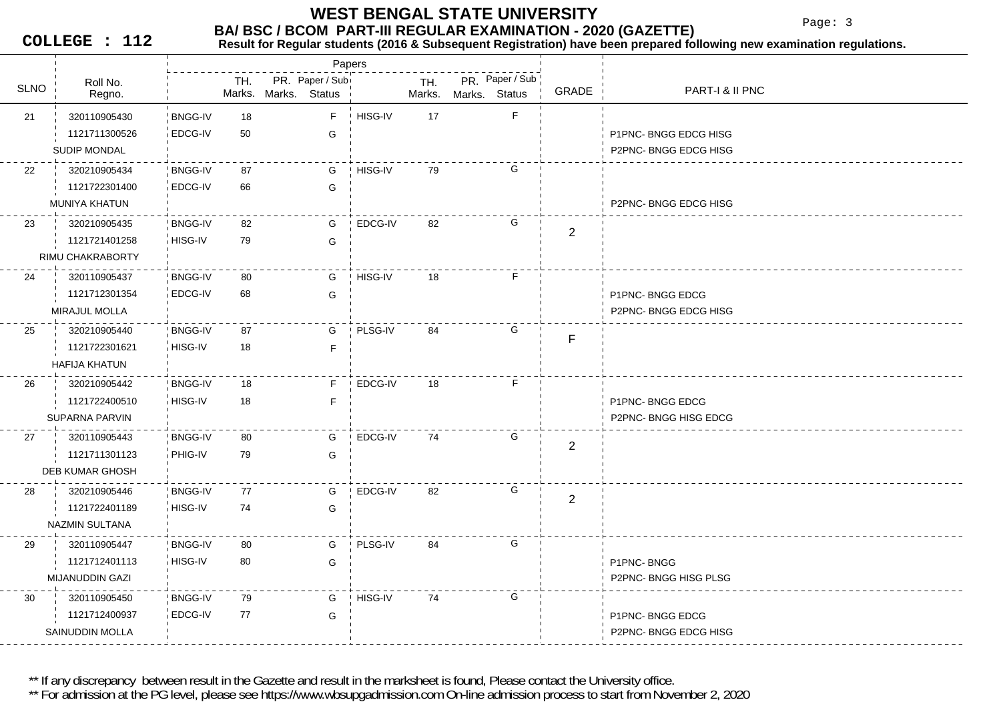#### **BA/ BSC / BCOM PART-III REGULAR EXAMINATION - 2020 (GAZETTE) WEST BENGAL STATE UNIVERSITY**

Page: 3

**COLLEGE : 112**

### **Result for Regular students (2016 & Subsequent Registration) have been prepared following new examination regulations.**

Roll No.U Regno. Regno. Regno. TH.SLNO
ROLINO
REGIO BRONO SUNO NARKS Status
SLNO
REGIO PR. Paper / Sub<br>Marks. Status <sup>|</sup> Marks. Mark. Mark. . Marks. Marks.**Status** Papers PR. Paper / Sub GRADE PART-I & II PNC 21 320110905430 'BNGG-IV 18 **BNGG-IV** EDCG-IV 50 GFHISG-IV 17 F 1121711300526G **EDGG HISG CONSUMING EDGG HISG** SUDIP MONDALLetter that the second control of the second control of the second control of the second control of the second control of the second control of the second control of the second control of the second control of the second c 22 87 320210905434 BNGG-IV0 iEDCG-IV 66 G G HISG-IV 79 G 1121722301400MUNIYA KHATUNN P2PNC- BNGG EDCG HISG 23 320210905435 BNGG-IV 82 8 iHISG-IV 79 G G EDCG-IV 82 G 11217214012582RIMU CHAKRABORTY 24 80 320110905437 BNGG-IV**BNGG-IV** EDCG-IV 68 GGHISG-IV 18 F 1121712301354**G** P1PNC- BNGG EDCG MIRAJUL MOLLA P2PNC- BNGG EDCG HISG 25 87 320210905440 BNGG-IV1 HISG-IV 18 F 18 GPLSG-IV 84 G 1121722301621FHAFIJA KHATUN26 320210905442 BNGG-IV 18 0 HISG-IV 18 F FEDCG-IV 18 F 1121722400510**P1PNC- BNGG EDCG** SUPARNA PARVIN P2PNC- BNGG HISG EDCG 27 80 320110905443 BNGG-IV**BNGG-IV** PHIG-IV 79 GG EDCG-IV 74 G 11217113011232DEB KUMAR GHOSH28 <sup>9</sup> 320210905446 BNGG-IV 77 HISG-IV 74 G74 G EDCG-IV 82 G 11217224011892NAZMIN SULTANA 29 80 320110905447 BNGG-IV3 HISG-IV 80 G 80 GPLSG-IV 84 G 1121712401113G P1PNC- BNGG MIJANUDDIN GAZI P2PNC- BNGG HISG PLSG 30 79 320110905450 BNGG-IV**BNGG-IV** EDCG-IV 77 G77 G HISG-IV 74 G 1121712400937**G** P1PNC- BNGG EDCG SAINUDDIN MOLLAP2PNC- BNGG EDCG HISG

\*\* If any discrepancy between result in the Gazette and result in the marksheet is found, Please contact the University office.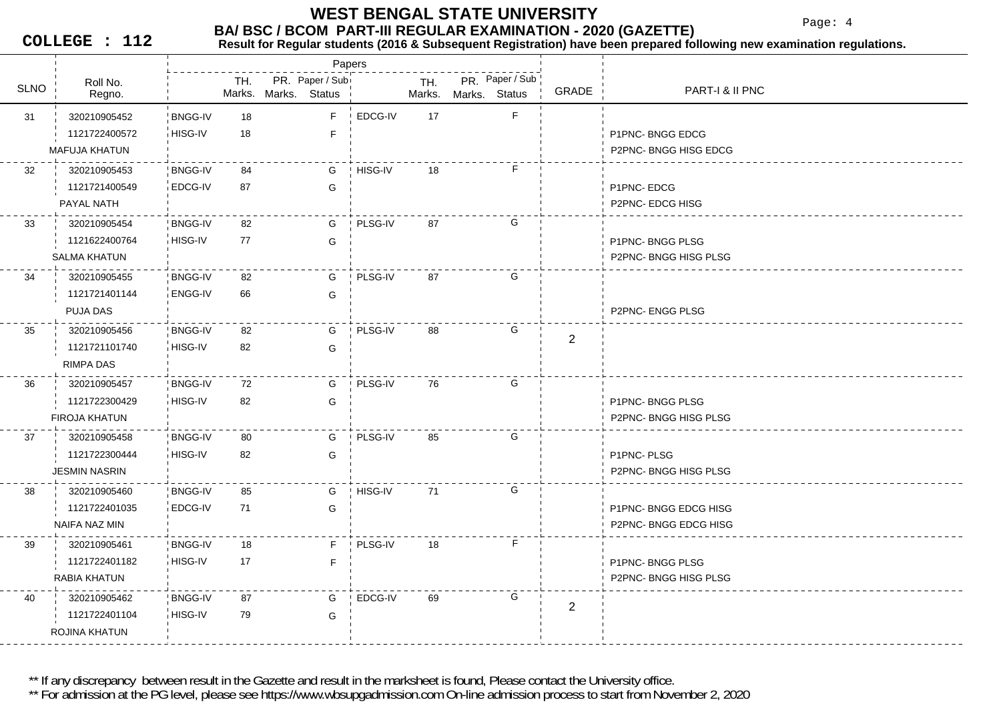Page: 4

**COLLEGE : 112**

#### **BA/ BSC / BCOM PART-III REGULAR EXAMINATION - 2020 (GAZETTE)**<br>Result for Requiar students (2016 & Subsequent Registration) have been prepared fo **Result for Regular students (2016 & Subsequent Registration) have been prepared following new examination regulations.**

|             |                      |                |               |        | Papers                           |         |               |               |                 |                |                        |
|-------------|----------------------|----------------|---------------|--------|----------------------------------|---------|---------------|---------------|-----------------|----------------|------------------------|
| <b>SLNO</b> | Roll No.<br>Regno.   |                | TH.<br>Marks. | Marks. | PR. Paper / Sub<br><b>Status</b> |         | TH.<br>Marks. | Marks. Status | PR. Paper / Sub | GRADE          | PART-I & II PNC        |
| 31          | 320210905452         | <b>BNGG-IV</b> | 18            |        | F                                | EDCG-IV | 17            |               | F               |                |                        |
|             | 1121722400572        | HISG-IV        | 18            |        | $\mathsf F$                      |         |               |               |                 |                | P1PNC-BNGG EDCG        |
|             | <b>MAFUJA KHATUN</b> |                |               |        |                                  |         |               |               |                 |                | P2PNC-BNGG HISG EDCG   |
| 32          | 320210905453         | <b>BNGG-IV</b> | 84            |        | G                                | HISG-IV | 18            |               | F               |                |                        |
|             | 1121721400549        | EDCG-IV        | 87            |        | G                                |         |               |               |                 |                | P1PNC-EDCG             |
|             | PAYAL NATH           |                |               |        |                                  |         |               |               |                 |                | <b>P2PNC-EDCG HISG</b> |
| 33          | 320210905454         | <b>BNGG-IV</b> | 82            |        | G                                | PLSG-IV | 87            |               | G               |                |                        |
|             | 1121622400764        | HISG-IV        | 77            |        | G                                |         |               |               |                 |                | P1PNC-BNGG PLSG        |
|             | <b>SALMA KHATUN</b>  |                |               |        |                                  |         |               |               |                 |                | P2PNC- BNGG HISG PLSG  |
| 34          | 320210905455         | <b>BNGG-IV</b> | 82            |        | G                                | PLSG-IV | 87            |               | G               |                |                        |
|             | 1121721401144        | <b>ENGG-IV</b> | 66            |        | G                                |         |               |               |                 |                |                        |
|             | PUJA DAS             |                |               |        |                                  |         |               |               |                 |                | P2PNC- ENGG PLSG       |
| 35          | 320210905456         | <b>BNGG-IV</b> | 82            |        | G                                | PLSG-IV | 88            |               | G               | $\overline{2}$ |                        |
|             | 1121721101740        | HISG-IV        | 82            |        | G                                |         |               |               |                 |                |                        |
|             | RIMPA DAS            |                |               |        |                                  |         |               |               |                 |                |                        |
| 36          | 320210905457         | <b>BNGG-IV</b> | 72            |        | G                                | PLSG-IV | 76            |               | G               |                |                        |
|             | 1121722300429        | HISG-IV        | 82            |        | G                                |         |               |               |                 |                | P1PNC-BNGG PLSG        |
|             | <b>FIROJA KHATUN</b> |                |               |        |                                  |         |               |               |                 |                | P2PNC- BNGG HISG PLSG  |
| 37          | 320210905458         | <b>BNGG-IV</b> | 80            |        | G                                | PLSG-IV | 85            |               | G               |                |                        |
|             | 1121722300444        | HISG-IV        | 82            |        | G                                |         |               |               |                 |                | P1PNC-PLSG             |
|             | <b>JESMIN NASRIN</b> |                |               |        |                                  |         |               |               |                 |                | P2PNC-BNGG HISG PLSG   |
| 38          | 320210905460         | <b>BNGG-IV</b> | 85            |        | G                                | HISG-IV | 71            |               | G               |                |                        |
|             | 1121722401035        | EDCG-IV        | 71            |        | G                                |         |               |               |                 |                | P1PNC-BNGG EDCG HISG   |
|             | NAIFA NAZ MIN        |                |               |        |                                  |         |               |               |                 |                | P2PNC-BNGG EDCG HISG   |
| 39          | 320210905461         | <b>BNGG-IV</b> | 18            |        | F.                               | PLSG-IV | 18            |               | F.              |                |                        |
|             | 1121722401182        | HISG-IV        | 17            |        | F                                |         |               |               |                 |                | P1PNC-BNGG PLSG        |
|             | RABIA KHATUN         |                |               |        |                                  |         |               |               |                 |                | P2PNC-BNGG HISG PLSG   |
| 40          | 320210905462         | <b>BNGG-IV</b> | 87            |        | G                                | EDCG-IV | 69            |               | G               | $\mathbf{2}$   |                        |
|             | 1121722401104        | HISG-IV        | 79            |        | G                                |         |               |               |                 |                |                        |
|             | ROJINA KHATUN        |                |               |        |                                  |         |               |               |                 |                |                        |

\*\* If any discrepancy between result in the Gazette and result in the marksheet is found, Please contact the University office.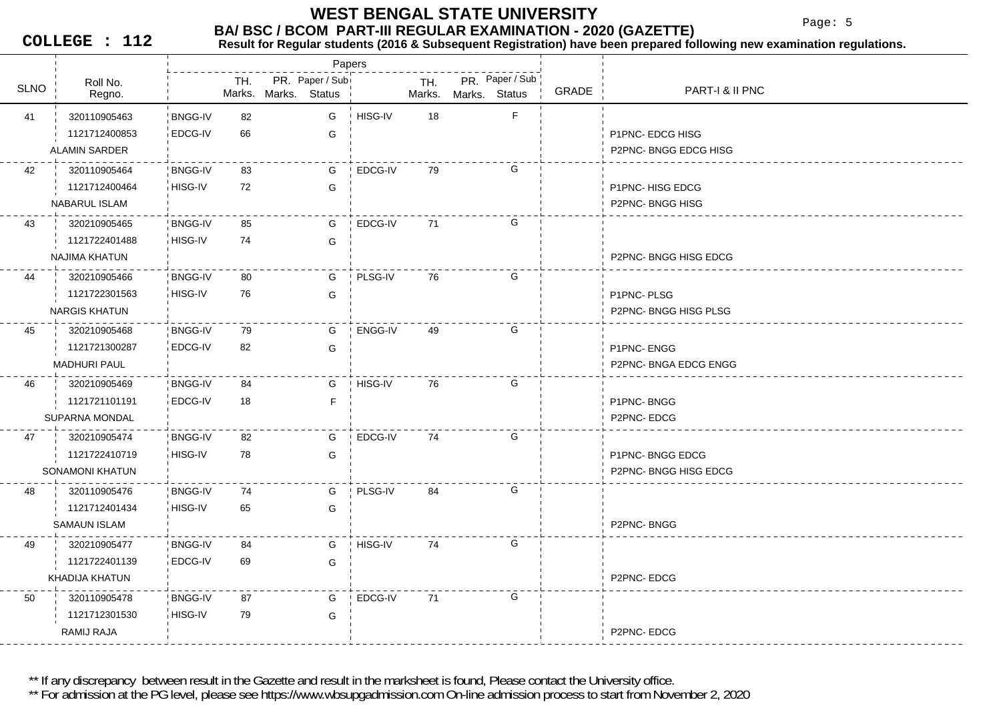Page: 5

**COLLEGE : 112**

#### **BA/ BSC / BCOM PART-III REGULAR EXAMINATION - 2020 (GAZETTE)**<br>Result for Requiar students (2016 & Subsequent Registration) have been prepared fo **Result for Regular students (2016 & Subsequent Registration) have been prepared following new examination regulations.**

|             |                        |                |     |                      | Papers          |         |        |               |                 |       |                       |
|-------------|------------------------|----------------|-----|----------------------|-----------------|---------|--------|---------------|-----------------|-------|-----------------------|
| <b>SLNO</b> | Roll No.               |                | TH. |                      | PR. Paper / Sub |         | TH.    |               | PR. Paper / Sub |       | PART-I & II PNC       |
|             | Regno.                 |                |     | Marks. Marks. Status |                 |         | Marks. | Marks. Status |                 | GRADE |                       |
| 41          | 320110905463           | <b>BNGG-IV</b> | 82  |                      | G               | HISG-IV | 18     |               | F.              |       |                       |
|             | 1121712400853          | EDCG-IV        | 66  |                      | G               |         |        |               |                 |       | P1PNC- EDCG HISG      |
|             | ALAMIN SARDER          |                |     |                      |                 |         |        |               |                 |       | P2PNC-BNGG EDCG HISG  |
| 42          | 320110905464           | <b>BNGG-IV</b> | 83  |                      | G               | EDCG-IV | 79     |               | G               |       |                       |
|             | 1121712400464          | HISG-IV        | 72  |                      | G               |         |        |               |                 |       | P1PNC-HISG EDCG       |
|             | NABARUL ISLAM          |                |     |                      |                 |         |        |               |                 |       | P2PNC-BNGG HISG       |
| 43          | 320210905465           | <b>BNGG-IV</b> | 85  |                      | G               | EDCG-IV | 71     |               | G               |       |                       |
|             | 1121722401488          | HISG-IV        | 74  |                      | G               |         |        |               |                 |       |                       |
|             | <b>NAJIMA KHATUN</b>   |                |     |                      |                 |         |        |               |                 |       | P2PNC-BNGG HISG EDCG  |
| 44          | 320210905466           | <b>BNGG-IV</b> | 80  |                      | G               | PLSG-IV | 76     |               | G               |       |                       |
|             | 1121722301563          | HISG-IV        | 76  |                      | G               |         |        |               |                 |       | P1PNC-PLSG            |
|             | <b>NARGIS KHATUN</b>   |                |     |                      |                 |         |        |               |                 |       | P2PNC-BNGG HISG PLSG  |
| 45          | 320210905468           | <b>BNGG-IV</b> | 79  |                      | G               | ENGG-IV | 49     |               | G               |       |                       |
|             | 1121721300287          | EDCG-IV        | 82  |                      | G               |         |        |               |                 |       | P1PNC-ENGG            |
|             | <b>MADHURI PAUL</b>    |                |     |                      |                 |         |        |               |                 |       | P2PNC- BNGA EDCG ENGG |
| 46          | 320210905469           | <b>BNGG-IV</b> | 84  |                      | G               | HISG-IV | 76     |               | G               |       |                       |
|             | 1121721101191          | EDCG-IV        | 18  |                      | F               |         |        |               |                 |       | P1PNC-BNGG            |
|             | SUPARNA MONDAL         |                |     |                      |                 |         |        |               |                 |       | P2PNC-EDCG            |
| 47          | 320210905474           | <b>BNGG-IV</b> | 82  |                      | G               | EDCG-IV | 74     |               | G               |       |                       |
|             | 1121722410719          | HISG-IV        | 78  |                      | G               |         |        |               |                 |       | P1PNC-BNGG EDCG       |
|             | <b>SONAMONI KHATUN</b> |                |     |                      |                 |         |        |               |                 |       | P2PNC-BNGG HISG EDCG  |
| 48          | 320110905476           | <b>BNGG-IV</b> | 74  |                      | G               | PLSG-IV | 84     |               | G               |       |                       |
|             | 1121712401434          | HISG-IV        | 65  |                      | G               |         |        |               |                 |       |                       |
|             | SAMAUN ISLAM           |                |     |                      |                 |         |        |               |                 |       | P2PNC-BNGG            |
| 49          | 320210905477           | <b>BNGG-IV</b> | 84  |                      | G               | HISG-IV | 74     |               | G               |       |                       |
|             | 1121722401139          | EDCG-IV        | 69  |                      | G               |         |        |               |                 |       |                       |
|             | KHADIJA KHATUN         |                |     |                      |                 |         |        |               |                 |       | P2PNC-EDCG            |
| 50          | 320110905478           | <b>BNGG-IV</b> | 87  |                      | G               | EDCG-IV | 71     |               | G               |       |                       |
|             | 1121712301530          | HISG-IV        | 79  |                      | G               |         |        |               |                 |       |                       |
|             | RAMIJ RAJA             |                |     |                      |                 |         |        |               |                 |       | P2PNC-EDCG            |

\*\* If any discrepancy between result in the Gazette and result in the marksheet is found, Please contact the University office.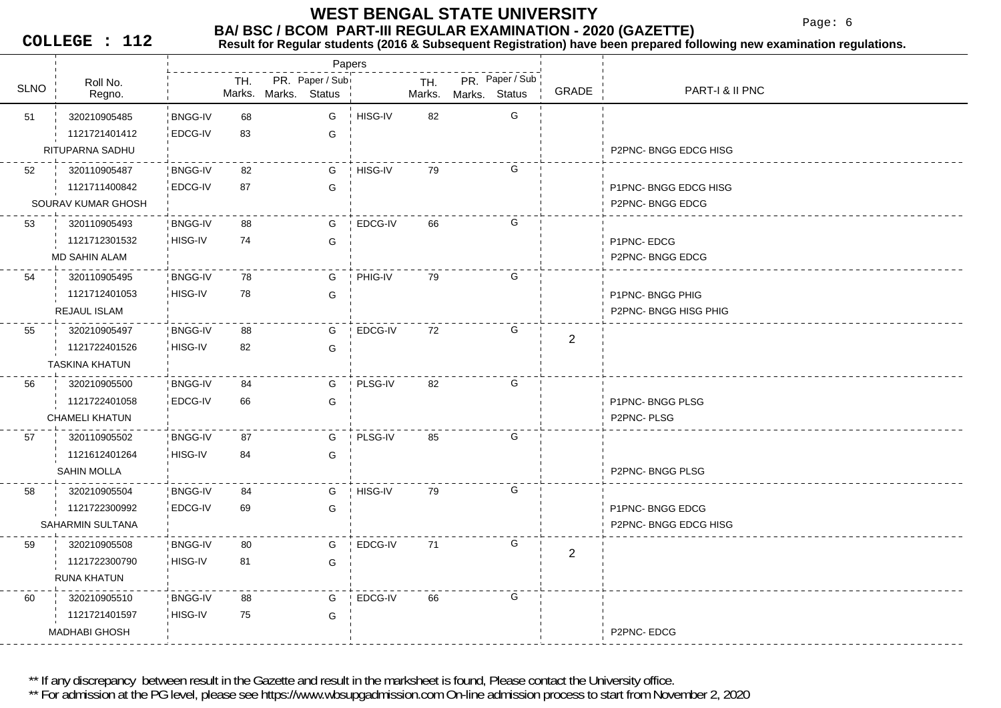Page: 6

**COLLEGE : 112**

#### **BA/ BSC / BCOM PART-III REGULAR EXAMINATION - 2020 (GAZETTE)**<br>Result for Requiar students (2016 & Subsequent Registration) have been prepared fo **Result for Regular students (2016 & Subsequent Registration) have been prepared following new examination regulations.**

|             |                       |                |     | Papers                                  |                |               |               |                 |                |                       |
|-------------|-----------------------|----------------|-----|-----------------------------------------|----------------|---------------|---------------|-----------------|----------------|-----------------------|
| <b>SLNO</b> | Roll No.<br>Regno.    |                | TH. | PR. Paper / Sub<br>Marks. Marks. Status |                | TH.<br>Marks. | Marks. Status | PR. Paper / Sub | GRADE          | PART-I & II PNC       |
| 51          | 320210905485          | <b>BNGG-IV</b> | 68  | G                                       | HISG-IV        | 82            |               | G               |                |                       |
|             | 1121721401412         | EDCG-IV        | 83  | G                                       |                |               |               |                 |                |                       |
|             | RITUPARNA SADHU       |                |     |                                         |                |               |               |                 |                | P2PNC-BNGG EDCG HISG  |
| 52          | 320110905487          | <b>BNGG-IV</b> | 82  | G                                       | HISG-IV        | 79            |               | G               |                |                       |
|             | 1121711400842         | EDCG-IV        | 87  | G                                       |                |               |               |                 |                | P1PNC-BNGG EDCG HISG  |
|             | SOURAV KUMAR GHOSH    |                |     |                                         |                |               |               |                 |                | P2PNC-BNGG EDCG       |
| 53          | 320110905493          | <b>BNGG-IV</b> | 88  | G                                       | EDCG-IV        | 66            |               | G               |                |                       |
|             | 1121712301532         | HISG-IV        | 74  | G                                       |                |               |               |                 |                | P1PNC-EDCG            |
|             | MD SAHIN ALAM         |                |     |                                         |                |               |               |                 |                | P2PNC-BNGG EDCG       |
| 54          | 320110905495          | <b>BNGG-IV</b> | 78  | G                                       | PHIG-IV        | 79            |               | G               |                |                       |
|             | 1121712401053         | HISG-IV        | 78  | G                                       |                |               |               |                 |                | P1PNC-BNGG PHIG       |
|             | REJAUL ISLAM          |                |     |                                         |                |               |               |                 |                | P2PNC- BNGG HISG PHIG |
| 55          | 320210905497          | <b>BNGG-IV</b> | 88  | G                                       | EDCG-IV        | 72            |               | G               | $\overline{2}$ |                       |
|             | 1121722401526         | HISG-IV        | 82  | G                                       |                |               |               |                 |                |                       |
|             | <b>TASKINA KHATUN</b> |                |     |                                         |                |               |               |                 |                |                       |
| 56          | 320210905500          | <b>BNGG-IV</b> | 84  | G                                       | <b>PLSG-IV</b> | 82            |               | G               |                |                       |
|             | 1121722401058         | EDCG-IV        | 66  | G                                       |                |               |               |                 |                | P1PNC-BNGG PLSG       |
|             | <b>CHAMELI KHATUN</b> |                |     |                                         |                |               |               |                 |                | P2PNC-PLSG            |
| 57          | 320110905502          | <b>BNGG-IV</b> | 87  | G                                       | PLSG-IV        | 85            |               | G               |                |                       |
|             | 1121612401264         | HISG-IV        | 84  | G                                       |                |               |               |                 |                |                       |
|             | SAHIN MOLLA           |                |     |                                         |                |               |               |                 |                | P2PNC-BNGG PLSG       |
| 58          | 320210905504          | <b>BNGG-IV</b> | 84  | G                                       | HISG-IV        | 79            |               | G               |                |                       |
|             | 1121722300992         | EDCG-IV        | 69  | G                                       |                |               |               |                 |                | P1PNC-BNGG EDCG       |
|             | SAHARMIN SULTANA      |                |     |                                         |                |               |               |                 |                | P2PNC-BNGG EDCG HISG  |
| 59          | 320210905508          | <b>BNGG-IV</b> | 80  | G                                       | EDCG-IV        | 71            |               | G               | $\mathbf{2}$   |                       |
|             | 1121722300790         | HISG-IV        | 81  | G                                       |                |               |               |                 |                |                       |
|             | <b>RUNA KHATUN</b>    |                |     |                                         |                |               |               |                 |                |                       |
| 60          | 320210905510          | <b>BNGG-IV</b> | 88  | G                                       | EDCG-IV        | 66            |               | G               |                |                       |
|             | 1121721401597         | HISG-IV        | 75  | G                                       |                |               |               |                 |                |                       |
|             | <b>MADHABI GHOSH</b>  |                |     |                                         |                |               |               |                 |                | P2PNC-EDCG            |

\*\* If any discrepancy between result in the Gazette and result in the marksheet is found, Please contact the University office.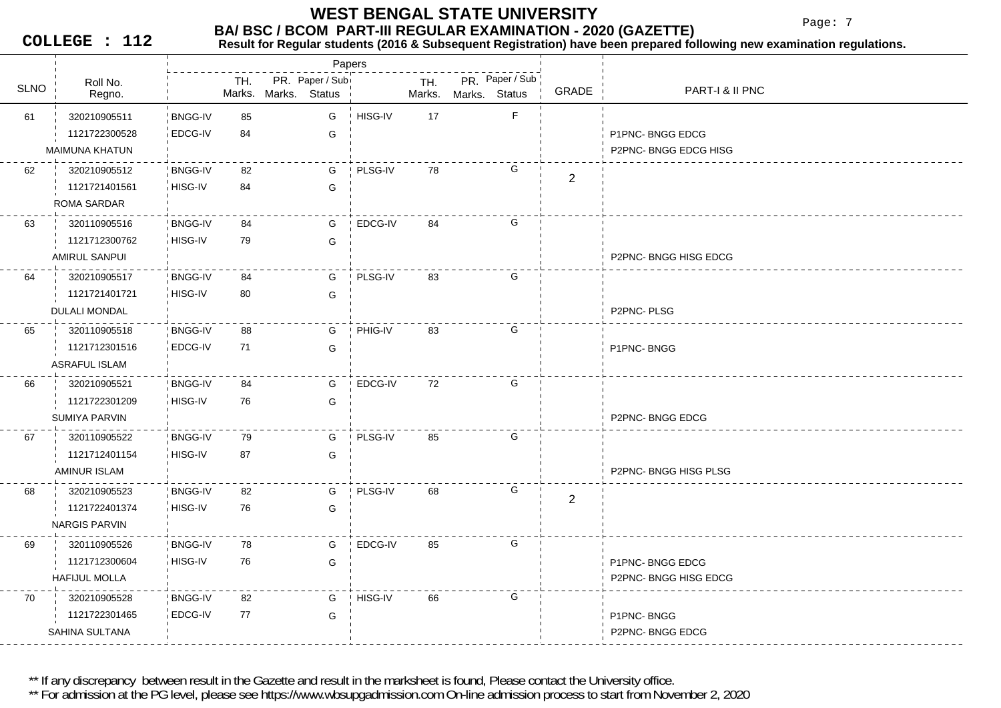Page: 7

**COLLEGE : 112**

### **Result for Regular students (2016 & Subsequent Registration) have been prepared following new examination regulations.**

|             |                      |                |     |                                         | Papers  |               |                                  |                |                       |
|-------------|----------------------|----------------|-----|-----------------------------------------|---------|---------------|----------------------------------|----------------|-----------------------|
| <b>SLNO</b> | Roll No.<br>Regno.   |                | TH. | PR. Paper / Sub<br>Marks. Marks. Status |         | TH.<br>Marks. | PR. Paper / Sub<br>Marks. Status | <b>GRADE</b>   | PART-I & II PNC       |
| 61          | 320210905511         | <b>BNGG-IV</b> | 85  | G                                       | HISG-IV | 17            | F.                               |                |                       |
|             | 1121722300528        | EDCG-IV        | 84  | G                                       |         |               |                                  |                | P1PNC-BNGG EDCG       |
|             | MAIMUNA KHATUN       |                |     |                                         |         |               |                                  |                | P2PNC- BNGG EDCG HISG |
| 62          | 320210905512         | <b>BNGG-IV</b> | 82  | G                                       | PLSG-IV | 78            | G                                | $\overline{2}$ |                       |
|             | 1121721401561        | HISG-IV        | 84  | G                                       |         |               |                                  |                |                       |
|             | <b>ROMA SARDAR</b>   |                |     |                                         |         |               |                                  |                |                       |
| 63          | 320110905516         | <b>BNGG-IV</b> | 84  | G                                       | EDCG-IV | 84            | G                                |                |                       |
|             | 1121712300762        | HISG-IV        | 79  | G                                       |         |               |                                  |                |                       |
|             | <b>AMIRUL SANPUI</b> |                |     |                                         |         |               |                                  |                | P2PNC- BNGG HISG EDCG |
| 64          | 320210905517         | <b>BNGG-IV</b> | 84  | G                                       | PLSG-IV | 83            | G                                |                |                       |
|             | 1121721401721        | HISG-IV        | 80  | G                                       |         |               |                                  |                |                       |
|             | DULALI MONDAL        |                |     |                                         |         |               |                                  |                | P2PNC-PLSG            |
| 65          | 320110905518         | <b>BNGG-IV</b> | 88  | G                                       | PHIG-IV | 83            | G                                |                |                       |
|             | 1121712301516        | EDCG-IV        | 71  | G                                       |         |               |                                  |                | P1PNC-BNGG            |
|             | <b>ASRAFUL ISLAM</b> |                |     |                                         |         |               |                                  |                |                       |
| 66          | 320210905521         | <b>BNGG-IV</b> | 84  | G                                       | EDCG-IV | 72            | G                                |                |                       |
|             | 1121722301209        | HISG-IV        | 76  | G                                       |         |               |                                  |                |                       |
|             | SUMIYA PARVIN        |                |     |                                         |         |               |                                  |                | P2PNC-BNGG EDCG       |
| 67          | 320110905522         | <b>BNGG-IV</b> | 79  | G                                       | PLSG-IV | 85            | G                                |                |                       |
|             | 1121712401154        | HISG-IV        | 87  | G                                       |         |               |                                  |                |                       |
|             | <b>AMINUR ISLAM</b>  |                |     |                                         |         |               |                                  |                | P2PNC-BNGG HISG PLSG  |
| 68          | 320210905523         | <b>BNGG-IV</b> | 82  | G                                       | PLSG-IV | 68            | G                                | $\mathbf{2}$   |                       |
|             | 1121722401374        | HISG-IV        | 76  | G                                       |         |               |                                  |                |                       |
|             | <b>NARGIS PARVIN</b> |                |     |                                         |         |               |                                  |                |                       |
| 69          | 320110905526         | <b>BNGG-IV</b> | 78  | G                                       | EDCG-IV | 85            | G                                |                |                       |
|             | 1121712300604        | HISG-IV        | 76  | G                                       |         |               |                                  |                | P1PNC-BNGG EDCG       |
|             | <b>HAFIJUL MOLLA</b> |                |     |                                         |         |               |                                  |                | P2PNC- BNGG HISG EDCG |
| 70          | 320210905528         | <b>BNGG-IV</b> | 82  | G                                       | HISG-IV | 66            | G                                |                |                       |
|             | 1121722301465        | EDCG-IV        | 77  | G                                       |         |               |                                  |                | P1PNC-BNGG            |
|             | SAHINA SULTANA       |                |     |                                         |         |               |                                  |                | P2PNC-BNGG EDCG       |
|             |                      |                |     |                                         |         |               |                                  |                |                       |

\*\* If any discrepancy between result in the Gazette and result in the marksheet is found, Please contact the University office.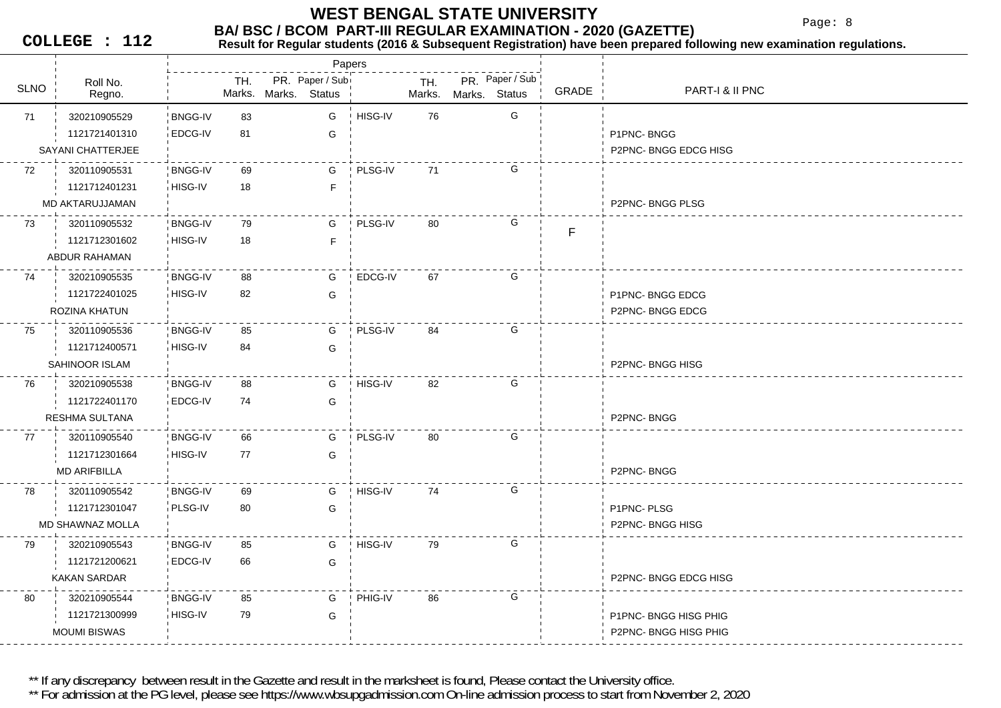Page: 8

**COLLEGE : 112**

#### **Result for Regular students (2016 & Subsequent Registration) have been prepared following new examination regulations.**

|             |                     |                |     |                      | Papers          |         |               |                                  |       |                       |
|-------------|---------------------|----------------|-----|----------------------|-----------------|---------|---------------|----------------------------------|-------|-----------------------|
| <b>SLNO</b> | Roll No.<br>Regno.  |                | TH. | Marks. Marks. Status | PR. Paper / Sub |         | TH.<br>Marks. | PR. Paper / Sub<br>Marks. Status | GRADE | PART-I & II PNC       |
| 71          | 320210905529        | <b>BNGG-IV</b> | 83  |                      | G               | HISG-IV | 76            | G                                |       |                       |
|             | 1121721401310       | EDCG-IV        | 81  |                      | G               |         |               |                                  |       | P1PNC-BNGG            |
|             | SAYANI CHATTERJEE   |                |     |                      |                 |         |               |                                  |       | P2PNC-BNGG EDCG HISG  |
| 72          | 320110905531        | <b>BNGG-IV</b> | 69  |                      | G               | PLSG-IV | 71            | G                                |       |                       |
|             | 1121712401231       | HISG-IV        | 18  |                      | F.              |         |               |                                  |       |                       |
|             | MD AKTARUJJAMAN     |                |     |                      |                 |         |               |                                  |       | P2PNC-BNGG PLSG       |
| 73          | 320110905532        | <b>BNGG-IV</b> | 79  |                      | G               | PLSG-IV | 80            | G                                | F     |                       |
|             | 1121712301602       | HISG-IV        | 18  |                      | F.              |         |               |                                  |       |                       |
|             | ABDUR RAHAMAN       |                |     |                      |                 |         |               |                                  |       |                       |
| 74          | 320210905535        | <b>BNGG-IV</b> | 88  |                      | G               | EDCG-IV | 67            | G                                |       |                       |
|             | 1121722401025       | HISG-IV        | 82  |                      | G               |         |               |                                  |       | P1PNC-BNGG EDCG       |
|             | ROZINA KHATUN       |                |     |                      |                 |         |               |                                  |       | P2PNC-BNGG EDCG       |
| 75          | 320110905536        | <b>BNGG-IV</b> | 85  |                      | G               | PLSG-IV | 84            | G                                |       |                       |
|             | 1121712400571       | HISG-IV        | 84  |                      | G               |         |               |                                  |       |                       |
|             | SAHINOOR ISLAM      |                |     |                      |                 |         |               |                                  |       | P2PNC-BNGG HISG       |
| 76          | 320210905538        | <b>BNGG-IV</b> | 88  |                      | G               | HISG-IV | 82            | G                                |       |                       |
|             | 1121722401170       | EDCG-IV        | 74  |                      | G               |         |               |                                  |       |                       |
|             | RESHMA SULTANA      |                |     |                      |                 |         |               |                                  |       | P2PNC-BNGG            |
| 77          | 320110905540        | <b>BNGG-IV</b> | 66  |                      | G               | PLSG-IV | 80            | G                                |       |                       |
|             | 1121712301664       | HISG-IV        | 77  |                      | G               |         |               |                                  |       |                       |
|             | <b>MD ARIFBILLA</b> |                |     |                      |                 |         |               |                                  |       | P2PNC-BNGG            |
| 78          | 320110905542        | <b>BNGG-IV</b> | 69  |                      | G               | HISG-IV | 74            | G                                |       |                       |
|             | 1121712301047       | PLSG-IV        | 80  |                      | G               |         |               |                                  |       | P1PNC-PLSG            |
|             | MD SHAWNAZ MOLLA    |                |     |                      |                 |         |               |                                  |       | P2PNC-BNGG HISG       |
| 79          | 320210905543        | <b>BNGG-IV</b> | 85  |                      | G               | HISG-IV | 79            | G                                |       |                       |
|             | 1121721200621       | EDCG-IV        | 66  |                      | G               |         |               |                                  |       |                       |
|             | <b>KAKAN SARDAR</b> |                |     |                      |                 |         |               |                                  |       | P2PNC-BNGG EDCG HISG  |
| 80          | 320210905544        | <b>BNGG-IV</b> | 85  |                      | G               | PHIG-IV | 86            | G                                |       |                       |
|             | 1121721300999       | HISG-IV        | 79  |                      | G               |         |               |                                  |       | P1PNC-BNGG HISG PHIG  |
|             | <b>MOUMI BISWAS</b> |                |     |                      |                 |         |               |                                  |       | P2PNC- BNGG HISG PHIG |
|             |                     |                |     |                      |                 |         |               |                                  |       |                       |

\*\* If any discrepancy between result in the Gazette and result in the marksheet is found, Please contact the University office.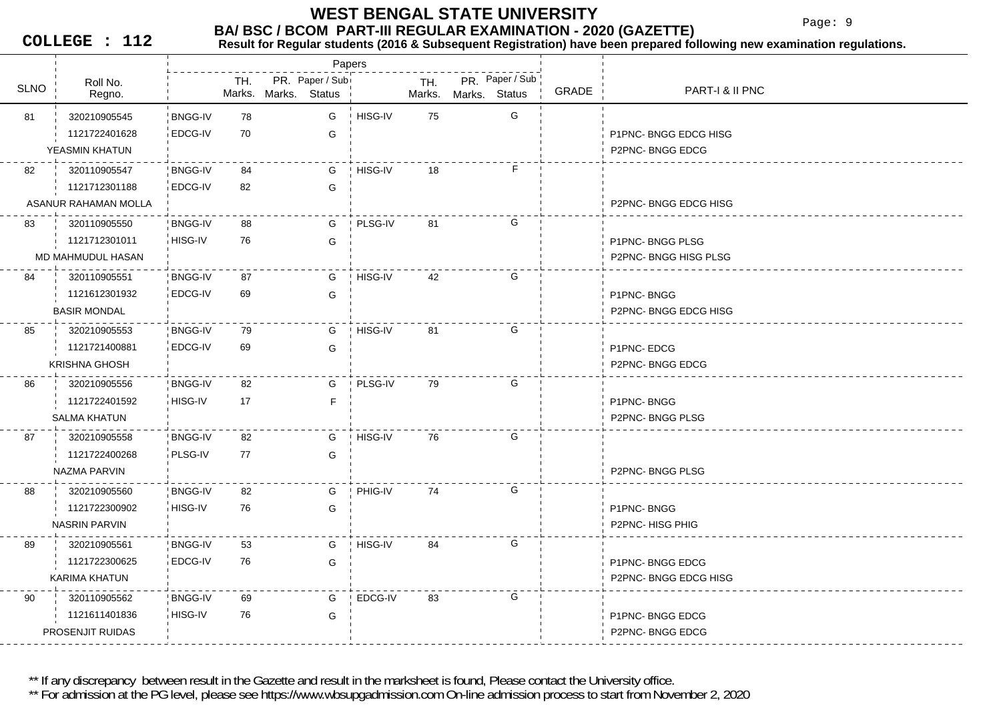Page: 9

**COLLEGE : 112**

#### **BA/ BSC / BCOM PART-III REGULAR EXAMINATION - 2020 (GAZETTE)**<br>Result for Requiar students (2016 & Subsequent Registration) have been prepared fo **Result for Regular students (2016 & Subsequent Registration) have been prepared following new examination regulations.**

|             |                      |                |     |                      |                  | Papers         |     |                      |                 |       |                      |
|-------------|----------------------|----------------|-----|----------------------|------------------|----------------|-----|----------------------|-----------------|-------|----------------------|
| <b>SLNO</b> | Roll No.<br>Regno.   |                | TH. | Marks. Marks. Status | PR. Paper / Subi |                | TH. | Marks. Marks. Status | PR. Paper / Sub | GRADE | PART-I & II PNC      |
| 81          | 320210905545         | <b>BNGG-IV</b> | 78  |                      | G                | ! HISG-IV      | 75  |                      | G               |       |                      |
|             | 1121722401628        | EDCG-IV        | 70  |                      | G                |                |     |                      |                 |       | P1PNC-BNGG EDCG HISG |
|             | YEASMIN KHATUN       |                |     |                      |                  |                |     |                      |                 |       | P2PNC-BNGG EDCG      |
| 82          | 320110905547         | <b>BNGG-IV</b> | 84  |                      | G                | ! HISG-IV      | 18  |                      | F.              |       |                      |
|             | 1121712301188        | EDCG-IV        | 82  |                      | G                |                |     |                      |                 |       |                      |
|             | ASANUR RAHAMAN MOLLA |                |     |                      |                  |                |     |                      |                 |       | P2PNC-BNGG EDCG HISG |
| 83          | 320110905550         | <b>BNGG-IV</b> | 88  |                      | G                | ! PLSG-IV      | 81  |                      | G               |       |                      |
|             | 1121712301011        | HISG-IV        | 76  |                      | G                |                |     |                      |                 |       | P1PNC-BNGG PLSG      |
|             | MD MAHMUDUL HASAN    |                |     |                      |                  |                |     |                      |                 |       | P2PNC-BNGG HISG PLSG |
| 84          | 320110905551         | <b>BNGG-IV</b> | 87  |                      | G                | ! HISG-IV      | 42  |                      | G               |       |                      |
|             | 1121612301932        | EDCG-IV        | 69  |                      | G                |                |     |                      |                 |       | P1PNC-BNGG           |
|             | <b>BASIR MONDAL</b>  |                |     |                      |                  |                |     |                      |                 |       | P2PNC-BNGG EDCG HISG |
| 85          | 320210905553         | <b>BNGG-IV</b> | 79  |                      | G                | HISG-IV        | 81  |                      | G               |       |                      |
|             | 1121721400881        | EDCG-IV        | 69  |                      | G                |                |     |                      |                 |       | P1PNC-EDCG           |
|             | <b>KRISHNA GHOSH</b> |                |     |                      |                  |                |     |                      |                 |       | P2PNC-BNGG EDCG      |
| 86          | 320210905556         | <b>BNGG-IV</b> | 82  |                      | G                | PLSG-IV        | 79  |                      | G               |       |                      |
|             | 1121722401592        | HISG-IV        | 17  |                      | F.               |                |     |                      |                 |       | P1PNC-BNGG           |
|             | <b>SALMA KHATUN</b>  |                |     |                      |                  |                |     |                      |                 |       | P2PNC-BNGG PLSG      |
| 87          | 320210905558         | <b>BNGG-IV</b> | 82  |                      | G                | HISG-IV        | 76  |                      | G               |       |                      |
|             | 1121722400268        | PLSG-IV        | 77  |                      | G                |                |     |                      |                 |       |                      |
|             | NAZMA PARVIN         |                |     |                      |                  |                |     |                      |                 |       | P2PNC-BNGG PLSG      |
| 88          | 320210905560         | <b>BNGG-IV</b> | 82  |                      | G                | PHIG-IV        | 74  |                      | G               |       |                      |
|             | 1121722300902        | HISG-IV        | 76  |                      | G                |                |     |                      |                 |       | P1PNC-BNGG           |
|             | <b>NASRIN PARVIN</b> |                |     |                      |                  |                |     |                      |                 |       | P2PNC-HISG PHIG      |
| 89          | 320210905561         | <b>BNGG-IV</b> | 53  |                      | G                | <b>HISG-IV</b> | 84  |                      | G               |       |                      |
|             | 1121722300625        | EDCG-IV        | 76  |                      | G                |                |     |                      |                 |       | P1PNC-BNGG EDCG      |
|             | KARIMA KHATUN        |                |     |                      |                  |                |     |                      |                 |       | P2PNC-BNGG EDCG HISG |
| 90          | 320110905562         | <b>BNGG-IV</b> | 69  |                      | G                | EDCG-IV        | 83  |                      | G               |       |                      |
|             | 1121611401836        | HISG-IV        | 76  |                      | G                |                |     |                      |                 |       | P1PNC-BNGG EDCG      |
|             | PROSENJIT RUIDAS     |                |     |                      |                  |                |     |                      |                 |       | P2PNC-BNGG EDCG      |

\*\* If any discrepancy between result in the Gazette and result in the marksheet is found, Please contact the University office.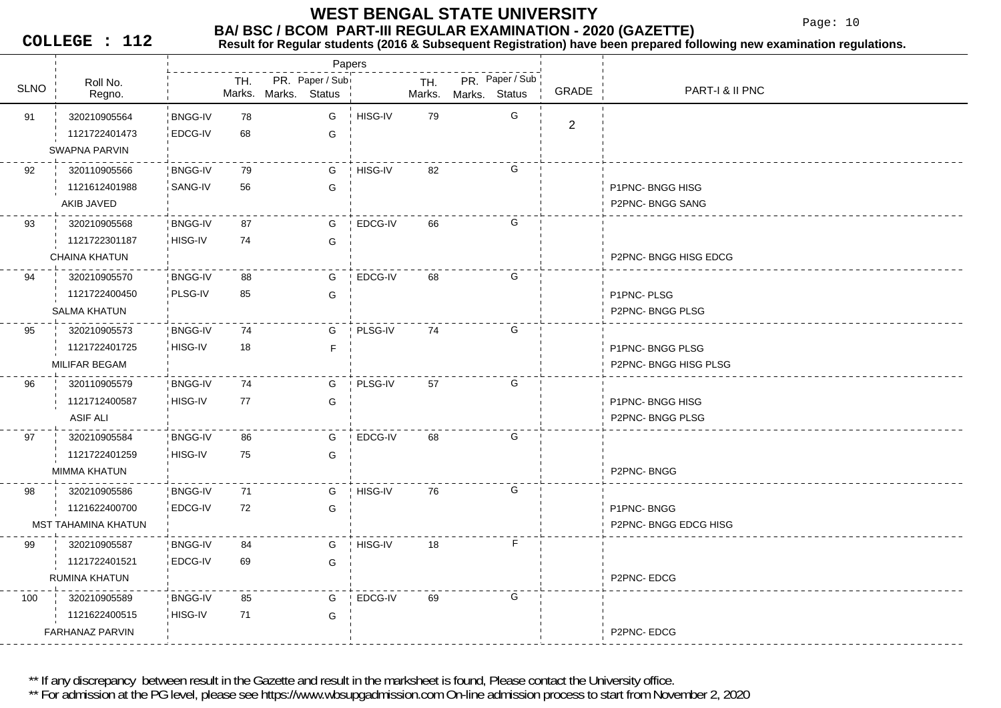Page: 10

**COLLEGE : 112**

## **Result for Regular students (2016 & Subsequent Registration) have been prepared following new examination regulations.**

|             |                        |                |     |                      | Papers          |         |        |               |                 |                |                      |
|-------------|------------------------|----------------|-----|----------------------|-----------------|---------|--------|---------------|-----------------|----------------|----------------------|
| <b>SLNO</b> | Roll No.               |                | TH. |                      | PR. Paper / Sub |         | TH.    |               | PR. Paper / Sub | GRADE          | PART-I & II PNC      |
|             | Regno.                 |                |     | Marks. Marks. Status |                 |         | Marks. | Marks. Status |                 |                |                      |
| 91          | 320210905564           | <b>BNGG-IV</b> | 78  |                      | G               | HISG-IV | 79     |               | G               | $\overline{2}$ |                      |
|             | 1121722401473          | EDCG-IV        | 68  |                      | G               |         |        |               |                 |                |                      |
|             | <b>SWAPNA PARVIN</b>   |                |     |                      |                 |         |        |               |                 |                |                      |
| 92          | 320110905566           | BNGG-IV        | 79  |                      | G               | HISG-IV | 82     |               | G               |                |                      |
|             | 1121612401988          | SANG-IV        | 56  |                      | G               |         |        |               |                 |                | P1PNC-BNGG HISG      |
|             | AKIB JAVED             |                |     |                      |                 |         |        |               |                 |                | P2PNC-BNGG SANG      |
| 93          | 320210905568           | BNGG-IV        | 87  |                      | G               | EDCG-IV | 66     |               | G               |                |                      |
|             | 1121722301187          | HISG-IV        | 74  |                      | G               |         |        |               |                 |                |                      |
|             | <b>CHAINA KHATUN</b>   |                |     |                      |                 |         |        |               |                 |                | P2PNC-BNGG HISG EDCG |
| 94          | 320210905570           | <b>BNGG-IV</b> | 88  |                      | G               | EDCG-IV | 68     |               | G               |                |                      |
|             | 1121722400450          | PLSG-IV        | 85  |                      | G               |         |        |               |                 |                | P1PNC-PLSG           |
|             | <b>SALMA KHATUN</b>    |                |     |                      |                 |         |        |               |                 |                | P2PNC-BNGG PLSG      |
| 95          | 320210905573           | BNGG-IV        | 74  |                      | G               | PLSG-IV | 74     |               | G               |                |                      |
|             | 1121722401725          | HISG-IV        | 18  |                      | F.              |         |        |               |                 |                | P1PNC-BNGG PLSG      |
|             | MILIFAR BEGAM          |                |     |                      |                 |         |        |               |                 |                | P2PNC-BNGG HISG PLSG |
| 96          | 320110905579           | BNGG-IV        | 74  |                      | G               | PLSG-IV | 57     |               | G               |                |                      |
|             | 1121712400587          | HISG-IV        | 77  |                      | G               |         |        |               |                 |                | P1PNC-BNGG HISG      |
|             | ASIF ALI               |                |     |                      |                 |         |        |               |                 |                | P2PNC-BNGG PLSG      |
| 97          | 320210905584           | BNGG-IV        | 86  |                      | G               | EDCG-IV | 68     |               | G               |                |                      |
|             | 1121722401259          | HISG-IV        | 75  |                      | G               |         |        |               |                 |                |                      |
|             | MIMMA KHATUN           |                |     |                      |                 |         |        |               |                 |                | P2PNC-BNGG           |
| 98          | 320210905586           | BNGG-IV        | 71  |                      | G               | HISG-IV | 76     |               | G               |                |                      |
|             | 1121622400700          | <b>EDCG-IV</b> | 72  |                      | G               |         |        |               |                 |                | P1PNC-BNGG           |
|             | MST TAHAMINA KHATUN    |                |     |                      |                 |         |        |               |                 |                | P2PNC-BNGG EDCG HISG |
| 99          | 320210905587           | BNGG-IV        | 84  |                      | G               | HISG-IV | 18     |               | F               |                |                      |
|             | 1121722401521          | EDCG-IV        | 69  |                      | G               |         |        |               |                 |                |                      |
|             | RUMINA KHATUN          |                |     |                      |                 |         |        |               |                 |                | P2PNC-EDCG           |
| 100         | 320210905589           | BNGG-IV        | 85  |                      | G               | EDCG-IV | 69     |               | G               |                |                      |
|             | 1121622400515          | HISG-IV        | 71  |                      | G               |         |        |               |                 |                |                      |
|             | <b>FARHANAZ PARVIN</b> |                |     |                      |                 |         |        |               |                 |                | P2PNC-EDCG           |

\*\* If any discrepancy between result in the Gazette and result in the marksheet is found, Please contact the University office.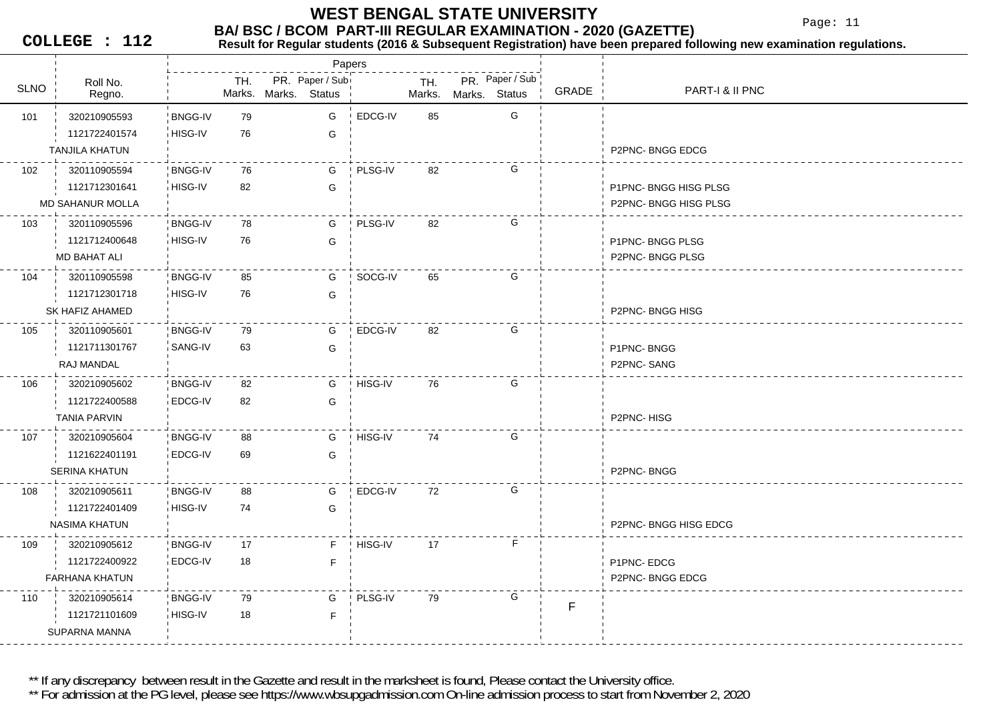#### **BA/ BSC / BCOM PART-III REGULAR EXAMINATION - 2020 (GAZETTE) WEST BENGAL STATE UNIVERSITY**

Papers

Page: 11

**COLLEGE : 112**

## **Result for Regular students (2016 & Subsequent Registration) have been prepared following new examination regulations.**

Roll No.TH.SLNO
ROLINO
REGIO BRONO SUNO NARKS Status
SLNO
REGIO **▽ ¦ Regno. ¦ Marks.** PR. Paper / Sub<br>Marks. Status <sup>|</sup> Marks. Mark. Mark. . Marks. Marks.**Status** PR. Paper / Sub GRADE PART-I & II PNC 101 79 320210905593 BNGG-IV**BNGG-IV** HISG-IV 76 GG EDCG-IV 85 G 1121722401574G TANJILA KHATUN P2PNC- BNGG EDCG 102 76 320110905594 BNGG-IVHISG-IV 82 GGPLSG-IV 82 G 1121712301641G | P1PNC- BNGG HISG PLSG MD SAHANUR MOLLAA P2PNC- BNGG HISG PLSG PLANE AND THE RELATIONSHIP OF THE RELATIONSHIP OF THE RELATIONSHIP OF THE RELATIONSHIP 103 78 320110905596 BNGG-IV8 iHISG-IV 76 G GPLSG-IV 82 G 1121712400648**G** P1PNC- BNGG PLSG MD BAHAT ALI P2PNC- BNGG PLSG 104 320110905598 'BNGG-IV 85 **BNGG-IV** 8 iHISG-IV 76 G GSOCG-IV 65 G 1121712301718SK HAFIZ AHAMED P2PNC- BNGG HISG 105 79 320110905601 BNGG-IV**BNGG-IV** SANG-IV 63 G63 G EDCG-IV 82 G 1121711301767G P1PNC- BNGG RAJ MANDALLet the second contract of the second contract of the second contract of the second contract of the second contract of the second contract of the second contract of the second contract of the second contract of the second 106 320210905602 BNGG-IV 82 **BNGG-IV** EDCG-IV 82 GG HISG-IV 76 G 1121722400588TANIA PARVIN P2PNC- HISG 107 320210905604 BNGG-IV 88 **BNGG-IV** 1 EDCG-IV 69 G G HISG-IV 74 G 1121622401191G SERINA KHATUN P2PNC- BNGG108 320210905611 BNGG-IV 88 **BNGG-IV** HISG-IV 74 G74 G EDCG-IV 72 G 1121722401409NASIMA KHATUN P2PNC- BNGG HISG EDCG 109 320210905612 BNGG-IV 17 **BNGG-IV** 2 EDCG-IV 18 F 18 FHISG-IV 17 F 1121722400922F P1PNC- EDCG FARHANA KHATUNN P2PNC- BNGG EDCG 110 320210905614 BNGG-IV 79 **BNGG-IV** 9 HISG-IV 18 F 18 GPLSG-IV 79 G 1121721101609FSUPARNA MANNA

\*\* If any discrepancy between result in the Gazette and result in the marksheet is found, Please contact the University office.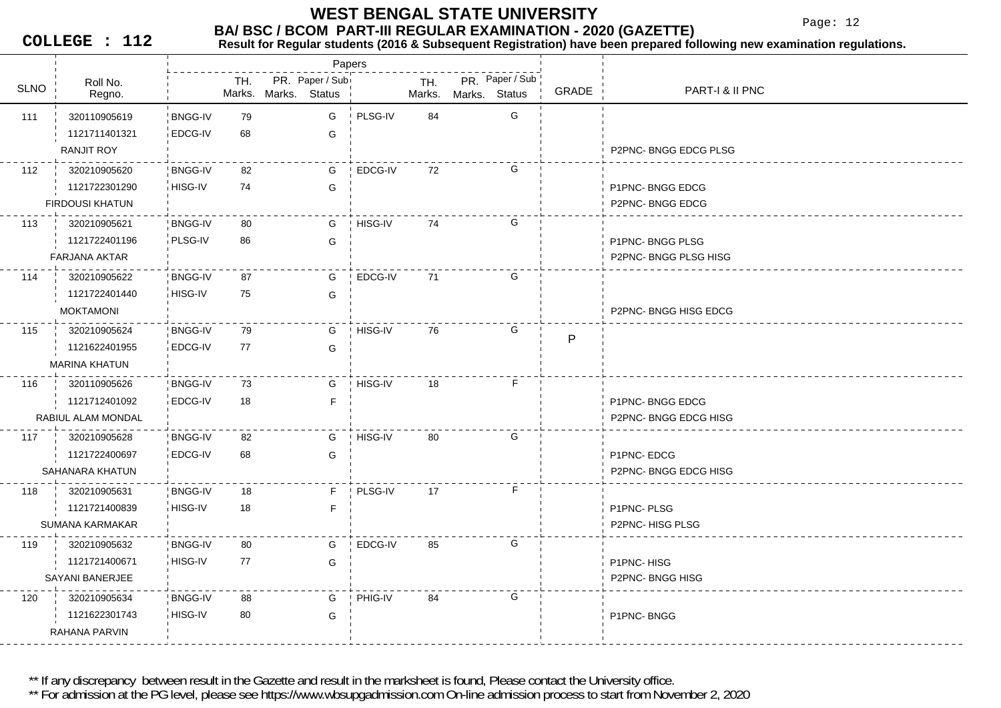Page: 12

**COLLEGE : 112**

## **BA/ BSC / BCOM PART-III REGULAR EXAMINATION - 2020 (GAZETTE)**<br>Result for Requiar students (2016 & Subsequent Registration) have been prepared fo

**Result for Regular students (2016 & Subsequent Registration) have been prepared following new examination regulations.**

|             |                        | Papers         |     |               |                                  |         |               |               |                 |              |                            |
|-------------|------------------------|----------------|-----|---------------|----------------------------------|---------|---------------|---------------|-----------------|--------------|----------------------------|
| <b>SLNO</b> | Roll No.<br>Regno.     |                | TH. | Marks. Marks. | PR. Paper / Sub<br><b>Status</b> |         | TH.<br>Marks. | Marks. Status | PR. Paper / Sub | GRADE        | <b>PART-I &amp; II PNC</b> |
| 111         | 320110905619           | <b>BNGG-IV</b> | 79  |               | G                                | PLSG-IV | 84            |               | G               |              |                            |
|             | 1121711401321          | <b>EDCG-IV</b> | 68  |               | G                                |         |               |               |                 |              |                            |
|             | RANJIT ROY             |                |     |               |                                  |         |               |               |                 |              | P2PNC-BNGG EDCG PLSG       |
| 112         | 320210905620           | <b>BNGG-IV</b> | 82  |               | G                                | EDCG-IV | 72            |               | G               |              |                            |
|             | 1121722301290          | HISG-IV        | 74  |               | G                                |         |               |               |                 |              | P1PNC-BNGG EDCG            |
|             | <b>FIRDOUSI KHATUN</b> |                |     |               |                                  |         |               |               |                 |              | P2PNC-BNGG EDCG            |
| 113         | 320210905621           | <b>BNGG-IV</b> | 80  |               | G                                | HISG-IV | 74            |               | G               |              |                            |
|             | 1121722401196          | PLSG-IV        | 86  |               | G                                |         |               |               |                 |              | P1PNC-BNGG PLSG            |
|             | <b>FARJANA AKTAR</b>   |                |     |               |                                  |         |               |               |                 |              | P2PNC-BNGG PLSG HISG       |
| 114         | 320210905622           | <b>BNGG-IV</b> | 87  |               | G                                | EDCG-IV | 71            |               | G               |              |                            |
|             | 1121722401440          | HISG-IV        | 75  |               | G                                |         |               |               |                 |              |                            |
|             | <b>MOKTAMONI</b>       |                |     |               |                                  |         |               |               |                 |              | P2PNC-BNGG HISG EDCG       |
| 115         | 320210905624           | <b>BNGG-IV</b> | 79  |               | G                                | HISG-IV | 76            |               | G               | $\mathsf{P}$ |                            |
|             | 1121622401955          | EDCG-IV        | 77  |               | G                                |         |               |               |                 |              |                            |
|             | <b>MARINA KHATUN</b>   |                |     |               |                                  |         |               |               |                 |              |                            |
| 116         | 320110905626           | <b>BNGG-IV</b> | 73  |               | G                                | HISG-IV | 18            |               | F               |              |                            |
|             | 1121712401092          | EDCG-IV        | 18  |               | $\mathsf F$                      |         |               |               |                 |              | P1PNC-BNGG EDCG            |
|             | RABIUL ALAM MONDAL     |                |     |               |                                  |         |               |               |                 |              | P2PNC-BNGG EDCG HISG       |
| 117         | 320210905628           | <b>BNGG-IV</b> | 82  |               | G                                | HISG-IV | 80            |               | G               |              |                            |
|             | 1121722400697          | EDCG-IV        | 68  |               | G                                |         |               |               |                 |              | P1PNC-EDCG                 |
|             | SAHANARA KHATUN        |                |     |               |                                  |         |               |               |                 |              | P2PNC-BNGG EDCG HISG       |
| 118         | 320210905631           | <b>BNGG-IV</b> | 18  |               | E                                | PLSG-IV | 17            |               | F.              |              |                            |
|             | 1121721400839          | HISG-IV        | 18  |               | F                                |         |               |               |                 |              | P1PNC-PLSG                 |
|             | <b>SUMANA KARMAKAR</b> |                |     |               |                                  |         |               |               |                 |              | P2PNC-HISG PLSG            |
| 119         | 320210905632           | <b>BNGG-IV</b> | 80  |               | G                                | EDCG-IV | 85            |               | G               |              |                            |
|             | 1121721400671          | HISG-IV        | 77  |               | G                                |         |               |               |                 |              | P1PNC-HISG                 |
|             | SAYANI BANERJEE        |                |     |               |                                  |         |               |               |                 |              | P2PNC-BNGG HISG            |
| 120         | 320210905634           | <b>BNGG-IV</b> | 88  |               | G                                | PHIG-IV | 84            |               | G               |              |                            |
|             | 1121622301743          | HISG-IV        | 80  |               | G                                |         |               |               |                 |              | P1PNC-BNGG                 |
|             | RAHANA PARVIN          |                |     |               |                                  |         |               |               |                 |              |                            |

\*\* If any discrepancy between result in the Gazette and result in the marksheet is found, Please contact the University office.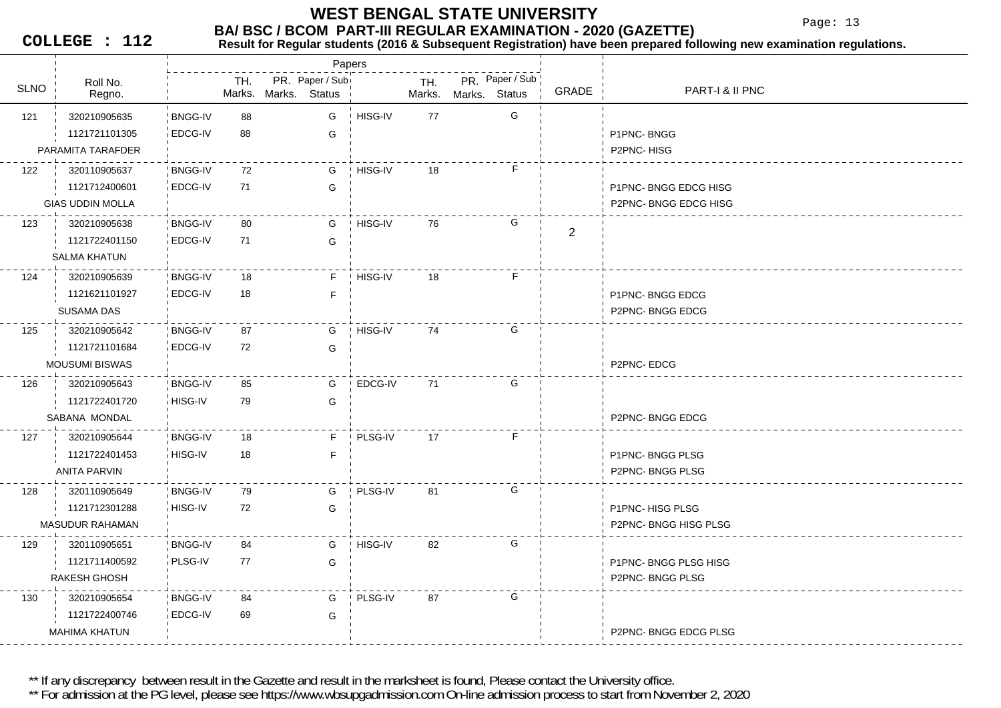Page: 13

**COLLEGE : 112**

## **BA/ BSC / BCOM PART-III REGULAR EXAMINATION - 2020 (GAZETTE)**<br>Result for Requiar students (2016 & Subsequent Registration) have been prepared fo

**Result for Regular students (2016 & Subsequent Registration) have been prepared following new examination regulations.**

|             |                         |                |     |                      | Papers          |         |     |                      |                 |                |                      |
|-------------|-------------------------|----------------|-----|----------------------|-----------------|---------|-----|----------------------|-----------------|----------------|----------------------|
| <b>SLNO</b> | Roll No.<br>Regno.      |                | TH. | Marks. Marks. Status | PR. Paper / Sub |         | TH. | Marks. Marks. Status | PR. Paper / Sub | GRADE          | PART-I & II PNC      |
| 121         | 320210905635            | <b>BNGG-IV</b> | 88  |                      | G               | HISG-IV | 77  |                      | G               |                |                      |
|             | 1121721101305           | EDCG-IV        | 88  |                      | G               |         |     |                      |                 |                | P1PNC-BNGG           |
|             | PARAMITA TARAFDER       |                |     |                      |                 |         |     |                      |                 |                | P2PNC-HISG           |
| 122         | 320110905637            | <b>BNGG-IV</b> | 72  |                      | G               | HISG-IV | 18  |                      | F               |                |                      |
|             | 1121712400601           | EDCG-IV        | 71  |                      | G               |         |     |                      |                 |                | P1PNC-BNGG EDCG HISG |
|             | <b>GIAS UDDIN MOLLA</b> |                |     |                      |                 |         |     |                      |                 |                | P2PNC-BNGG EDCG HISG |
| 123         | 320210905638            | <b>BNGG-IV</b> | 80  |                      | G               | HISG-IV | 76  |                      | G               |                |                      |
|             | 1121722401150           | EDCG-IV        | 71  |                      | G               |         |     |                      |                 | $\overline{2}$ |                      |
|             | <b>SALMA KHATUN</b>     |                |     |                      |                 |         |     |                      |                 |                |                      |
| 124         | 320210905639            | BNGG-IV        | 18  |                      | F.              | HISG-IV | 18  |                      | F               |                |                      |
|             | 1121621101927           | EDCG-IV        | 18  |                      | F               |         |     |                      |                 |                | P1PNC-BNGG EDCG      |
|             | SUSAMA DAS              |                |     |                      |                 |         |     |                      |                 |                | P2PNC-BNGG EDCG      |
| 125         | 320210905642            | BNGG-IV        | 87  |                      | G               | HISG-IV | 74  |                      | G               |                |                      |
|             | 1121721101684           | EDCG-IV        | 72  |                      | G               |         |     |                      |                 |                |                      |
|             | <b>MOUSUMI BISWAS</b>   |                |     |                      |                 |         |     |                      |                 |                | P2PNC-EDCG           |
| 126         | 320210905643            | BNGG-IV        | 85  |                      | G               | EDCG-IV | 71  |                      | G               |                |                      |
|             | 1121722401720           | HISG-IV        | 79  |                      | G               |         |     |                      |                 |                |                      |
|             | SABANA MONDAL           |                |     |                      |                 |         |     |                      |                 |                | P2PNC-BNGG EDCG      |
| 127         | 320210905644            | BNGG-IV        | 18  |                      | F.              | PLSG-IV | 17  |                      | F               |                |                      |
|             | 1121722401453           | HISG-IV        | 18  |                      | F.              |         |     |                      |                 |                | P1PNC-BNGG PLSG      |
|             | <b>ANITA PARVIN</b>     |                |     |                      |                 |         |     |                      |                 |                | P2PNC-BNGG PLSG      |
| 128         | 320110905649            | <b>BNGG-IV</b> | 79  |                      | G               | PLSG-IV | 81  |                      | G               |                |                      |
|             | 1121712301288           | HISG-IV        | 72  |                      | G               |         |     |                      |                 |                | P1PNC-HISG PLSG      |
|             | <b>MASUDUR RAHAMAN</b>  |                |     |                      |                 |         |     |                      |                 |                | P2PNC-BNGG HISG PLSG |
| 129         | 320110905651            | BNGG-IV        | 84  |                      | G               | HISG-IV | 82  |                      | G               |                |                      |
|             | 1121711400592           | PLSG-IV        | 77  |                      | G               |         |     |                      |                 |                | P1PNC-BNGG PLSG HISG |
|             | RAKESH GHOSH            |                |     |                      |                 |         |     |                      |                 |                | P2PNC-BNGG PLSG      |
| 130         | 320210905654            | <b>BNGG-IV</b> | 84  |                      | G               | PLSG-IV | 87  |                      | G               |                |                      |
|             | 1121722400746           | EDCG-IV        | 69  |                      | G               |         |     |                      |                 |                |                      |
|             | <b>MAHIMA KHATUN</b>    |                |     |                      |                 |         |     |                      |                 |                | P2PNC-BNGG EDCG PLSG |
|             |                         |                |     |                      |                 |         |     |                      |                 |                |                      |

\*\* If any discrepancy between result in the Gazette and result in the marksheet is found, Please contact the University office.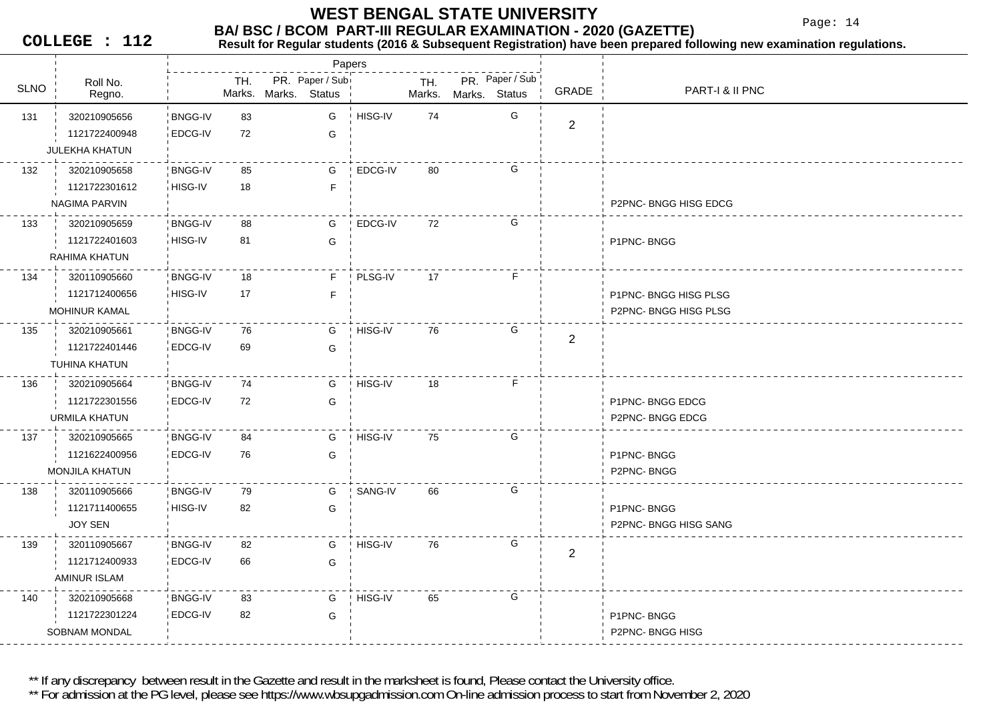Page: 14

**COLLEGE : 112**

#### **Result for Regular students (2016 & Subsequent Registration) have been prepared following new examination regulations.**

| PR. Paper / Sub<br>PR. Paper / Sub<br>TH.<br>TH.<br>Roll No.<br><b>SLNO</b><br><b>PART-I &amp; II PNC</b><br>GRADE<br>Marks. Marks. Status<br>Marks. Status<br>Regno.<br>Marks.<br>G<br>HISG-IV<br><b>BNGG-IV</b><br>83<br>G<br>74<br>131<br>320210905656<br>$\overline{2}$<br>1121722400948<br>EDCG-IV<br>72<br>G<br><b>JULEKHA KHATUN</b><br>G<br>EDCG-IV<br>132<br>320210905658<br><b>BNGG-IV</b><br>85<br>G<br>80<br>HISG-IV<br>18<br>1121722301612<br>F<br>P2PNC-BNGG HISG EDCG<br>NAGIMA PARVIN<br>G<br><b>BNGG-IV</b><br>G<br>72<br>133<br>320210905659<br>88<br>EDCG-IV<br>HISG-IV<br>1121722401603<br>81<br>G<br>P1PNC-BNGG<br>RAHIMA KHATUN<br>F<br><b>BNGG-IV</b><br>F.<br>PLSG-IV<br>17<br>134<br>320110905660<br>18<br>HISG-IV<br>17<br>1121712400656<br>E<br>P1PNC-BNGG HISG PLSG<br>P2PNC- BNGG HISG PLSG<br><b>MOHINUR KAMAL</b><br>G<br>76<br><b>BNGG-IV</b><br>76<br>HISG-IV<br>135<br>320210905661<br>G<br>$\overline{2}$<br>1121722401446<br>EDCG-IV<br>69<br>G<br>TUHINA KHATUN<br>F<br>320210905664<br><b>BNGG-IV</b><br>G<br>HISG-IV<br>136<br>74<br>18<br>1121722301556<br>EDCG-IV<br>72<br>G<br>P1PNC-BNGG EDCG<br>URMILA KHATUN<br>P2PNC-BNGG EDCG<br>G<br>75<br>G<br>HISG-IV<br>137<br>320210905665<br><b>BNGG-IV</b><br>84<br>EDCG-IV<br>1121622400956<br>76<br>G<br>P1PNC-BNGG<br><b>MONJILA KHATUN</b><br>P2PNC-BNGG<br>G<br>138<br>320110905666<br><b>BNGG-IV</b><br>79<br>G<br>SANG-IV<br>66<br>HISG-IV<br>82<br>1121711400655<br>G<br>P1PNC-BNGG<br><b>JOY SEN</b><br>P2PNC-BNGG HISG SANG<br>G<br>HISG-IV<br>320110905667<br><b>BNGG-IV</b><br>82<br>G<br>76<br>139<br>$\overline{2}$<br>EDCG-IV<br>1121712400933<br>66<br>G<br>AMINUR ISLAM<br>G<br>HISG-IV<br>65<br>140<br>320210905668<br><b>BNGG-IV</b><br>83<br>G<br>EDCG-IV<br>82<br>1121722301224<br>G<br>P1PNC-BNGG<br><b>SOBNAM MONDAL</b><br>P2PNC-BNGG HISG |  |  | Papers |  |  |  |
|----------------------------------------------------------------------------------------------------------------------------------------------------------------------------------------------------------------------------------------------------------------------------------------------------------------------------------------------------------------------------------------------------------------------------------------------------------------------------------------------------------------------------------------------------------------------------------------------------------------------------------------------------------------------------------------------------------------------------------------------------------------------------------------------------------------------------------------------------------------------------------------------------------------------------------------------------------------------------------------------------------------------------------------------------------------------------------------------------------------------------------------------------------------------------------------------------------------------------------------------------------------------------------------------------------------------------------------------------------------------------------------------------------------------------------------------------------------------------------------------------------------------------------------------------------------------------------------------------------------------------------------------------------------------------------------------------------------------------------------------------------------------------------------------------------------------------------------------------------|--|--|--------|--|--|--|
|                                                                                                                                                                                                                                                                                                                                                                                                                                                                                                                                                                                                                                                                                                                                                                                                                                                                                                                                                                                                                                                                                                                                                                                                                                                                                                                                                                                                                                                                                                                                                                                                                                                                                                                                                                                                                                                          |  |  |        |  |  |  |
|                                                                                                                                                                                                                                                                                                                                                                                                                                                                                                                                                                                                                                                                                                                                                                                                                                                                                                                                                                                                                                                                                                                                                                                                                                                                                                                                                                                                                                                                                                                                                                                                                                                                                                                                                                                                                                                          |  |  |        |  |  |  |
|                                                                                                                                                                                                                                                                                                                                                                                                                                                                                                                                                                                                                                                                                                                                                                                                                                                                                                                                                                                                                                                                                                                                                                                                                                                                                                                                                                                                                                                                                                                                                                                                                                                                                                                                                                                                                                                          |  |  |        |  |  |  |
|                                                                                                                                                                                                                                                                                                                                                                                                                                                                                                                                                                                                                                                                                                                                                                                                                                                                                                                                                                                                                                                                                                                                                                                                                                                                                                                                                                                                                                                                                                                                                                                                                                                                                                                                                                                                                                                          |  |  |        |  |  |  |
|                                                                                                                                                                                                                                                                                                                                                                                                                                                                                                                                                                                                                                                                                                                                                                                                                                                                                                                                                                                                                                                                                                                                                                                                                                                                                                                                                                                                                                                                                                                                                                                                                                                                                                                                                                                                                                                          |  |  |        |  |  |  |
|                                                                                                                                                                                                                                                                                                                                                                                                                                                                                                                                                                                                                                                                                                                                                                                                                                                                                                                                                                                                                                                                                                                                                                                                                                                                                                                                                                                                                                                                                                                                                                                                                                                                                                                                                                                                                                                          |  |  |        |  |  |  |
|                                                                                                                                                                                                                                                                                                                                                                                                                                                                                                                                                                                                                                                                                                                                                                                                                                                                                                                                                                                                                                                                                                                                                                                                                                                                                                                                                                                                                                                                                                                                                                                                                                                                                                                                                                                                                                                          |  |  |        |  |  |  |
|                                                                                                                                                                                                                                                                                                                                                                                                                                                                                                                                                                                                                                                                                                                                                                                                                                                                                                                                                                                                                                                                                                                                                                                                                                                                                                                                                                                                                                                                                                                                                                                                                                                                                                                                                                                                                                                          |  |  |        |  |  |  |
|                                                                                                                                                                                                                                                                                                                                                                                                                                                                                                                                                                                                                                                                                                                                                                                                                                                                                                                                                                                                                                                                                                                                                                                                                                                                                                                                                                                                                                                                                                                                                                                                                                                                                                                                                                                                                                                          |  |  |        |  |  |  |
|                                                                                                                                                                                                                                                                                                                                                                                                                                                                                                                                                                                                                                                                                                                                                                                                                                                                                                                                                                                                                                                                                                                                                                                                                                                                                                                                                                                                                                                                                                                                                                                                                                                                                                                                                                                                                                                          |  |  |        |  |  |  |
|                                                                                                                                                                                                                                                                                                                                                                                                                                                                                                                                                                                                                                                                                                                                                                                                                                                                                                                                                                                                                                                                                                                                                                                                                                                                                                                                                                                                                                                                                                                                                                                                                                                                                                                                                                                                                                                          |  |  |        |  |  |  |
|                                                                                                                                                                                                                                                                                                                                                                                                                                                                                                                                                                                                                                                                                                                                                                                                                                                                                                                                                                                                                                                                                                                                                                                                                                                                                                                                                                                                                                                                                                                                                                                                                                                                                                                                                                                                                                                          |  |  |        |  |  |  |
|                                                                                                                                                                                                                                                                                                                                                                                                                                                                                                                                                                                                                                                                                                                                                                                                                                                                                                                                                                                                                                                                                                                                                                                                                                                                                                                                                                                                                                                                                                                                                                                                                                                                                                                                                                                                                                                          |  |  |        |  |  |  |
|                                                                                                                                                                                                                                                                                                                                                                                                                                                                                                                                                                                                                                                                                                                                                                                                                                                                                                                                                                                                                                                                                                                                                                                                                                                                                                                                                                                                                                                                                                                                                                                                                                                                                                                                                                                                                                                          |  |  |        |  |  |  |
|                                                                                                                                                                                                                                                                                                                                                                                                                                                                                                                                                                                                                                                                                                                                                                                                                                                                                                                                                                                                                                                                                                                                                                                                                                                                                                                                                                                                                                                                                                                                                                                                                                                                                                                                                                                                                                                          |  |  |        |  |  |  |
|                                                                                                                                                                                                                                                                                                                                                                                                                                                                                                                                                                                                                                                                                                                                                                                                                                                                                                                                                                                                                                                                                                                                                                                                                                                                                                                                                                                                                                                                                                                                                                                                                                                                                                                                                                                                                                                          |  |  |        |  |  |  |
|                                                                                                                                                                                                                                                                                                                                                                                                                                                                                                                                                                                                                                                                                                                                                                                                                                                                                                                                                                                                                                                                                                                                                                                                                                                                                                                                                                                                                                                                                                                                                                                                                                                                                                                                                                                                                                                          |  |  |        |  |  |  |
|                                                                                                                                                                                                                                                                                                                                                                                                                                                                                                                                                                                                                                                                                                                                                                                                                                                                                                                                                                                                                                                                                                                                                                                                                                                                                                                                                                                                                                                                                                                                                                                                                                                                                                                                                                                                                                                          |  |  |        |  |  |  |
|                                                                                                                                                                                                                                                                                                                                                                                                                                                                                                                                                                                                                                                                                                                                                                                                                                                                                                                                                                                                                                                                                                                                                                                                                                                                                                                                                                                                                                                                                                                                                                                                                                                                                                                                                                                                                                                          |  |  |        |  |  |  |
|                                                                                                                                                                                                                                                                                                                                                                                                                                                                                                                                                                                                                                                                                                                                                                                                                                                                                                                                                                                                                                                                                                                                                                                                                                                                                                                                                                                                                                                                                                                                                                                                                                                                                                                                                                                                                                                          |  |  |        |  |  |  |
|                                                                                                                                                                                                                                                                                                                                                                                                                                                                                                                                                                                                                                                                                                                                                                                                                                                                                                                                                                                                                                                                                                                                                                                                                                                                                                                                                                                                                                                                                                                                                                                                                                                                                                                                                                                                                                                          |  |  |        |  |  |  |
|                                                                                                                                                                                                                                                                                                                                                                                                                                                                                                                                                                                                                                                                                                                                                                                                                                                                                                                                                                                                                                                                                                                                                                                                                                                                                                                                                                                                                                                                                                                                                                                                                                                                                                                                                                                                                                                          |  |  |        |  |  |  |
|                                                                                                                                                                                                                                                                                                                                                                                                                                                                                                                                                                                                                                                                                                                                                                                                                                                                                                                                                                                                                                                                                                                                                                                                                                                                                                                                                                                                                                                                                                                                                                                                                                                                                                                                                                                                                                                          |  |  |        |  |  |  |
|                                                                                                                                                                                                                                                                                                                                                                                                                                                                                                                                                                                                                                                                                                                                                                                                                                                                                                                                                                                                                                                                                                                                                                                                                                                                                                                                                                                                                                                                                                                                                                                                                                                                                                                                                                                                                                                          |  |  |        |  |  |  |
|                                                                                                                                                                                                                                                                                                                                                                                                                                                                                                                                                                                                                                                                                                                                                                                                                                                                                                                                                                                                                                                                                                                                                                                                                                                                                                                                                                                                                                                                                                                                                                                                                                                                                                                                                                                                                                                          |  |  |        |  |  |  |
|                                                                                                                                                                                                                                                                                                                                                                                                                                                                                                                                                                                                                                                                                                                                                                                                                                                                                                                                                                                                                                                                                                                                                                                                                                                                                                                                                                                                                                                                                                                                                                                                                                                                                                                                                                                                                                                          |  |  |        |  |  |  |
|                                                                                                                                                                                                                                                                                                                                                                                                                                                                                                                                                                                                                                                                                                                                                                                                                                                                                                                                                                                                                                                                                                                                                                                                                                                                                                                                                                                                                                                                                                                                                                                                                                                                                                                                                                                                                                                          |  |  |        |  |  |  |
|                                                                                                                                                                                                                                                                                                                                                                                                                                                                                                                                                                                                                                                                                                                                                                                                                                                                                                                                                                                                                                                                                                                                                                                                                                                                                                                                                                                                                                                                                                                                                                                                                                                                                                                                                                                                                                                          |  |  |        |  |  |  |
|                                                                                                                                                                                                                                                                                                                                                                                                                                                                                                                                                                                                                                                                                                                                                                                                                                                                                                                                                                                                                                                                                                                                                                                                                                                                                                                                                                                                                                                                                                                                                                                                                                                                                                                                                                                                                                                          |  |  |        |  |  |  |
|                                                                                                                                                                                                                                                                                                                                                                                                                                                                                                                                                                                                                                                                                                                                                                                                                                                                                                                                                                                                                                                                                                                                                                                                                                                                                                                                                                                                                                                                                                                                                                                                                                                                                                                                                                                                                                                          |  |  |        |  |  |  |
|                                                                                                                                                                                                                                                                                                                                                                                                                                                                                                                                                                                                                                                                                                                                                                                                                                                                                                                                                                                                                                                                                                                                                                                                                                                                                                                                                                                                                                                                                                                                                                                                                                                                                                                                                                                                                                                          |  |  |        |  |  |  |
|                                                                                                                                                                                                                                                                                                                                                                                                                                                                                                                                                                                                                                                                                                                                                                                                                                                                                                                                                                                                                                                                                                                                                                                                                                                                                                                                                                                                                                                                                                                                                                                                                                                                                                                                                                                                                                                          |  |  |        |  |  |  |

\*\* If any discrepancy between result in the Gazette and result in the marksheet is found, Please contact the University office.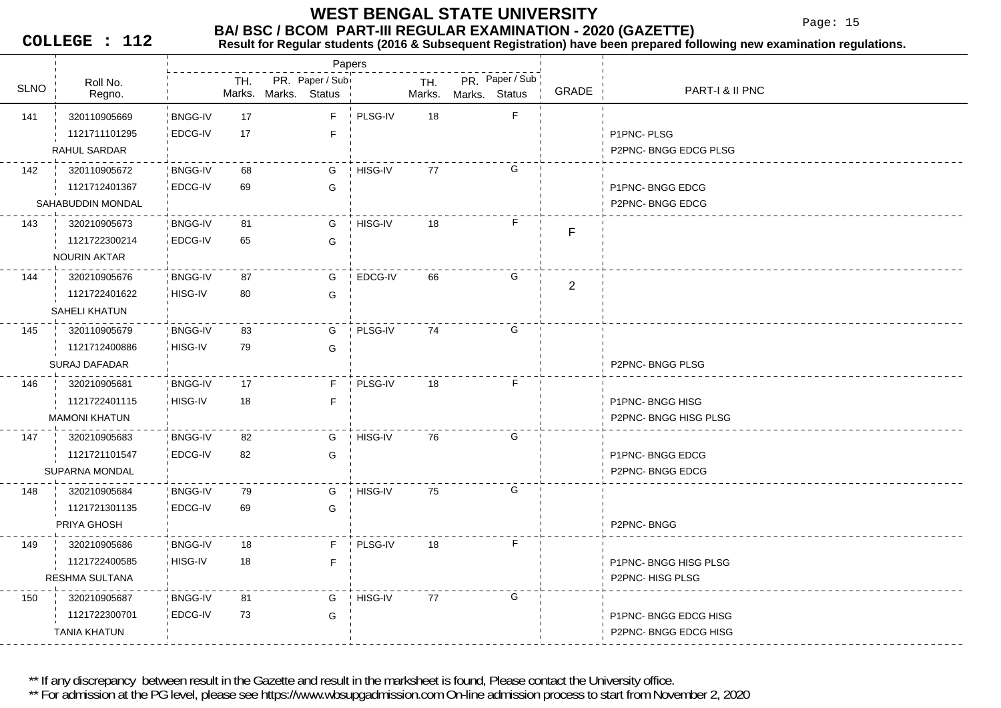Page: 15

**COLLEGE : 112**

#### **Result for Regular students (2016 & Subsequent Registration) have been prepared following new examination regulations.**

|             |                      |                |     |                                         | Papers  |               |                                  |                     |                      |
|-------------|----------------------|----------------|-----|-----------------------------------------|---------|---------------|----------------------------------|---------------------|----------------------|
| <b>SLNO</b> | Roll No.<br>Regno.   |                | TH. | PR. Paper / Sub<br>Marks. Marks. Status |         | TH.<br>Marks. | PR. Paper / Sub<br>Marks. Status | GRADE               | PART-I & II PNC      |
| 141         | 320110905669         | <b>BNGG-IV</b> | 17  | F                                       | PLSG-IV | 18            |                                  | F                   |                      |
|             | 1121711101295        | EDCG-IV        | 17  | $\mathsf F$                             |         |               |                                  |                     | P1PNC-PLSG           |
|             | RAHUL SARDAR         |                |     |                                         |         |               |                                  |                     | P2PNC-BNGG EDCG PLSG |
| 142         | 320110905672         | <b>BNGG-IV</b> | 68  | G                                       | HISG-IV | 77            |                                  | G                   |                      |
|             | 1121712401367        | EDCG-IV        | 69  | G                                       |         |               |                                  |                     | P1PNC-BNGG EDCG      |
|             | SAHABUDDIN MONDAL    |                |     |                                         |         |               |                                  |                     | P2PNC-BNGG EDCG      |
| 143         | 320210905673         | <b>BNGG-IV</b> | 81  | G                                       | HISG-IV | 18            |                                  | F.<br>F             |                      |
|             | 1121722300214        | EDCG-IV        | 65  | G                                       |         |               |                                  |                     |                      |
|             | <b>NOURIN AKTAR</b>  |                |     |                                         |         |               |                                  |                     |                      |
| 144         | 320210905676         | <b>BNGG-IV</b> | 87  | G                                       | EDCG-IV | 66            |                                  | G<br>$\overline{2}$ |                      |
|             | 1121722401622        | HISG-IV        | 80  | G                                       |         |               |                                  |                     |                      |
|             | SAHELI KHATUN        |                |     |                                         |         |               |                                  |                     |                      |
| 145         | 320110905679         | <b>BNGG-IV</b> | 83  | G                                       | PLSG-IV | 74            |                                  | G                   |                      |
|             | 1121712400886        | HISG-IV        | 79  | G                                       |         |               |                                  |                     |                      |
|             | <b>SURAJ DAFADAR</b> |                |     |                                         |         |               |                                  |                     | P2PNC-BNGG PLSG      |
| 146         | 320210905681         | <b>BNGG-IV</b> | 17  | F.                                      | PLSG-IV | 18            |                                  | F.                  |                      |
|             | 1121722401115        | HISG-IV        | 18  | $\mathsf F$                             |         |               |                                  |                     | P1PNC-BNGG HISG      |
|             | <b>MAMONI KHATUN</b> |                |     |                                         |         |               |                                  |                     | P2PNC-BNGG HISG PLSG |
| 147         | 320210905683         | <b>BNGG-IV</b> | 82  | G                                       | HISG-IV | 76            | G                                |                     |                      |
|             | 1121721101547        | EDCG-IV        | 82  | G                                       |         |               |                                  |                     | P1PNC-BNGG EDCG      |
|             | SUPARNA MONDAL       |                |     |                                         |         |               |                                  |                     | P2PNC-BNGG EDCG      |
| 148         | 320210905684         | <b>BNGG-IV</b> | 79  | G                                       | HISG-IV | 75            | G                                |                     |                      |
|             | 1121721301135        | EDCG-IV        | 69  | G                                       |         |               |                                  |                     |                      |
|             | PRIYA GHOSH          |                |     |                                         |         |               |                                  |                     | P2PNC-BNGG           |
| 149         | 320210905686         | <b>BNGG-IV</b> | 18  | F.                                      | PLSG-IV | 18            |                                  | F                   |                      |
|             | 1121722400585        | HISG-IV        | 18  | F.                                      |         |               |                                  |                     | P1PNC-BNGG HISG PLSG |
|             | RESHMA SULTANA       |                |     |                                         |         |               |                                  |                     | P2PNC-HISG PLSG      |
| 150         | 320210905687         | <b>BNGG-IV</b> | 81  | G                                       | HISG-IV | 77            | G                                |                     |                      |
|             | 1121722300701        | EDCG-IV        | 73  | G                                       |         |               |                                  |                     | P1PNC-BNGG EDCG HISG |
|             | <b>TANIA KHATUN</b>  |                |     |                                         |         |               |                                  |                     | P2PNC-BNGG EDCG HISG |

\*\* If any discrepancy between result in the Gazette and result in the marksheet is found, Please contact the University office.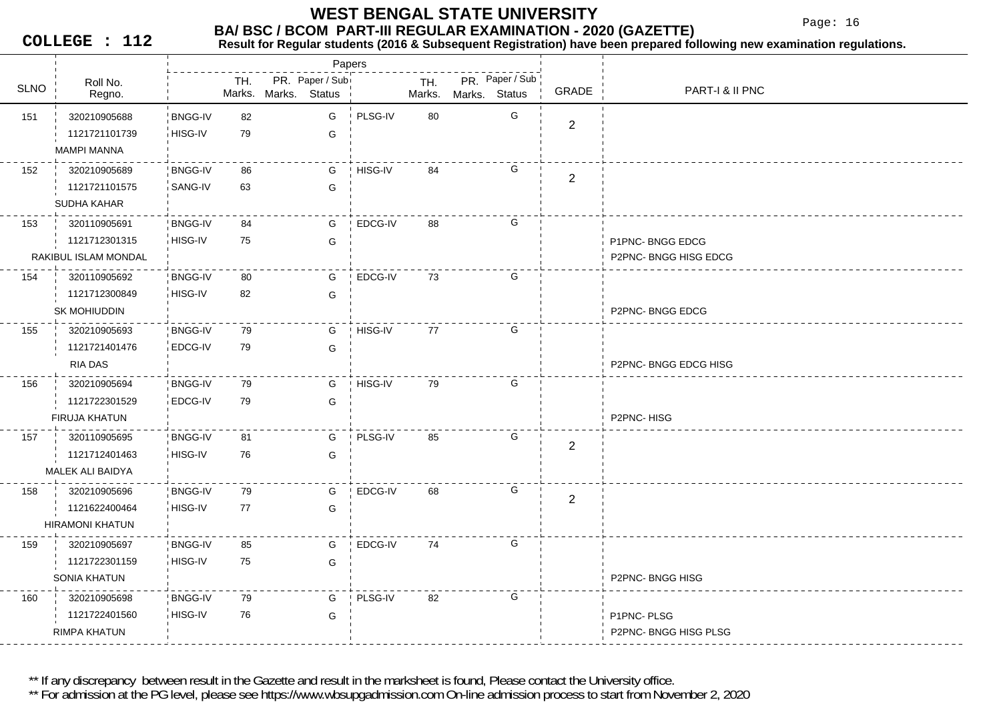Page: 16

**COLLEGE : 112**

#### **Result for Regular students (2016 & Subsequent Registration) have been prepared following new examination regulations.**

|             |                        |                |     |                      | Papers          |         |               |               |                 |                |                      |
|-------------|------------------------|----------------|-----|----------------------|-----------------|---------|---------------|---------------|-----------------|----------------|----------------------|
| <b>SLNO</b> | Roll No.<br>Regno.     |                | TH. | Marks. Marks. Status | PR. Paper / Sub |         | TH.<br>Marks. | Marks. Status | PR. Paper / Sub | GRADE          | PART-I & II PNC      |
| 151         | 320210905688           | <b>BNGG-IV</b> | 82  |                      | G               | PLSG-IV | 80            |               | G               |                |                      |
|             | 1121721101739          | HISG-IV        | 79  |                      | G               |         |               |               |                 | $\mathbf{2}$   |                      |
|             | <b>MAMPI MANNA</b>     |                |     |                      |                 |         |               |               |                 |                |                      |
| 152         | 320210905689           | BNGG-IV        | 86  |                      | G               | HISG-IV | 84            |               | G               | $\mathbf{2}$   |                      |
|             | 1121721101575          | SANG-IV        | 63  |                      | G               |         |               |               |                 |                |                      |
|             | SUDHA KAHAR            |                |     |                      |                 |         |               |               |                 |                |                      |
| 153         | 320110905691           | <b>BNGG-IV</b> | 84  |                      | G               | EDCG-IV | 88            |               | G               |                |                      |
|             | 1121712301315          | HISG-IV        | 75  |                      | G               |         |               |               |                 |                | P1PNC-BNGG EDCG      |
|             | RAKIBUL ISLAM MONDAL   |                |     |                      |                 |         |               |               |                 |                | P2PNC-BNGG HISG EDCG |
| 154         | 320110905692           | <b>BNGG-IV</b> | 80  |                      | G               | EDCG-IV | 73            |               | G               |                |                      |
|             | 1121712300849          | HISG-IV        | 82  |                      | G               |         |               |               |                 |                |                      |
|             | SK MOHIUDDIN           |                |     |                      |                 |         |               |               |                 |                | P2PNC-BNGG EDCG      |
| 155         | 320210905693           | <b>BNGG-IV</b> | 79  |                      | G               | HISG-IV | 77            |               | G               |                |                      |
|             | 1121721401476          | EDCG-IV        | 79  |                      | G               |         |               |               |                 |                |                      |
|             | RIA DAS                |                |     |                      |                 |         |               |               |                 |                | P2PNC-BNGG EDCG HISG |
| 156         | 320210905694           | <b>BNGG-IV</b> | 79  |                      | G               | HISG-IV | 79            |               | G               |                |                      |
|             | 1121722301529          | EDCG-IV        | 79  |                      | G               |         |               |               |                 |                |                      |
|             | FIRUJA KHATUN          |                |     |                      |                 |         |               |               |                 |                | P2PNC-HISG           |
| 157         | 320110905695           | <b>BNGG-IV</b> | 81  |                      | G               | PLSG-IV | 85            |               | G               | $\overline{c}$ |                      |
|             | 1121712401463          | HISG-IV        | 76  |                      | G               |         |               |               |                 |                |                      |
|             | MALEK ALI BAIDYA       |                |     |                      |                 |         |               |               |                 |                |                      |
| 158         | 320210905696           | <b>BNGG-IV</b> | 79  |                      | G               | EDCG-IV | 68            |               | G               | $\mathbf{2}$   |                      |
|             | 1121622400464          | HISG-IV        | 77  |                      | G               |         |               |               |                 |                |                      |
|             | <b>HIRAMONI KHATUN</b> |                |     |                      |                 |         |               |               |                 |                |                      |
| 159         | 320210905697           | <b>BNGG-IV</b> | 85  |                      | G               | EDCG-IV | 74            |               | G               |                |                      |
|             | 1121722301159          | HISG-IV        | 75  |                      | G               |         |               |               |                 |                |                      |
|             | SONIA KHATUN           |                |     |                      |                 |         |               |               |                 |                | P2PNC-BNGG HISG      |
| 160         | 320210905698           | <b>BNGG-IV</b> | 79  |                      | G               | PLSG-IV | 82            |               | G               |                |                      |
|             | 1121722401560          | HISG-IV        | 76  |                      | G               |         |               |               |                 |                | P1PNC-PLSG           |
|             | <b>RIMPA KHATUN</b>    |                |     |                      |                 |         |               |               |                 |                | P2PNC-BNGG HISG PLSG |

\*\* If any discrepancy between result in the Gazette and result in the marksheet is found, Please contact the University office.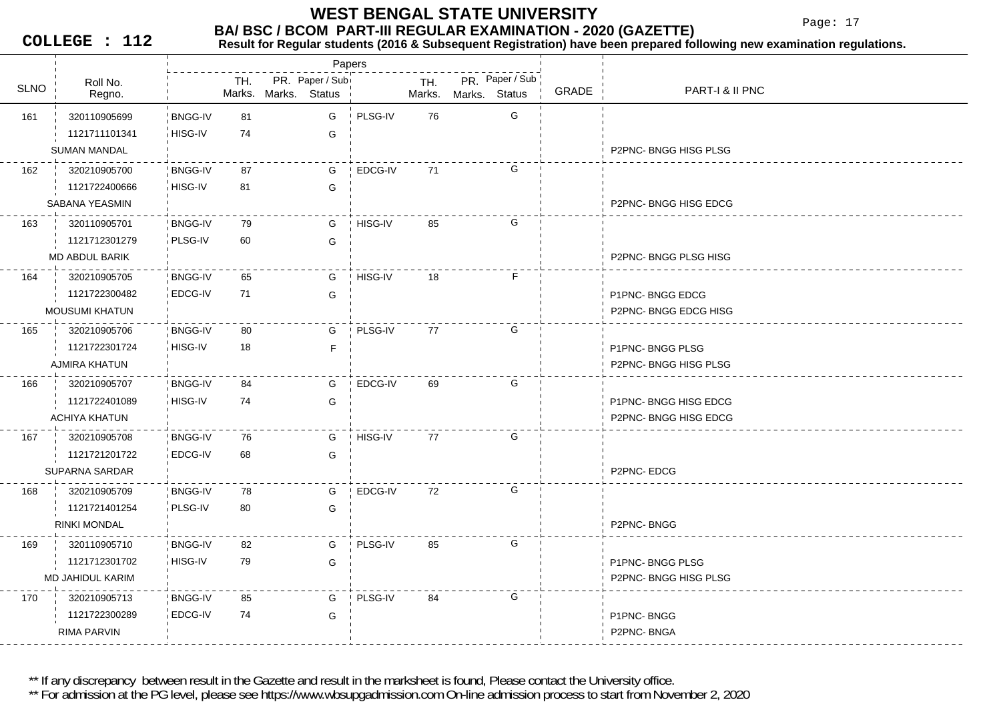Page: 17

**COLLEGE : 112**

**Result for Regular students (2016 & Subsequent Registration) have been prepared following new examination regulations.**

|             |                         |                |     |                      | Papers          |           |               |               |                 |       |                             |
|-------------|-------------------------|----------------|-----|----------------------|-----------------|-----------|---------------|---------------|-----------------|-------|-----------------------------|
| <b>SLNO</b> | Roll No.<br>Regno.      |                | TH. | Marks. Marks. Status | PR. Paper / Sub |           | TH.<br>Marks. | Marks. Status | PR. Paper / Sub | GRADE | PART-I & II PNC             |
| 161         | 320110905699            | <b>BNGG-IV</b> | 81  |                      | G               | PLSG-IV   | 76            |               | G               |       |                             |
|             | 1121711101341           | HISG-IV        | 74  |                      | G               |           |               |               |                 |       |                             |
|             | <b>SUMAN MANDAL</b>     |                |     |                      |                 |           |               |               |                 |       | <b>P2PNC-BNGG HISG PLSG</b> |
| 162         | 320210905700            | <b>BNGG-IV</b> | 87  |                      | G               | EDCG-IV   | 71            |               | G               |       |                             |
|             | 1121722400666           | HISG-IV        | 81  |                      | G               |           |               |               |                 |       |                             |
|             | SABANA YEASMIN          |                |     |                      |                 |           |               |               |                 |       | P2PNC-BNGG HISG EDCG        |
| 163         | 320110905701            | <b>BNGG-IV</b> | 79  |                      | G               | HISG-IV   | 85            |               | G               |       |                             |
|             | 1121712301279           | PLSG-IV        | 60  |                      | G               |           |               |               |                 |       |                             |
|             | MD ABDUL BARIK          |                |     |                      |                 |           |               |               |                 |       | P2PNC-BNGG PLSG HISG        |
| 164         | 320210905705            | <b>BNGG-IV</b> | 65  |                      | G               | ! HISG-IV | 18            |               | F.              |       |                             |
|             | 1121722300482           | EDCG-IV        | 71  |                      | G               |           |               |               |                 |       | P1PNC-BNGG EDCG             |
|             | <b>MOUSUMI KHATUN</b>   |                |     |                      |                 |           |               |               |                 |       | P2PNC- BNGG EDCG HISG       |
| 165         | 320210905706            | <b>BNGG-IV</b> | 80  |                      | G               | PLSG-IV   | 77            |               | G               |       |                             |
|             | 1121722301724           | HISG-IV        | 18  |                      | F               |           |               |               |                 |       | P1PNC-BNGG PLSG             |
|             | AJMIRA KHATUN           |                |     |                      |                 |           |               |               |                 |       | P2PNC-BNGG HISG PLSG        |
| 166         | 320210905707            | <b>BNGG-IV</b> | 84  |                      | G               | EDCG-IV   | 69            |               | G               |       |                             |
|             | 1121722401089           | HISG-IV        | 74  |                      | G               |           |               |               |                 |       | P1PNC-BNGG HISG EDCG        |
|             | ACHIYA KHATUN           |                |     |                      |                 |           |               |               |                 |       | P2PNC-BNGG HISG EDCG        |
| 167         | 320210905708            | <b>BNGG-IV</b> | 76  |                      | G               | HISG-IV   | 77            |               | G               |       |                             |
|             | 1121721201722           | EDCG-IV        | 68  |                      | G               |           |               |               |                 |       |                             |
|             | <b>SUPARNA SARDAR</b>   |                |     |                      |                 |           |               |               |                 |       | P2PNC-EDCG                  |
| 168         | 320210905709            | <b>BNGG-IV</b> | 78  |                      | G               | EDCG-IV   | 72            |               | G               |       |                             |
|             | 1121721401254           | PLSG-IV        | 80  |                      | G               |           |               |               |                 |       |                             |
|             | <b>RINKI MONDAL</b>     |                |     |                      |                 |           |               |               |                 |       | P2PNC-BNGG                  |
| 169         | 320110905710            | <b>BNGG-IV</b> | 82  |                      | G               | PLSG-IV   | 85            |               | G               |       |                             |
|             | 1121712301702           | HISG-IV        | 79  |                      | G               |           |               |               |                 |       | P1PNC-BNGG PLSG             |
|             | <b>MD JAHIDUL KARIM</b> |                |     |                      |                 |           |               |               |                 |       | P2PNC-BNGG HISG PLSG        |
| 170         | 320210905713            | <b>BNGG-IV</b> | 85  |                      | G               | PLSG-IV   | 84            |               | G               |       |                             |
|             | 1121722300289           | EDCG-IV        | 74  |                      | G               |           |               |               |                 |       | P1PNC-BNGG                  |
|             | RIMA PARVIN             |                |     |                      |                 |           |               |               |                 |       | P2PNC-BNGA                  |
|             |                         |                |     |                      |                 |           |               |               |                 |       |                             |

\*\* If any discrepancy between result in the Gazette and result in the marksheet is found, Please contact the University office.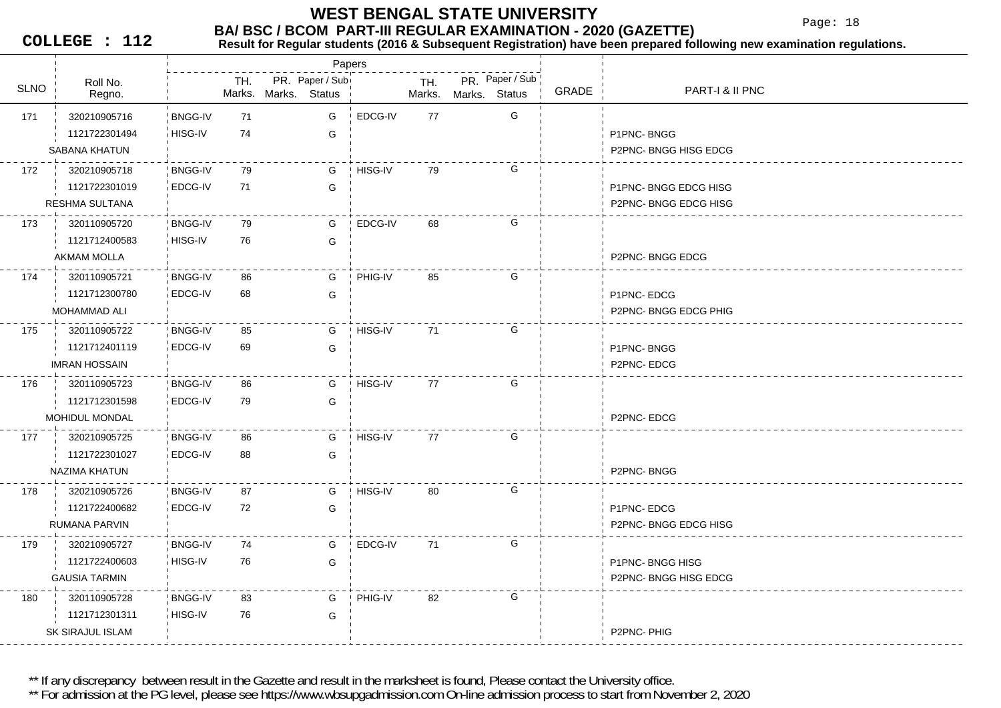#### **BA/ BSC / BCOM PART-III REGULAR EXAMINATION - 2020 (GAZETTE) WEST BENGAL STATE UNIVERSITY**

Page: 18

**COLLEGE : 112**

## **Result for Regular students (2016 & Subsequent Registration) have been prepared following new examination regulations.**

Roll No.TH.SLNO
ROLINO
REGIO BRONO SUNO NARKS Status
SLNO
REGIO **▽ ¦ Regno. ¦ Marks.** PR. Paper / Sub<br>Marks. Status <sup>|</sup> Marks. Mark. Mark. . Marks. Marks.**Status** Papers PR. Paper / Sub GRADE PART-I & II PNC 171 71 320210905716 BNGG-IV**BNGG-IV** HISG-IV 74 GG EDCG-IV 77 G 1121722301494**G** P1PNC- BNGG SABANA KHATUN P2PNC- BNGG HISG EDCG 172 79 320210905718 BNGG-IVEDCG-IV 71 GG HISG-IV 79 G 1121722301019G **EDGG HISG CONSUMING EDGG HISG** RESHMA SULTANAA P2PNC- BNGG EDCG HISG 173 79 320110905720 BNGG-IV3 iHISG-IV 76 G G EDCG-IV 68 G 1121712400583AKMAM MOLLAA P2PNC- BNGG EDCG AND THE RELEASED OF THE RELEASED OF THE RELEASED OF THE RELEASED OF THE RELEASED OF THE RELEASED OF THE RELEASED OF THE RELEASED OF THE RELEASED OF THE RELEASED OF THE RELEASED OF THE RELEASED OF THE REL 174 86 320110905721 BNGG-IV**BNGG-IV** EDCG-IV 68 GGPHIG-IV 85 G 1121712300780**G** P1PNC- EDCG MOHAMMAD ALI P2PNC- BNGG EDCG PHIG 175 85 320110905722 BNGG-IV**BNGG-IV** EDCG-IV 69 G69 G HISG-IV 71 G 1121712401119G P1PNC- BNGG IMRAN HOSSAIN P2PNC- EDCG 176 320110905723 BNGG-IV 86 **BNGG-IV** EDCG-IV 79 GG HISG-IV 77 G 1121712301598MOHIDUL MONDAL P2PNC- EDCG 177 320210905725 BNGG-IV 86 **BNGG-IV** EDCG-IV 88 GG HISG-IV 77 G 1121722301027G NAZIMA KHATUN P2PNC- BNGG178 97 320210905726 BNGG-IV **BNGG-IV** EDCG-IV 72 G72 G HISG-IV 80 G 1121722400682G P1PNC- EDCG RUMANA PARVIN P2PNC- BNGG EDCG HISG 179 74 320210905727 BNGG-IV3 HISG-IV 76 G 76 G EDCG-IV 71 G 1121722400603**G** P1PNC- BNGG HISG GAUSIA TARMIN P2PNC- BNGG HISG EDCG 180 320110905728 BNGG-IV 83 **BNGG-IV** 1 HISG-IV 76 G 76 GPHIG-IV 82 G 1121712301311SK SIRAJUL ISLAMP2PNC- PHIG

\*\* If any discrepancy between result in the Gazette and result in the marksheet is found, Please contact the University office.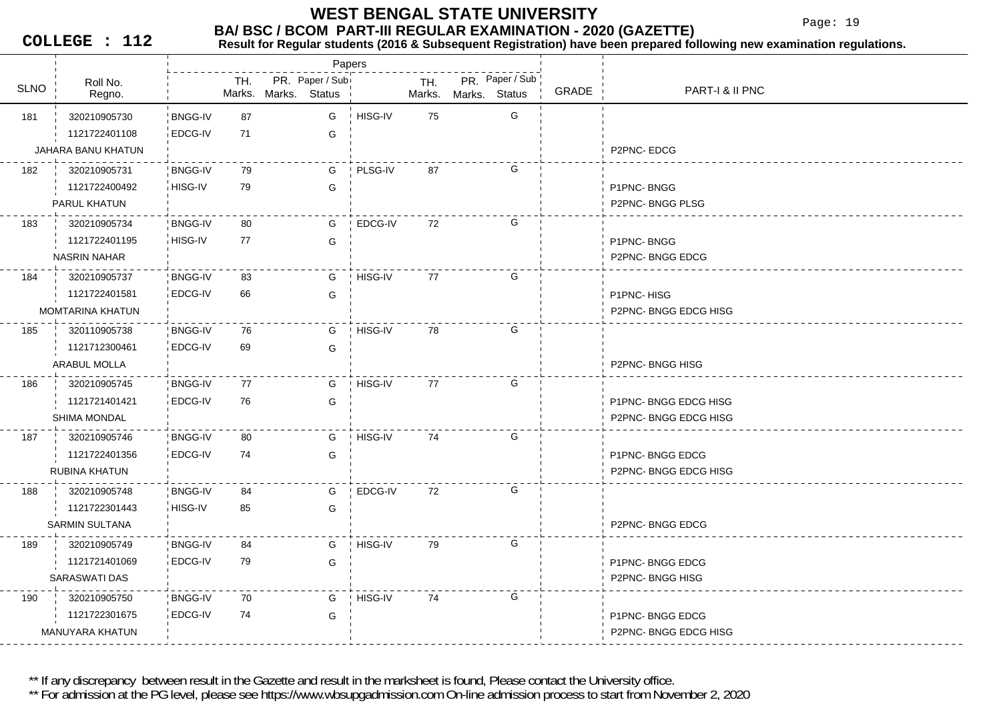Page: 19

**COLLEGE : 112**

#### **BA/ BSC / BCOM PART-III REGULAR EXAMINATION - 2020 (GAZETTE)**<br>Result for Requiar students (2016 & Subsequent Registration) have been prepared fo **Result for Regular students (2016 & Subsequent Registration) have been prepared following new examination regulations.**

|             |                         |                |     |                      | Papers          |         |               |               |                 |       |                        |
|-------------|-------------------------|----------------|-----|----------------------|-----------------|---------|---------------|---------------|-----------------|-------|------------------------|
| <b>SLNO</b> | Roll No.                |                | TH. | Marks. Marks. Status | PR. Paper / Sub |         | TH.<br>Marks. |               | PR. Paper / Sub | GRADE | PART-I & II PNC        |
|             | Regno.                  |                |     |                      |                 |         |               | Marks. Status |                 |       |                        |
| 181         | 320210905730            | <b>BNGG-IV</b> | 87  |                      | G               | HISG-IV | 75            |               | G               |       |                        |
|             | 1121722401108           | EDCG-IV        | 71  |                      | G               |         |               |               |                 |       |                        |
|             | JAHARA BANU KHATUN      |                |     |                      |                 |         |               |               |                 |       | P2PNC-EDCG             |
| 182         | 320210905731            | <b>BNGG-IV</b> | 79  |                      | G               | PLSG-IV | 87            |               | G               |       |                        |
|             | 1121722400492           | HISG-IV        | 79  |                      | G               |         |               |               |                 |       | P1PNC-BNGG             |
|             | PARUL KHATUN            |                |     |                      |                 |         |               |               |                 |       | P2PNC-BNGG PLSG        |
| 183         | 320210905734            | <b>BNGG-IV</b> | 80  |                      | G               | EDCG-IV | 72            |               | G               |       |                        |
|             | 1121722401195           | HISG-IV        | 77  |                      | G               |         |               |               |                 |       | P1PNC-BNGG             |
|             | <b>NASRIN NAHAR</b>     |                |     |                      |                 |         |               |               |                 |       | <b>P2PNC-BNGG EDCG</b> |
| 184         | 320210905737            | <b>BNGG-IV</b> | 83  |                      | G               | HISG-IV | 77            |               | G               |       |                        |
|             | 1121722401581           | EDCG-IV        | 66  |                      | G               |         |               |               |                 |       | P1PNC-HISG             |
|             | <b>MOMTARINA KHATUN</b> |                |     |                      |                 |         |               |               |                 |       | P2PNC-BNGG EDCG HISG   |
| 185         | 320110905738            | <b>BNGG-IV</b> | 76  |                      | G               | HISG-IV | 78            |               | G               |       |                        |
|             | 1121712300461           | EDCG-IV        | 69  |                      | G               |         |               |               |                 |       |                        |
|             | ARABUL MOLLA            |                |     |                      |                 |         |               |               |                 |       | P2PNC-BNGG HISG        |
| 186         | 320210905745            | <b>BNGG-IV</b> | 77  |                      | G               | HISG-IV | 77            |               | G               |       |                        |
|             | 1121721401421           | EDCG-IV        | 76  |                      | G               |         |               |               |                 |       | P1PNC-BNGG EDCG HISG   |
|             | <b>SHIMA MONDAL</b>     |                |     |                      |                 |         |               |               |                 |       | P2PNC-BNGG EDCG HISG   |
| 187         | 320210905746            | <b>BNGG-IV</b> | 80  |                      | G               | HISG-IV | 74            |               | G               |       |                        |
|             | 1121722401356           | EDCG-IV        | 74  |                      | G               |         |               |               |                 |       | P1PNC-BNGG EDCG        |
|             | RUBINA KHATUN           |                |     |                      |                 |         |               |               |                 |       | P2PNC- BNGG EDCG HISG  |
| 188         | 320210905748            | <b>BNGG-IV</b> | 84  |                      | G               | EDCG-IV | 72            |               | G               |       |                        |
|             | 1121722301443           | HISG-IV        | 85  |                      | G               |         |               |               |                 |       |                        |
|             | <b>SARMIN SULTANA</b>   |                |     |                      |                 |         |               |               |                 |       | P2PNC-BNGG EDCG        |
| 189         | 320210905749            | <b>BNGG-IV</b> | 84  |                      | G               | HISG-IV | 79            |               | G               |       |                        |
|             | 1121721401069           | EDCG-IV        | 79  |                      | G               |         |               |               |                 |       | P1PNC-BNGG EDCG        |
|             | <b>SARASWATI DAS</b>    |                |     |                      |                 |         |               |               |                 |       | P2PNC-BNGG HISG        |
| 190         | 320210905750            | <b>BNGG-IV</b> | 70  |                      | G               | HISG-IV | 74            |               | G               |       |                        |
|             | 1121722301675           | EDCG-IV        | 74  |                      | G               |         |               |               |                 |       | P1PNC-BNGG EDCG        |
|             | MANUYARA KHATUN         |                |     |                      |                 |         |               |               |                 |       | P2PNC-BNGG EDCG HISG   |
|             |                         |                |     |                      |                 |         |               |               |                 |       |                        |

\*\* If any discrepancy between result in the Gazette and result in the marksheet is found, Please contact the University office.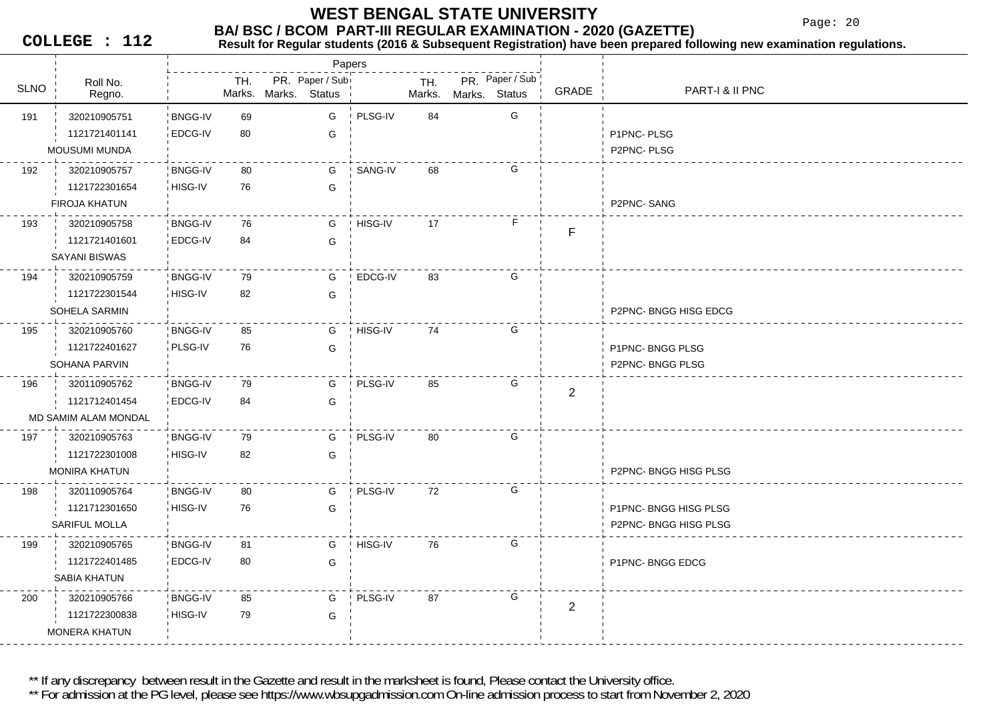Page: 20

**COLLEGE : 112**

### **Result for Regular students (2016 & Subsequent Registration) have been prepared following new examination regulations.**

|             |                      |                |     |                                         | Papers  |               |                                  |                |                      |
|-------------|----------------------|----------------|-----|-----------------------------------------|---------|---------------|----------------------------------|----------------|----------------------|
| <b>SLNO</b> | Roll No.<br>Regno.   |                | TH. | PR. Paper / Sub<br>Marks. Marks. Status |         | TH.<br>Marks. | PR. Paper / Sub<br>Marks. Status | <b>GRADE</b>   | PART-I & II PNC      |
| 191         | 320210905751         | <b>BNGG-IV</b> | 69  | G                                       | PLSG-IV | 84            | G                                |                |                      |
|             | 1121721401141        | EDCG-IV        | 80  | G                                       |         |               |                                  |                | P1PNC-PLSG           |
|             | <b>MOUSUMI MUNDA</b> |                |     |                                         |         |               |                                  |                | P2PNC-PLSG           |
| 192         | 320210905757         | <b>BNGG-IV</b> | 80  | G                                       | SANG-IV | 68            | G                                |                |                      |
|             | 1121722301654        | HISG-IV        | 76  | G                                       |         |               |                                  |                |                      |
|             | <b>FIROJA KHATUN</b> |                |     |                                         |         |               |                                  |                | P2PNC-SANG           |
| 193         | 320210905758         | <b>BNGG-IV</b> | 76  | G                                       | HISG-IV | 17            | F.                               | F              |                      |
|             | 1121721401601        | EDCG-IV        | 84  | G                                       |         |               |                                  |                |                      |
|             | SAYANI BISWAS        |                |     |                                         |         |               |                                  |                |                      |
| 194         | 320210905759         | <b>BNGG-IV</b> | 79  | G                                       | EDCG-IV | 83            | G                                |                |                      |
|             | 1121722301544        | HISG-IV        | 82  | G                                       |         |               |                                  |                |                      |
|             | SOHELA SARMIN        |                |     |                                         |         |               |                                  |                | P2PNC-BNGG HISG EDCG |
| 195         | 320210905760         | <b>BNGG-IV</b> | 85  | G                                       | HISG-IV | 74            | G                                |                |                      |
|             | 1121722401627        | PLSG-IV        | 76  | G                                       |         |               |                                  |                | P1PNC-BNGG PLSG      |
|             | SOHANA PARVIN        |                |     |                                         |         |               |                                  |                | P2PNC-BNGG PLSG      |
| 196         | 320110905762         | <b>BNGG-IV</b> | 79  | G                                       | PLSG-IV | 85            | G                                | $\overline{2}$ |                      |
|             | 1121712401454        | EDCG-IV        | 84  | G                                       |         |               |                                  |                |                      |
|             | MD SAMIM ALAM MONDAL |                |     |                                         |         |               |                                  |                |                      |
| 197         | 320210905763         | <b>BNGG-IV</b> | 79  | G                                       | PLSG-IV | 80            | G                                |                |                      |
|             | 1121722301008        | HISG-IV        | 82  | G                                       |         |               |                                  |                |                      |
|             | <b>MONIRA KHATUN</b> |                |     |                                         |         |               |                                  |                | P2PNC-BNGG HISG PLSG |
| 198         | 320110905764         | <b>BNGG-IV</b> | 80  | G                                       | PLSG-IV | 72            | G                                |                |                      |
|             | 1121712301650        | HISG-IV        | 76  | G                                       |         |               |                                  |                | P1PNC-BNGG HISG PLSG |
|             | <b>SARIFUL MOLLA</b> |                |     |                                         |         |               |                                  |                | P2PNC-BNGG HISG PLSG |
| 199         | 320210905765         | <b>BNGG-IV</b> | 81  | G                                       | HISG-IV | 76            | G                                |                |                      |
|             | 1121722401485        | EDCG-IV        | 80  | G                                       |         |               |                                  |                | P1PNC-BNGG EDCG      |
|             | SABIA KHATUN         |                |     |                                         |         |               |                                  |                |                      |
| 200         | 320210905766         | <b>BNGG-IV</b> | 85  | G                                       | PLSG-IV | 87            | G                                | $\overline{2}$ |                      |
|             | 1121722300838        | HISG-IV        | 79  | G                                       |         |               |                                  |                |                      |
|             | <b>MONERA KHATUN</b> |                |     |                                         |         |               |                                  |                |                      |

\*\* If any discrepancy between result in the Gazette and result in the marksheet is found, Please contact the University office.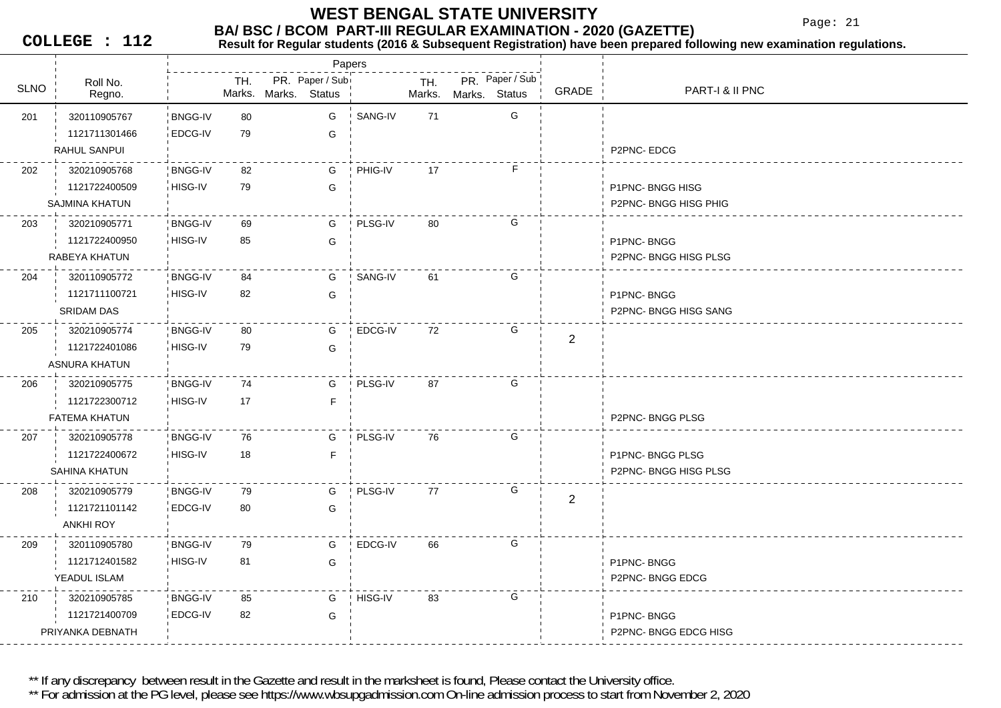Page: 21

**COLLEGE : 112**

#### **BA/ BSC / BCOM PART-III REGULAR EXAMINATION - 2020 (GAZETTE)**<br>Result for Requiar students (2016 & Subsequent Registration) have been prepared fo **Result for Regular students (2016 & Subsequent Registration) have been prepared following new examination regulations.**

|             |                       |                |     |                      | Papers          |         |               |               |                 |                |                      |
|-------------|-----------------------|----------------|-----|----------------------|-----------------|---------|---------------|---------------|-----------------|----------------|----------------------|
| <b>SLNO</b> | Roll No.<br>Regno.    |                | TH. | Marks. Marks. Status | PR. Paper / Sub |         | TH.<br>Marks. | Marks. Status | PR. Paper / Sub | GRADE          | PART-I & II PNC      |
| 201         | 320110905767          | <b>BNGG-IV</b> | 80  |                      | G               | SANG-IV | 71            |               | G               |                |                      |
|             | 1121711301466         | EDCG-IV        | 79  |                      | G               |         |               |               |                 |                |                      |
|             | RAHUL SANPUI          |                |     |                      |                 |         |               |               |                 |                | P2PNC-EDCG           |
| 202         | 320210905768          | <b>BNGG-IV</b> | 82  |                      | G               | PHIG-IV | 17            |               | F               |                |                      |
|             | 1121722400509         | HISG-IV        | 79  |                      | G               |         |               |               |                 |                | P1PNC-BNGG HISG      |
|             | <b>SAJMINA KHATUN</b> |                |     |                      |                 |         |               |               |                 |                | P2PNC-BNGG HISG PHIG |
| 203         | 320210905771          | <b>BNGG-IV</b> | 69  |                      | G               | PLSG-IV | 80            |               | G               |                |                      |
|             | 1121722400950         | HISG-IV        | 85  |                      | G               |         |               |               |                 |                | P1PNC-BNGG           |
|             | RABEYA KHATUN         |                |     |                      |                 |         |               |               |                 |                | P2PNC-BNGG HISG PLSG |
| 204         | 320110905772          | <b>BNGG-IV</b> | 84  |                      | G               | SANG-IV | 61            |               | G               |                |                      |
|             | 1121711100721         | HISG-IV        | 82  |                      | G               |         |               |               |                 |                | P1PNC-BNGG           |
|             | <b>SRIDAM DAS</b>     |                |     |                      |                 |         |               |               |                 |                | P2PNC-BNGG HISG SANG |
| 205         | 320210905774          | <b>BNGG-IV</b> | 80  |                      | G               | EDCG-IV | 72            |               | G               | $\overline{2}$ |                      |
|             | 1121722401086         | HISG-IV        | 79  |                      | G               |         |               |               |                 |                |                      |
|             | ASNURA KHATUN         |                |     |                      |                 |         |               |               |                 |                |                      |
| 206         | 320210905775          | <b>BNGG-IV</b> | 74  |                      | G               | PLSG-IV | 87            |               | G               |                |                      |
|             | 1121722300712         | HISG-IV        | 17  |                      | F               |         |               |               |                 |                |                      |
|             | FATEMA KHATUN         |                |     |                      |                 |         |               |               |                 |                | P2PNC-BNGG PLSG      |
| 207         | 320210905778          | <b>BNGG-IV</b> | 76  |                      | G               | PLSG-IV | 76            |               | G               |                |                      |
|             | 1121722400672         | HISG-IV        | 18  |                      | F               |         |               |               |                 |                | P1PNC-BNGG PLSG      |
|             | SAHINA KHATUN         |                |     |                      |                 |         |               |               |                 |                | P2PNC-BNGG HISG PLSG |
| 208         | 320210905779          | <b>BNGG-IV</b> | 79  |                      | G               | PLSG-IV | 77            |               | G               | $\overline{2}$ |                      |
|             | 1121721101142         | EDCG-IV        | 80  |                      | G               |         |               |               |                 |                |                      |
|             | <b>ANKHI ROY</b>      |                |     |                      |                 |         |               |               |                 |                |                      |
| 209         | 320110905780          | <b>BNGG-IV</b> | 79  |                      | G               | EDCG-IV | 66            |               | G               |                |                      |
|             | 1121712401582         | HISG-IV        | 81  |                      | G               |         |               |               |                 |                | P1PNC-BNGG           |
|             | YEADUL ISLAM          |                |     |                      |                 |         |               |               |                 |                | P2PNC-BNGG EDCG      |
| 210         | 320210905785          | <b>BNGG-IV</b> | 85  |                      | G               | HISG-IV | 83            |               | G               |                |                      |
|             | 1121721400709         | <b>EDCG-IV</b> | 82  |                      | G               |         |               |               |                 |                | P1PNC-BNGG           |
|             | PRIYANKA DEBNATH      |                |     |                      |                 |         |               |               |                 |                | P2PNC-BNGG EDCG HISG |

\*\* If any discrepancy between result in the Gazette and result in the marksheet is found, Please contact the University office.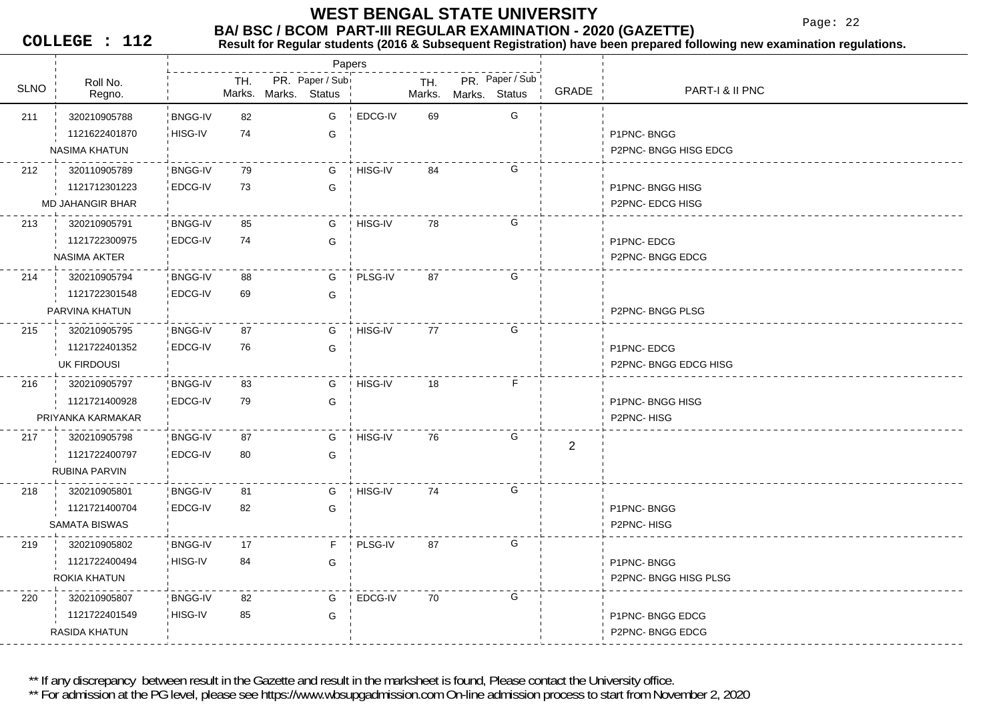Page: 22

**COLLEGE : 112**

#### **BA/ BSC / BCOM PART-III REGULAR EXAMINATION - 2020 (GAZETTE)**<br>Result for Requiar students (2016 & Subsequent Registration) have been prepared fo **Result for Regular students (2016 & Subsequent Registration) have been prepared following new examination regulations.**

|             |                         |                |     |                                          | Papers |         |               |               |                 |                |                      |
|-------------|-------------------------|----------------|-----|------------------------------------------|--------|---------|---------------|---------------|-----------------|----------------|----------------------|
| <b>SLNO</b> | Roll No.<br>Regno.      |                | TH. | PR. Paper / Subi<br>Marks. Marks. Status |        |         | TH.<br>Marks. | Marks. Status | PR. Paper / Sub | GRADE          | PART-I & II PNC      |
| 211         | 320210905788            | <b>BNGG-IV</b> | 82  | G                                        |        | EDCG-IV | 69            |               | G               |                |                      |
|             | 1121622401870           | HISG-IV        | 74  |                                          | G      |         |               |               |                 |                | P1PNC-BNGG           |
|             | <b>NASIMA KHATUN</b>    |                |     |                                          |        |         |               |               |                 |                | P2PNC-BNGG HISG EDCG |
| 212         | 320110905789            | <b>BNGG-IV</b> | 79  |                                          | G      | HISG-IV | 84            |               | G               |                |                      |
|             | 1121712301223           | EDCG-IV        | 73  | G                                        |        |         |               |               |                 |                | P1PNC-BNGG HISG      |
|             | <b>MD JAHANGIR BHAR</b> |                |     |                                          |        |         |               |               |                 |                | P2PNC- EDCG HISG     |
| 213         | 320210905791            | <b>BNGG-IV</b> | 85  |                                          | G      | HISG-IV | 78            |               | G               |                |                      |
|             | 1121722300975           | EDCG-IV        | 74  |                                          | G      |         |               |               |                 |                | P1PNC-EDCG           |
|             | <b>NASIMA AKTER</b>     |                |     |                                          |        |         |               |               |                 |                | P2PNC-BNGG EDCG      |
| 214         | 320210905794            | <b>BNGG-IV</b> | 88  |                                          | G      | PLSG-IV | 87            |               | G               |                |                      |
|             | 1121722301548           | EDCG-IV        | 69  |                                          | G      |         |               |               |                 |                |                      |
|             | PARVINA KHATUN          |                |     |                                          |        |         |               |               |                 |                | P2PNC-BNGG PLSG      |
| 215         | 320210905795            | <b>BNGG-IV</b> | 87  |                                          | G      | HISG-IV | 77            |               | G               |                |                      |
|             | 1121722401352           | EDCG-IV        | 76  |                                          | G      |         |               |               |                 |                | P1PNC-EDCG           |
|             | UK FIRDOUSI             |                |     |                                          |        |         |               |               |                 |                | P2PNC-BNGG EDCG HISG |
| 216         | 320210905797            | <b>BNGG-IV</b> | 83  | G                                        |        | HISG-IV | 18            |               | F.              |                |                      |
|             | 1121721400928           | EDCG-IV        | 79  | G                                        |        |         |               |               |                 |                | P1PNC-BNGG HISG      |
|             | PRIYANKA KARMAKAR       |                |     |                                          |        |         |               |               |                 |                | P2PNC-HISG           |
| 217         | 320210905798            | <b>BNGG-IV</b> | 87  | G                                        |        | HISG-IV | 76            |               | G               | $\overline{c}$ |                      |
|             | 1121722400797           | EDCG-IV        | 80  | G                                        |        |         |               |               |                 |                |                      |
|             | RUBINA PARVIN           |                |     |                                          |        |         |               |               |                 |                |                      |
| 218         | 320210905801            | <b>BNGG-IV</b> | 81  |                                          | G      | HISG-IV | 74            |               | G               |                |                      |
|             | 1121721400704           | EDCG-IV        | 82  | G                                        |        |         |               |               |                 |                | P1PNC-BNGG           |
|             | <b>SAMATA BISWAS</b>    |                |     |                                          |        |         |               |               |                 |                | P2PNC-HISG           |
| 219         | 320210905802            | <b>BNGG-IV</b> | 17  |                                          | F.     | PLSG-IV | 87            |               | G               |                |                      |
|             | 1121722400494           | HISG-IV        | 84  |                                          | G      |         |               |               |                 |                | P1PNC-BNGG           |
|             | ROKIA KHATUN            |                |     |                                          |        |         |               |               |                 |                | P2PNC-BNGG HISG PLSG |
| 220         | 320210905807            | <b>BNGG-IV</b> | 82  | G                                        |        | EDCG-IV | 70            |               | G               |                |                      |
|             | 1121722401549           | HISG-IV        | 85  |                                          | G      |         |               |               |                 |                | P1PNC-BNGG EDCG      |
|             | RASIDA KHATUN           |                |     |                                          |        |         |               |               |                 |                | P2PNC-BNGG EDCG      |
|             |                         |                |     |                                          |        |         |               |               |                 |                |                      |

\*\* If any discrepancy between result in the Gazette and result in the marksheet is found, Please contact the University office.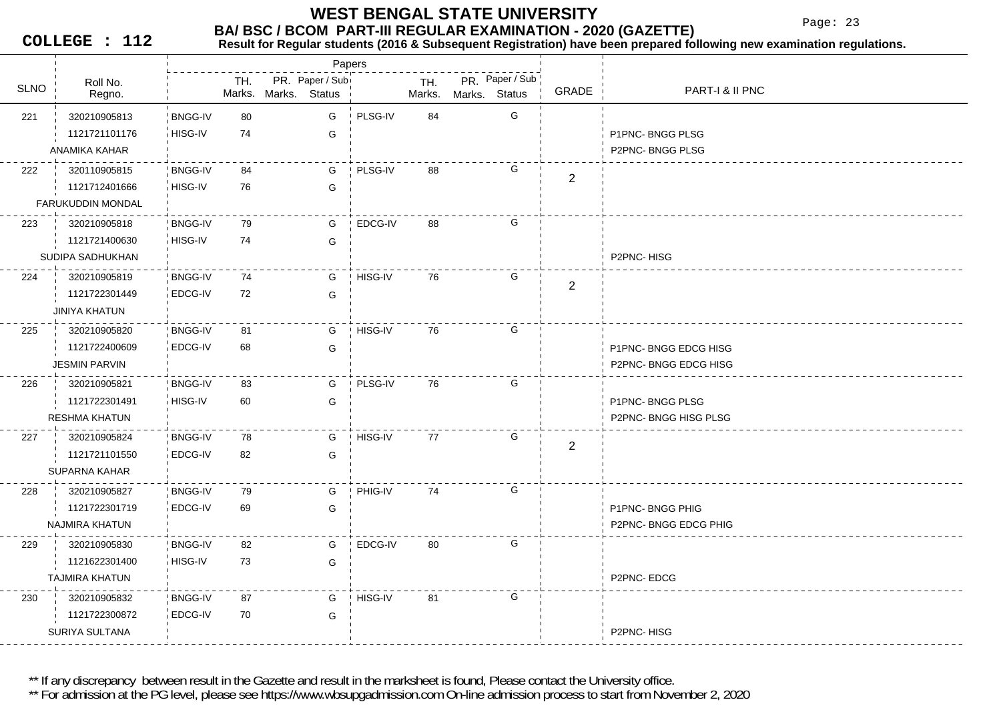Page: 23

**COLLEGE : 112**

### **Result for Regular students (2016 & Subsequent Registration) have been prepared following new examination regulations.**

|             |                          |                |     |                                                   | Papers  |               |                                            |                |                       |
|-------------|--------------------------|----------------|-----|---------------------------------------------------|---------|---------------|--------------------------------------------|----------------|-----------------------|
| <b>SLNO</b> | Roll No.<br>Regno.       |                | TH. | PR. Paper / Sub<br>Marks. Marks.<br><b>Status</b> |         | TH.<br>Marks. | PR. Paper / Sub<br><b>Status</b><br>Marks. | GRADE          | PART-I & II PNC       |
| 221         | 320210905813             | <b>BNGG-IV</b> | 80  | G                                                 | PLSG-IV | 84            | G                                          |                |                       |
|             | 1121721101176            | HISG-IV        | 74  | G                                                 |         |               |                                            |                | P1PNC-BNGG PLSG       |
|             | ANAMIKA KAHAR            |                |     |                                                   |         |               |                                            |                | P2PNC-BNGG PLSG       |
| 222         | 320110905815             | <b>BNGG-IV</b> | 84  | G                                                 | PLSG-IV | 88            | G                                          |                |                       |
|             | 1121712401666            | HISG-IV        | 76  | G                                                 |         |               |                                            | $\overline{2}$ |                       |
|             | <b>FARUKUDDIN MONDAL</b> |                |     |                                                   |         |               |                                            |                |                       |
| 223         | 320210905818             | <b>BNGG-IV</b> | 79  | G                                                 | EDCG-IV | 88            | G                                          |                |                       |
|             | 1121721400630            | HISG-IV        | 74  | G                                                 |         |               |                                            |                |                       |
|             | SUDIPA SADHUKHAN         |                |     |                                                   |         |               |                                            |                | P2PNC-HISG            |
| 224         | 320210905819             | <b>BNGG-IV</b> | 74  | G                                                 | HISG-IV | 76            | G                                          |                |                       |
|             | 1121722301449            | EDCG-IV        | 72  | G                                                 |         |               |                                            | $\mathbf{2}$   |                       |
|             | JINIYA KHATUN            |                |     |                                                   |         |               |                                            |                |                       |
| 225         | 320210905820             | <b>BNGG-IV</b> | 81  | G                                                 | HISG-IV | 76            | G                                          |                |                       |
|             | 1121722400609            | EDCG-IV        | 68  | G                                                 |         |               |                                            |                | P1PNC-BNGG EDCG HISG  |
|             | <b>JESMIN PARVIN</b>     |                |     |                                                   |         |               |                                            |                | P2PNC-BNGG EDCG HISG  |
| 226         | 320210905821             | <b>BNGG-IV</b> | 83  | G                                                 | PLSG-IV | 76            | G                                          |                |                       |
|             | 1121722301491            | HISG-IV        | 60  | G                                                 |         |               |                                            |                | P1PNC-BNGG PLSG       |
|             | <b>RESHMA KHATUN</b>     |                |     |                                                   |         |               |                                            |                | P2PNC-BNGG HISG PLSG  |
| 227         | 320210905824             | <b>BNGG-IV</b> | 78  | G                                                 | HISG-IV | 77            | G                                          | $\mathbf{2}$   |                       |
|             | 1121721101550            | <b>EDCG-IV</b> | 82  | G                                                 |         |               |                                            |                |                       |
|             | SUPARNA KAHAR            |                |     |                                                   |         |               |                                            |                |                       |
| 228         | 320210905827             | <b>BNGG-IV</b> | 79  | G                                                 | PHIG-IV | 74            | G                                          |                |                       |
|             | 1121722301719            | EDCG-IV        | 69  | G                                                 |         |               |                                            |                | P1PNC- BNGG PHIG      |
|             | NAJMIRA KHATUN           |                |     |                                                   |         |               |                                            |                | P2PNC- BNGG EDCG PHIG |
| 229         | 320210905830             | <b>BNGG-IV</b> | 82  | G                                                 | EDCG-IV | 80            | G                                          |                |                       |
|             | 1121622301400            | HISG-IV        | 73  | G                                                 |         |               |                                            |                |                       |
|             | <b>TAJMIRA KHATUN</b>    |                |     |                                                   |         |               |                                            |                | P2PNC-EDCG            |
| 230         | 320210905832             | <b>BNGG-IV</b> | 87  | G                                                 | HISG-IV | 81            | G                                          |                |                       |
|             | 1121722300872            | EDCG-IV        | 70  | G                                                 |         |               |                                            |                |                       |
|             | SURIYA SULTANA           |                |     |                                                   |         |               |                                            |                | P2PNC-HISG            |

\*\* If any discrepancy between result in the Gazette and result in the marksheet is found, Please contact the University office.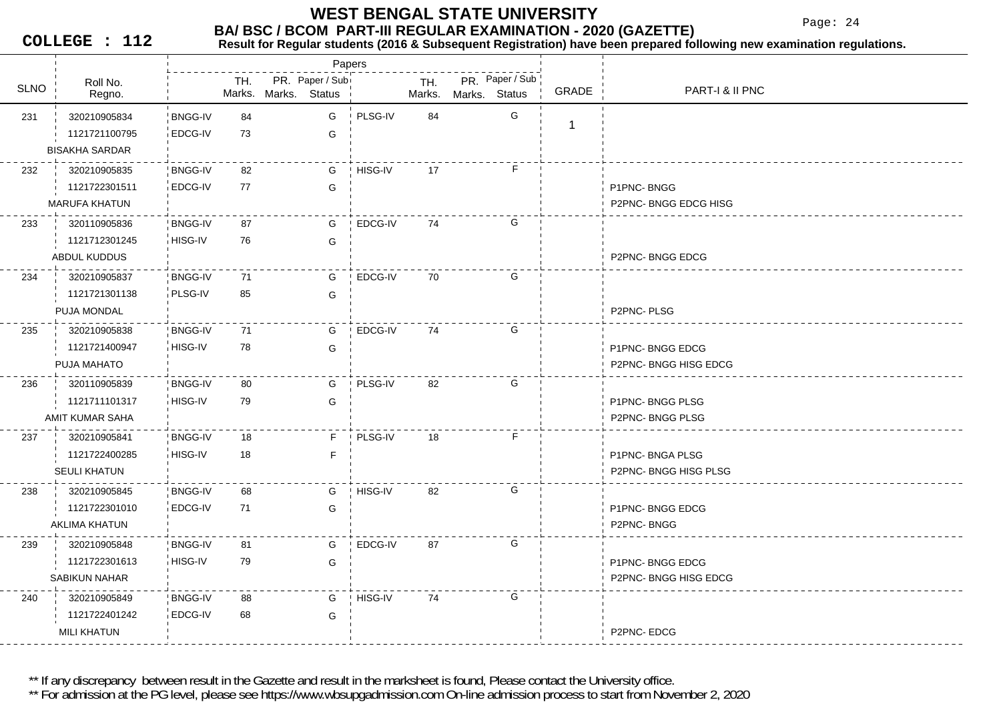Page: 24

**COLLEGE : 112**

#### **Result for Regular students (2016 & Subsequent Registration) have been prepared following new examination regulations.**

|             |                                                        |                           |          |                      | Papers          |                |               |               |                 |              |                                          |
|-------------|--------------------------------------------------------|---------------------------|----------|----------------------|-----------------|----------------|---------------|---------------|-----------------|--------------|------------------------------------------|
| <b>SLNO</b> | Roll No.<br>Regno.                                     |                           | TH.      | Marks. Marks. Status | PR. Paper / Sub |                | TH.<br>Marks. | Marks. Status | PR. Paper / Sub | <b>GRADE</b> | PART-I & II PNC                          |
| 231         | 320210905834<br>1121721100795<br><b>BISAKHA SARDAR</b> | <b>BNGG-IV</b><br>EDCG-IV | 84<br>73 |                      | G<br>G          | PLSG-IV        | 84            |               | G               | $\mathbf{1}$ |                                          |
| 232         | 320210905835<br>1121722301511<br><b>MARUFA KHATUN</b>  | <b>BNGG-IV</b><br>EDCG-IV | 82<br>77 |                      | G<br>G          | HISG-IV        | 17            |               | F.              |              | P1PNC-BNGG<br>P2PNC-BNGG EDCG HISG       |
| 233         | 320110905836<br>1121712301245<br>ABDUL KUDDUS          | <b>BNGG-IV</b><br>HISG-IV | 87<br>76 |                      | G<br>G          | EDCG-IV        | 74            |               | G               |              | P2PNC-BNGG EDCG                          |
| 234         | 320210905837<br>1121721301138<br>PUJA MONDAL           | <b>BNGG-IV</b><br>PLSG-IV | 71<br>85 |                      | G<br>G          | EDCG-IV        | 70            |               | G               |              | P2PNC-PLSG                               |
| 235         | 320210905838<br>1121721400947<br>PUJA MAHATO           | <b>BNGG-IV</b><br>HISG-IV | 71<br>78 |                      | G<br>G          | EDCG-IV        | 74            |               | G               |              | P1PNC-BNGG EDCG<br>P2PNC-BNGG HISG EDCG  |
| 236         | 320110905839<br>1121711101317<br>AMIT KUMAR SAHA       | <b>BNGG-IV</b><br>HISG-IV | 80<br>79 |                      | G<br>G          | PLSG-IV        | 82            |               | G               |              | P1PNC-BNGG PLSG<br>P2PNC-BNGG PLSG       |
| 237         | 320210905841<br>1121722400285<br><b>SEULI KHATUN</b>   | <b>BNGG-IV</b><br>HISG-IV | 18<br>18 |                      | F.<br>F         | PLSG-IV        | 18            |               | F               |              | P1PNC- BNGA PLSG<br>P2PNC-BNGG HISG PLSG |
| 238         | 320210905845<br>1121722301010<br>AKLIMA KHATUN         | <b>BNGG-IV</b><br>EDCG-IV | 68<br>71 |                      | G<br>G          | <b>HISG-IV</b> | 82            |               | G               |              | P1PNC-BNGG EDCG<br>P2PNC-BNGG            |
| 239         | 320210905848<br>1121722301613<br><b>SABIKUN NAHAR</b>  | <b>BNGG-IV</b><br>HISG-IV | 81<br>79 |                      | G<br>G          | EDCG-IV        | 87            |               | G               |              | P1PNC-BNGG EDCG<br>P2PNC-BNGG HISG EDCG  |
| 240         | 320210905849<br>1121722401242<br>MILI KHATUN           | <b>BNGG-IV</b><br>EDCG-IV | 88<br>68 |                      | G<br>G          | HISG-IV        | 74            |               | G               |              | P2PNC-EDCG                               |

\*\* If any discrepancy between result in the Gazette and result in the marksheet is found, Please contact the University office.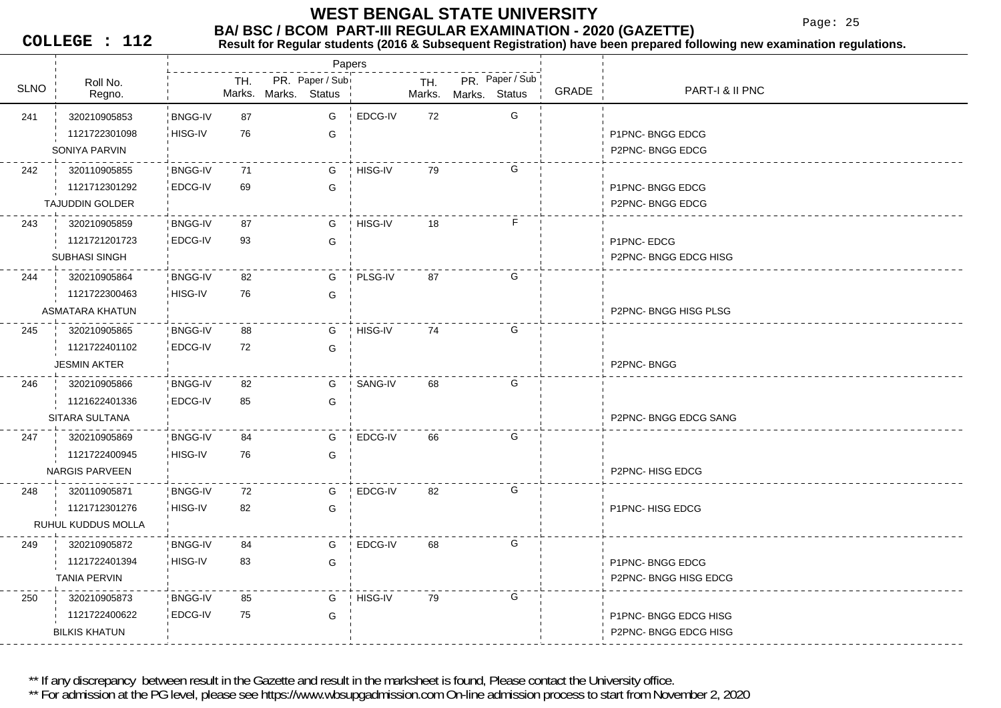Page: 25

**COLLEGE : 112**

#### **BA/ BSC / BCOM PART-III REGULAR EXAMINATION - 2020 (GAZETTE)**<br>Result for Requiar students (2016 & Subsequent Registration) have been prepared fo **Result for Regular students (2016 & Subsequent Registration) have been prepared following new examination regulations.**

|             |                        |                |     |                                  | Papers        |         |               |               |                 |              |                      |
|-------------|------------------------|----------------|-----|----------------------------------|---------------|---------|---------------|---------------|-----------------|--------------|----------------------|
| <b>SLNO</b> | Roll No.<br>Regno.     |                | TH. | PR. Paper / Sub<br>Marks. Marks. | <b>Status</b> |         | TH.<br>Marks. | Marks. Status | PR. Paper / Sub | <b>GRADE</b> | PART-I & II PNC      |
| 241         | 320210905853           | <b>BNGG-IV</b> | 87  |                                  | G             | EDCG-IV | 72            |               | G               |              |                      |
|             | 1121722301098          | HISG-IV        | 76  |                                  | G             |         |               |               |                 |              | P1PNC-BNGG EDCG      |
|             | SONIYA PARVIN          |                |     |                                  |               |         |               |               |                 |              | P2PNC-BNGG EDCG      |
| 242         | 320110905855           | <b>BNGG-IV</b> | 71  |                                  | G             | HISG-IV | 79            |               | G               |              |                      |
|             | 1121712301292          | EDCG-IV        | 69  |                                  | G             |         |               |               |                 |              | P1PNC-BNGG EDCG      |
|             | <b>TAJUDDIN GOLDER</b> |                |     |                                  |               |         |               |               |                 |              | P2PNC-BNGG EDCG      |
| 243         | 320210905859           | <b>BNGG-IV</b> | 87  |                                  | G             | HISG-IV | 18            |               | F.              |              |                      |
|             | 1121721201723          | EDCG-IV        | 93  |                                  | G             |         |               |               |                 |              | P1PNC-EDCG           |
|             | <b>SUBHASI SINGH</b>   |                |     |                                  |               |         |               |               |                 |              | P2PNC-BNGG EDCG HISG |
| 244         | 320210905864           | <b>BNGG-IV</b> | 82  |                                  | G             | PLSG-IV | 87            |               | G               |              |                      |
|             | 1121722300463          | HISG-IV        | 76  |                                  | G             |         |               |               |                 |              |                      |
|             | <b>ASMATARA KHATUN</b> |                |     |                                  |               |         |               |               |                 |              | P2PNC-BNGG HISG PLSG |
| 245         | 320210905865           | <b>BNGG-IV</b> | 88  |                                  | G             | HISG-IV | 74            |               | G               |              |                      |
|             | 1121722401102          | EDCG-IV        | 72  |                                  | G             |         |               |               |                 |              |                      |
|             | <b>JESMIN AKTER</b>    |                |     |                                  |               |         |               |               |                 |              | P2PNC-BNGG           |
| 246         | 320210905866           | <b>BNGG-IV</b> | 82  |                                  | G             | SANG-IV | 68            |               | G               |              |                      |
|             | 1121622401336          | <b>EDCG-IV</b> | 85  |                                  | G             |         |               |               |                 |              |                      |
|             | SITARA SULTANA         |                |     |                                  |               |         |               |               |                 |              | P2PNC-BNGG EDCG SANG |
| 247         | 320210905869           | <b>BNGG-IV</b> | 84  |                                  | G             | EDCG-IV | 66            |               | G               |              |                      |
|             | 1121722400945          | HISG-IV        | 76  |                                  | G             |         |               |               |                 |              |                      |
|             | <b>NARGIS PARVEEN</b>  |                |     |                                  |               |         |               |               |                 |              | P2PNC-HISG EDCG      |
| 248         | 320110905871           | <b>BNGG-IV</b> | 72  |                                  | G             | EDCG-IV | 82            |               | G               |              |                      |
|             | 1121712301276          | HISG-IV        | 82  |                                  | G             |         |               |               |                 |              | P1PNC-HISG EDCG      |
|             | RUHUL KUDDUS MOLLA     |                |     |                                  |               |         |               |               |                 |              |                      |
| 249         | 320210905872           | <b>BNGG-IV</b> | 84  |                                  | G             | EDCG-IV | 68            |               | G               |              |                      |
|             | 1121722401394          | HISG-IV        | 83  |                                  | G             |         |               |               |                 |              | P1PNC-BNGG EDCG      |
|             | <b>TANIA PERVIN</b>    |                |     |                                  |               |         |               |               |                 |              | P2PNC-BNGG HISG EDCG |
| 250         | 320210905873           | <b>BNGG-IV</b> | 85  |                                  | G             | HISG-IV | 79            |               | G               |              |                      |
|             | 1121722400622          | EDCG-IV        | 75  |                                  | G             |         |               |               |                 |              | P1PNC-BNGG EDCG HISG |
|             | <b>BILKIS KHATUN</b>   |                |     |                                  |               |         |               |               |                 |              | P2PNC-BNGG EDCG HISG |

\*\* If any discrepancy between result in the Gazette and result in the marksheet is found, Please contact the University office.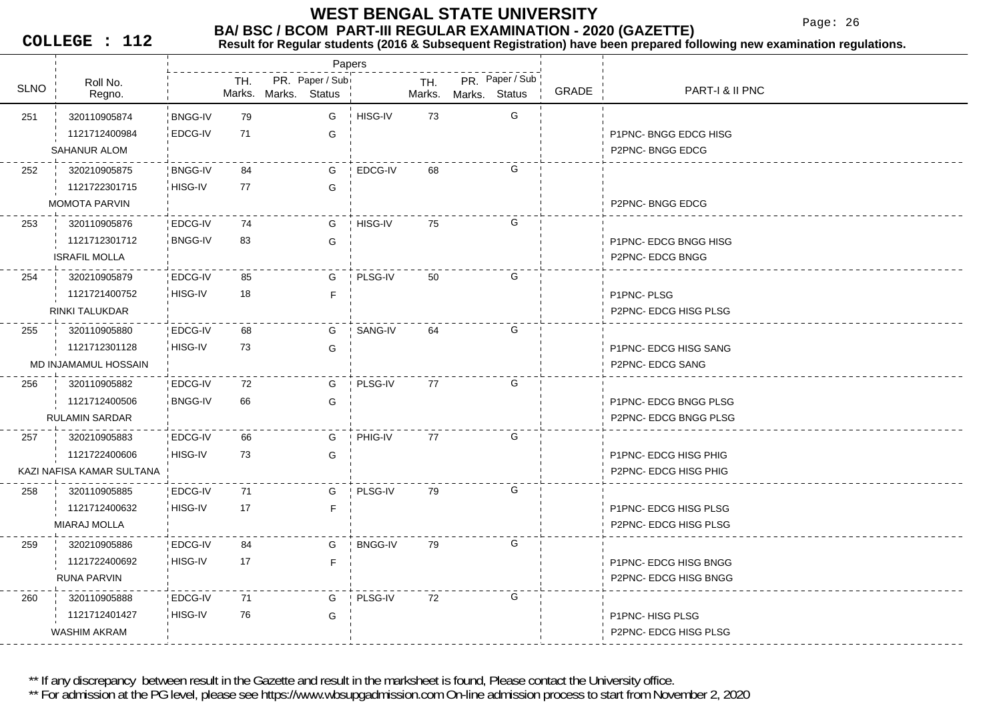Paper / Sub<br>- TH. PR. Paper / Status Marks. Marks. Status

Papers

Page: 26

PART-I & II PNC

**COLLEGE : 112**

Roll No.

1121712401427

WASHIM AKRAM

U Regno. Regno. Regno.

PR. Paper / Sub SLNO Marks.

TH.

HISG-IV 76 G76

#### **BA/ BSC / BCOM PART-III REGULAR EXAMINATION - 2020 (GAZETTE)**<br>Result for Requiar students (2016 & Subsequent Registration) have been prepared fo **Result for Regular students (2016 & Subsequent Registration) have been prepared following new examination regulations.**

PR. Paper / Sub

GRADE

| 251 | 320110905874              | <b>BNGG-IV</b> | 79 | G | HISG-IV        | 73 | G |                       |
|-----|---------------------------|----------------|----|---|----------------|----|---|-----------------------|
|     | 1121712400984             | EDCG-IV        | 71 | G |                |    |   | P1PNC-BNGG EDCG HISG  |
|     | SAHANUR ALOM              |                |    |   |                |    |   | P2PNC-BNGG EDCG       |
| 252 | 320210905875              | <b>BNGG-IV</b> | 84 | G | EDCG-IV        | 68 | G |                       |
|     | 1121722301715             | HISG-IV        | 77 | G |                |    |   |                       |
|     | <b>MOMOTA PARVIN</b>      |                |    |   |                |    |   | P2PNC-BNGG EDCG       |
| 253 | 320110905876              | EDCG-IV        | 74 | G | HISG-IV        | 75 | G |                       |
|     | 1121712301712             | <b>BNGG-IV</b> | 83 | G |                |    |   | P1PNC- EDCG BNGG HISG |
|     | <b>ISRAFIL MOLLA</b>      |                |    |   |                |    |   | P2PNC- EDCG BNGG      |
| 254 | 320210905879              | EDCG-IV        | 85 | G | PLSG-IV        | 50 | G |                       |
|     | 1121721400752             | HISG-IV        | 18 | F |                |    |   | P1PNC-PLSG            |
|     | <b>RINKI TALUKDAR</b>     |                |    |   |                |    |   | P2PNC- EDCG HISG PLSG |
| 255 | 320110905880              | EDCG-IV        | 68 | G | SANG-IV        | 64 | G |                       |
|     | 1121712301128             | HISG-IV        | 73 | G |                |    |   | P1PNC- EDCG HISG SANG |
|     | MD INJAMAMUL HOSSAIN      |                |    |   |                |    |   | P2PNC- EDCG SANG      |
| 256 | 320110905882              | EDCG-IV        | 72 | G | PLSG-IV        | 77 | G |                       |
|     | 1121712400506             | <b>BNGG-IV</b> | 66 | G |                |    |   | P1PNC- EDCG BNGG PLSG |
|     | <b>RULAMIN SARDAR</b>     |                |    |   |                |    |   | P2PNC- EDCG BNGG PLSG |
| 257 | 320210905883              | EDCG-IV        | 66 | G | PHIG-IV        | 77 | G |                       |
|     | 1121722400606             | HISG-IV        | 73 | G |                |    |   | P1PNC- EDCG HISG PHIG |
|     | KAZI NAFISA KAMAR SULTANA |                |    |   |                |    |   | P2PNC-EDCG HISG PHIG  |
| 258 | 320110905885              | EDCG-IV        | 71 | G | PLSG-IV        | 79 | G |                       |
|     | 1121712400632             | HISG-IV        | 17 | F |                |    |   | P1PNC- EDCG HISG PLSG |
|     | MIARAJ MOLLA              |                |    |   |                |    |   | P2PNC-EDCG HISG PLSG  |
| 259 | 320210905886              | EDCG-IV        | 84 | G | <b>BNGG-IV</b> | 79 | G |                       |
|     | 1121722400692             | HISG-IV        | 17 | F |                |    |   | P1PNC- EDCG HISG BNGG |
|     | RUNA PARVIN               |                |    |   |                |    |   | P2PNC- EDCG HISG BNGG |
| 260 | 320110905888              | EDCG-IV        | 71 | G | PLSG-IV        | 72 | G |                       |

G **P1PNC- HISG PLSG** 

P2PNC- EDCG HISG PLSG

\*\* If any discrepancy between result in the Gazette and result in the marksheet is found, Please contact the University office.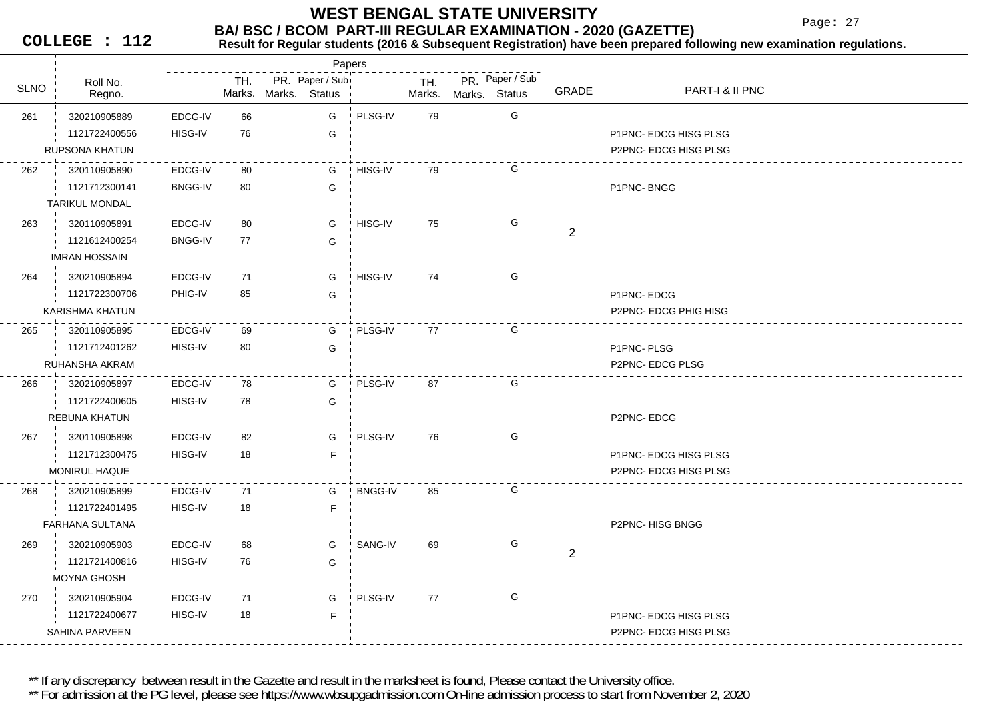Page: 27

**COLLEGE : 112**

#### **BA/ BSC / BCOM PART-III REGULAR EXAMINATION - 2020 (GAZETTE)**<br>Result for Requiar students (2016 & Subsequent Registration) have been prepared fo **Result for Regular students (2016 & Subsequent Registration) have been prepared following new examination regulations.**

|             |                                     |                    |     |                      | Papers          |                |               |               |                 |                |                                               |
|-------------|-------------------------------------|--------------------|-----|----------------------|-----------------|----------------|---------------|---------------|-----------------|----------------|-----------------------------------------------|
| <b>SLNO</b> | Roll No.<br>Regno.                  |                    | TH. | Marks. Marks. Status | PR. Paper / Sub |                | TH.<br>Marks. | Marks. Status | PR. Paper / Sub | GRADE          | PART-I & II PNC                               |
|             |                                     |                    | 66  |                      |                 | PLSG-IV        | 79            |               | G               |                |                                               |
| 261         | 320210905889<br>1121722400556       | EDCG-IV<br>HISG-IV | 76  |                      | G               |                |               |               |                 |                |                                               |
|             | <b>RUPSONA KHATUN</b>               |                    |     |                      | G               |                |               |               |                 |                | P1PNC- EDCG HISG PLSG<br>P2PNC-EDCG HISG PLSG |
|             |                                     |                    |     |                      |                 |                |               |               |                 |                |                                               |
| 262         | 320110905890                        | EDCG-IV            | 80  |                      | G               | HISG-IV        | 79            |               | G               |                |                                               |
|             | 1121712300141                       | <b>BNGG-IV</b>     | 80  |                      | G               |                |               |               |                 |                | P1PNC-BNGG                                    |
|             | <b>TARIKUL MONDAL</b>               |                    |     |                      |                 |                |               |               |                 |                |                                               |
| 263         | 320110905891                        | EDCG-IV            | 80  |                      | G               | HISG-IV        | 75            |               | G               | $\overline{2}$ |                                               |
|             | 1121612400254                       | <b>BNGG-IV</b>     | 77  |                      | G               |                |               |               |                 |                |                                               |
|             | <b>IMRAN HOSSAIN</b>                |                    |     |                      |                 |                |               |               |                 |                |                                               |
| 264         | 320210905894                        | EDCG-IV            | 71  |                      | G               | HISG-IV        | 74            |               | G               |                |                                               |
|             | 1121722300706                       | PHIG-IV            | 85  |                      | G               |                |               |               |                 |                | P1PNC-EDCG                                    |
|             | KARISHMA KHATUN                     |                    |     |                      |                 |                |               |               |                 |                | <b>P2PNC-EDCG PHIG HISG</b>                   |
| 265         | 320110905895                        | EDCG-IV            | 69  |                      | G               | PLSG-IV        | 77            |               | G               |                |                                               |
|             | 1121712401262                       | HISG-IV            | 80  |                      | G               |                |               |               |                 |                | P1PNC-PLSG                                    |
|             | RUHANSHA AKRAM                      |                    |     |                      |                 |                |               |               |                 |                | P2PNC-EDCG PLSG                               |
| 266         | 320210905897                        | EDCG-IV            | 78  |                      | G               | PLSG-IV        | 87            |               | G               |                |                                               |
|             | 1121722400605                       | HISG-IV            | 78  |                      | G               |                |               |               |                 |                |                                               |
|             | <b>REBUNA KHATUN</b>                |                    |     |                      |                 |                |               |               |                 |                | P2PNC-EDCG                                    |
| 267         | 320110905898                        | EDCG-IV            | 82  |                      | G               | PLSG-IV        | 76            |               | G               |                |                                               |
|             | 1121712300475                       | HISG-IV            | 18  |                      | $\mathsf{F}$    |                |               |               |                 |                | P1PNC- EDCG HISG PLSG                         |
|             | <b>MONIRUL HAQUE</b>                |                    |     |                      |                 |                |               |               |                 |                | P2PNC-EDCG HISG PLSG                          |
| 268         | 320210905899                        | EDCG-IV            | 71  |                      | G               | <b>BNGG-IV</b> | 85            |               | G               |                |                                               |
|             | 1121722401495                       | HISG-IV            | 18  |                      | $\mathsf{F}$    |                |               |               |                 |                |                                               |
|             | <b>FARHANA SULTANA</b>              |                    |     |                      |                 |                |               |               |                 |                | P2PNC- HISG BNGG                              |
| 269         | 320210905903                        | EDCG-IV            | 68  |                      | G               | SANG-IV        | 69            |               | G               |                |                                               |
|             |                                     | HISG-IV            | 76  |                      |                 |                |               |               |                 | $\overline{2}$ |                                               |
|             | 1121721400816<br><b>MOYNA GHOSH</b> |                    |     |                      | G               |                |               |               |                 |                |                                               |
|             |                                     |                    |     |                      |                 |                |               |               |                 |                |                                               |
| 270         | 320210905904                        | EDCG-IV            | 71  |                      | G               | PLSG-IV        | 77            |               | G               |                |                                               |
|             | 1121722400677                       | HISG-IV            | 18  |                      | F               |                |               |               |                 |                | P1PNC- EDCG HISG PLSG                         |
|             | <b>SAHINA PARVEEN</b>               |                    |     |                      |                 |                |               |               |                 |                | P2PNC- EDCG HISG PLSG                         |

\*\* If any discrepancy between result in the Gazette and result in the marksheet is found, Please contact the University office.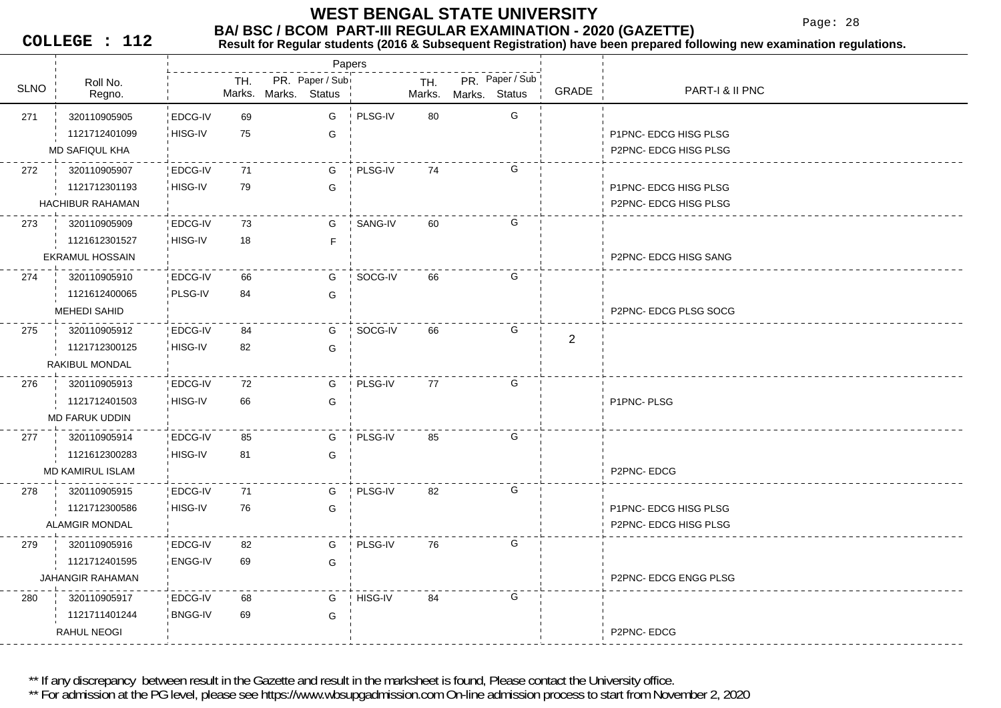Page: 28

**COLLEGE : 112**

### **Result for Regular students (2016 & Subsequent Registration) have been prepared following new examination regulations.**

|             |                         |                |     | Papers                                  |         |               |               |                 |                |                             |
|-------------|-------------------------|----------------|-----|-----------------------------------------|---------|---------------|---------------|-----------------|----------------|-----------------------------|
| <b>SLNO</b> | Roll No.<br>Regno.      |                | TH. | PR. Paper / Sub<br>Marks. Marks. Status |         | TH.<br>Marks. | Marks. Status | PR. Paper / Sub | GRADE          | PART-I & II PNC             |
| 271         | 320110905905            | EDCG-IV        | 69  | G                                       | PLSG-IV | 80            |               | G               |                |                             |
|             | 1121712401099           | HISG-IV        | 75  | G                                       |         |               |               |                 |                | P1PNC- EDCG HISG PLSG       |
|             | <b>MD SAFIQUL KHA</b>   |                |     |                                         |         |               |               |                 |                | P2PNC- EDCG HISG PLSG       |
| 272         | 320110905907            | EDCG-IV        | 71  | G                                       | PLSG-IV | 74            |               | G               |                |                             |
|             | 1121712301193           | HISG-IV        | 79  | G                                       |         |               |               |                 |                | P1PNC-EDCG HISG PLSG        |
|             | HACHIBUR RAHAMAN        |                |     |                                         |         |               |               |                 |                | P2PNC- EDCG HISG PLSG       |
| 273         | 320110905909            | EDCG-IV        | 73  | G                                       | SANG-IV | 60            |               | G               |                |                             |
|             | 1121612301527           | HISG-IV        | 18  | F.                                      |         |               |               |                 |                |                             |
|             | <b>EKRAMUL HOSSAIN</b>  |                |     |                                         |         |               |               |                 |                | P2PNC- EDCG HISG SANG       |
| 274         | 320110905910            | EDCG-IV        | 66  | G                                       | SOCG-IV | 66            |               | G               |                |                             |
|             | 1121612400065           | PLSG-IV        | 84  | G                                       |         |               |               |                 |                |                             |
|             | MEHEDI SAHID            |                |     |                                         |         |               |               |                 |                | P2PNC- EDCG PLSG SOCG       |
| 275         | 320110905912            | EDCG-IV        | 84  | G                                       | SOCG-IV | 66            |               | G               | $\overline{2}$ |                             |
|             | 1121712300125           | HISG-IV        | 82  | G                                       |         |               |               |                 |                |                             |
|             | RAKIBUL MONDAL          |                |     |                                         |         |               |               |                 |                |                             |
| 276         | 320110905913            | EDCG-IV        | 72  | G                                       | PLSG-IV | 77            |               | G               |                |                             |
|             | 1121712401503           | HISG-IV        | 66  | G                                       |         |               |               |                 |                | P1PNC-PLSG                  |
|             | <b>MD FARUK UDDIN</b>   |                |     |                                         |         |               |               |                 |                |                             |
| 277         | 320110905914            | EDCG-IV        | 85  | G                                       | PLSG-IV | 85            |               | G               |                |                             |
|             | 1121612300283           | HISG-IV        | 81  | G                                       |         |               |               |                 |                |                             |
|             | <b>MD KAMIRUL ISLAM</b> |                |     |                                         |         |               |               |                 |                | P2PNC-EDCG                  |
| 278         | 320110905915            | EDCG-IV        | 71  | G                                       | PLSG-IV | 82            |               | G               |                |                             |
|             | 1121712300586           | HISG-IV        | 76  | G                                       |         |               |               |                 |                | P1PNC-EDCG HISG PLSG        |
|             | <b>ALAMGIR MONDAL</b>   |                |     |                                         |         |               |               |                 |                | <b>P2PNC-EDCG HISG PLSG</b> |
| 279         | 320110905916            | EDCG-IV        | 82  | G                                       | PLSG-IV | 76            |               | G               |                |                             |
|             | 1121712401595           | ENGG-IV        | 69  | G                                       |         |               |               |                 |                |                             |
|             | <b>JAHANGIR RAHAMAN</b> |                |     |                                         |         |               |               |                 |                | P2PNC- EDCG ENGG PLSG       |
| 280         | 320110905917            | EDCG-IV        | 68  | G                                       | HISG-IV | 84            |               | G               |                |                             |
|             | 1121711401244           | <b>BNGG-IV</b> | 69  | G                                       |         |               |               |                 |                |                             |
|             | RAHUL NEOGI             |                |     |                                         |         |               |               |                 |                | P2PNC-EDCG                  |

\*\* If any discrepancy between result in the Gazette and result in the marksheet is found, Please contact the University office.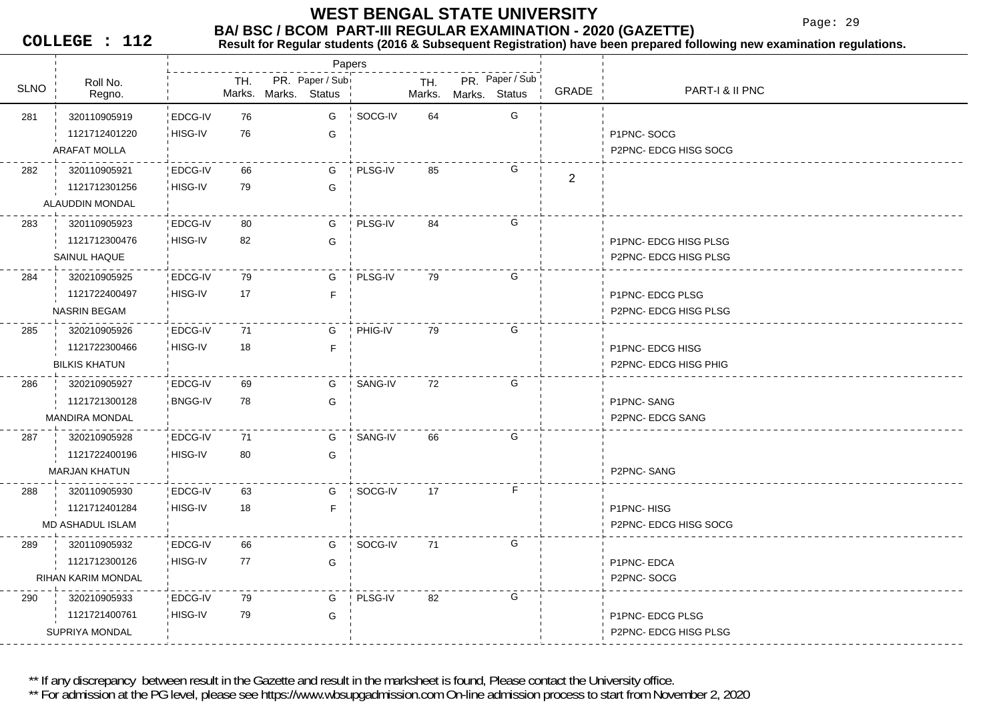Page: 29

**COLLEGE : 112**

#### **Result for Regular students (2016 & Subsequent Registration) have been prepared following new examination regulations.**

|             |                           |                |     |                      | Papers          |         |               |               |                 |                |                       |
|-------------|---------------------------|----------------|-----|----------------------|-----------------|---------|---------------|---------------|-----------------|----------------|-----------------------|
| <b>SLNO</b> | Roll No.<br>Regno.        |                | TH. | Marks. Marks. Status | PR. Paper / Sub |         | TH.<br>Marks. | Marks. Status | PR. Paper / Sub | GRADE          | PART-I & II PNC       |
| 281         | 320110905919              | EDCG-IV        | 76  |                      | G               | SOCG-IV | 64            |               | G               |                |                       |
|             | 1121712401220             | HISG-IV        | 76  |                      | G               |         |               |               |                 |                | P1PNC-SOCG            |
|             | <b>ARAFAT MOLLA</b>       |                |     |                      |                 |         |               |               |                 |                | P2PNC- EDCG HISG SOCG |
| 282         | 320110905921              | EDCG-IV        | 66  |                      | G               | PLSG-IV | 85            |               | G               | $\overline{2}$ |                       |
|             | 1121712301256             | HISG-IV        | 79  |                      | G               |         |               |               |                 |                |                       |
|             | ALAUDDIN MONDAL           |                |     |                      |                 |         |               |               |                 |                |                       |
| 283         | 320110905923              | EDCG-IV        | 80  |                      | G               | PLSG-IV | 84            |               | G               |                |                       |
|             | 1121712300476             | HISG-IV        | 82  |                      | G               |         |               |               |                 |                | P1PNC-EDCG HISG PLSG  |
|             | SAINUL HAQUE              |                |     |                      |                 |         |               |               |                 |                | P2PNC-EDCG HISG PLSG  |
| 284         | 320210905925              | EDCG-IV        | 79  |                      | G               | PLSG-IV | 79            |               | G               |                |                       |
|             | 1121722400497             | HISG-IV        | 17  |                      | F               |         |               |               |                 |                | P1PNC- EDCG PLSG      |
|             | <b>NASRIN BEGAM</b>       |                |     |                      |                 |         |               |               |                 |                | P2PNC- EDCG HISG PLSG |
| 285         | 320210905926              | EDCG-IV        | 71  |                      | G               | PHIG-IV | 79            |               | G               |                |                       |
|             | 1121722300466             | HISG-IV        | 18  |                      | F               |         |               |               |                 |                | P1PNC- EDCG HISG      |
|             | <b>BILKIS KHATUN</b>      |                |     |                      |                 |         |               |               |                 |                | P2PNC- EDCG HISG PHIG |
| 286         | 320210905927              | EDCG-IV        | 69  |                      | G               | SANG-IV | 72            |               | G               |                |                       |
|             | 1121721300128             | <b>BNGG-IV</b> | 78  |                      | G               |         |               |               |                 |                | P1PNC-SANG            |
|             | <b>MANDIRA MONDAL</b>     |                |     |                      |                 |         |               |               |                 |                | P2PNC- EDCG SANG      |
| 287         | 320210905928              | EDCG-IV        | 71  |                      | G               | SANG-IV | 66            |               | G               |                |                       |
|             | 1121722400196             | HISG-IV        | 80  |                      | G               |         |               |               |                 |                |                       |
|             | <b>MARJAN KHATUN</b>      |                |     |                      |                 |         |               |               |                 |                | P2PNC-SANG            |
| 288         | 320110905930              | EDCG-IV        | 63  |                      | G               | SOCG-IV | 17            |               | F               |                |                       |
|             | 1121712401284             | HISG-IV        | 18  |                      | F               |         |               |               |                 |                | P1PNC-HISG            |
|             | <b>MD ASHADUL ISLAM</b>   |                |     |                      |                 |         |               |               |                 |                | P2PNC- EDCG HISG SOCG |
| 289         | 320110905932              | EDCG-IV        | 66  |                      | G               | SOCG-IV | 71            |               | G               |                |                       |
|             | 1121712300126             | HISG-IV        | 77  |                      | G               |         |               |               |                 |                | P1PNC-EDCA            |
|             | <b>RIHAN KARIM MONDAL</b> |                |     |                      |                 |         |               |               |                 |                | P2PNC-SOCG            |
| 290         | 320210905933              | EDCG-IV        | 79  |                      | G               | PLSG-IV | 82            |               | G               |                |                       |
|             | 1121721400761             | HISG-IV        | 79  |                      | G               |         |               |               |                 |                | P1PNC-EDCG PLSG       |
|             | SUPRIYA MONDAL            |                |     |                      |                 |         |               |               |                 |                | P2PNC-EDCG HISG PLSG  |

\*\* If any discrepancy between result in the Gazette and result in the marksheet is found, Please contact the University office.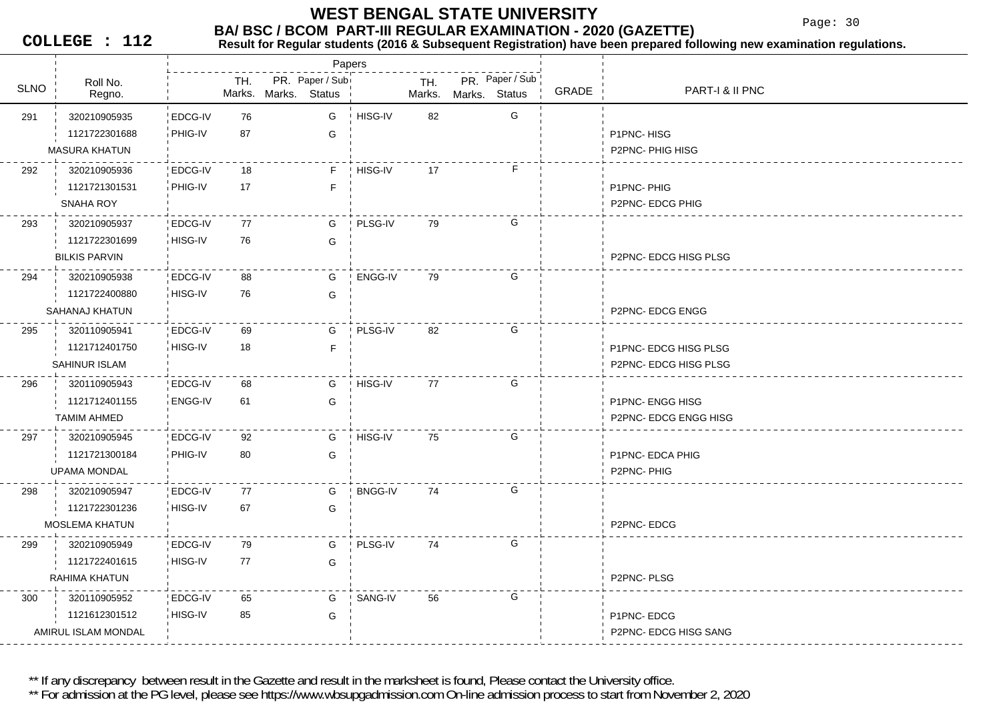Page: 30

**COLLEGE : 112**

#### **BA/ BSC / BCOM PART-III REGULAR EXAMINATION - 2020 (GAZETTE)**<br>Result for Requiar students (2016 & Subsequent Registration) have been prepared fo **Result for Regular students (2016 & Subsequent Registration) have been prepared following new examination regulations.**

|             |                       |                |               |                                  | Papers |                |               |               |                 |       |                        |
|-------------|-----------------------|----------------|---------------|----------------------------------|--------|----------------|---------------|---------------|-----------------|-------|------------------------|
| <b>SLNO</b> | Roll No.<br>Regno.    |                | TH.<br>Marks. | PR. Paper / Sub<br>Marks. Status |        |                | TH.<br>Marks. | Marks. Status | PR. Paper / Sub | GRADE | PART-I & II PNC        |
| 291         | 320210905935          | EDCG-IV        | 76            |                                  | G      | HISG-IV        | 82            |               | G               |       |                        |
|             | 1121722301688         | PHIG-IV        | 87            |                                  | G      |                |               |               |                 |       | P1PNC-HISG             |
|             | <b>MASURA KHATUN</b>  |                |               |                                  |        |                |               |               |                 |       | P2PNC-PHIG HISG        |
| 292         | 320210905936          | EDCG-IV        | 18            |                                  | F.     | ! HISG-IV      | 17            |               | F               |       |                        |
|             | 1121721301531         | PHIG-IV        | 17            |                                  | F      |                |               |               |                 |       | P1PNC-PHIG             |
|             | <b>SNAHA ROY</b>      |                |               |                                  |        |                |               |               |                 |       | P2PNC- EDCG PHIG       |
| 293         | 320210905937          | EDCG-IV        | 77            |                                  | G      | PLSG-IV        | 79            |               | G               |       |                        |
|             | 1121722301699         | HISG-IV        | 76            |                                  | G      |                |               |               |                 |       |                        |
|             | <b>BILKIS PARVIN</b>  |                |               |                                  |        |                |               |               |                 |       | P2PNC-EDCG HISG PLSG   |
| 294         | 320210905938          | EDCG-IV        | 88            |                                  | G      | ENGG-IV        | 79            |               | G               |       |                        |
|             | 1121722400880         | HISG-IV        | 76            |                                  | G      |                |               |               |                 |       |                        |
|             | SAHANAJ KHATUN        |                |               |                                  |        |                |               |               |                 |       | <b>P2PNC-EDCG ENGG</b> |
| 295         | 320110905941          | EDCG-IV        | 69            |                                  | G      | PLSG-IV        | 82            |               | G               |       |                        |
|             | 1121712401750         | HISG-IV        | 18            |                                  | F      |                |               |               |                 |       | P1PNC-EDCG HISG PLSG   |
|             | SAHINUR ISLAM         |                |               |                                  |        |                |               |               |                 |       | P2PNC- EDCG HISG PLSG  |
| 296         | 320110905943          | <b>EDCG-IV</b> | 68            |                                  | G      | HISG-IV        | 77            |               | G               |       |                        |
|             | 1121712401155         | <b>ENGG-IV</b> | 61            |                                  | G      |                |               |               |                 |       | <b>P1PNC-ENGG HISG</b> |
|             | <b>TAMIM AHMED</b>    |                |               |                                  |        |                |               |               |                 |       | P2PNC- EDCG ENGG HISG  |
| 297         | 320210905945          | <b>EDCG-IV</b> | 92            |                                  | G      | HISG-IV        | 75            |               | G               |       |                        |
|             | 1121721300184         | PHIG-IV        | 80            |                                  | G      |                |               |               |                 |       | P1PNC- EDCA PHIG       |
|             | <b>UPAMA MONDAL</b>   |                |               |                                  |        |                |               |               |                 |       | P2PNC-PHIG             |
| 298         | 320210905947          | EDCG-IV        | 77            |                                  | G      | <b>BNGG-IV</b> | 74            |               | G               |       |                        |
|             | 1121722301236         | HISG-IV        | 67            |                                  | G      |                |               |               |                 |       |                        |
|             | <b>MOSLEMA KHATUN</b> |                |               |                                  |        |                |               |               |                 |       | P2PNC-EDCG             |
| 299         | 320210905949          | <b>EDCG-IV</b> | 79            |                                  | G      | PLSG-IV        | 74            |               | G               |       |                        |
|             | 1121722401615         | HISG-IV        | 77            |                                  | G      |                |               |               |                 |       |                        |
|             | RAHIMA KHATUN         |                |               |                                  |        |                |               |               |                 |       | P2PNC-PLSG             |
| 300         | 320110905952          | EDCG-IV        | 65            |                                  | G      | SANG-IV        | 56            |               | G               |       |                        |
|             | 1121612301512         | HISG-IV        | 85            |                                  | G      |                |               |               |                 |       | P1PNC-EDCG             |
|             | AMIRUL ISLAM MONDAL   |                |               |                                  |        |                |               |               |                 |       | P2PNC- EDCG HISG SANG  |
|             |                       |                |               |                                  |        |                |               |               |                 |       |                        |

\*\* If any discrepancy between result in the Gazette and result in the marksheet is found, Please contact the University office.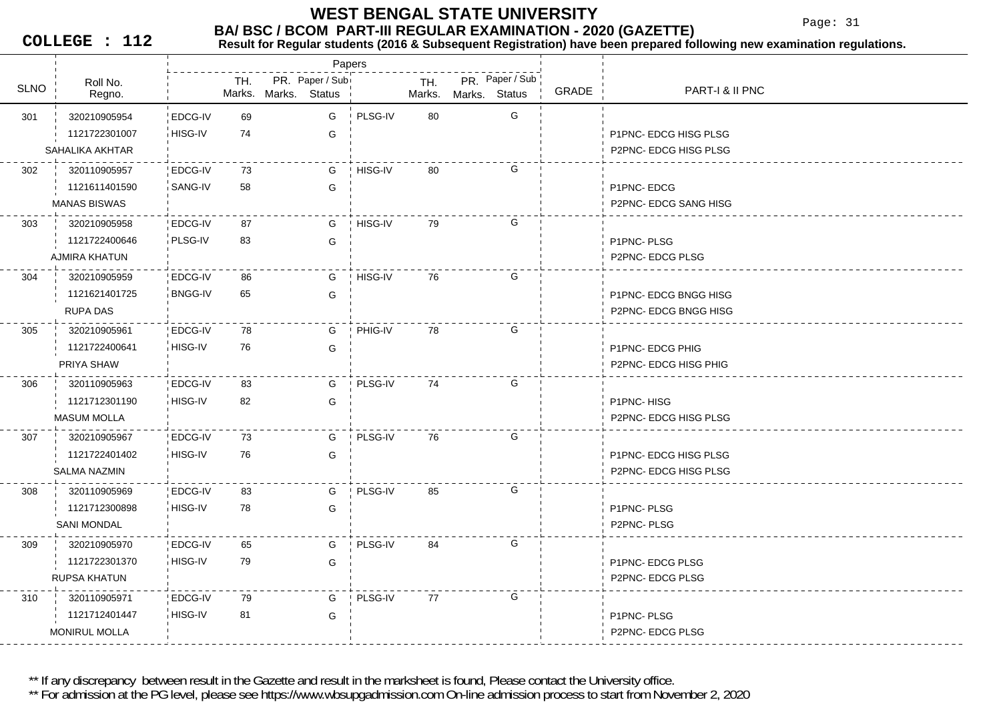Page: 31

**COLLEGE : 112**

#### **BA/ BSC / BCOM PART-III REGULAR EXAMINATION - 2020 (GAZETTE)**<br>Result for Requiar students (2016 & Subsequent Registration) have been prepared fo **Result for Regular students (2016 & Subsequent Registration) have been prepared following new examination regulations.**

|             |                     |                |     |                      |                 | Papers  |               |               |                 |       |                       |
|-------------|---------------------|----------------|-----|----------------------|-----------------|---------|---------------|---------------|-----------------|-------|-----------------------|
| <b>SLNO</b> | Roll No.<br>Regno.  |                | TH. | Marks. Marks. Status | PR. Paper / Sub |         | TH.<br>Marks. | Marks. Status | PR. Paper / Sub | GRADE | PART-I & II PNC       |
| 301         | 320210905954        | EDCG-IV        | 69  |                      | G               | PLSG-IV | 80            |               | G               |       |                       |
|             | 1121722301007       | HISG-IV        | 74  |                      | G               |         |               |               |                 |       | P1PNC- EDCG HISG PLSG |
|             | SAHALIKA AKHTAR     |                |     |                      |                 |         |               |               |                 |       | P2PNC-EDCG HISG PLSG  |
| 302         | 320110905957        | <b>EDCG-IV</b> | 73  |                      | G               | HISG-IV | 80            |               | G               |       |                       |
|             | 1121611401590       | SANG-IV        | 58  |                      | G               |         |               |               |                 |       | P1PNC-EDCG            |
|             | <b>MANAS BISWAS</b> |                |     |                      |                 |         |               |               |                 |       | P2PNC- EDCG SANG HISG |
| 303         | 320210905958        | EDCG-IV        | 87  |                      | G               | HISG-IV | 79            |               | G               |       |                       |
|             | 1121722400646       | PLSG-IV        | 83  |                      | G               |         |               |               |                 |       | P1PNC-PLSG            |
|             | AJMIRA KHATUN       |                |     |                      |                 |         |               |               |                 |       | P2PNC-EDCG PLSG       |
| 304         | 320210905959        | EDCG-IV        | 86  |                      | G               | HISG-IV | 76            |               | G               |       |                       |
|             | 1121621401725       | <b>BNGG-IV</b> | 65  |                      | G               |         |               |               |                 |       | P1PNC- EDCG BNGG HISG |
|             | <b>RUPA DAS</b>     |                |     |                      |                 |         |               |               |                 |       | P2PNC- EDCG BNGG HISG |
| 305         | 320210905961        | <b>EDCG-IV</b> | 78  |                      | G               | PHIG-IV | 78            |               | G               |       |                       |
|             | 1121722400641       | HISG-IV        | 76  |                      | G               |         |               |               |                 |       | P1PNC- EDCG PHIG      |
|             | PRIYA SHAW          |                |     |                      |                 |         |               |               |                 |       | P2PNC- EDCG HISG PHIG |
| 306         | 320110905963        | EDCG-IV        | 83  |                      | G               | PLSG-IV | 74            |               | G               |       |                       |
|             | 1121712301190       | HISG-IV        | 82  |                      | G               |         |               |               |                 |       | P1PNC-HISG            |
|             | <b>MASUM MOLLA</b>  |                |     |                      |                 |         |               |               |                 |       | P2PNC- EDCG HISG PLSG |
| 307         | 320210905967        | EDCG-IV        | 73  |                      | G               | PLSG-IV | 76            |               | G               |       |                       |
|             | 1121722401402       | HISG-IV        | 76  |                      | G               |         |               |               |                 |       | P1PNC- EDCG HISG PLSG |
|             | SALMA NAZMIN        |                |     |                      |                 |         |               |               |                 |       | P2PNC-EDCG HISG PLSG  |
| 308         | 320110905969        | EDCG-IV        | 83  |                      | G               | PLSG-IV | 85            |               | G               |       |                       |
|             | 1121712300898       | HISG-IV        | 78  |                      | G               |         |               |               |                 |       | P1PNC-PLSG            |
|             | <b>SANI MONDAL</b>  |                |     |                      |                 |         |               |               |                 |       | P2PNC-PLSG            |
| 309         | 320210905970        | EDCG-IV        | 65  |                      | G               | PLSG-IV | 84            |               | G               |       |                       |
|             | 1121722301370       | HISG-IV        | 79  |                      | G               |         |               |               |                 |       | P1PNC- EDCG PLSG      |
|             | <b>RUPSA KHATUN</b> |                |     |                      |                 |         |               |               |                 |       | P2PNC- EDCG PLSG      |
| 310         | 320110905971        | <b>EDCG-IV</b> | 79  |                      | G               | PLSG-IV | 77            |               | G               |       |                       |
|             | 1121712401447       | i HISG-IV      | 81  |                      | G               |         |               |               |                 |       | P1PNC-PLSG            |
|             | MONIRUL MOLLA       |                |     |                      |                 |         |               |               |                 |       | P2PNC- EDCG PLSG      |

\*\* If any discrepancy between result in the Gazette and result in the marksheet is found, Please contact the University office.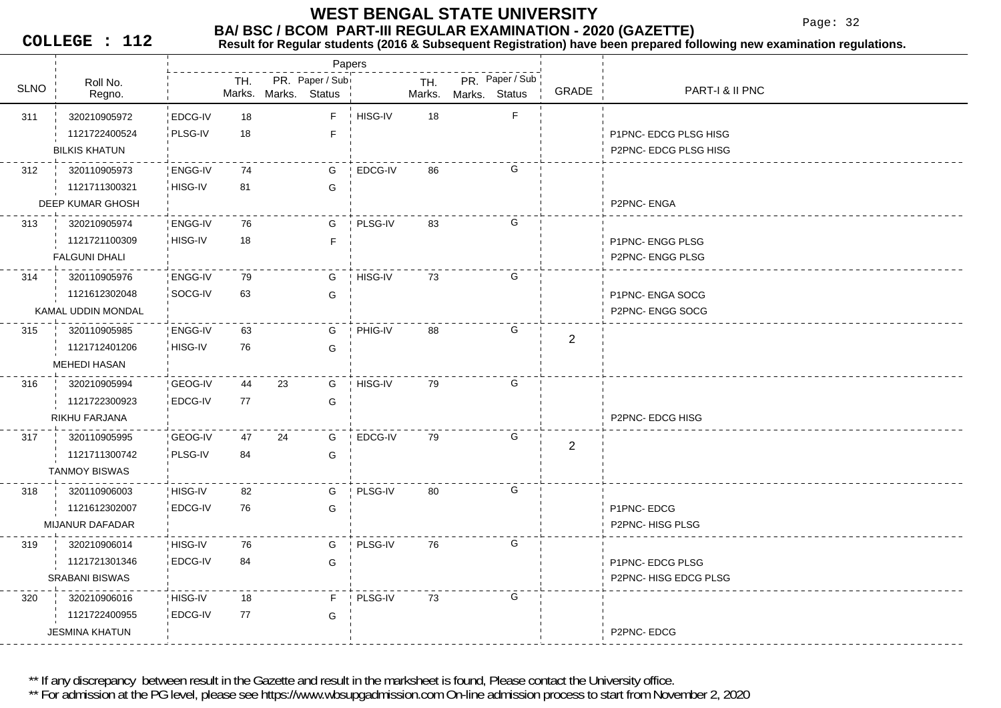Page: 32

**COLLEGE : 112**

#### **Result for Regular students (2016 & Subsequent Registration) have been prepared following new examination regulations.**

|             |                        |                |     |    | Papers                                  |         |               |               |                 |                |                       |
|-------------|------------------------|----------------|-----|----|-----------------------------------------|---------|---------------|---------------|-----------------|----------------|-----------------------|
| <b>SLNO</b> | Roll No.<br>Regno.     |                | TH. |    | PR. Paper / Sub<br>Marks. Marks. Status |         | TH.<br>Marks. | Marks. Status | PR. Paper / Sub | GRADE          | PART-I & II PNC       |
| 311         | 320210905972           | EDCG-IV        | 18  |    | F                                       | HISG-IV | 18            |               | $\mathsf F$     |                |                       |
|             | 1121722400524          | PLSG-IV        | 18  |    | F                                       |         |               |               |                 |                | P1PNC-EDCG PLSG HISG  |
|             | <b>BILKIS KHATUN</b>   |                |     |    |                                         |         |               |               |                 |                | P2PNC- EDCG PLSG HISG |
| 312         | 320110905973           | <b>ENGG-IV</b> | 74  |    | G                                       | EDCG-IV | 86            |               | G               |                |                       |
|             | 1121711300321          | HISG-IV        | 81  |    | G                                       |         |               |               |                 |                |                       |
|             | DEEP KUMAR GHOSH       |                |     |    |                                         |         |               |               |                 |                | P2PNC-ENGA            |
| 313         | 320210905974           | ENGG-IV        | 76  |    | G                                       | PLSG-IV | 83            |               | G               |                |                       |
|             | 1121721100309          | HISG-IV        | 18  |    | E                                       |         |               |               |                 |                | P1PNC- ENGG PLSG      |
|             | <b>FALGUNI DHALI</b>   |                |     |    |                                         |         |               |               |                 |                | P2PNC- ENGG PLSG      |
| 314         | 320110905976           | ENGG-IV        | 79  |    | G                                       | HISG-IV | 73            |               | G               |                |                       |
|             | 1121612302048          | SOCG-IV        | 63  |    | G                                       |         |               |               |                 |                | P1PNC- ENGA SOCG      |
|             | KAMAL UDDIN MONDAL     |                |     |    |                                         |         |               |               |                 |                | P2PNC- ENGG SOCG      |
| 315         | 320110905985           | ENGG-IV        | 63  |    | G                                       | PHIG-IV | 88            |               | G               | $\overline{2}$ |                       |
|             | 1121712401206          | HISG-IV        | 76  |    | G                                       |         |               |               |                 |                |                       |
|             | <b>MEHEDI HASAN</b>    |                |     |    |                                         |         |               |               |                 |                |                       |
| 316         | 320210905994           | <b>GEOG-IV</b> | 44  | 23 | G                                       | HISG-IV | 79            |               | G               |                |                       |
|             | 1121722300923          | EDCG-IV        | 77  |    | G                                       |         |               |               |                 |                |                       |
|             | RIKHU FARJANA          |                |     |    |                                         |         |               |               |                 |                | P2PNC- EDCG HISG      |
| 317         | 320110905995           | <b>GEOG-IV</b> | 47  | 24 | G                                       | EDCG-IV | 79            |               | G               | 2              |                       |
|             | 1121711300742          | PLSG-IV        | 84  |    | G                                       |         |               |               |                 |                |                       |
|             | <b>TANMOY BISWAS</b>   |                |     |    |                                         |         |               |               |                 |                |                       |
| 318         | 320110906003           | HISG-IV        | 82  |    | G                                       | PLSG-IV | 80            |               | G               |                |                       |
|             | 1121612302007          | EDCG-IV        | 76  |    | G                                       |         |               |               |                 |                | P1PNC-EDCG            |
|             | <b>MIJANUR DAFADAR</b> |                |     |    |                                         |         |               |               |                 |                | P2PNC-HISG PLSG       |
| 319         | 320210906014           | HISG-IV        | 76  |    | G                                       | PLSG-IV | 76            |               | G               |                |                       |
|             | 1121721301346          | EDCG-IV        | 84  |    | G                                       |         |               |               |                 |                | P1PNC-EDCG PLSG       |
|             | <b>SRABANI BISWAS</b>  |                |     |    |                                         |         |               |               |                 |                | P2PNC-HISG EDCG PLSG  |
| 320         | 320210906016           | HISG-IV        | 18  |    | F                                       | PLSG-IV | 73            |               | G               |                |                       |
|             | 1121722400955          | EDCG-IV        | 77  |    | G                                       |         |               |               |                 |                |                       |
|             | <b>JESMINA KHATUN</b>  |                |     |    |                                         |         |               |               |                 |                | P2PNC-EDCG            |

\*\* If any discrepancy between result in the Gazette and result in the marksheet is found, Please contact the University office.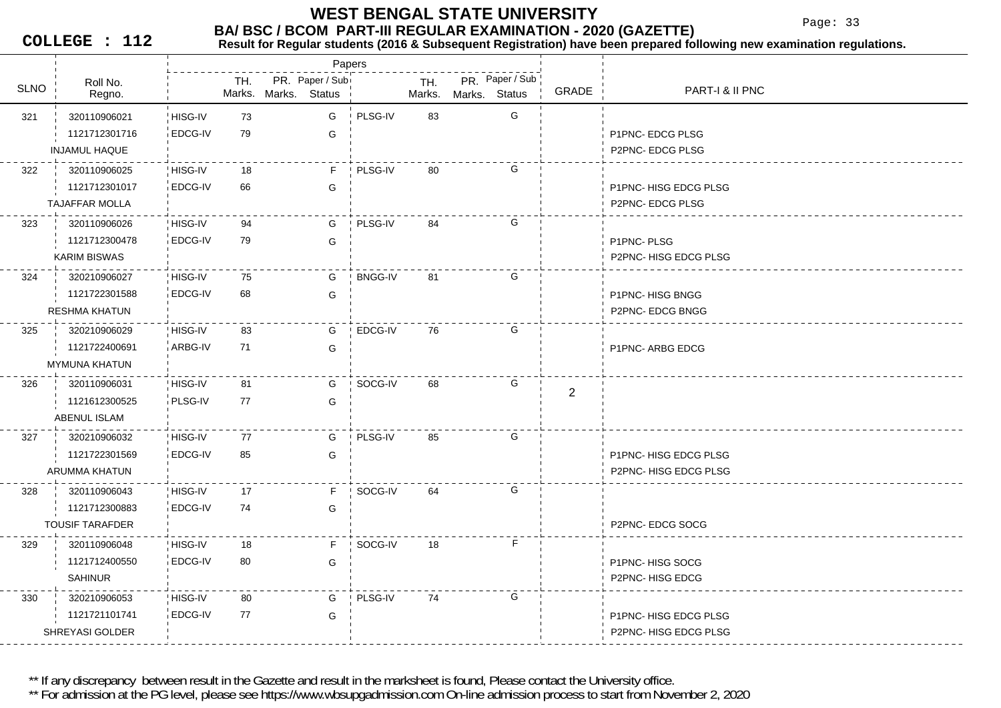Page: 33

**COLLEGE : 112**

#### **BA/ BSC / BCOM PART-III REGULAR EXAMINATION - 2020 (GAZETTE)**<br>Result for Requiar students (2016 & Subsequent Registration) have been prepared fo **Result for Regular students (2016 & Subsequent Registration) have been prepared following new examination regulations.**

|             |                        |         |               |               | Papers          |         |               |               |                 |                |                             |
|-------------|------------------------|---------|---------------|---------------|-----------------|---------|---------------|---------------|-----------------|----------------|-----------------------------|
| <b>SLNO</b> | Roll No.<br>Regno.     |         | TH.<br>Marks. | Marks. Status | PR. Paper / Sub |         | TH.<br>Marks. | Marks. Status | PR. Paper / Sub | GRADE          | PART-I & II PNC             |
| 321         | 320110906021           | HISG-IV | 73            |               | G               | PLSG-IV | 83            |               | G               |                |                             |
|             | 1121712301716          | EDCG-IV | 79            |               | G               |         |               |               |                 |                | P1PNC- EDCG PLSG            |
|             | <b>INJAMUL HAQUE</b>   |         |               |               |                 |         |               |               |                 |                | P2PNC- EDCG PLSG            |
| 322         | 320110906025           | HISG-IV | 18            |               | F.              | PLSG-IV | 80            |               | G               |                |                             |
|             | 1121712301017          | EDCG-IV | 66            |               | G               |         |               |               |                 |                | P1PNC-HISG EDCG PLSG        |
|             | <b>TAJAFFAR MOLLA</b>  |         |               |               |                 |         |               |               |                 |                | P2PNC- EDCG PLSG            |
| 323         | 320110906026           | HISG-IV | 94            |               | G               | PLSG-IV | 84            |               | G               |                |                             |
|             | 1121712300478          | EDCG-IV | 79            |               | G               |         |               |               |                 |                | P1PNC-PLSG                  |
|             | <b>KARIM BISWAS</b>    |         |               |               |                 |         |               |               |                 |                | P2PNC-HISG EDCG PLSG        |
| 324         | 320210906027           | HISG-IV | 75            |               | G               | BNGG-IV | 81            |               | G               |                |                             |
|             | 1121722301588          | EDCG-IV | 68            |               | G               |         |               |               |                 |                | P1PNC-HISG BNGG             |
|             | <b>RESHMA KHATUN</b>   |         |               |               |                 |         |               |               |                 |                | P2PNC- EDCG BNGG            |
| 325         | 320210906029           | HISG-IV | 83            |               | G               | EDCG-IV | 76            |               | G               |                |                             |
|             | 1121722400691          | ARBG-IV | 71            |               | G               |         |               |               |                 |                | P1PNC-ARBG EDCG             |
|             | <b>MYMUNA KHATUN</b>   |         |               |               |                 |         |               |               |                 |                |                             |
| 326         | 320110906031           | HISG-IV | 81            |               | G               | SOCG-IV | 68            |               | G               | $\overline{2}$ |                             |
|             | 1121612300525          | PLSG-IV | 77            |               | G               |         |               |               |                 |                |                             |
|             | ABENUL ISLAM           |         |               |               |                 |         |               |               |                 |                |                             |
| 327         | 320210906032           | HISG-IV | 77            |               | G               | PLSG-IV | 85            |               | G               |                |                             |
|             | 1121722301569          | EDCG-IV | 85            |               | G               |         |               |               |                 |                | <b>P1PNC-HISG EDCG PLSG</b> |
|             | ARUMMA KHATUN          |         |               |               |                 |         |               |               |                 |                | P2PNC-HISG EDCG PLSG        |
| 328         | 320110906043           | HISG-IV | 17            |               | F.              | SOCG-IV | 64            |               | G               |                |                             |
|             | 1121712300883          | EDCG-IV | 74            |               | G               |         |               |               |                 |                |                             |
|             | <b>TOUSIF TARAFDER</b> |         |               |               |                 |         |               |               |                 |                | P2PNC- EDCG SOCG            |
| 329         | 320110906048           | HISG-IV | 18            |               | F.              | SOCG-IV | 18            |               | F               |                |                             |
|             | 1121712400550          | EDCG-IV | 80            |               | G               |         |               |               |                 |                | P1PNC-HISG SOCG             |
|             | <b>SAHINUR</b>         |         |               |               |                 |         |               |               |                 |                | P2PNC-HISG EDCG             |
| 330         | 320210906053           | HISG-IV | 80            |               | G               | PLSG-IV | 74            |               | G               |                |                             |
|             | 1121721101741          | EDCG-IV | 77            |               | G               |         |               |               |                 |                | P1PNC-HISG EDCG PLSG        |
|             | SHREYASI GOLDER        |         |               |               |                 |         |               |               |                 |                | P2PNC-HISG EDCG PLSG        |
|             |                        |         |               |               |                 |         |               |               |                 |                |                             |

\*\* If any discrepancy between result in the Gazette and result in the marksheet is found, Please contact the University office.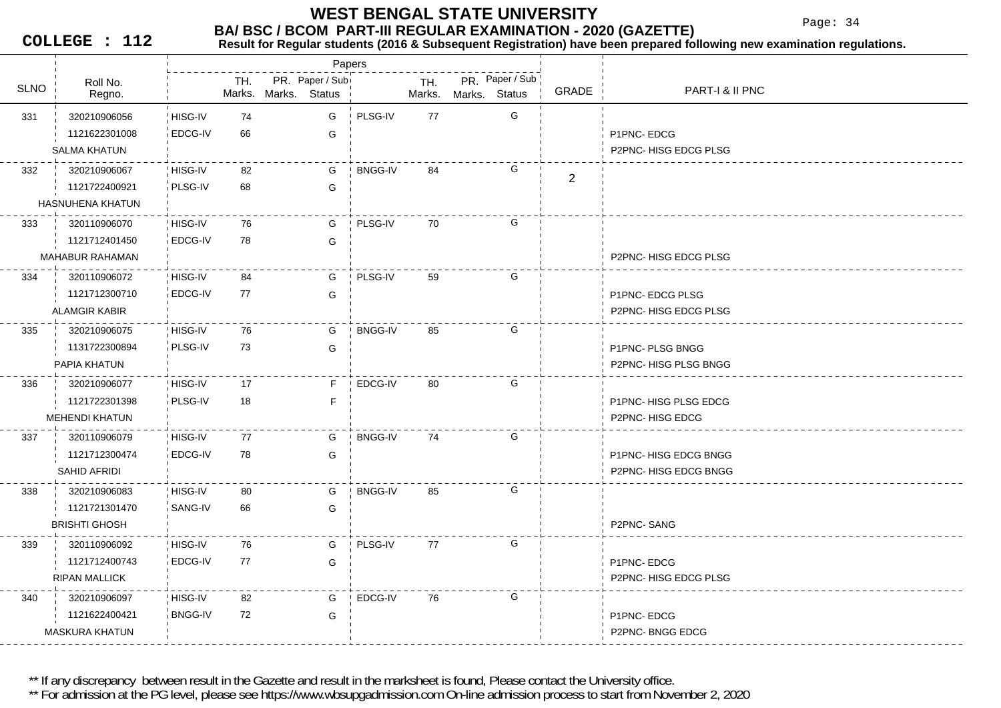Page: 34

**COLLEGE : 112**

#### **Result for Regular students (2016 & Subsequent Registration) have been prepared following new examination regulations.**

|             |                        |                |     |                                         | Papers |                |               |               |                 |                |                       |
|-------------|------------------------|----------------|-----|-----------------------------------------|--------|----------------|---------------|---------------|-----------------|----------------|-----------------------|
| <b>SLNO</b> | Roll No.<br>Regno.     |                | TH. | PR. Paper / Sub<br>Marks. Marks. Status |        |                | TH.<br>Marks. | Marks. Status | PR. Paper / Sub | GRADE          | PART-I & II PNC       |
| 331         | 320210906056           | HISG-IV        | 74  |                                         | G      | PLSG-IV        | 77            |               | G               |                |                       |
|             | 1121622301008          | EDCG-IV        | 66  |                                         | G      |                |               |               |                 |                | P1PNC-EDCG            |
|             | <b>SALMA KHATUN</b>    |                |     |                                         |        |                |               |               |                 |                | P2PNC-HISG EDCG PLSG  |
| 332         | 320210906067           | HISG-IV        | 82  |                                         | G      | <b>BNGG-IV</b> | 84            |               | G               |                |                       |
|             | 1121722400921          | PLSG-IV        | 68  |                                         | G      |                |               |               |                 | $\overline{2}$ |                       |
|             | HASNUHENA KHATUN       |                |     |                                         |        |                |               |               |                 |                |                       |
| 333         | 320110906070           | HISG-IV        | 76  |                                         | G      | PLSG-IV        | 70            |               | G               |                |                       |
|             | 1121712401450          | EDCG-IV        | 78  |                                         | G      |                |               |               |                 |                |                       |
|             | <b>MAHABUR RAHAMAN</b> |                |     |                                         |        |                |               |               |                 |                | P2PNC-HISG EDCG PLSG  |
| 334         | 320110906072           | HISG-IV        | 84  |                                         | G      | ! PLSG-IV      | 59            |               | G               |                |                       |
|             | 1121712300710          | EDCG-IV        | 77  |                                         | G      |                |               |               |                 |                | P1PNC-EDCG PLSG       |
|             | <b>ALAMGIR KABIR</b>   |                |     |                                         |        |                |               |               |                 |                | P2PNC-HISG EDCG PLSG  |
| 335         | 320210906075           | HISG-IV        | 76  |                                         | G      | <b>BNGG-IV</b> | 85            |               | G               |                |                       |
|             | 1131722300894          | PLSG-IV        | 73  |                                         | G      |                |               |               |                 |                | P1PNC- PLSG BNGG      |
|             | PAPIA KHATUN           |                |     |                                         |        |                |               |               |                 |                | P2PNC-HISG PLSG BNGG  |
| 336         | 320210906077           | HISG-IV        | 17  |                                         | F.     | EDCG-IV        | 80            |               | G               |                |                       |
|             | 1121722301398          | PLSG-IV        | 18  |                                         | F      |                |               |               |                 |                | P1PNC- HISG PLSG EDCG |
|             | <b>MEHENDI KHATUN</b>  |                |     |                                         |        |                |               |               |                 |                | P2PNC-HISG EDCG       |
| 337         | 320110906079           | HISG-IV        | 77  |                                         | G      | <b>BNGG-IV</b> | 74            |               | G               |                |                       |
|             | 1121712300474          | EDCG-IV        | 78  |                                         | G      |                |               |               |                 |                | P1PNC- HISG EDCG BNGG |
|             | SAHID AFRIDI           |                |     |                                         |        |                |               |               |                 |                | P2PNC-HISG EDCG BNGG  |
| 338         | 320210906083           | HISG-IV        | 80  |                                         | G      | <b>BNGG-IV</b> | 85            |               | G               |                |                       |
|             | 1121721301470          | SANG-IV        | 66  |                                         | G      |                |               |               |                 |                |                       |
|             | <b>BRISHTI GHOSH</b>   |                |     |                                         |        |                |               |               |                 |                | P2PNC-SANG            |
| 339         | 320110906092           | HISG-IV        | 76  |                                         | G      | PLSG-IV        | 77            |               | G               |                |                       |
|             | 1121712400743          | EDCG-IV        | 77  |                                         | G      |                |               |               |                 |                | P1PNC-EDCG            |
|             | <b>RIPAN MALLICK</b>   |                |     |                                         |        |                |               |               |                 |                | P2PNC-HISG EDCG PLSG  |
| 340         | 320210906097           | HISG-IV        | 82  |                                         | G      | EDCG-IV        | 76            |               | G               |                |                       |
|             | 1121622400421          | <b>BNGG-IV</b> | 72  |                                         | G      |                |               |               |                 |                | P1PNC-EDCG            |
|             | <b>MASKURA KHATUN</b>  |                |     |                                         |        |                |               |               |                 |                | P2PNC-BNGG EDCG       |
|             |                        |                |     |                                         |        |                |               |               |                 |                |                       |

\*\* If any discrepancy between result in the Gazette and result in the marksheet is found, Please contact the University office.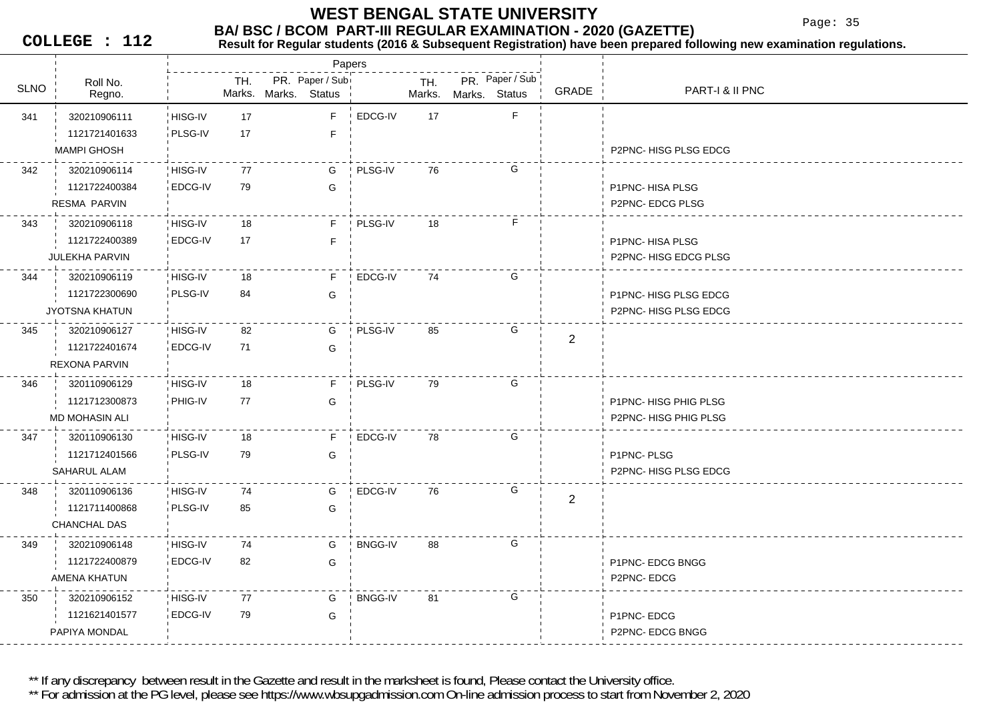Page: 35

**COLLEGE : 112**

#### **BA/ BSC / BCOM PART-III REGULAR EXAMINATION - 2020 (GAZETTE)**<br>Result for Requiar students (2016 & Subsequent Registration) have been prepared fo **Result for Regular students (2016 & Subsequent Registration) have been prepared following new examination regulations.**

|             |                       |                |     |                      | Papers          |                |        |               |                 |                |                            |
|-------------|-----------------------|----------------|-----|----------------------|-----------------|----------------|--------|---------------|-----------------|----------------|----------------------------|
| <b>SLNO</b> | Roll No.              |                | TH. |                      | PR. Paper / Sub |                | TH.    |               | PR. Paper / Sub | GRADE          | <b>PART-I &amp; II PNC</b> |
|             | Regno.                |                |     | Marks. Marks. Status |                 |                | Marks. | Marks. Status |                 |                |                            |
| 341         | 320210906111          | HISG-IV        | 17  |                      | F               | EDCG-IV        | 17     |               | $\mathsf F$     |                |                            |
|             | 1121721401633         | PLSG-IV        | 17  |                      | F               |                |        |               |                 |                |                            |
|             | <b>MAMPI GHOSH</b>    |                |     |                      |                 |                |        |               |                 |                | P2PNC-HISG PLSG EDCG       |
| 342         | 320210906114          | HISG-IV        | 77  |                      | G               | PLSG-IV        | 76     |               | G               |                |                            |
|             | 1121722400384         | <b>EDCG-IV</b> | 79  |                      | G               |                |        |               |                 |                | P1PNC-HISA PLSG            |
|             | RESMA PARVIN          |                |     |                      |                 |                |        |               |                 |                | P2PNC-EDCG PLSG            |
| 343         | 320210906118          | HISG-IV        | 18  |                      | F.              | PLSG-IV        | 18     |               | F.              |                |                            |
|             | 1121722400389         | EDCG-IV        | 17  |                      | $\mathsf F$     |                |        |               |                 |                | P1PNC-HISA PLSG            |
|             | <b>JULEKHA PARVIN</b> |                |     |                      |                 |                |        |               |                 |                | P2PNC-HISG EDCG PLSG       |
| 344         | 320210906119          | HISG-IV        | 18  |                      | F               | EDCG-IV        | 74     |               | G               |                |                            |
|             | 1121722300690         | PLSG-IV        | 84  |                      | G               |                |        |               |                 |                | P1PNC-HISG PLSG EDCG       |
|             | <b>JYOTSNA KHATUN</b> |                |     |                      |                 |                |        |               |                 |                | P2PNC- HISG PLSG EDCG      |
| 345         | 320210906127          | HISG-IV        | 82  |                      | G               | PLSG-IV        | 85     |               | G               | $\overline{2}$ |                            |
|             | 1121722401674         | <b>EDCG-IV</b> | 71  |                      | G               |                |        |               |                 |                |                            |
|             | <b>REXONA PARVIN</b>  |                |     |                      |                 |                |        |               |                 |                |                            |
| 346         | 320110906129          | HISG-IV        | 18  |                      | F               | PLSG-IV        | 79     |               | G               |                |                            |
|             | 1121712300873         | PHIG-IV        | 77  |                      | G               |                |        |               |                 |                | P1PNC-HISG PHIG PLSG       |
|             | <b>MD MOHASIN ALI</b> |                |     |                      |                 |                |        |               |                 |                | P2PNC- HISG PHIG PLSG      |
| 347         | 320110906130          | HISG-IV        | 18  |                      | F               | EDCG-IV        | 78     |               | G               |                |                            |
|             | 1121712401566         | PLSG-IV        | 79  |                      | G               |                |        |               |                 |                | P1PNC-PLSG                 |
|             | SAHARUL ALAM          |                |     |                      |                 |                |        |               |                 |                | P2PNC-HISG PLSG EDCG       |
| 348         | 320110906136          | HISG-IV        | 74  |                      | G               | EDCG-IV        | 76     |               | G               | 2              |                            |
|             | 1121711400868         | PLSG-IV        | 85  |                      | G               |                |        |               |                 |                |                            |
|             | CHANCHAL DAS          |                |     |                      |                 |                |        |               |                 |                |                            |
| 349         | 320210906148          | HISG-IV        | 74  |                      | G               | <b>BNGG-IV</b> | 88     |               | G               |                |                            |
|             | 1121722400879         | EDCG-IV        | 82  |                      | G               |                |        |               |                 |                | P1PNC- EDCG BNGG           |
|             | AMENA KHATUN          |                |     |                      |                 |                |        |               |                 |                | P2PNC-EDCG                 |
| 350         | 320210906152          | HISG-IV        | 77  |                      | G               | <b>BNGG-IV</b> | 81     |               | G               |                |                            |
|             | 1121621401577         | <b>EDCG-IV</b> | 79  |                      | G               |                |        |               |                 |                | P1PNC-EDCG                 |
|             | PAPIYA MONDAL         |                |     |                      |                 |                |        |               |                 |                | P2PNC- EDCG BNGG           |
|             |                       |                |     |                      |                 |                |        |               |                 |                |                            |

\*\* If any discrepancy between result in the Gazette and result in the marksheet is found, Please contact the University office.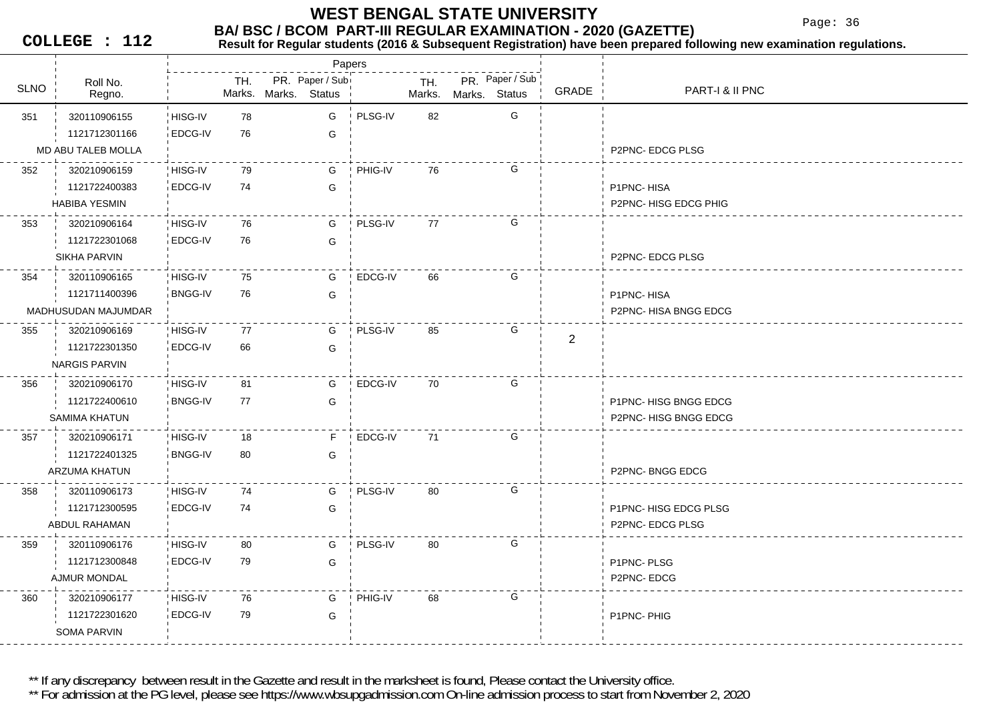Page: 36

**COLLEGE : 112**

#### **BA/ BSC / BCOM PART-III REGULAR EXAMINATION - 2020 (GAZETTE)**<br>Result for Requiar students (2016 & Subsequent Registration) have been prepared fo **Result for Regular students (2016 & Subsequent Registration) have been prepared following new examination regulations.**

|             |                      |                |     |                      | Papers |                |        |                 |   |                |                             |
|-------------|----------------------|----------------|-----|----------------------|--------|----------------|--------|-----------------|---|----------------|-----------------------------|
| <b>SLNO</b> | Roll No.             |                | TH. | PR. Paper / Sub      |        |                | TH.    | PR. Paper / Sub |   |                | PART-I & II PNC             |
|             | Regno.               |                |     | Marks. Marks. Status |        |                | Marks. | Marks. Status   |   | GRADE          |                             |
| 351         | 320110906155         | HISG-IV        | 78  |                      | G      | ! PLSG-IV      | 82     |                 | G |                |                             |
|             | 1121712301166        | EDCG-IV        | 76  |                      | G      |                |        |                 |   |                |                             |
|             | MD ABU TALEB MOLLA   |                |     |                      |        |                |        |                 |   |                | P2PNC- EDCG PLSG            |
| 352         | 320210906159         | HISG-IV        | 79  |                      | G      | PHIG-IV        | 76     |                 | G |                |                             |
|             | 1121722400383        | EDCG-IV        | 74  |                      | G      |                |        |                 |   |                | P1PNC-HISA                  |
|             | <b>HABIBA YESMIN</b> |                |     |                      |        |                |        |                 |   |                | P2PNC-HISG EDCG PHIG        |
| 353         | 320210906164         | HISG-IV        | 76  |                      | G      | PLSG-IV        | 77     |                 | G |                |                             |
|             | 1121722301068        | <b>EDCG-IV</b> | 76  |                      | G      |                |        |                 |   |                |                             |
|             | SIKHA PARVIN         |                |     |                      |        |                |        |                 |   |                | P2PNC-EDCG PLSG             |
| 354         | 320110906165         | HISG-IV        | 75  |                      | G      | <b>EDCG-IV</b> | 66     |                 | G |                |                             |
|             | 1121711400396        | <b>BNGG-IV</b> | 76  |                      | G      |                |        |                 |   |                | P1PNC-HISA                  |
|             | MADHUSUDAN MAJUMDAR  |                |     |                      |        |                |        |                 |   |                | P2PNC- HISA BNGG EDCG       |
| 355         | 320210906169         | HISG-IV        | 77  |                      | G      | PLSG-IV        | 85     |                 | G | $\overline{2}$ |                             |
|             | 1121722301350        | EDCG-IV        | 66  |                      | G      |                |        |                 |   |                |                             |
|             | <b>NARGIS PARVIN</b> |                |     |                      |        |                |        |                 |   |                |                             |
| 356         | 320210906170         | HISG-IV        | 81  |                      | G      | EDCG-IV        | 70     |                 | G |                |                             |
|             | 1121722400610        | <b>BNGG-IV</b> | 77  |                      | G      |                |        |                 |   |                | P1PNC- HISG BNGG EDCG       |
|             | SAMIMA KHATUN        |                |     |                      |        |                |        |                 |   |                | P2PNC-HISG BNGG EDCG        |
| 357         | 320210906171         | HISG-IV        | 18  |                      | F      | EDCG-IV        | 71     |                 | G |                |                             |
|             | 1121722401325        | <b>BNGG-IV</b> | 80  |                      | G      |                |        |                 |   |                |                             |
|             | ARZUMA KHATUN        |                |     |                      |        |                |        |                 |   |                | <b>P2PNC-BNGG EDCG</b>      |
| 358         | 320110906173         | HISG-IV        | 74  |                      | G      | PLSG-IV        | 80     |                 | G |                |                             |
|             | 1121712300595        | EDCG-IV        | 74  |                      | G      |                |        |                 |   |                | <b>P1PNC-HISG EDCG PLSG</b> |
|             | ABDUL RAHAMAN        |                |     |                      |        |                |        |                 |   |                | P2PNC- EDCG PLSG            |
| 359         | 320110906176         | HISG-IV        | 80  |                      | G      | PLSG-IV        | 80     |                 | G |                |                             |
|             | 1121712300848        | EDCG-IV        | 79  |                      | G      |                |        |                 |   |                | P1PNC-PLSG                  |
|             | AJMUR MONDAL         |                |     |                      |        |                |        |                 |   |                | P2PNC-EDCG                  |
| 360         | 320210906177         | HISG-IV        | 76  |                      | G      | PHIG-IV        | 68     |                 | G |                |                             |
|             | 1121722301620        | EDCG-IV        | 79  |                      | G      |                |        |                 |   |                | P1PNC-PHIG                  |
|             | SOMA PARVIN          |                |     |                      |        |                |        |                 |   |                |                             |

\*\* If any discrepancy between result in the Gazette and result in the marksheet is found, Please contact the University office.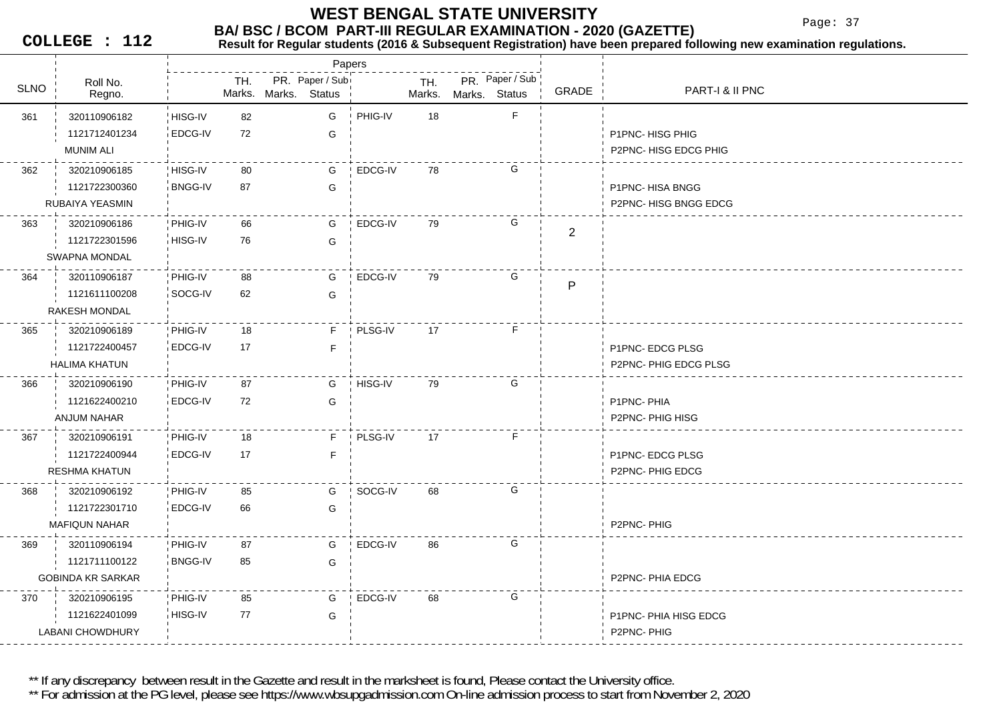Papers

Page: 37

**COLLEGE : 112**

| <b>SLNO</b> | Roll No.<br>Regno.       |                | TH. | Marks. Marks. Status | PR. Paper / Sub |         | TH.<br>Marks. | Marks. Status | PR. Paper / Sub | GRADE          | PART-I & II PNC       |
|-------------|--------------------------|----------------|-----|----------------------|-----------------|---------|---------------|---------------|-----------------|----------------|-----------------------|
| 361         | 320110906182             | HISG-IV        | 82  |                      | G               | PHIG-IV | 18            |               | F               |                |                       |
|             | 1121712401234            | EDCG-IV        | 72  |                      | G               |         |               |               |                 |                | P1PNC-HISG PHIG       |
|             | <b>MUNIM ALI</b>         |                |     |                      |                 |         |               |               |                 |                | P2PNC-HISG EDCG PHIG  |
| 362         | 320210906185             | HISG-IV        | 80  |                      | G               | EDCG-IV | 78            |               | G               |                |                       |
|             | 1121722300360            | <b>BNGG-IV</b> | 87  |                      | G               |         |               |               |                 |                | P1PNC-HISA BNGG       |
|             | RUBAIYA YEASMIN          |                |     |                      |                 |         |               |               |                 |                | P2PNC-HISG BNGG EDCG  |
| 363         | 320210906186             | ! PHIG-IV      | 66  |                      | G               | EDCG-IV | 79            |               | G               |                |                       |
|             | 1121722301596            | HISG-IV        | 76  |                      | G               |         |               |               |                 | $\overline{2}$ |                       |
|             | <b>SWAPNA MONDAL</b>     |                |     |                      |                 |         |               |               |                 |                |                       |
| 364         | 320110906187             | ¦ PHIG-IV      | 88  |                      | G               | EDCG-IV | 79            |               | G               |                |                       |
|             | 1121611100208            | SOCG-IV        | 62  |                      | G               |         |               |               |                 | P              |                       |
|             | RAKESH MONDAL            |                |     |                      |                 |         |               |               |                 |                |                       |
| 365         | 320210906189             | PHIG-IV        | 18  |                      | F               | PLSG-IV | 17            |               | F.              |                |                       |
|             | 1121722400457            | <b>EDCG-IV</b> | 17  |                      | F               |         |               |               |                 |                | P1PNC-EDCG PLSG       |
|             | <b>HALIMA KHATUN</b>     |                |     |                      |                 |         |               |               |                 |                | P2PNC- PHIG EDCG PLSG |
| 366         | 320210906190             | PHIG-IV        | 87  |                      | G               | HISG-IV | 79            |               | G               |                |                       |
|             | 1121622400210            | EDCG-IV        | 72  |                      | G               |         |               |               |                 |                | P1PNC-PHIA            |
|             | <b>ANJUM NAHAR</b>       |                |     |                      |                 |         |               |               |                 |                | P2PNC-PHIG HISG       |
| 367         | 320210906191             | PHIG-IV        | 18  |                      | F.              | PLSG-IV | 17            |               | F.              |                |                       |
|             | 1121722400944            | <b>EDCG-IV</b> | 17  |                      | F               |         |               |               |                 |                | P1PNC-EDCG PLSG       |
|             | <b>RESHMA KHATUN</b>     |                |     |                      |                 |         |               |               |                 |                | P2PNC- PHIG EDCG      |
| 368         | 320210906192             | PHIG-IV        | 85  |                      | G               | SOCG-IV | 68            |               | G               |                |                       |
|             | 1121722301710            | EDCG-IV        | 66  |                      | G               |         |               |               |                 |                |                       |
|             | <b>MAFIQUN NAHAR</b>     |                |     |                      |                 |         |               |               |                 |                | P2PNC-PHIG            |
| 369         | 320110906194             | PHIG-IV        | 87  |                      | G               | EDCG-IV | 86            |               | G               |                |                       |
|             | 1121711100122            | <b>BNGG-IV</b> | 85  |                      | G               |         |               |               |                 |                |                       |
|             | <b>GOBINDA KR SARKAR</b> |                |     |                      |                 |         |               |               |                 |                | P2PNC- PHIA EDCG      |
| 370         | 320210906195             | PHIG-IV        | 85  |                      | G               | EDCG-IV | 68            |               | G               |                |                       |
|             | 1121622401099            | HISG-IV        | 77  |                      | G               |         |               |               |                 |                | P1PNC-PHIA HISG EDCG  |
|             | <b>LABANI CHOWDHURY</b>  |                |     |                      |                 |         |               |               |                 |                | P2PNC-PHIG            |

**Result for Regular students (2016 & Subsequent Registration) have been prepared following new examination regulations.**

\*\* If any discrepancy between result in the Gazette and result in the marksheet is found, Please contact the University office.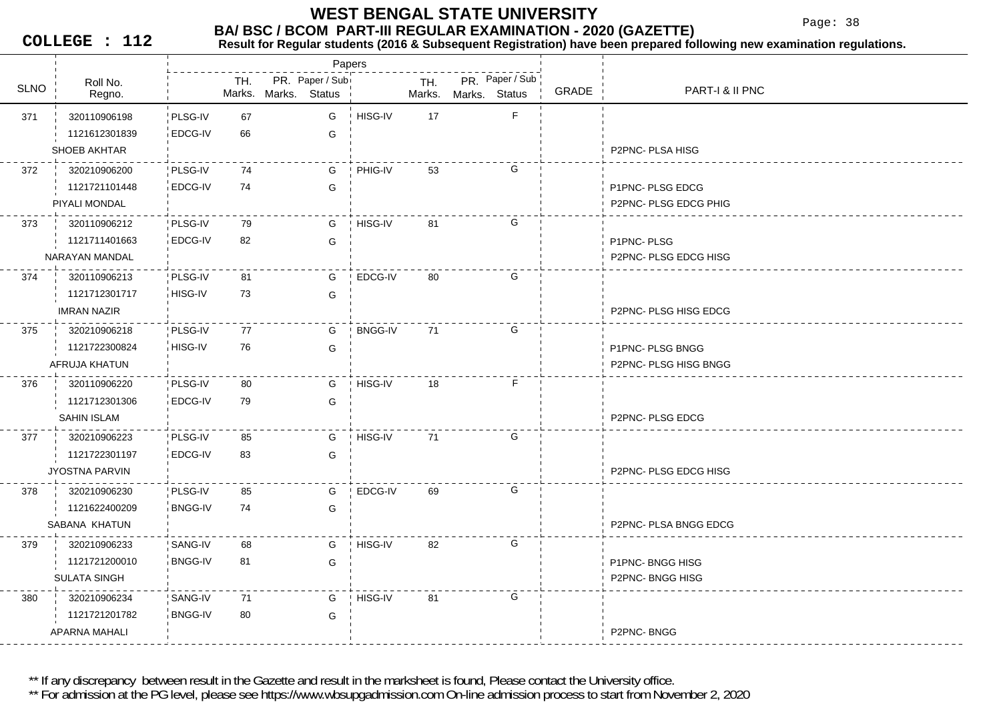Page: 38

**COLLEGE : 112**

#### **BA/ BSC / BCOM PART-III REGULAR EXAMINATION - 2020 (GAZETTE)**<br>Result for Requiar students (2016 & Subsequent Registration) have been prepared fo **Result for Regular students (2016 & Subsequent Registration) have been prepared following new examination regulations.**

|             |                     |                |     |                      | Papers          |                |               |               |                 |       |                             |
|-------------|---------------------|----------------|-----|----------------------|-----------------|----------------|---------------|---------------|-----------------|-------|-----------------------------|
| <b>SLNO</b> | Roll No.<br>Regno.  |                | TH. | Marks. Marks. Status | PR. Paper / Sub |                | TH.<br>Marks. | Marks, Status | PR. Paper / Sub | GRADE | PART-I & II PNC             |
| 371         | 320110906198        | PLSG-IV        | 67  |                      | G               | HISG-IV        | 17            |               | F               |       |                             |
|             | 1121612301839       | EDCG-IV        | 66  |                      | G               |                |               |               |                 |       |                             |
|             | <b>SHOEB AKHTAR</b> |                |     |                      |                 |                |               |               |                 |       | P2PNC- PLSA HISG            |
| 372         | 320210906200        | PLSG-IV        | 74  |                      | G               | PHIG-IV        | 53            |               | G               |       |                             |
|             | 1121721101448       | EDCG-IV        | 74  |                      | G               |                |               |               |                 |       | P1PNC-PLSG EDCG             |
|             | PIYALI MONDAL       |                |     |                      |                 |                |               |               |                 |       | P2PNC- PLSG EDCG PHIG       |
| 373         | 320110906212        | PLSG-IV        | 79  |                      | G               | HISG-IV        | 81            |               | G               |       |                             |
|             | 1121711401663       | EDCG-IV        | 82  |                      | G               |                |               |               |                 |       | P1PNC-PLSG                  |
|             | NARAYAN MANDAL      |                |     |                      |                 |                |               |               |                 |       | <b>P2PNC-PLSG EDCG HISG</b> |
| 374         | 320110906213        | PLSG-IV        | 81  |                      | G               | EDCG-IV        | -80           |               | G               |       |                             |
|             | 1121712301717       | HISG-IV        | 73  |                      | G               |                |               |               |                 |       |                             |
|             | <b>IMRAN NAZIR</b>  |                |     |                      |                 |                |               |               |                 |       | P2PNC- PLSG HISG EDCG       |
| 375         | 320210906218        | PLSG-IV        | 77  |                      | G               | <b>BNGG-IV</b> | 71            |               | G               |       |                             |
|             | 1121722300824       | HISG-IV        | 76  |                      | G               |                |               |               |                 |       | P1PNC- PLSG BNGG            |
|             | AFRUJA KHATUN       |                |     |                      |                 |                |               |               |                 |       | P2PNC- PLSG HISG BNGG       |
| 376         | 320110906220        | PLSG-IV        | 80  |                      | G               | HISG-IV        | 18            |               | F               |       |                             |
|             | 1121712301306       | EDCG-IV        | 79  |                      | G               |                |               |               |                 |       |                             |
|             | SAHIN ISLAM         |                |     |                      |                 |                |               |               |                 |       | P2PNC-PLSG EDCG             |
| 377         | 320210906223        | PLSG-IV        | 85  |                      | G               | HISG-IV        | 71            |               | G               |       |                             |
|             | 1121722301197       | EDCG-IV        | 83  |                      | G               |                |               |               |                 |       |                             |
|             | JYOSTNA PARVIN      |                |     |                      |                 |                |               |               |                 |       | P2PNC-PLSG EDCG HISG        |
| 378         | 320210906230        | PLSG-IV        | 85  |                      | G               | EDCG-IV        | 69            |               | G               |       |                             |
|             | 1121622400209       | <b>BNGG-IV</b> | 74  |                      | G               |                |               |               |                 |       |                             |
|             | SABANA KHATUN       |                |     |                      |                 |                |               |               |                 |       | P2PNC- PLSA BNGG EDCG       |
| 379         | 320210906233        | SANG-IV        | 68  |                      | G               | HISG-IV        | 82            |               | G               |       |                             |
|             | 1121721200010       | <b>BNGG-IV</b> | 81  |                      | G               |                |               |               |                 |       | <b>P1PNC-BNGG HISG</b>      |
|             | <b>SULATA SINGH</b> |                |     |                      |                 |                |               |               |                 |       | <b>P2PNC-BNGG HISG</b>      |
| 380         | 320210906234        | SANG-IV        | 71  |                      | G               | HISG-IV        | 81            |               | G               |       |                             |
|             | 1121721201782       | <b>BNGG-IV</b> | 80  |                      | G               |                |               |               |                 |       |                             |
|             | APARNA MAHALI       |                |     |                      |                 |                |               |               |                 |       | P2PNC-BNGG                  |

\*\* If any discrepancy between result in the Gazette and result in the marksheet is found, Please contact the University office.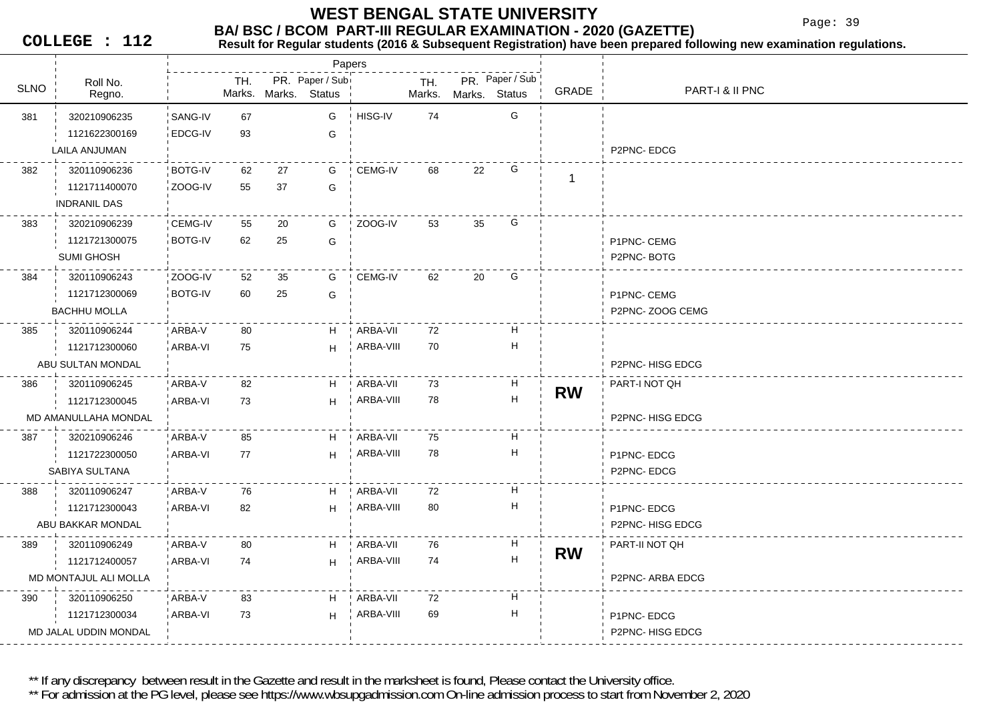Page: 39

**COLLEGE : 112**

## **Result for Regular students (2016 & Subsequent Registration) have been prepared following new examination regulations.**

|             |                       |                |     |    | Papers                                  |            |               |               |                           |           |                        |
|-------------|-----------------------|----------------|-----|----|-----------------------------------------|------------|---------------|---------------|---------------------------|-----------|------------------------|
| <b>SLNO</b> | Roll No.              |                | TH. |    | PR. Paper / Sub<br>Marks. Marks. Status |            | TH.<br>Marks. |               | PR. Paper / Sub           | GRADE     | PART-1 & II PNC        |
|             | Regno.                |                |     |    |                                         |            |               | Marks. Status |                           |           |                        |
| 381         | 320210906235          | SANG-IV        | 67  |    | G                                       | HISG-IV    | 74            |               | G                         |           |                        |
|             | 1121622300169         | EDCG-IV        | 93  |    | G                                       |            |               |               |                           |           |                        |
|             | LAILA ANJUMAN         |                |     |    |                                         |            |               |               |                           |           | P2PNC-EDCG             |
| 382         | 320110906236          | <b>BOTG-IV</b> | 62  | 27 | G                                       | CEMG-IV    | 68            | 22            | G                         | -1        |                        |
|             | 1121711400070         | ZOOG-IV        | 55  | 37 | G                                       |            |               |               |                           |           |                        |
|             | <b>INDRANIL DAS</b>   |                |     |    |                                         |            |               |               |                           |           |                        |
| 383         | 320210906239          | CEMG-IV        | 55  | 20 | G                                       | ZOOG-IV    | 53            | 35            | G                         |           |                        |
|             | 1121721300075         | <b>BOTG-IV</b> | 62  | 25 | G                                       |            |               |               |                           |           | P1PNC- CEMG            |
|             | <b>SUMI GHOSH</b>     |                |     |    |                                         |            |               |               |                           |           | P2PNC-BOTG             |
| 384         | 320110906243          | ZOOG-IV        | 52  | 35 | G                                       | CEMG-IV    | 62            | 20            | G                         |           |                        |
|             | 1121712300069         | <b>BOTG-IV</b> | 60  | 25 | G                                       |            |               |               |                           |           | P1PNC- CEMG            |
|             | <b>BACHHU MOLLA</b>   |                |     |    |                                         |            |               |               |                           |           | P2PNC-ZOOG CEMG        |
| 385         | 320110906244          | ARBA-V         | 80  |    | H                                       | ARBA-VII   | 72            |               | Н                         |           |                        |
|             | 1121712300060         | ARBA-VI        | 75  |    | H                                       | ARBA-VIII  | 70            |               | н                         |           |                        |
|             | ABU SULTAN MONDAL     |                |     |    |                                         |            |               |               |                           |           | P2PNC-HISG EDCG        |
| 386         | 320110906245          | ARBA-V         | 82  |    | H                                       | ARBA-VII   | 73            |               | H                         |           | PART-I NOT QH          |
|             | 1121712300045         | <b>ARBA-VI</b> | 73  |    | H                                       | ARBA-VIII  | 78            |               | $\boldsymbol{\mathsf{H}}$ | <b>RW</b> |                        |
|             | MD AMANULLAHA MONDAL  |                |     |    |                                         |            |               |               |                           |           | <b>P2PNC-HISG EDCG</b> |
| 387         | 320210906246          | ARBA-V         | 85  |    | H                                       | ARBA-VII   | 75            |               | Н                         |           |                        |
|             | 1121722300050         | ARBA-VI        | 77  |    | H                                       | ARBA-VIII  | 78            |               | н                         |           | P1PNC-EDCG             |
|             | SABIYA SULTANA        |                |     |    |                                         |            |               |               |                           |           | P2PNC-EDCG             |
| 388         | 320110906247          | ARBA-V         | 76  |    | H.                                      | ∣ ARBA-VII | 72            |               | н                         |           |                        |
|             | 1121712300043         | ARBA-VI        | 82  |    | H                                       | ARBA-VIII  | 80            |               | Н                         |           | P1PNC-EDCG             |
|             | ABU BAKKAR MONDAL     |                |     |    |                                         |            |               |               |                           |           | P2PNC-HISG EDCG        |
| 389         | 320110906249          | ARBA-V         | 80  |    | H.                                      | ARBA-VII   | 76            |               | H                         |           | PART-II NOT QH         |
|             | 1121712400057         | ARBA-VI        | 74  |    | H                                       | ARBA-VIII  | 74            |               | $\boldsymbol{\mathsf{H}}$ | <b>RW</b> |                        |
|             | MD MONTAJUL ALI MOLLA |                |     |    |                                         |            |               |               |                           |           | P2PNC- ARBA EDCG       |
| 390         | 320110906250          | ARBA-V         | 83  |    | H                                       | ARBA-VII   | 72            |               | Н                         |           |                        |
|             | 1121712300034         | <b>ARBA-VI</b> | 73  |    | H                                       | ARBA-VIII  | 69            |               | н                         |           | P1PNC-EDCG             |
|             | MD JALAL UDDIN MONDAL |                |     |    |                                         |            |               |               |                           |           | P2PNC-HISG EDCG        |
|             |                       |                |     |    |                                         |            |               |               |                           |           |                        |

\*\* If any discrepancy between result in the Gazette and result in the marksheet is found, Please contact the University office.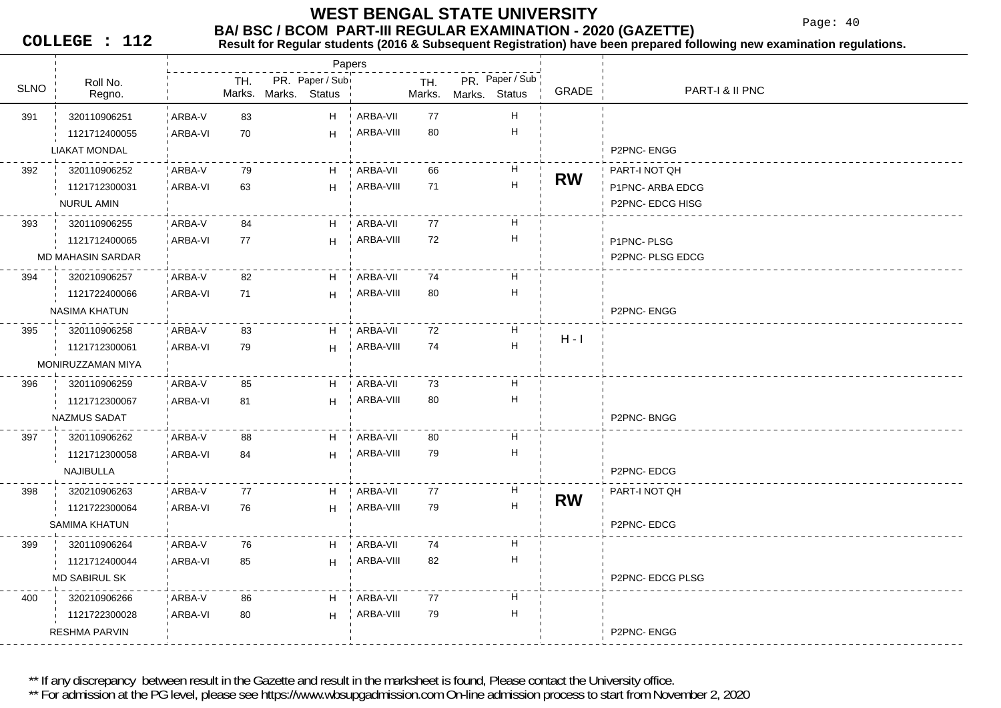Page: 40

**COLLEGE : 112**

#### **BA/ BSC / BCOM PART-III REGULAR EXAMINATION - 2020 (GAZETTE) Result for Regular students (2016 & Subsequent Registration) have been prepared following new examination regulations.**

Roll No.TH. PR. Paper / Sub SLNO TH. PR. Status**▽ ¦ Regno. ¦ Marks.** Marks. Marks. Status Marks. Marks. **Status** Papers PR. Paper / Sub GRADE PART-I & II PNC 391 320110906251 ' ARBA-V 83 ARBA-V 5 ARBA-VI 70 H HARBA-VII 77 H 1121712400055P2PNC- ENGGARBA-VIII 80 0 H LIAKAT MONDAL 392 79 320110906252 ARBA-VARBA-VI 63 H63 H ARBA-VII 66 H 1121712300031PART-I NOT QH **RW** P1PNC- ARBA EDCGP2PNC- EDCG HISG ARBA-VIII 71 H NURUL AMIN 393 84 320110906255 ARBA-V5 ARBA-VI 77 H HARBA-VII 77 H 1121712400065 $H$   $\uparrow$  ARBA-VIII 72  $\uparrow$  H  $\uparrow$  P1PNC- PLSG P2PNC- PLSG EDCG **ARBA-VIII** 2 H MD MAHASIN SARDAR394 320210906257 'ARBA-V 82 ARBA-V 6 ARBA-VI 71 H HARBA-VII 74 H 1121722400066P2PNC- ENGGARBA-VIII 80 0 H NASIMA KHATUN 395 83 320110906258 ARBA-V1 ARBA-VI 79 H 79 HARBA-VII 72 H 1121712300061 ARBA-VIII <sup>74</sup> <sup>H</sup> H - I MONIRUZZAMAN MIYA 396 85 320110906259 ARBA-V7 ARBA-VI 81 H HARBA-VII 73 H 1121712300067P2PNC- BNGG ARBA-VIII 80 H NAZMUS SADAT 397 320110906262 ARBA-V 88 ARBA-V 8 ARBA-VI 84 H HARBA-VII 80 H 1121712300058P2PNC- EDCGARBA-VIII 79 H NAJIBULLA 398 77 320210906263 ARBA-VARBA-VI 76 H76 H ARBA-VII 77 H 1121722300064PART-I NOT QH **RW**P2PNC- EDCG ARBA-VIII 79 H SAMIMA KHATUN 399 320110906264 ARBA-V 76 ARBA-V ARBA-VI 85 H85 HARBA-VII 74 H 1121712400044P2PNC- EDCG PLSG ARBA-VIII 82 H MD SABIRUL SK400 320210906266 ARBA-V 86 ARBA-V 8 ARBA-VI 80 H 80 HARBA-VII 77 H 1121722300028P2PNC- ENGGARBA-VIII 79 H RESHMA PARVIN

\*\* If any discrepancy between result in the Gazette and result in the marksheet is found, Please contact the University office.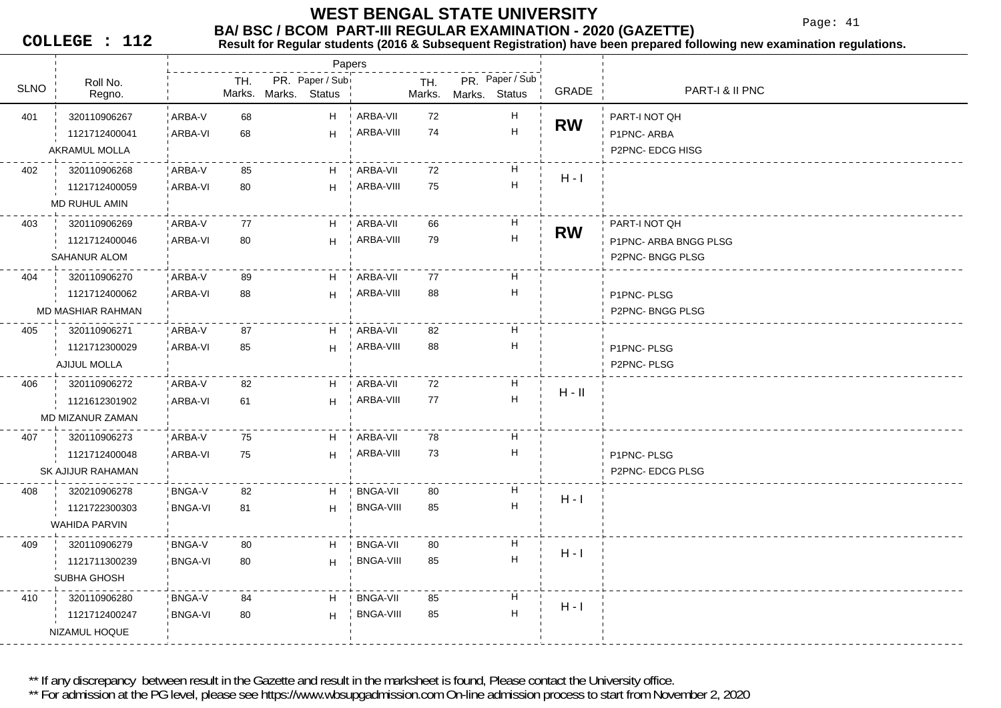Page: 41

**COLLEGE : 112**

#### **BA/ BSC / BCOM PART-III REGULAR EXAMINATION - 2020 (GAZETTE)**<br>Result for Requiar students (2016 & Subsequent Registration) have been prepared fo **Result for Regular students (2016 & Subsequent Registration) have been prepared following new examination regulations.**

|             |                      |                |               |                                  | Papers |                  |               |               |                           |           |                       |
|-------------|----------------------|----------------|---------------|----------------------------------|--------|------------------|---------------|---------------|---------------------------|-----------|-----------------------|
| <b>SLNO</b> | Roll No.<br>Regno.   |                | TH.<br>Marks. | PR. Paper / Sub<br>Marks. Status |        |                  | TH.<br>Marks. | Marks. Status | PR. Paper / Sub           | GRADE     | PART-I & II PNC       |
| 401         | 320110906267         | ARBA-V         | 68            |                                  | H      | ARBA-VII         | 72            |               | $\boldsymbol{\mathsf{H}}$ |           | PART-I NOT QH         |
|             | 1121712400041        | ARBA-VI        | 68            |                                  | H      | ARBA-VIII        | 74            |               | $\boldsymbol{\mathsf{H}}$ | <b>RW</b> | P1PNC-ARBA            |
|             | AKRAMUL MOLLA        |                |               |                                  |        |                  |               |               |                           |           | P2PNC- EDCG HISG      |
| 402         | 320110906268         | ARBA-V         | 85            |                                  | H      | ARBA-VII         | 72            |               | H                         |           |                       |
|             | 1121712400059        | ARBA-VI        | 80            |                                  | H      | ARBA-VIII        | 75            |               | $\boldsymbol{\mathsf{H}}$ | $H - I$   |                       |
|             | MD RUHUL AMIN        |                |               |                                  |        |                  |               |               |                           |           |                       |
| 403         | 320110906269         | ARBA-V         | 77            |                                  | H.     | ARBA-VII         | 66            |               | H                         | <b>RW</b> | PART-I NOT QH         |
|             | 1121712400046        | ARBA-VI        | 80            |                                  | H      | ARBA-VIII        | 79            |               | H                         |           | P1PNC- ARBA BNGG PLSG |
|             | <b>SAHANUR ALOM</b>  |                |               |                                  |        |                  |               |               |                           |           | P2PNC-BNGG PLSG       |
| 404         | 320110906270         | ARBA-V         | 89            |                                  | H      | ARBA-VII         | 77            |               | H                         |           |                       |
|             | 1121712400062        | ARBA-VI        | 88            |                                  | H      | ARBA-VIII        | 88            |               | $\boldsymbol{\mathsf{H}}$ |           | P1PNC-PLSG            |
|             | MD MASHIAR RAHMAN    |                |               |                                  |        |                  |               |               |                           |           | P2PNC-BNGG PLSG       |
| 405         | 320110906271         | ARBA-V         | 87            |                                  | H      | ARBA-VII         | 82            |               | H                         |           |                       |
|             | 1121712300029        | ARBA-VI        | 85            |                                  | H      | ARBA-VIII        | 88            |               | н                         |           | P1PNC-PLSG            |
|             | AJIJUL MOLLA         |                |               |                                  |        |                  |               |               |                           |           | P2PNC-PLSG            |
| 406         | 320110906272         | ARBA-V         | 82            |                                  | H      | ARBA-VII         | 72            |               | H                         | $H - II$  |                       |
|             | 1121612301902        | <b>ARBA-VI</b> | 61            |                                  | H      | ARBA-VIII        | 77            |               | $\boldsymbol{\mathsf{H}}$ |           |                       |
|             | MD MIZANUR ZAMAN     |                |               |                                  |        |                  |               |               |                           |           |                       |
| 407         | 320110906273         | ARBA-V         | 75            |                                  | H      | ARBA-VII         | 78            |               | H                         |           |                       |
|             | 1121712400048        | ARBA-VI        | 75            |                                  | H      | ARBA-VIII        | 73            |               | $\boldsymbol{\mathsf{H}}$ |           | P1PNC-PLSG            |
|             | SK AJIJUR RAHAMAN    |                |               |                                  |        |                  |               |               |                           |           | P2PNC-EDCG PLSG       |
| 408         | 320210906278         | BNGA-V         | 82            |                                  | H      | <b>BNGA-VII</b>  | 80            |               | н                         | $H - I$   |                       |
|             | 1121722300303        | <b>BNGA-VI</b> | 81            |                                  | H      | BNGA-VIII        | 85            |               | H                         |           |                       |
|             | <b>WAHIDA PARVIN</b> |                |               |                                  |        |                  |               |               |                           |           |                       |
| 409         | 320110906279         | <b>BNGA-V</b>  | 80            |                                  | H      | <b>BNGA-VII</b>  | 80            |               | H                         | $H - I$   |                       |
|             | 1121711300239        | <b>BNGA-VI</b> | 80            |                                  | H      | <b>BNGA-VIII</b> | 85            |               | $\boldsymbol{\mathsf{H}}$ |           |                       |
|             | SUBHA GHOSH          |                |               |                                  |        |                  |               |               |                           |           |                       |
| 410         | 320110906280         | <b>BNGA-V</b>  | 84            |                                  | H.     | BNGA-VII         | 85            |               | H                         | $H - I$   |                       |
|             | 1121712400247        | <b>BNGA-VI</b> | 80            |                                  | H      | <b>BNGA-VIII</b> | 85            |               | H                         |           |                       |
|             | NIZAMUL HOQUE        |                |               |                                  |        |                  |               |               |                           |           |                       |

\*\* If any discrepancy between result in the Gazette and result in the marksheet is found, Please contact the University office.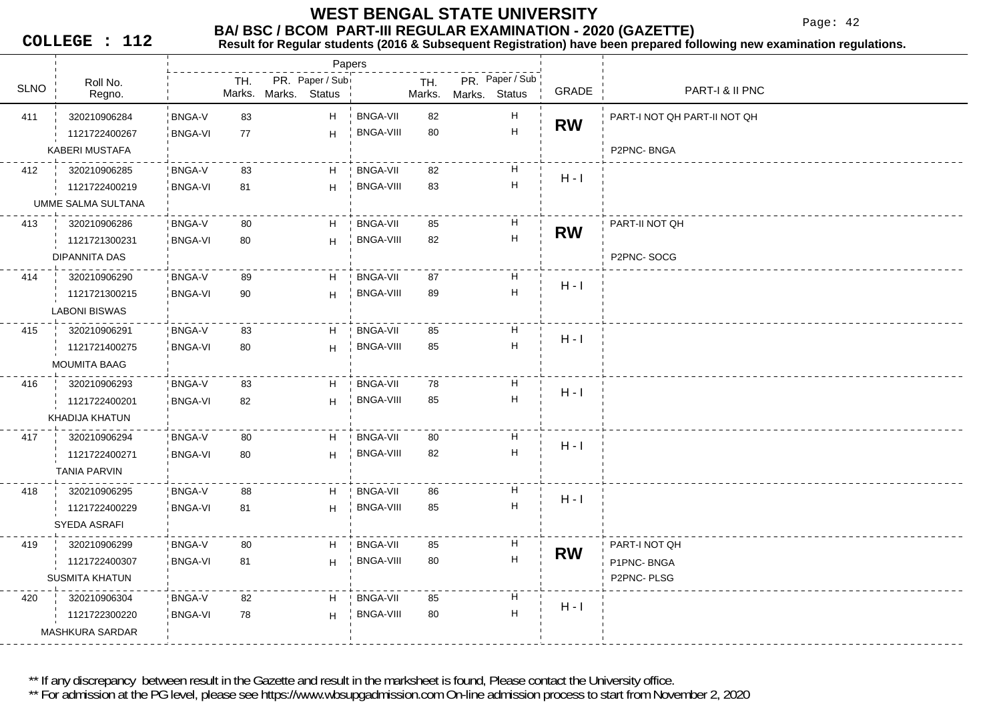Page: 42

**COLLEGE : 112**

#### **BA/ BSC / BCOM PART-III REGULAR EXAMINATION - 2020 (GAZETTE) Result for Regular students (2016 & Subsequent Registration) have been prepared following new examination regulations.**

Roll No.U Regno. Regno. Regno. TH. PR. Paper / Sub SLNO TH. PR. StatusMarks. Marks. Status Marks. Marks. **Status** Papers PR. Paper / Sub GRADE PART-I & II PNC 411 83 320210906284 BNGA-V**BNGA-V** 7 BNGA-VI 77 H HBNGA-VII 82 H 1121722400267PART-I NOT QH PART-II NOT QH **RW**P2PNC- BNGA BNGA-VIII 80 0 H KABERI MUSTAFA412 320210906285 BNGA-V 83 9 iBNGA-VI 81 H 81 HBNGA-VII 82 H 1121722400219 BNGA-VIII <sup>83</sup> <sup>H</sup> H - I UMME SALMA SULTANA413 320210906286 BNGA-V 80 1 BNGA-VI 80 H HBNGA-VII 85 H 1121721300231PART-II NOT QH **RW**P2PNC- SOCG BNGA-VIII 82 2 H DIPANNITA DAS414 320210906290 BNGA-V 89 **BNGA-V** 5 BNGA-VI 90 H HBNGA-VII 87 H 1121721300215 $H + BNGA-VIII$  89 H  $H + I$ LABONI BISWAS 415 83 320210906291 BNGA-V5 BNGA-VI 80 H HBNGA-VII 85 H 1121721400275 BNGA-VIII <sup>85</sup> <sup>H</sup> H - I MOUMITA BAAG416 320210906293 BNGA-V 83 1 BNGA-VI 82 H HBNGA-VII 78 H 1121722400201 BNGA-VIII <sup>85</sup> <sup>H</sup> H - I KHADIJA KHATUN417 320210906294 BNGA-V 80 **BNGA-V** 1 BNGA-VI 80 H HBNGA-VII 80 H 1121722400271 $H = \begin{bmatrix} BNGA-VII & 82 \end{bmatrix}$   $H = \begin{bmatrix} H-I \end{bmatrix}$ TANIA PARVIN418 320210906295 BNGA-V 88 9 BNGA-VI 81 H 81 HBNGA-VII 86 H 1121722400229 BNGA-VIII <sup>85</sup> <sup>H</sup> H - I SYEDA ASRAFI 419 320210906299 BNGA-V 80 7 BNGA-VI 81 H 81 HBNGA-VII 85 H 1121722400307PART-I NOT QH **RW** P1PNC- BNGAP2PNC- PLSG BNGA-VIII 80 0 H SUSMITA KHATUN420 320210906304 BNGA-V 82 **BNGA-V** 0 BNGA-VI 78 H 78 HBNGA-VII 85 H 1121722300220 $H = \frac{B}{B}$  BNGA-VIII 80 H  $\frac{1}{1}$  H - I MASHKURA SARDAR

\*\* If any discrepancy between result in the Gazette and result in the marksheet is found, Please contact the University office.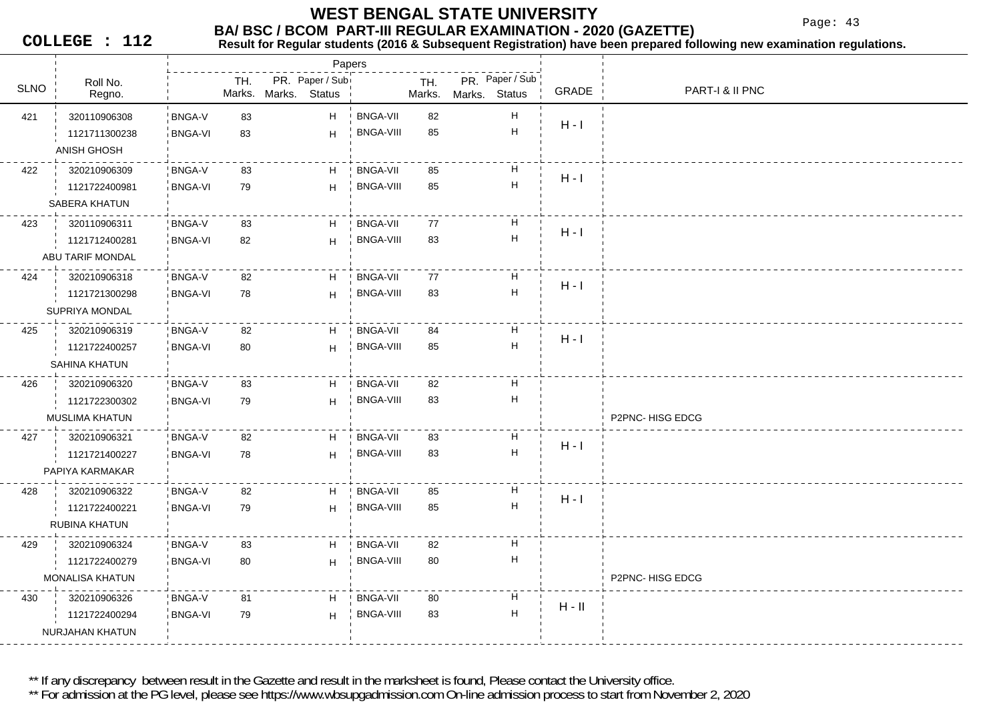Page: 43

**COLLEGE : 112**

#### **Result for Regular students (2016 & Subsequent Registration) have been prepared following new examination regulations.**

|             |                        |                |               |                           | Papers        |                  |               |               |                           |          |                 |
|-------------|------------------------|----------------|---------------|---------------------------|---------------|------------------|---------------|---------------|---------------------------|----------|-----------------|
| <b>SLNO</b> | Roll No.<br>Regno.     |                | TH.<br>Marks. | PR. Paper / Sub<br>Marks. | <b>Status</b> |                  | TH.<br>Marks. | Marks. Status | PR. Paper / Sub           | GRADE    | PART-I & II PNC |
| 421         | 320110906308           | <b>BNGA-V</b>  | 83            |                           | H             | <b>BNGA-VII</b>  | 82            |               | н                         |          |                 |
|             | 1121711300238          | <b>BNGA-VI</b> | 83            |                           | H             | <b>BNGA-VIII</b> | 85            |               | $\boldsymbol{\mathsf{H}}$ | $H - I$  |                 |
|             | ANISH GHOSH            |                |               |                           |               |                  |               |               |                           |          |                 |
| 422         | 320210906309           | <b>BNGA-V</b>  | 83            |                           | H             | <b>BNGA-VII</b>  | 85            |               | Н                         |          |                 |
|             | 1121722400981          | <b>BNGA-VI</b> | 79            |                           | H             | <b>BNGA-VIII</b> | 85            |               | $\mathsf H$               | $H - I$  |                 |
|             | SABERA KHATUN          |                |               |                           |               |                  |               |               |                           |          |                 |
| 423         | 320110906311           | <b>BNGA-V</b>  | 83            |                           | H             | <b>BNGA-VII</b>  | 77            |               | Н                         |          |                 |
|             | 1121712400281          | <b>BNGA-VI</b> | 82            |                           | H             | <b>BNGA-VIII</b> | 83            |               | $\sf H$                   | $H - I$  |                 |
|             | ABU TARIF MONDAL       |                |               |                           |               |                  |               |               |                           |          |                 |
| 424         | 320210906318           | <b>BNGA-V</b>  | 82            |                           | H.            | <b>BNGA-VII</b>  | 77            |               | Н                         | $H - I$  |                 |
|             | 1121721300298          | <b>BNGA-VI</b> | 78            |                           | H             | <b>BNGA-VIII</b> | 83            |               | $\overline{\mathsf{H}}$   |          |                 |
|             | SUPRIYA MONDAL         |                |               |                           |               |                  |               |               |                           |          |                 |
| 425         | 320210906319           | BNGA-V         | 82            |                           | H             | <b>BNGA-VII</b>  | 84            |               | Н                         | $H - I$  |                 |
|             | 1121722400257          | <b>BNGA-VI</b> | 80            |                           | H             | BNGA-VIII        | 85            |               | $\sf H$                   |          |                 |
|             | SAHINA KHATUN          |                |               |                           |               |                  |               |               |                           |          |                 |
| 426         | 320210906320           | <b>BNGA-V</b>  | 83            |                           | H             | <b>BNGA-VII</b>  | 82            |               | Н                         |          |                 |
|             | 1121722300302          | <b>BNGA-VI</b> | 79            |                           | H             | <b>BNGA-VIII</b> | 83            |               | $\boldsymbol{\mathsf{H}}$ |          |                 |
|             | <b>MUSLIMA KHATUN</b>  |                |               |                           |               |                  |               |               |                           |          | P2PNC-HISG EDCG |
| 427         | 320210906321           | BNGA-V         | 82            |                           | H             | <b>BNGA-VII</b>  | 83            |               | н                         | $H - I$  |                 |
|             | 1121721400227          | <b>BNGA-VI</b> | 78            |                           | H             | <b>BNGA-VIII</b> | 83            |               | $\sf H$                   |          |                 |
|             | PAPIYA KARMAKAR        |                |               |                           |               |                  |               |               |                           |          |                 |
| 428         | 320210906322           | <b>BNGA-V</b>  | 82            |                           | H             | <b>BNGA-VII</b>  | 85            |               | н                         | $H - I$  |                 |
|             | 1121722400221          | <b>BNGA-VI</b> | 79            |                           | H             | <b>BNGA-VIII</b> | 85            |               | н                         |          |                 |
|             | RUBINA KHATUN          |                |               |                           |               |                  |               |               |                           |          |                 |
| 429         | 320210906324           | BNGA-V         | 83            |                           | H             | <b>BNGA-VII</b>  | 82            |               | Н                         |          |                 |
|             | 1121722400279          | <b>BNGA-VI</b> | 80            |                           | H             | <b>BNGA-VIII</b> | 80            |               | н                         |          |                 |
|             | <b>MONALISA KHATUN</b> |                |               |                           |               |                  |               |               |                           |          | P2PNC-HISG EDCG |
| 430         | 320210906326           | <b>BNGA-V</b>  | 81            |                           | H             | <b>BNGA-VII</b>  | 80            |               | Н                         | $H - II$ |                 |
|             | 1121722400294          | <b>BNGA-VI</b> | 79            |                           | H             | <b>BNGA-VIII</b> | 83            |               | $\mathsf{H}$              |          |                 |
|             | NURJAHAN KHATUN        |                |               |                           |               |                  |               |               |                           |          |                 |

\*\* If any discrepancy between result in the Gazette and result in the marksheet is found, Please contact the University office.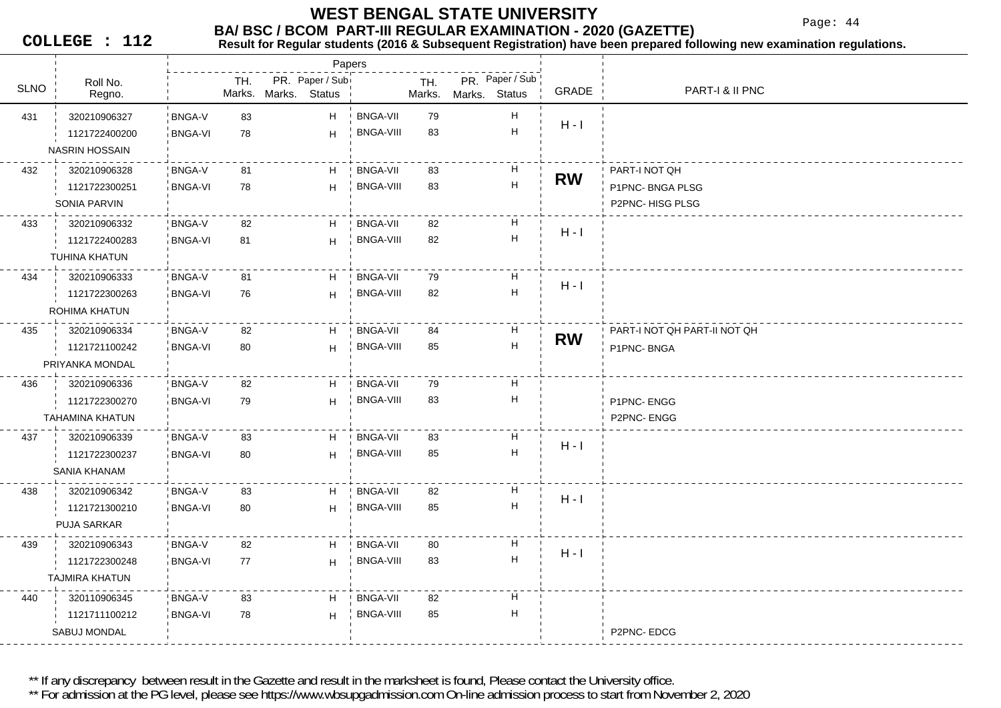Page: 44

**COLLEGE : 112**

## **BA/ BSC / BCOM PART-III REGULAR EXAMINATION - 2020 (GAZETTE)**<br>Result for Requiar students (2016 & Subsequent Registration) have been prepared fo

**Result for Regular students (2016 & Subsequent Registration) have been prepared following new examination regulations.**

|             |                       |                |               |                                  | Papers           |               |               |                           |           |                              |
|-------------|-----------------------|----------------|---------------|----------------------------------|------------------|---------------|---------------|---------------------------|-----------|------------------------------|
| <b>SLNO</b> | Roll No.<br>Regno.    |                | TH.<br>Marks. | PR. Paper / Sub<br>Marks. Status |                  | TH.<br>Marks. | Marks. Status | PR. Paper / Sub           | GRADE     | PART-I & II PNC              |
| 431         | 320210906327          | <b>BNGA-V</b>  | 83            | H                                | <b>BNGA-VII</b>  | 79            |               | H                         |           |                              |
|             | 1121722400200         | <b>BNGA-VI</b> | 78            | H                                | <b>BNGA-VIII</b> | 83            |               | H                         | $H - I$   |                              |
|             | <b>NASRIN HOSSAIN</b> |                |               |                                  |                  |               |               |                           |           |                              |
| 432         | 320210906328          | <b>BNGA-V</b>  | 81            | H                                | <b>BNGA-VII</b>  | 83            |               | H                         |           | PART-I NOT QH                |
|             | 1121722300251         | <b>BNGA-VI</b> | 78            | H                                | <b>BNGA-VIII</b> | 83            |               | H                         | <b>RW</b> | P1PNC-BNGA PLSG              |
|             | <b>SONIA PARVIN</b>   |                |               |                                  |                  |               |               |                           |           | P2PNC-HISG PLSG              |
| 433         | 320210906332          | <b>BNGA-V</b>  | 82            | H.                               | <b>BNGA-VII</b>  | 82            |               | H                         | $H - I$   |                              |
|             | 1121722400283         | <b>BNGA-VI</b> | 81            | H                                | <b>BNGA-VIII</b> | 82            |               | H                         |           |                              |
|             | <b>TUHINA KHATUN</b>  |                |               |                                  |                  |               |               |                           |           |                              |
| 434         | 320210906333          | BNGA-V         | 81            | H                                | <b>BNGA-VII</b>  | 79            |               | H                         | $H - I$   |                              |
|             | 1121722300263         | <b>BNGA-VI</b> | 76            | H                                | <b>BNGA-VIII</b> | 82            |               | H                         |           |                              |
|             | ROHIMA KHATUN         |                |               |                                  |                  |               |               |                           |           |                              |
| 435         | 320210906334          | <b>BNGA-V</b>  | 82            | H                                | <b>BNGA-VII</b>  | 84            |               | $\boldsymbol{\mathsf{H}}$ | <b>RW</b> | PART-I NOT QH PART-II NOT QH |
|             | 1121721100242         | <b>BNGA-VI</b> | 80            | H                                | <b>BNGA-VIII</b> | 85            |               | $\boldsymbol{\mathsf{H}}$ |           | P1PNC-BNGA                   |
|             | PRIYANKA MONDAL       |                |               |                                  |                  |               |               |                           |           |                              |
| 436         | 320210906336          | <b>BNGA-V</b>  | 82            | H                                | <b>BNGA-VII</b>  | 79            |               | H                         |           |                              |
|             | 1121722300270         | <b>BNGA-VI</b> | 79            | H                                | <b>BNGA-VIII</b> | 83            |               | H                         |           | P1PNC-ENGG                   |
|             | TAHAMINA KHATUN       |                |               |                                  |                  |               |               |                           |           | P2PNC-ENGG                   |
| 437         | 320210906339          | <b>BNGA-V</b>  | 83            | H                                | <b>BNGA-VII</b>  | 83            |               | H                         | $H - I$   |                              |
|             | 1121722300237         | <b>BNGA-VI</b> | 80            | H                                | <b>BNGA-VIII</b> | 85            |               | H                         |           |                              |
|             | SANIA KHANAM          |                |               |                                  |                  |               |               |                           |           |                              |
| 438         | 320210906342          | <b>BNGA-V</b>  | 83            | H                                | <b>BNGA-VII</b>  | 82            |               | H                         | $H - I$   |                              |
|             | 1121721300210         | <b>BNGA-VI</b> | 80            | H                                | <b>BNGA-VIII</b> | 85            |               | H                         |           |                              |
|             | <b>PUJA SARKAR</b>    |                |               |                                  |                  |               |               |                           |           |                              |
| 439         | 320210906343          | <b>BNGA-V</b>  | 82            | H                                | <b>BNGA-VII</b>  | 80            |               | H                         | $H - I$   |                              |
|             | 1121722300248         | <b>BNGA-VI</b> | 77            | H                                | <b>BNGA-VIII</b> | 83            |               | H                         |           |                              |
|             | <b>TAJMIRA KHATUN</b> |                |               |                                  |                  |               |               |                           |           |                              |
| 440         | 320110906345          | <b>BNGA-V</b>  | 83            | H                                | <b>BNGA-VII</b>  | 82            |               | H                         |           |                              |
|             | 1121711100212         | <b>BNGA-VI</b> | 78            | H                                | <b>BNGA-VIII</b> | 85            |               | H                         |           |                              |
|             | SABUJ MONDAL          |                |               |                                  |                  |               |               |                           |           | P2PNC-EDCG                   |

\*\* If any discrepancy between result in the Gazette and result in the marksheet is found, Please contact the University office.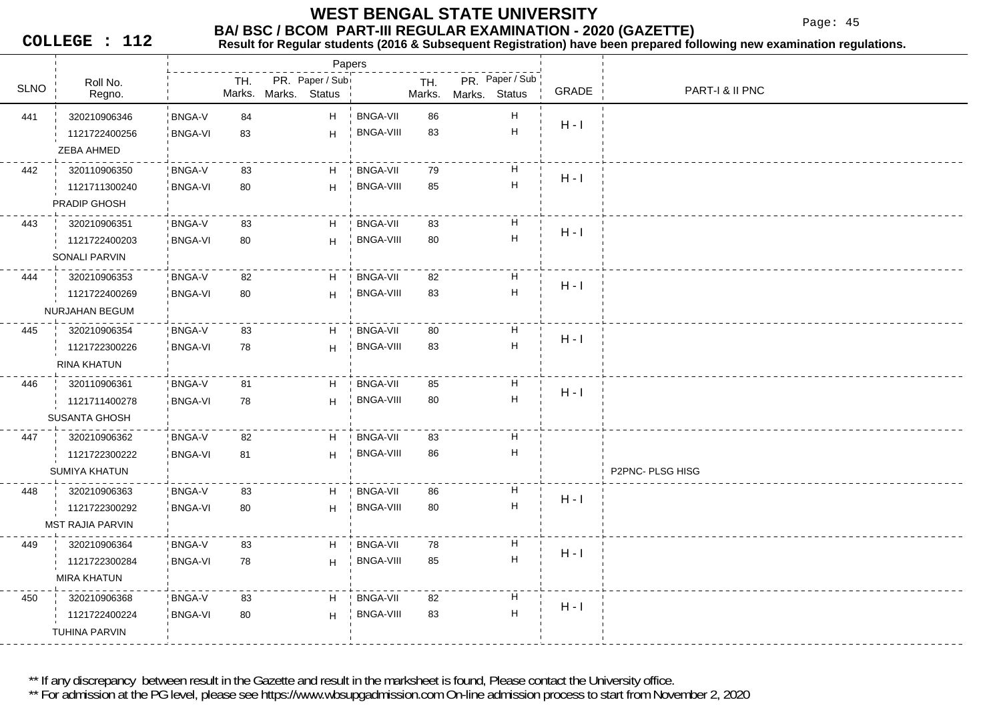Page: 45

**COLLEGE : 112**

### **Result for Regular students (2016 & Subsequent Registration) have been prepared following new examination regulations.**

|             |                         |                |     |                      | Papers          |                  |               |               |                           |         |                  |
|-------------|-------------------------|----------------|-----|----------------------|-----------------|------------------|---------------|---------------|---------------------------|---------|------------------|
| <b>SLNO</b> | Roll No.<br>Regno.      |                | TH. | Marks. Marks. Status | PR. Paper / Sub |                  | TH.<br>Marks. | Marks. Status | PR. Paper / Sub           | GRADE   | PART-I & II PNC  |
| 441         | 320210906346            | <b>BNGA-V</b>  | 84  |                      | H.              | <b>BNGA-VII</b>  | 86            |               | $\boldsymbol{\mathsf{H}}$ |         |                  |
|             | 1121722400256           | <b>BNGA-VI</b> | 83  |                      | H               | <b>BNGA-VIII</b> | 83            |               | $\mathsf H$               | $H - I$ |                  |
|             | ZEBA AHMED              |                |     |                      |                 |                  |               |               |                           |         |                  |
| 442         | 320110906350            | BNGA-V         | 83  |                      | H               | <b>BNGA-VII</b>  | 79            |               | H                         | $H - I$ |                  |
|             | 1121711300240           | <b>BNGA-VI</b> | 80  |                      | H               | BNGA-VIII        | 85            |               | H                         |         |                  |
|             | <b>PRADIP GHOSH</b>     |                |     |                      |                 |                  |               |               |                           |         |                  |
| 443         | 320210906351            | <b>BNGA-V</b>  | 83  |                      | H.              | <b>BNGA-VII</b>  | 83            |               | H                         | $H - I$ |                  |
|             | 1121722400203           | <b>BNGA-VI</b> | 80  |                      | H               | <b>BNGA-VIII</b> | 80            |               | $\boldsymbol{\mathsf{H}}$ |         |                  |
|             | SONALI PARVIN           |                |     |                      |                 |                  |               |               |                           |         |                  |
| 444         | 320210906353            | <b>BNGA-V</b>  | 82  |                      | H               | <b>BNGA-VII</b>  | 82            |               | H                         | $H - I$ |                  |
|             | 1121722400269           | <b>BNGA-VI</b> | 80  |                      | H               | <b>BNGA-VIII</b> | 83            |               | $\boldsymbol{\mathsf{H}}$ |         |                  |
|             | NURJAHAN BEGUM          |                |     |                      |                 |                  |               |               |                           |         |                  |
| 445         | 320210906354            | <b>BNGA-V</b>  | 83  |                      | H               | <b>BNGA-VII</b>  | 80            |               | H                         | $H - I$ |                  |
|             | 1121722300226           | <b>BNGA-VI</b> | 78  |                      | H               | <b>BNGA-VIII</b> | 83            |               | $\mathsf H$               |         |                  |
|             | RINA KHATUN             |                |     |                      |                 |                  |               |               |                           |         |                  |
| 446         | 320110906361            | <b>BNGA-V</b>  | 81  |                      | H               | <b>BNGA-VII</b>  | 85            |               | H                         | $H - I$ |                  |
|             | 1121711400278           | <b>BNGA-VI</b> | 78  |                      | H               | BNGA-VIII        | 80            |               | $\boldsymbol{\mathsf{H}}$ |         |                  |
|             | <b>SUSANTA GHOSH</b>    |                |     |                      |                 |                  |               |               |                           |         |                  |
| 447         | 320210906362            | BNGA-V         | 82  |                      | H               | <b>BNGA-VII</b>  | 83            |               | $\boldsymbol{\mathsf{H}}$ |         |                  |
|             | 1121722300222           | <b>BNGA-VI</b> | 81  |                      | H               | BNGA-VIII        | 86            |               | H                         |         |                  |
|             | <b>SUMIYA KHATUN</b>    |                |     |                      |                 |                  |               |               |                           |         | P2PNC- PLSG HISG |
| 448         | 320210906363            | <b>BNGA-V</b>  | 83  |                      | H.              | BNGA-VII         | 86            |               | H                         | $H - I$ |                  |
|             | 1121722300292           | <b>BNGA-VI</b> | 80  |                      | H               | <b>BNGA-VIII</b> | 80            |               | $\boldsymbol{\mathsf{H}}$ |         |                  |
|             | <b>MST RAJIA PARVIN</b> |                |     |                      |                 |                  |               |               |                           |         |                  |
| 449         | 320210906364            | <b>BNGA-V</b>  | 83  |                      | H               | <b>BNGA-VII</b>  | 78            |               | H                         | $H - I$ |                  |
|             | 1121722300284           | <b>BNGA-VI</b> | 78  |                      | H               | <b>BNGA-VIII</b> | 85            |               | $\boldsymbol{\mathsf{H}}$ |         |                  |
|             | <b>MIRA KHATUN</b>      |                |     |                      |                 |                  |               |               |                           |         |                  |
| 450         | 320210906368            | BNGA-V         | 83  |                      | H               | <b>BNGA-VII</b>  | 82            |               | H                         | $H - I$ |                  |
|             | 1121722400224           | <b>BNGA-VI</b> | 80  |                      | H               | <b>BNGA-VIII</b> | 83            |               | $\mathsf H$               |         |                  |
|             | TUHINA PARVIN           |                |     |                      |                 |                  |               |               |                           |         |                  |

\*\* If any discrepancy between result in the Gazette and result in the marksheet is found, Please contact the University office.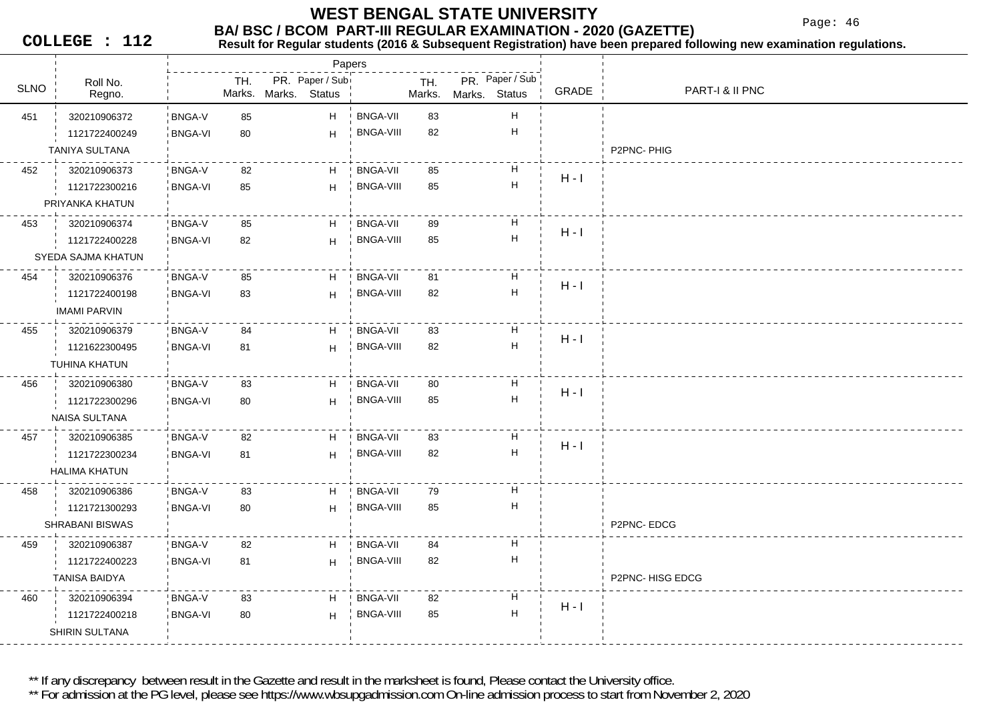Page: 46

**COLLEGE : 112**

#### **Result for Regular students (2016 & Subsequent Registration) have been prepared following new examination regulations.**

|             |                        |                |               | Papers                           |                  |               |               |                           |         |                 |
|-------------|------------------------|----------------|---------------|----------------------------------|------------------|---------------|---------------|---------------------------|---------|-----------------|
| <b>SLNO</b> | Roll No.<br>Regno.     |                | TH.<br>Marks. | PR. Paper / Sub<br>Marks. Status |                  | TH.<br>Marks. | Marks. Status | PR. Paper / Sub           | GRADE   | PART-I & II PNC |
| 451         | 320210906372           | <b>BNGA-V</b>  | 85            | H                                | <b>BNGA-VII</b>  | 83            |               | Н                         |         |                 |
|             | 1121722400249          | <b>BNGA-VI</b> | 80            | H                                | <b>BNGA-VIII</b> | 82            |               | Н                         |         |                 |
|             | TANIYA SULTANA         |                |               |                                  |                  |               |               |                           |         | P2PNC-PHIG      |
| 452         | 320210906373           | <b>BNGA-V</b>  | 82            | H                                | <b>BNGA-VII</b>  | 85            |               | Н                         | $H - I$ |                 |
|             | 1121722300216          | <b>BNGA-VI</b> | 85            | H                                | <b>BNGA-VIII</b> | 85            |               | $\boldsymbol{\mathsf{H}}$ |         |                 |
|             | PRIYANKA KHATUN        |                |               |                                  |                  |               |               |                           |         |                 |
| 453         | 320210906374           | <b>BNGA-V</b>  | 85            | H                                | <b>BNGA-VII</b>  | 89            |               | н                         | $H - I$ |                 |
|             | 1121722400228          | <b>BNGA-VI</b> | 82            | H                                | <b>BNGA-VIII</b> | 85            |               | $\boldsymbol{\mathsf{H}}$ |         |                 |
|             | SYEDA SAJMA KHATUN     |                |               |                                  |                  |               |               |                           |         |                 |
| 454         | 320210906376           | <b>BNGA-V</b>  | 85            | H                                | <b>BNGA-VII</b>  | 81            |               | Н                         | $H - I$ |                 |
|             | 1121722400198          | <b>BNGA-VI</b> | 83            | H                                | <b>BNGA-VIII</b> | 82            |               | $\boldsymbol{\mathsf{H}}$ |         |                 |
|             | <b>IMAMI PARVIN</b>    |                |               |                                  |                  |               |               |                           |         |                 |
| 455         | 320210906379           | <b>BNGA-V</b>  | 84            | H                                | <b>BNGA-VII</b>  | 83            |               | H                         | $H - I$ |                 |
|             | 1121622300495          | <b>BNGA-VI</b> | 81            | H                                | <b>BNGA-VIII</b> | 82            |               | Н                         |         |                 |
|             | TUHINA KHATUN          |                |               |                                  |                  |               |               |                           |         |                 |
| 456         | 320210906380           | <b>BNGA-V</b>  | 83            | H                                | <b>BNGA-VII</b>  | 80            |               | H                         | $H - I$ |                 |
|             | 1121722300296          | <b>BNGA-VI</b> | 80            | H                                | <b>BNGA-VIII</b> | 85            |               | $\boldsymbol{\mathsf{H}}$ |         |                 |
|             | <b>NAISA SULTANA</b>   |                |               |                                  |                  |               |               |                           |         |                 |
| 457         | 320210906385           | <b>BNGA-V</b>  | 82            | H                                | <b>BNGA-VII</b>  | 83            |               | $\boldsymbol{\mathsf{H}}$ | $H - I$ |                 |
|             | 1121722300234          | <b>BNGA-VI</b> | 81            | H                                | <b>BNGA-VIII</b> | 82            |               | $\mathsf H$               |         |                 |
|             | <b>HALIMA KHATUN</b>   |                |               |                                  |                  |               |               |                           |         |                 |
| 458         | 320210906386           | <b>BNGA-V</b>  | 83            | H                                | <b>BNGA-VII</b>  | 79            |               | Н                         |         |                 |
|             | 1121721300293          | <b>BNGA-VI</b> | 80            | H                                | <b>BNGA-VIII</b> | 85            |               | $\boldsymbol{\mathsf{H}}$ |         |                 |
|             | <b>SHRABANI BISWAS</b> |                |               |                                  |                  |               |               |                           |         | P2PNC-EDCG      |
| 459         | 320210906387           | BNGA-V         | 82            | Н                                | <b>BNGA-VII</b>  | 84            |               | н                         |         |                 |
|             | 1121722400223          | <b>BNGA-VI</b> | 81            | H                                | <b>BNGA-VIII</b> | 82            |               | Н                         |         |                 |
|             | <b>TANISA BAIDYA</b>   |                |               |                                  |                  |               |               |                           |         | P2PNC-HISG EDCG |
| 460         | 320210906394           | BNGA-V         | 83            | H                                | <b>BNGA-VII</b>  | 82            |               | H                         |         |                 |
|             | 1121722400218          | <b>BNGA-VI</b> | 80            | H                                | <b>BNGA-VIII</b> | 85            |               | Н                         | $H - I$ |                 |
|             | SHIRIN SULTANA         |                |               |                                  |                  |               |               |                           |         |                 |
|             |                        |                |               |                                  |                  |               |               |                           |         |                 |

\*\* If any discrepancy between result in the Gazette and result in the marksheet is found, Please contact the University office.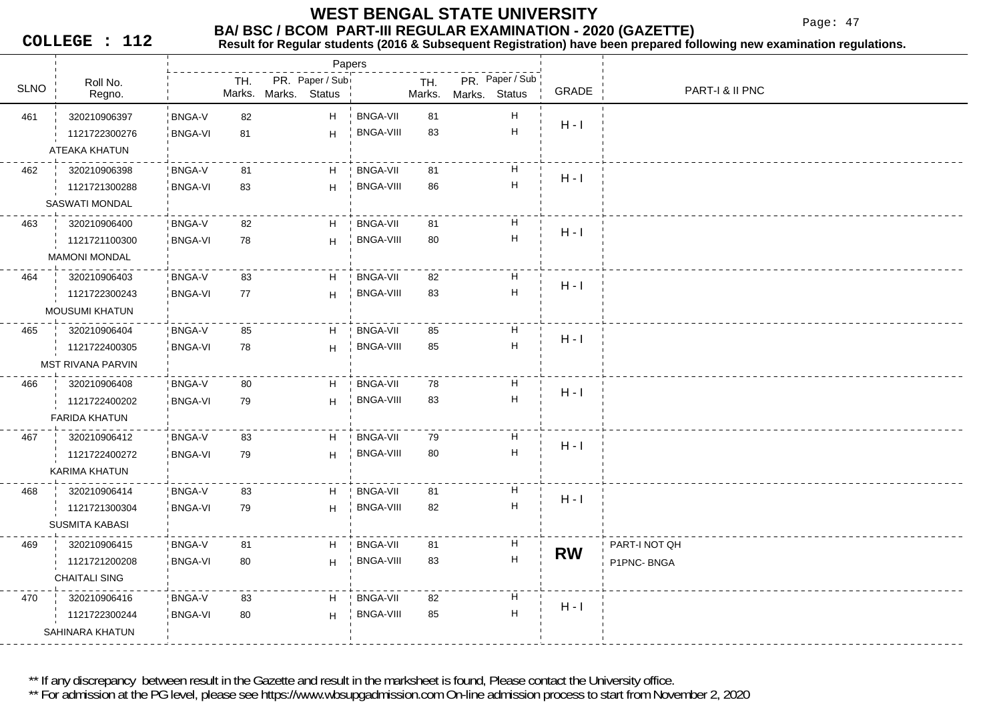Page: 47

**COLLEGE : 112**

### **Result for Regular students (2016 & Subsequent Registration) have been prepared following new examination regulations.**

|             |                          |                |     |                      | Papers          |                  |        |               |                           |           |                 |
|-------------|--------------------------|----------------|-----|----------------------|-----------------|------------------|--------|---------------|---------------------------|-----------|-----------------|
| <b>SLNO</b> | Roll No.                 |                | TH. |                      | PR. Paper / Sub |                  | TH.    |               | PR. Paper / Sub           | GRADE     | PART-I & II PNC |
|             | Regno.                   |                |     | Marks. Marks. Status |                 |                  | Marks. | Marks. Status |                           |           |                 |
| 461         | 320210906397             | <b>BNGA-V</b>  | 82  |                      | H               | BNGA-VII         | 81     |               | $\boldsymbol{\mathsf{H}}$ | $H - I$   |                 |
|             | 1121722300276            | <b>BNGA-VI</b> | 81  |                      | H               | <b>BNGA-VIII</b> | 83     |               | $\boldsymbol{\mathsf{H}}$ |           |                 |
|             | ATEAKA KHATUN            |                |     |                      |                 |                  |        |               |                           |           |                 |
| 462         | 320210906398             | BNGA-V         | 81  |                      | H               | <b>BNGA-VII</b>  | 81     |               | H                         | $H - I$   |                 |
|             | 1121721300288            | <b>BNGA-VI</b> | 83  |                      | H               | <b>BNGA-VIII</b> | 86     |               | $\boldsymbol{\mathsf{H}}$ |           |                 |
|             | <b>SASWATI MONDAL</b>    |                |     |                      |                 |                  |        |               |                           |           |                 |
| 463         | 320210906400             | <b>BNGA-V</b>  | 82  |                      | H               | <b>BNGA-VII</b>  | 81     |               | H                         | $H - I$   |                 |
|             | 1121721100300            | <b>BNGA-VI</b> | 78  |                      | H.              | <b>BNGA-VIII</b> | 80     |               | $\boldsymbol{\mathsf{H}}$ |           |                 |
|             | <b>MAMONI MONDAL</b>     |                |     |                      |                 |                  |        |               |                           |           |                 |
| 464         | 320210906403             | BNGA-V         | 83  |                      | H               | <b>BNGA-VII</b>  | 82     |               | H                         |           |                 |
|             | 1121722300243            | <b>BNGA-VI</b> | 77  |                      | H               | <b>BNGA-VIII</b> | 83     |               | $\boldsymbol{\mathsf{H}}$ | $H - I$   |                 |
|             | <b>MOUSUMI KHATUN</b>    |                |     |                      |                 |                  |        |               |                           |           |                 |
| 465         | 320210906404             | <b>BNGA-V</b>  | 85  |                      | H               | <b>BNGA-VII</b>  | 85     |               | H                         |           |                 |
|             | 1121722400305            | <b>BNGA-VI</b> | 78  |                      | H               | <b>BNGA-VIII</b> | 85     |               | $\boldsymbol{\mathsf{H}}$ | $H - I$   |                 |
|             | <b>MST RIVANA PARVIN</b> |                |     |                      |                 |                  |        |               |                           |           |                 |
| 466         | 320210906408             | BNGA-V         | 80  |                      | H               | <b>BNGA-VII</b>  | 78     |               | $\boldsymbol{\mathsf{H}}$ |           |                 |
|             | 1121722400202            | <b>BNGA-VI</b> | 79  |                      | H               | <b>BNGA-VIII</b> | 83     |               | $\boldsymbol{\mathsf{H}}$ | $H - I$   |                 |
|             | <b>FARIDA KHATUN</b>     |                |     |                      |                 |                  |        |               |                           |           |                 |
| 467         | 320210906412             | BNGA-V         | 83  |                      | H               | <b>BNGA-VII</b>  | 79     |               | H                         |           |                 |
|             | 1121722400272            | <b>BNGA-VI</b> | 79  |                      | H.              | <b>BNGA-VIII</b> | 80     |               | $\boldsymbol{\mathsf{H}}$ | $H - I$   |                 |
|             | KARIMA KHATUN            |                |     |                      |                 |                  |        |               |                           |           |                 |
| 468         | 320210906414             | BNGA-V         | 83  |                      | H               | <b>BNGA-VII</b>  | 81     |               | H                         |           |                 |
|             | 1121721300304            | <b>BNGA-VI</b> | 79  |                      | H               | <b>BNGA-VIII</b> | 82     |               | $\boldsymbol{\mathsf{H}}$ | $H - I$   |                 |
|             | <b>SUSMITA KABASI</b>    |                |     |                      |                 |                  |        |               |                           |           |                 |
| 469         | 320210906415             | <b>BNGA-V</b>  | 81  |                      | H               | <b>BNGA-VII</b>  | 81     |               | H                         |           | PART-I NOT QH   |
|             | 1121721200208            | <b>BNGA-VI</b> | 80  |                      | H               | BNGA-VIII        | 83     |               | $\boldsymbol{\mathsf{H}}$ | <b>RW</b> | P1PNC-BNGA      |
|             | <b>CHAITALI SING</b>     |                |     |                      |                 |                  |        |               |                           |           |                 |
| 470         | 320210906416             | BNGA-V         | 83  |                      | H               | <b>BNGA-VII</b>  | 82     |               | H                         |           |                 |
|             | 1121722300244            | <b>BNGA-VI</b> | 80  |                      | H               | <b>BNGA-VIII</b> | 85     |               | $\boldsymbol{\mathsf{H}}$ | $H - I$   |                 |
|             | SAHINARA KHATUN          |                |     |                      |                 |                  |        |               |                           |           |                 |
|             |                          |                |     |                      |                 |                  |        |               |                           |           |                 |

\*\* If any discrepancy between result in the Gazette and result in the marksheet is found, Please contact the University office.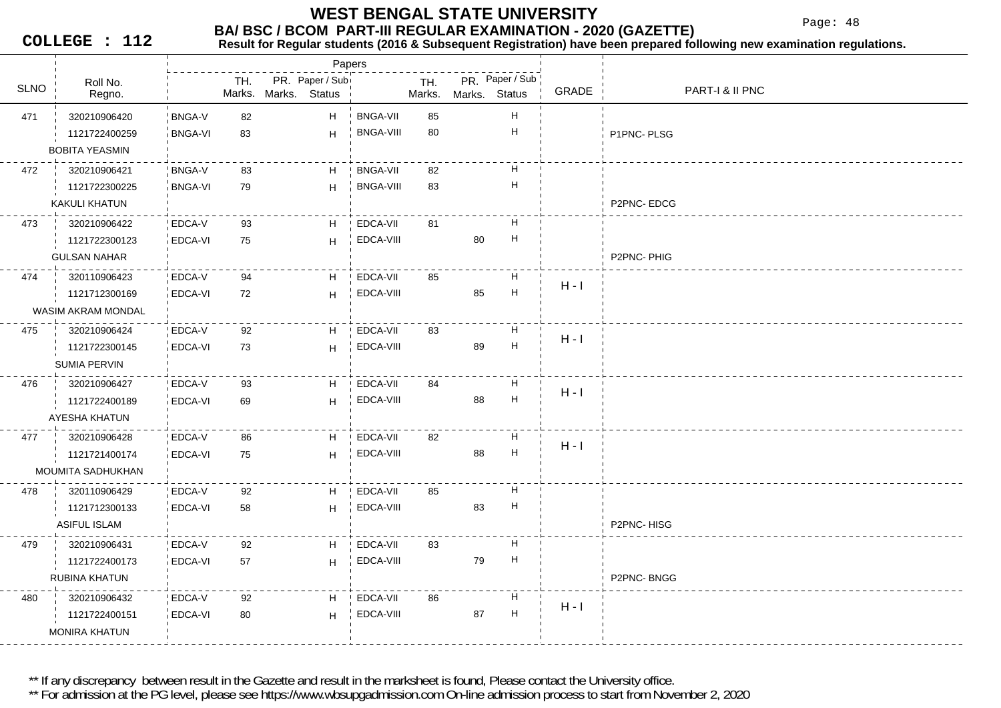Page: 48

**COLLEGE : 112**

## **Result for Regular students (2016 & Subsequent Registration) have been prepared following new examination regulations.**

|             |                       |                |        |               | Papers          |                  |        |               |                           |         |                 |
|-------------|-----------------------|----------------|--------|---------------|-----------------|------------------|--------|---------------|---------------------------|---------|-----------------|
| <b>SLNO</b> | Roll No.              |                | TH.    |               | PR. Paper / Sub |                  | TH.    |               | PR. Paper / Sub           | GRADE   | PART-I & II PNC |
|             | Regno.                |                | Marks. | Marks. Status |                 |                  | Marks. | Marks. Status |                           |         |                 |
| 471         | 320210906420          | <b>BNGA-V</b>  | 82     |               | H               | <b>BNGA-VII</b>  | 85     |               | Н                         |         |                 |
|             | 1121722400259         | <b>BNGA-VI</b> | 83     |               | H               | <b>BNGA-VIII</b> | 80     |               | $\boldsymbol{\mathsf{H}}$ |         | P1PNC-PLSG      |
|             | <b>BOBITA YEASMIN</b> |                |        |               |                 |                  |        |               |                           |         |                 |
| 472         | 320210906421          | <b>BNGA-V</b>  | 83     |               | H               | <b>BNGA-VII</b>  | 82     |               | Н                         |         |                 |
|             | 1121722300225         | <b>BNGA-VI</b> | 79     |               | H               | <b>BNGA-VIII</b> | 83     |               | $\boldsymbol{\mathsf{H}}$ |         |                 |
|             | KAKULI KHATUN         |                |        |               |                 |                  |        |               |                           |         | P2PNC-EDCG      |
| 473         | 320210906422          | EDCA-V         | 93     |               | H               | EDCA-VII         | 81     |               | Н                         |         |                 |
|             | 1121722300123         | EDCA-VI        | 75     |               | H               | EDCA-VIII        |        | 80            | Н                         |         |                 |
|             | <b>GULSAN NAHAR</b>   |                |        |               |                 |                  |        |               |                           |         | P2PNC-PHIG      |
| 474         | 320110906423          | EDCA-V         | 94     |               | H.              | EDCA-VII         | 85     |               | Н                         |         |                 |
|             | 1121712300169         | EDCA-VI        | 72     |               | H               | EDCA-VIII        |        | 85            | $\mathsf H$               | $H - I$ |                 |
|             | WASIM AKRAM MONDAL    |                |        |               |                 |                  |        |               |                           |         |                 |
| 475         | 320210906424          | EDCA-V         | 92     |               | H               | EDCA-VII         | 83     |               | Н                         |         |                 |
|             | 1121722300145         | EDCA-VI        | 73     |               | H               | EDCA-VIII        |        | 89            | $\mathsf H$               | $H - I$ |                 |
|             | <b>SUMIA PERVIN</b>   |                |        |               |                 |                  |        |               |                           |         |                 |
| 476         | 320210906427          | EDCA-V         | 93     |               | H               | EDCA-VII         | 84     |               | Н                         |         |                 |
|             | 1121722400189         | <b>EDCA-VI</b> | 69     |               | H               | EDCA-VIII        |        | 88            | $\boldsymbol{\mathsf{H}}$ | $H - I$ |                 |
|             | AYESHA KHATUN         |                |        |               |                 |                  |        |               |                           |         |                 |
| 477         | 320210906428          | EDCA-V         | 86     |               | H               | EDCA-VII         | 82     |               | H                         |         |                 |
|             | 1121721400174         | EDCA-VI        | 75     |               | H               | EDCA-VIII        |        | 88            | H                         | $H - I$ |                 |
|             | MOUMITA SADHUKHAN     |                |        |               |                 |                  |        |               |                           |         |                 |
| 478         | 320110906429          | EDCA-V         | 92     |               | H               | EDCA-VII         | 85     |               | H                         |         |                 |
|             | 1121712300133         | EDCA-VI        | 58     |               | H               | EDCA-VIII        |        | 83            | Н                         |         |                 |
|             | <b>ASIFUL ISLAM</b>   |                |        |               |                 |                  |        |               |                           |         | P2PNC-HISG      |
| 479         | 320210906431          | EDCA-V         | 92     |               | H               | EDCA-VII         | 83     |               | H                         |         |                 |
|             | 1121722400173         | EDCA-VI        | 57     |               | H               | EDCA-VIII        |        | 79            | Н                         |         |                 |
|             | RUBINA KHATUN         |                |        |               |                 |                  |        |               |                           |         | P2PNC-BNGG      |
| 480         | 320210906432          | EDCA-V         | 92     |               | H               | EDCA-VII         | 86     |               | H                         |         |                 |
|             | 1121722400151         | EDCA-VI        | 80     |               | H               | EDCA-VIII        |        | 87            | $\boldsymbol{\mathsf{H}}$ | $H - I$ |                 |
|             | <b>MONIRA KHATUN</b>  |                |        |               |                 |                  |        |               |                           |         |                 |
|             |                       |                |        |               |                 |                  |        |               |                           |         |                 |

\*\* If any discrepancy between result in the Gazette and result in the marksheet is found, Please contact the University office.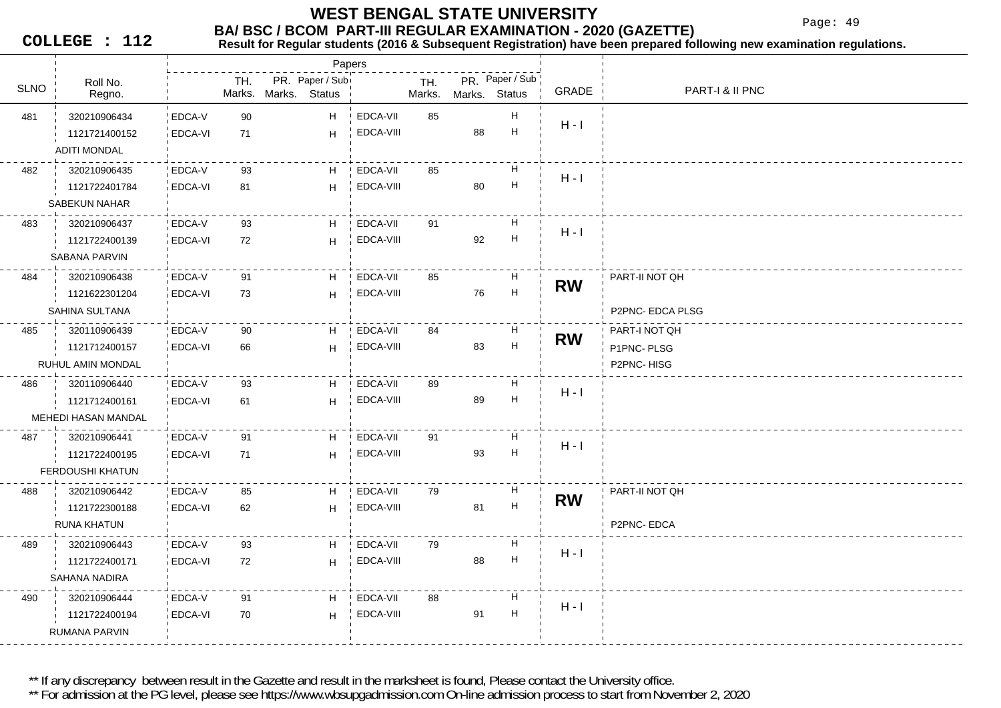Page: 49

**COLLEGE : 112**

## **Result for Regular students (2016 & Subsequent Registration) have been prepared following new examination regulations.**

|             |                     |                |        | Papers               |           |        |               |                           |           |                  |
|-------------|---------------------|----------------|--------|----------------------|-----------|--------|---------------|---------------------------|-----------|------------------|
| <b>SLNO</b> | Roll No.            |                | TH.    | PR. Paper / Sub      |           | TH.    |               | PR. Paper / Sub           | GRADE     | PART-I & II PNC  |
|             | Regno.              |                |        | Marks. Marks. Status |           | Marks. | Marks. Status |                           |           |                  |
| 481         | 320210906434        | EDCA-V         | 90     | H                    | EDCA-VII  | 85     |               | H                         | $H - I$   |                  |
|             | 1121721400152       | EDCA-VI        | 71     | H                    | EDCA-VIII |        | 88            | $\boldsymbol{\mathsf{H}}$ |           |                  |
|             | <b>ADITI MONDAL</b> |                |        |                      |           |        |               |                           |           |                  |
| 482         | 320210906435        | EDCA-V         | 93     | H                    | EDCA-VII  | 85     |               | H                         | $H - I$   |                  |
|             | 1121722401784       | <b>EDCA-VI</b> | 81     | H                    | EDCA-VIII |        | 80            | H                         |           |                  |
|             | SABEKUN NAHAR       |                |        |                      |           |        |               |                           |           |                  |
| 483         | 320210906437        | EDCA-V         | 93     | H                    | EDCA-VII  | 91     |               | H                         | $H - I$   |                  |
|             | 1121722400139       | EDCA-VI        | 72     | H                    | EDCA-VIII |        | 92            | H                         |           |                  |
|             | SABANA PARVIN       |                |        |                      |           |        |               |                           |           |                  |
| 484         | 320210906438        | EDCA-V         | 91     | H                    | EDCA-VII  | 85     |               | H                         |           | PART-II NOT QH   |
|             | 1121622301204       | <b>EDCA-VI</b> | 73     | H                    | EDCA-VIII |        | 76            | $\boldsymbol{\mathsf{H}}$ | <b>RW</b> |                  |
|             | SAHINA SULTANA      |                |        |                      |           |        |               |                           |           | P2PNC- EDCA PLSG |
| 485         | 320110906439        | EDCA-V         | 90     | H                    | EDCA-VII  | 84     |               | H                         |           | PART-I NOT QH    |
|             | 1121712400157       | EDCA-VI        | 66     | H                    | EDCA-VIII |        | 83            | $\boldsymbol{\mathsf{H}}$ | <b>RW</b> | P1PNC-PLSG       |
|             | RUHUL AMIN MONDAL   |                |        |                      |           |        |               |                           |           | P2PNC-HISG       |
| 486         | 320110906440        | EDCA-V         | 93     | H                    | EDCA-VII  | 89     |               | H                         |           |                  |
|             | 1121712400161       | <b>EDCA-VI</b> | 61     | $\mathsf H$          | EDCA-VIII |        | 89            | $\boldsymbol{\mathsf{H}}$ | $H - I$   |                  |
|             | MEHEDI HASAN MANDAL |                |        |                      |           |        |               |                           |           |                  |
| 487         | 320210906441        | EDCA-V         | 91     | H                    | EDCA-VII  | 91     |               | H                         |           |                  |
|             | 1121722400195       | EDCA-VI        | 71     | H                    | EDCA-VIII |        | 93            | H                         | $H - I$   |                  |
|             | FERDOUSHI KHATUN    |                |        |                      |           |        |               |                           |           |                  |
| 488         | 320210906442        | EDCA-V         | 85     | H                    | EDCA-VII  | 79     |               | H                         |           | PART-II NOT QH   |
|             | 1121722300188       | EDCA-VI        | 62     | $\mathsf H$          | EDCA-VIII |        | 81            | $\boldsymbol{\mathsf{H}}$ | <b>RW</b> |                  |
|             | RUNA KHATUN         |                |        |                      |           |        |               |                           |           | P2PNC-EDCA       |
| 489         | 320210906443        | EDCA-V         | 93     | H                    | EDCA-VII  | 79     |               | H                         |           |                  |
|             | 1121722400171       | EDCA-VI        | 72     | H                    | EDCA-VIII |        | 88            | $\boldsymbol{\mathsf{H}}$ | $H - I$   |                  |
|             | SAHANA NADIRA       |                |        |                      |           |        |               |                           |           |                  |
| 490         | 320210906444        | EDCA-V         | 91     | H                    | EDCA-VII  | 88     |               | H                         |           |                  |
|             | 1121722400194       | EDCA-VI        | $70\,$ | H                    | EDCA-VIII |        | 91            | H                         | $H - I$   |                  |
|             | RUMANA PARVIN       |                |        |                      |           |        |               |                           |           |                  |
|             |                     |                |        |                      |           |        |               |                           |           |                  |

\*\* If any discrepancy between result in the Gazette and result in the marksheet is found, Please contact the University office.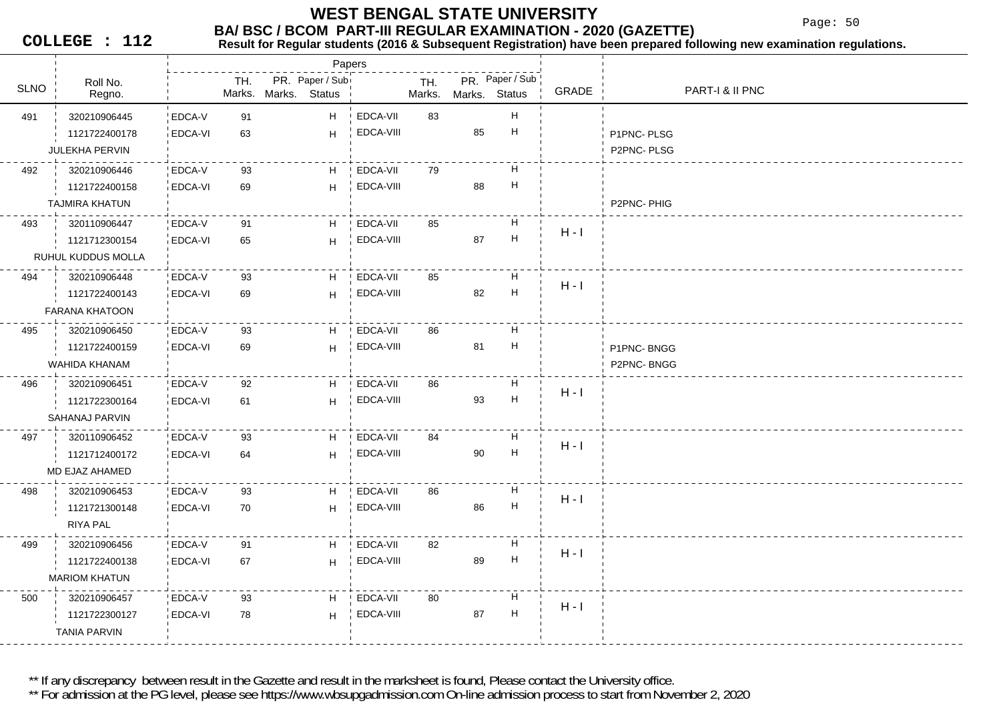Page: 50

**COLLEGE : 112**

## **Result for Regular students (2016 & Subsequent Registration) have been prepared following new examination regulations.**

|             |                       |                |     |                                         | Papers |           |               |               |                           |         |                 |
|-------------|-----------------------|----------------|-----|-----------------------------------------|--------|-----------|---------------|---------------|---------------------------|---------|-----------------|
| <b>SLNO</b> | Roll No.<br>Regno.    |                | TH. | PR. Paper / Sub<br>Marks. Marks. Status |        |           | TH.<br>Marks. | Marks. Status | PR. Paper / Sub           | GRADE   | PART-I & II PNC |
| 491         | 320210906445          | EDCA-V         | 91  |                                         | H      | EDCA-VII  | 83            |               | Н                         |         |                 |
|             | 1121722400178         | EDCA-VI        | 63  |                                         | H      | EDCA-VIII |               | 85            | н                         |         | P1PNC-PLSG      |
|             | JULEKHA PERVIN        |                |     |                                         |        |           |               |               |                           |         | P2PNC-PLSG      |
| 492         | 320210906446          | EDCA-V         | 93  |                                         | H      | EDCA-VII  | 79            |               | Н                         |         |                 |
|             | 1121722400158         | EDCA-VI        | 69  |                                         | H      | EDCA-VIII |               | 88            | $\boldsymbol{\mathsf{H}}$ |         |                 |
|             | <b>TAJMIRA KHATUN</b> |                |     |                                         |        |           |               |               |                           |         | P2PNC-PHIG      |
| 493         | 320110906447          | EDCA-V         | 91  |                                         | H      | EDCA-VII  | 85            |               | н                         |         |                 |
|             | 1121712300154         | EDCA-VI        | 65  |                                         | H      | EDCA-VIII |               | 87            | H                         | $H - I$ |                 |
|             | RUHUL KUDDUS MOLLA    |                |     |                                         |        |           |               |               |                           |         |                 |
| 494         | 320210906448          | EDCA-V         | 93  |                                         | H      | EDCA-VII  | 85            |               | н                         |         |                 |
|             | 1121722400143         | <b>EDCA-VI</b> | 69  |                                         | H      | EDCA-VIII |               | 82            | Н                         | $H - I$ |                 |
|             | <b>FARANA KHATOON</b> |                |     |                                         |        |           |               |               |                           |         |                 |
| 495         | 320210906450          | EDCA-V         | 93  |                                         | H      | EDCA-VII  | 86            |               | Н                         |         |                 |
|             | 1121722400159         | EDCA-VI        | 69  |                                         | H      | EDCA-VIII |               | 81            | $\boldsymbol{\mathsf{H}}$ |         | P1PNC-BNGG      |
|             | WAHIDA KHANAM         |                |     |                                         |        |           |               |               |                           |         | P2PNC-BNGG      |
| 496         | 320210906451          | EDCA-V         | 92  |                                         | H      | EDCA-VII  | 86            |               | Н                         | $H - I$ |                 |
|             | 1121722300164         | EDCA-VI        | 61  |                                         | H      | EDCA-VIII |               | 93            | Н                         |         |                 |
|             | SAHANAJ PARVIN        |                |     |                                         |        |           |               |               |                           |         |                 |
| 497         | 320110906452          | EDCA-V         | 93  |                                         | H      | EDCA-VII  | 84            |               | н                         | $H - I$ |                 |
|             | 1121712400172         | EDCA-VI        | 64  |                                         | H      | EDCA-VIII |               | 90            | $\boldsymbol{\mathsf{H}}$ |         |                 |
|             | MD EJAZ AHAMED        |                |     |                                         |        |           |               |               |                           |         |                 |
| 498         | 320210906453          | EDCA-V         | 93  |                                         | H      | EDCA-VII  | 86            |               | Н                         | $H - I$ |                 |
|             | 1121721300148         | EDCA-VI        | 70  |                                         | H      | EDCA-VIII |               | 86            | Н                         |         |                 |
|             | <b>RIYA PAL</b>       |                |     |                                         |        |           |               |               |                           |         |                 |
| 499         | 320210906456          | EDCA-V         | 91  |                                         | H      | EDCA-VII  | 82            |               | н                         | $H - I$ |                 |
|             | 1121722400138         | EDCA-VI        | 67  |                                         | H      | EDCA-VIII |               | 89            | $\boldsymbol{\mathsf{H}}$ |         |                 |
|             | <b>MARIOM KHATUN</b>  |                |     |                                         |        |           |               |               |                           |         |                 |
| 500         | 320210906457          | EDCA-V         | 93  |                                         | H      | EDCA-VII  | 80            |               | н                         | $H - I$ |                 |
|             | 1121722300127         | EDCA-VI        | 78  |                                         | H      | EDCA-VIII |               | 87            | $\boldsymbol{\mathsf{H}}$ |         |                 |
|             | <b>TANIA PARVIN</b>   |                |     |                                         |        |           |               |               |                           |         |                 |

\*\* If any discrepancy between result in the Gazette and result in the marksheet is found, Please contact the University office.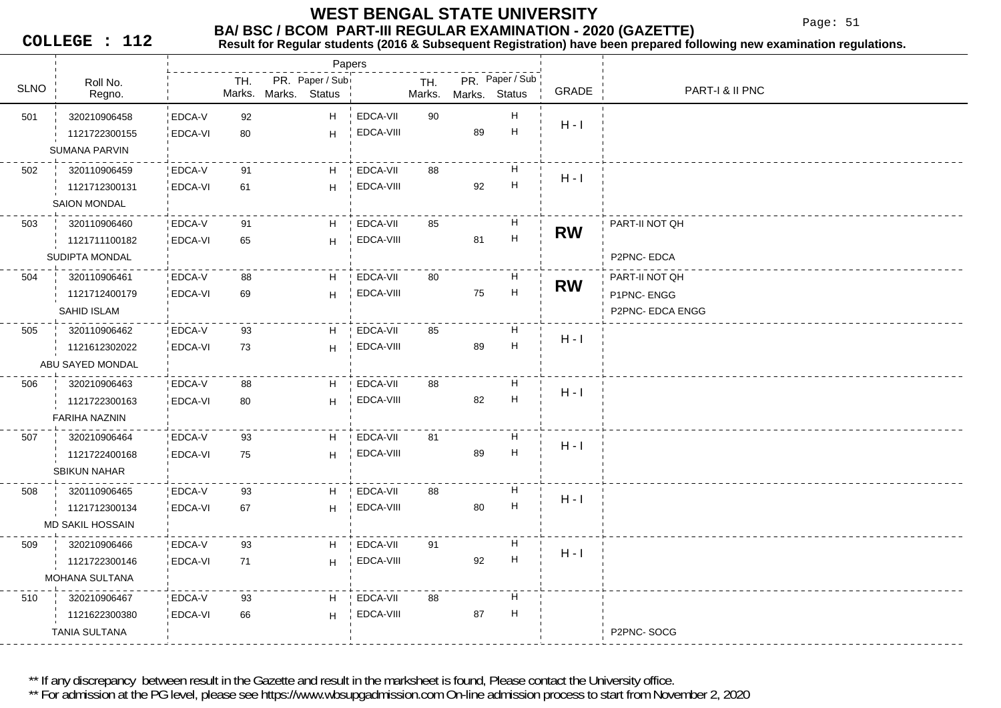Page: 51

**COLLEGE : 112**

### **Result for Regular students (2016 & Subsequent Registration) have been prepared following new examination regulations.**

|             |                                                          |                          |          | Papers                                  |                       |               |               |                                |           |                                                  |
|-------------|----------------------------------------------------------|--------------------------|----------|-----------------------------------------|-----------------------|---------------|---------------|--------------------------------|-----------|--------------------------------------------------|
| <b>SLNO</b> | Roll No.<br>Regno.                                       |                          | TH.      | PR. Paper / Sub<br>Marks. Marks. Status |                       | TH.<br>Marks. | Marks. Status | PR. Paper / Sub                | GRADE     | <b>PART-I &amp; II PNC</b>                       |
| 501         | 320210906458<br>1121722300155<br><b>SUMANA PARVIN</b>    | EDCA-V<br>EDCA-VI        | 92<br>80 | H<br>H                                  | EDCA-VII<br>EDCA-VIII | 90            | 89            | Н<br>$\boldsymbol{\mathsf{H}}$ | $H - I$   |                                                  |
| 502         | 320110906459<br>1121712300131<br><b>SAION MONDAL</b>     | EDCA-V<br>EDCA-VI        | 91<br>61 | H<br>H                                  | EDCA-VII<br>EDCA-VIII | 88            | 92            | H<br>$\mathsf H$               | $H - I$   |                                                  |
| 503         | 320110906460<br>1121711100182<br>SUDIPTA MONDAL          | EDCA-V<br>EDCA-VI        | 91<br>65 | H<br>H                                  | EDCA-VII<br>EDCA-VIII | 85            | 81            | Н<br>$\boldsymbol{\mathsf{H}}$ | <b>RW</b> | PART-II NOT QH<br>P2PNC-EDCA                     |
| 504         | 320110906461<br>1121712400179<br><b>SAHID ISLAM</b>      | EDCA-V<br>EDCA-VI        | 88<br>69 | H<br>H                                  | EDCA-VII<br>EDCA-VIII | 80            | 75            | H<br>$\boldsymbol{\mathsf{H}}$ | <b>RW</b> | PART-II NOT QH<br>P1PNC-ENGG<br>P2PNC- EDCA ENGG |
| 505         | 320110906462<br>1121612302022<br>ABU SAYED MONDAL        | EDCA-V<br>EDCA-VI        | 93<br>73 | H<br>H                                  | EDCA-VII<br>EDCA-VIII | 85            | 89            | Н<br>H                         | $H - I$   |                                                  |
| 506         | 320210906463<br>1121722300163<br><b>FARIHA NAZNIN</b>    | EDCA-V<br><b>EDCA-VI</b> | 88<br>80 | H<br>H                                  | EDCA-VII<br>EDCA-VIII | 88            | 82            | Н<br>$\boldsymbol{\mathsf{H}}$ | $H - I$   |                                                  |
| 507         | 320210906464<br>1121722400168<br>SBIKUN NAHAR            | EDCA-V<br>EDCA-VI        | 93<br>75 | H<br>H                                  | EDCA-VII<br>EDCA-VIII | 81            | 89            | H<br>$\boldsymbol{\mathsf{H}}$ | $H - I$   |                                                  |
| 508         | 320110906465<br>1121712300134<br><b>MD SAKIL HOSSAIN</b> | EDCA-V<br>EDCA-VI        | 93<br>67 | H<br>H                                  | EDCA-VII<br>EDCA-VIII | 88            | 80            | Н<br>H                         | $H - I$   |                                                  |
| 509         | 320210906466<br>1121722300146<br>MOHANA SULTANA          | EDCA-V<br>EDCA-VI        | 93<br>71 | H<br>H                                  | EDCA-VII<br>EDCA-VIII | 91            | 92            | H<br>$\boldsymbol{\mathsf{H}}$ | $H - I$   |                                                  |
| 510         | 320210906467<br>1121622300380<br>TANIA SULTANA           | EDCA-V<br><b>EDCA-VI</b> | 93<br>66 | H<br>H                                  | EDCA-VII<br>EDCA-VIII | 88            | 87            | H<br>Н                         |           | P2PNC-SOCG                                       |

\*\* If any discrepancy between result in the Gazette and result in the marksheet is found, Please contact the University office.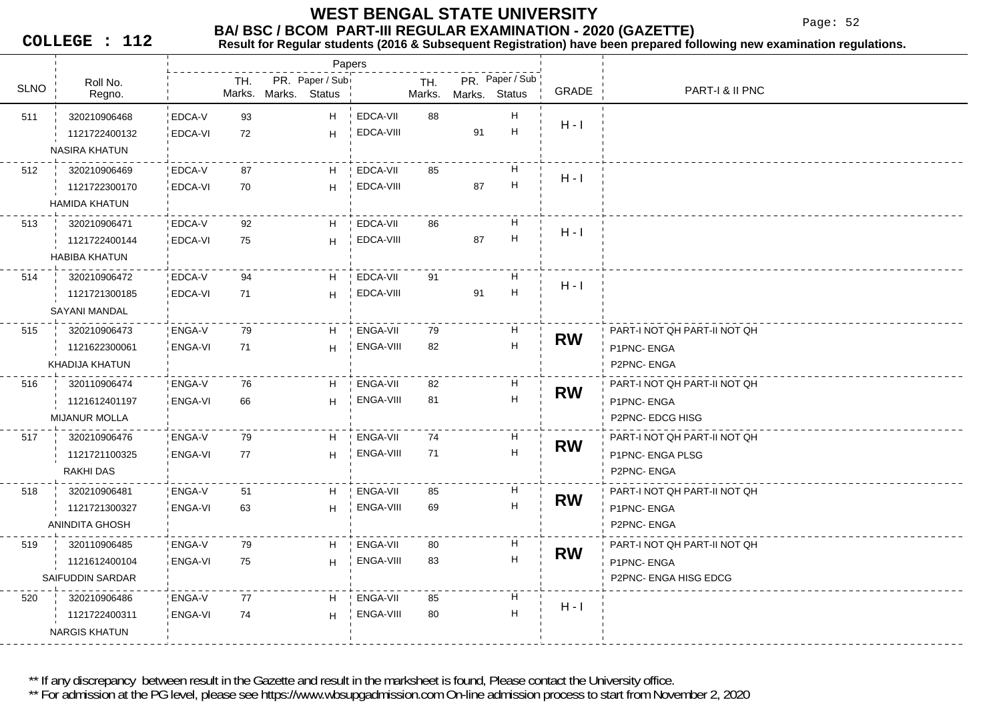Page: 52

**COLLEGE : 112**

#### **Result for Regular students (2016 & Subsequent Registration) have been prepared following new examination regulations.**

|             |                         |                |     |                      | Papers          |           |               |               |                           |           |                              |
|-------------|-------------------------|----------------|-----|----------------------|-----------------|-----------|---------------|---------------|---------------------------|-----------|------------------------------|
| <b>SLNO</b> | Roll No.<br>Regno.      |                | TH. | Marks. Marks. Status | PR. Paper / Sub |           | TH.<br>Marks. | Marks. Status | PR. Paper / Sub           | GRADE     | PART-I & II PNC              |
| 511         | 320210906468            | EDCA-V         | 93  |                      | H.              | EDCA-VII  | 88            |               | H                         |           |                              |
|             | 1121722400132           | EDCA-VI        | 72  |                      | H               | EDCA-VIII |               | 91            | H                         | $H - I$   |                              |
|             | <b>NASIRA KHATUN</b>    |                |     |                      |                 |           |               |               |                           |           |                              |
| 512         | 320210906469            | EDCA-V         | 87  |                      | H               | EDCA-VII  | 85            |               | H                         |           |                              |
|             | 1121722300170           | EDCA-VI        | 70  |                      | H               | EDCA-VIII |               | 87            | $\boldsymbol{\mathsf{H}}$ | $H - I$   |                              |
|             | <b>HAMIDA KHATUN</b>    |                |     |                      |                 |           |               |               |                           |           |                              |
| 513         | 320210906471            | EDCA-V         | 92  |                      | H               | EDCA-VII  | 86            |               | Н                         |           |                              |
|             | 1121722400144           | EDCA-VI        | 75  |                      | H               | EDCA-VIII |               | 87            | $\mathsf H$               | $H - I$   |                              |
|             | <b>HABIBA KHATUN</b>    |                |     |                      |                 |           |               |               |                           |           |                              |
| 514         | 320210906472            | EDCA-V         | 94  |                      | H               | EDCA-VII  | 91            |               | H                         |           |                              |
|             | 1121721300185           | EDCA-VI        | 71  |                      | H               | EDCA-VIII |               | 91            | $\mathsf H$               | $H - I$   |                              |
|             | SAYANI MANDAL           |                |     |                      |                 |           |               |               |                           |           |                              |
| 515         | 320210906473            | ENGA-V         | 79  |                      | H               | ENGA-VII  | 79            |               | H                         |           | PART-I NOT QH PART-II NOT QH |
|             | 1121622300061           | ENGA-VI        | 71  |                      | H               | ENGA-VIII | 82            |               | H                         | <b>RW</b> | P1PNC-ENGA                   |
|             | KHADIJA KHATUN          |                |     |                      |                 |           |               |               |                           |           | P2PNC-ENGA                   |
| 516         | 320110906474            | ENGA-V         | 76  |                      | H               | ENGA-VII  | 82            |               | H                         |           | PART-I NOT QH PART-II NOT QH |
|             | 1121612401197           | <b>ENGA-VI</b> | 66  |                      | H               | ENGA-VIII | 81            |               | $\mathsf H$               | <b>RW</b> | P1PNC-ENGA                   |
|             | <b>MIJANUR MOLLA</b>    |                |     |                      |                 |           |               |               |                           |           | P2PNC-EDCG HISG              |
| 517         | 320210906476            | ENGA-V         | 79  |                      | H               | ENGA-VII  | 74            |               | H                         |           | PART-I NOT QH PART-II NOT QH |
|             | 1121721100325           | ENGA-VI        | 77  |                      | H               | ENGA-VIII | 71            |               | H                         | <b>RW</b> | P1PNC- ENGA PLSG             |
|             | RAKHI DAS               |                |     |                      |                 |           |               |               |                           |           | P2PNC-ENGA                   |
| 518         | 320210906481            | ENGA-V         | 51  |                      | H               | ENGA-VII  | 85            |               | H                         | <b>RW</b> | PART-I NOT QH PART-II NOT QH |
|             | 1121721300327           | ENGA-VI        | 63  |                      | H               | ENGA-VIII | 69            |               | $\mathsf H$               |           | P1PNC-ENGA                   |
|             | ANINDITA GHOSH          |                |     |                      |                 |           |               |               |                           |           | P2PNC-ENGA                   |
| 519         | 320110906485            | ENGA-V         | 79  |                      | H               | ENGA-VII  | 80            |               | H                         | <b>RW</b> | PART-I NOT QH PART-II NOT QH |
|             | 1121612400104           | <b>ENGA-VI</b> | 75  |                      | H               | ENGA-VIII | 83            |               | H                         |           | P1PNC-ENGA                   |
|             | <b>SAIFUDDIN SARDAR</b> |                |     |                      |                 |           |               |               |                           |           | P2PNC- ENGA HISG EDCG        |
| 520         | 320210906486            | ENGA-V         | 77  |                      | H.              | ENGA-VII  | 85            |               | H                         | $H - I$   |                              |
|             | 1121722400311           | ENGA-VI        | 74  |                      | H               | ENGA-VIII | 80            |               | H                         |           |                              |
|             | <b>NARGIS KHATUN</b>    |                |     |                      |                 |           |               |               |                           |           |                              |
|             |                         |                |     |                      |                 |           |               |               |                           |           |                              |

\*\* If any discrepancy between result in the Gazette and result in the marksheet is found, Please contact the University office.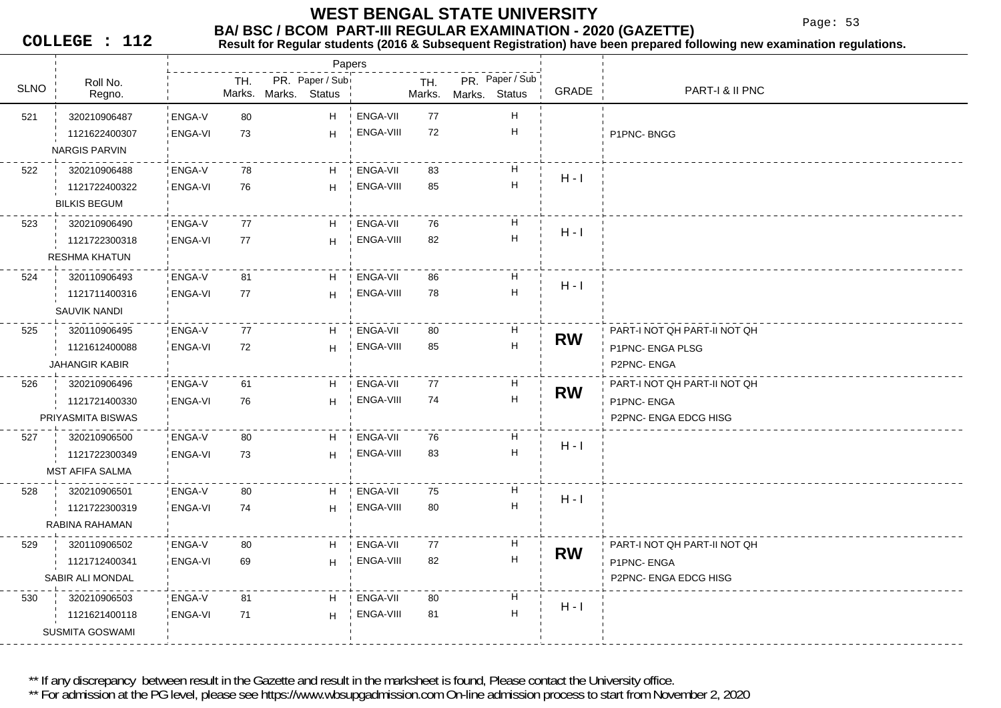Page: 53

**COLLEGE : 112**

### **Result for Regular students (2016 & Subsequent Registration) have been prepared following new examination regulations.**

|             |                        |                |     |                      | Papers           |                 |               |               |                           |           |                              |
|-------------|------------------------|----------------|-----|----------------------|------------------|-----------------|---------------|---------------|---------------------------|-----------|------------------------------|
| <b>SLNO</b> | Roll No.<br>Regno.     |                | TH. | Marks. Marks. Status | PR. Paper / Subi |                 | TH.<br>Marks. | Marks. Status | PR. Paper / Sub           | GRADE     | PART-I & II PNC              |
| 521         | 320210906487           | ENGA-V         | 80  |                      | H.               | ENGA-VII        | 77            |               | H                         |           |                              |
|             | 1121622400307          | ENGA-VI        | 73  |                      | H                | ENGA-VIII       | 72            |               | Н                         |           | P1PNC-BNGG                   |
|             | <b>NARGIS PARVIN</b>   |                |     |                      |                  |                 |               |               |                           |           |                              |
| 522         | 320210906488           | ENGA-V         | 78  |                      | H.               | ENGA-VII        | 83            |               | H                         |           |                              |
|             | 1121722400322          | ENGA-VI        | 76  |                      | H                | ENGA-VIII       | 85            |               | H                         | $H - I$   |                              |
|             | <b>BILKIS BEGUM</b>    |                |     |                      |                  |                 |               |               |                           |           |                              |
| 523         | 320210906490           | ENGA-V         | 77  |                      | H                | ENGA-VII        | 76            |               | H                         |           |                              |
|             | 1121722300318          | <b>ENGA-VI</b> | 77  |                      | H.               | ENGA-VIII       | 82            |               | H                         | $H - I$   |                              |
|             | <b>RESHMA KHATUN</b>   |                |     |                      |                  |                 |               |               |                           |           |                              |
| 524         | 320110906493           | ENGA-V         | 81  |                      | H                | ENGA-VII        | 86            |               | H                         |           |                              |
|             | 1121711400316          | <b>ENGA-VI</b> | 77  |                      | H                | ENGA-VIII       | 78            |               | H                         | $H - I$   |                              |
|             | SAUVIK NANDI           |                |     |                      |                  |                 |               |               |                           |           |                              |
| 525         | 320110906495           | ENGA-V         | 77  |                      | H                | ENGA-VII        | 80            |               | H                         | <b>RW</b> | PART-I NOT QH PART-II NOT QH |
|             | 1121612400088          | <b>ENGA-VI</b> | 72  |                      | H                | ENGA-VIII       | 85            |               | H                         |           | P1PNC- ENGA PLSG             |
|             | <b>JAHANGIR KABIR</b>  |                |     |                      |                  |                 |               |               |                           |           | P2PNC-ENGA                   |
| 526         | 320210906496           | ! ENGA-V       | 61  |                      | H                | <b>ENGA-VII</b> | 77            |               | H                         |           | PART-I NOT QH PART-II NOT QH |
|             | 1121721400330          | <b>ENGA-VI</b> | 76  |                      | H                | ENGA-VIII       | 74            |               | $\boldsymbol{\mathsf{H}}$ | <b>RW</b> | P1PNC-ENGA                   |
|             | PRIYASMITA BISWAS      |                |     |                      |                  |                 |               |               |                           |           | P2PNC- ENGA EDCG HISG        |
| 527         | 320210906500           | ! ENGA-V       | 80  |                      | H                | ENGA-VII        | 76            |               | н                         |           |                              |
|             | 1121722300349          | ENGA-VI        | 73  |                      | H                | ENGA-VIII       | 83            |               | H                         | $H - I$   |                              |
|             | <b>MST AFIFA SALMA</b> |                |     |                      |                  |                 |               |               |                           |           |                              |
| 528         | 320210906501           | ENGA-V         | 80  |                      | H.               | ENGA-VII        | 75            |               | H                         |           |                              |
|             | 1121722300319          | <b>ENGA-VI</b> | 74  |                      | H                | ENGA-VIII       | 80            |               | H                         | $H - I$   |                              |
|             | RABINA RAHAMAN         |                |     |                      |                  |                 |               |               |                           |           |                              |
| 529         | 320110906502           | ENGA-V         | 80  |                      | H                | ENGA-VII        | 77            |               | H                         | <b>RW</b> | PART-I NOT QH PART-II NOT QH |
|             | 1121712400341          | <b>ENGA-VI</b> | 69  |                      | H                | ENGA-VIII       | 82            |               | $\mathsf H$               |           | P1PNC-ENGA                   |
|             | SABIR ALI MONDAL       |                |     |                      |                  |                 |               |               |                           |           | P2PNC- ENGA EDCG HISG        |
| 530         | 320210906503           | ENGA-V         | 81  |                      | H                | ENGA-VII        | 80            |               | H                         | $H - I$   |                              |
|             | 1121621400118          | <b>ENGA-VI</b> | 71  |                      | H.               | ENGA-VIII       | 81            |               | Н                         |           |                              |
|             | <b>SUSMITA GOSWAMI</b> |                |     |                      |                  |                 |               |               |                           |           |                              |

\*\* If any discrepancy between result in the Gazette and result in the marksheet is found, Please contact the University office.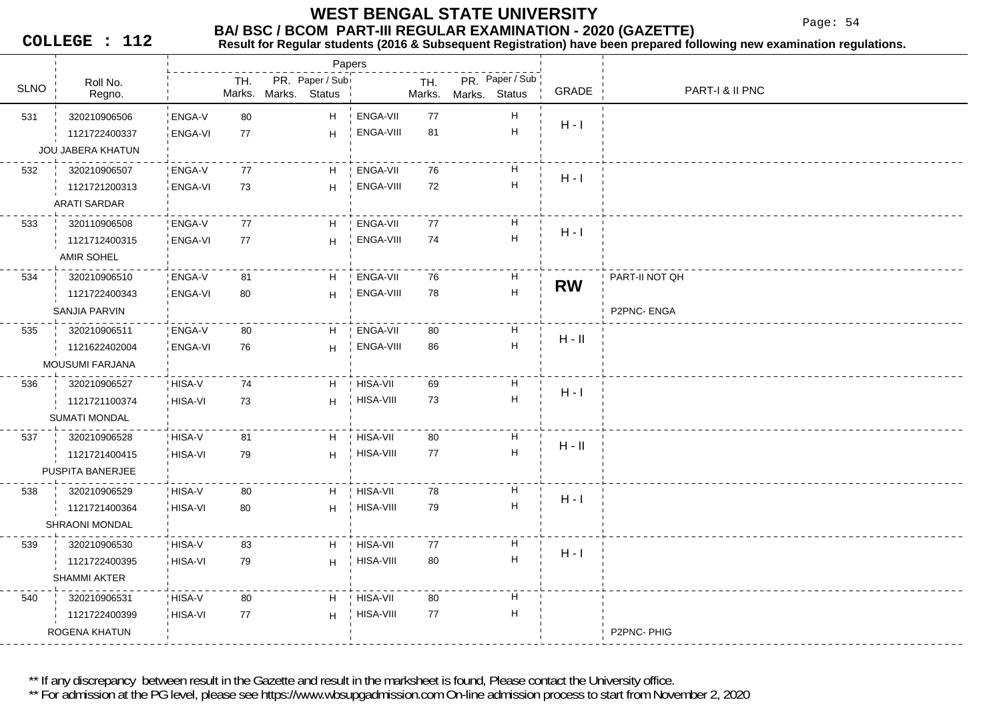Page: 54

**COLLEGE : 112**

#### **Result for Regular students (2016 & Subsequent Registration) have been prepared following new examination regulations.**

|             |                      |               |     |                                         | Papers           |               |                                            |           |                 |
|-------------|----------------------|---------------|-----|-----------------------------------------|------------------|---------------|--------------------------------------------|-----------|-----------------|
| <b>SLNO</b> | Roll No.<br>Regno.   |               | TH. | PR. Paper / Sub<br>Marks. Marks. Status |                  | TH.<br>Marks. | PR. Paper / Sub<br>Marks.<br><b>Status</b> | GRADE     | PART-I & II PNC |
| 531         | 320210906506         | ENGA-V        | 80  | H                                       | ENGA-VII         | 77            | H                                          |           |                 |
|             | 1121722400337        | ENGA-VI       | 77  | H.                                      | ENGA-VIII        | 81            | H                                          | $H - I$   |                 |
|             | JOU JABERA KHATUN    |               |     |                                         |                  |               |                                            |           |                 |
| 532         | 320210906507         | <b>ENGA-V</b> | 77  | H                                       | ENGA-VII         | 76            | H                                          |           |                 |
|             | 1121721200313        | ENGA-VI       | 73  | H                                       | ENGA-VIII        | 72            | $\boldsymbol{\mathsf{H}}$                  | $H - I$   |                 |
|             | <b>ARATI SARDAR</b>  |               |     |                                         |                  |               |                                            |           |                 |
| 533         | 320110906508         | ENGA-V        | 77  | H                                       | <b>ENGA-VII</b>  | 77            | H                                          |           |                 |
|             | 1121712400315        | ENGA-VI       | 77  | H                                       | ENGA-VIII        | 74            | $\boldsymbol{\mathsf{H}}$                  | $H - I$   |                 |
|             | <b>AMIR SOHEL</b>    |               |     |                                         |                  |               |                                            |           |                 |
| 534         | 320210906510         | ENGA-V        | 81  | H                                       | ENGA-VII         | 76            | H                                          |           | PART-II NOT QH  |
|             | 1121722400343        | ENGA-VI       | 80  | H                                       | ENGA-VIII        | 78            | $\boldsymbol{\mathsf{H}}$                  | <b>RW</b> |                 |
|             | SANJIA PARVIN        |               |     |                                         |                  |               |                                            |           | P2PNC-ENGA      |
| 535         | 320210906511         | ENGA-V        | 80  | H                                       | ENGA-VII         | 80            | H                                          |           |                 |
|             | 1121622402004        | ENGA-VI       | 76  | H                                       | ENGA-VIII        | 86            | $\boldsymbol{\mathsf{H}}$                  | $H - II$  |                 |
|             | MOUSUMI FARJANA      |               |     |                                         |                  |               |                                            |           |                 |
| 536         | 320210906527         | HISA-V        | 74  | H                                       | HISA-VII         | 69            | H                                          | $H - I$   |                 |
|             | 1121721100374        | HISA-VI       | 73  | H                                       | HISA-VIII        | 73            | $\boldsymbol{\mathsf{H}}$                  |           |                 |
|             | <b>SUMATI MONDAL</b> |               |     |                                         |                  |               |                                            |           |                 |
| 537         | 320210906528         | ! HISA-V      | 81  | H                                       | <b>HISA-VII</b>  | 80            | $\boldsymbol{\mathsf{H}}$                  | $H - II$  |                 |
|             | 1121721400415        | HISA-VI       | 79  | H.                                      | HISA-VIII        | 77            | $\boldsymbol{\mathsf{H}}$                  |           |                 |
|             | PUSPITA BANERJEE     |               |     |                                         |                  |               |                                            |           |                 |
| 538         | 320210906529         | HISA-V        | 80  | H                                       | HISA-VII         | 78            | H                                          | $H - I$   |                 |
|             | 1121721400364        | HISA-VI       | 80  | H                                       | HISA-VIII        | 79            | $\boldsymbol{\mathsf{H}}$                  |           |                 |
|             | SHRAONI MONDAL       |               |     |                                         |                  |               |                                            |           |                 |
| 539         | 320210906530         | HISA-V        | 83  | H.                                      | HISA-VII         | 77            | H                                          | $H - I$   |                 |
|             | 1121722400395        | HISA-VI       | 79  | H                                       | HISA-VIII        | 80            | $\boldsymbol{\mathsf{H}}$                  |           |                 |
|             | <b>SHAMMI AKTER</b>  |               |     |                                         |                  |               |                                            |           |                 |
| 540         | 320210906531         | HISA-V        | 80  | H                                       | + HISA-VII       | 80            | H                                          |           |                 |
|             | 1121722400399        | HISA-VI       | 77  | H.                                      | <b>HISA-VIII</b> | 77            | Н                                          |           |                 |
|             | ROGENA KHATUN        |               |     |                                         |                  |               |                                            |           | P2PNC-PHIG      |

\*\* If any discrepancy between result in the Gazette and result in the marksheet is found, Please contact the University office.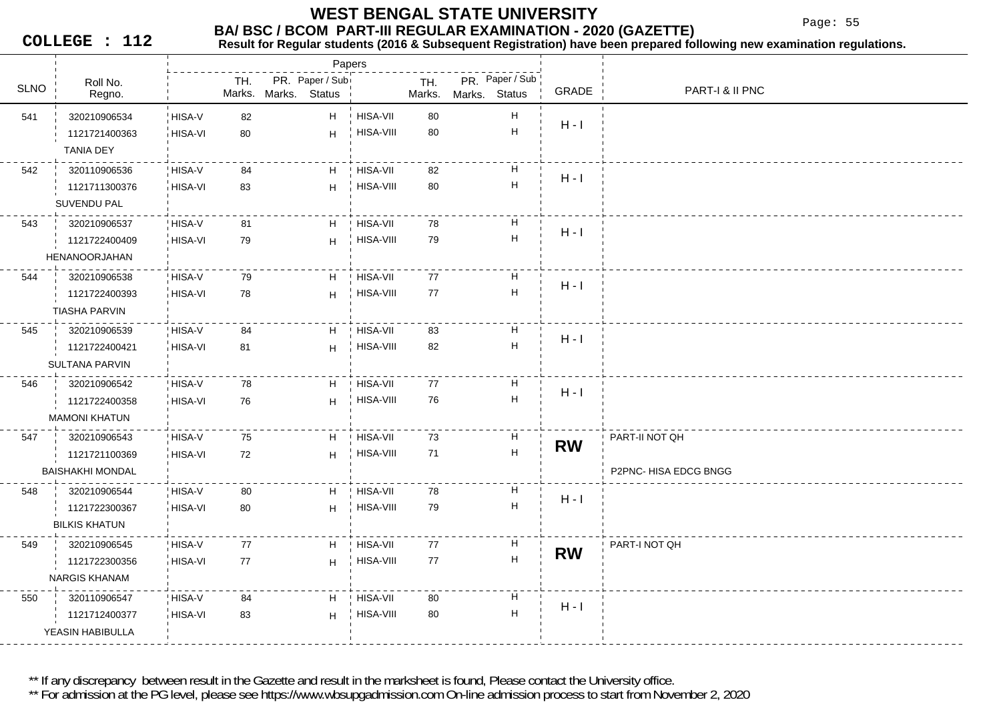Page: 55

**COLLEGE : 112**

## **Result for Regular students (2016 & Subsequent Registration) have been prepared following new examination regulations.**

|             |                         |         |     |                      | Papers          |                  |        |               |                           |           |                       |
|-------------|-------------------------|---------|-----|----------------------|-----------------|------------------|--------|---------------|---------------------------|-----------|-----------------------|
| <b>SLNO</b> | Roll No.                |         | TH. |                      | PR. Paper / Sub |                  | TH.    |               | PR. Paper / Sub           | GRADE     | PART-I & II PNC       |
|             | Regno.                  |         |     | Marks. Marks. Status |                 |                  | Marks. | Marks. Status |                           |           |                       |
| 541         | 320210906534            | HISA-V  | 82  |                      | H               | ! HISA-VII       | 80     |               | Н                         | $H - I$   |                       |
|             | 1121721400363           | HISA-VI | 80  |                      | H               | HISA-VIII        | 80     |               | $\boldsymbol{\mathsf{H}}$ |           |                       |
|             | <b>TANIA DEY</b>        |         |     |                      |                 |                  |        |               |                           |           |                       |
| 542         | 320110906536            | HISA-V  | 84  |                      | H               | HISA-VII         | 82     |               | н                         | $H - I$   |                       |
|             | 1121711300376           | HISA-VI | 83  |                      | H               | HISA-VIII        | 80     |               | $\boldsymbol{\mathsf{H}}$ |           |                       |
|             | <b>SUVENDU PAL</b>      |         |     |                      |                 |                  |        |               |                           |           |                       |
| 543         | 320210906537            | HISA-V  | 81  |                      | H               | HISA-VII         | 78     |               | н                         | $H - I$   |                       |
|             | 1121722400409           | HISA-VI | 79  |                      | H               | <b>HISA-VIII</b> | 79     |               | $\boldsymbol{\mathsf{H}}$ |           |                       |
|             | HENANOORJAHAN           |         |     |                      |                 |                  |        |               |                           |           |                       |
| 544         | 320210906538            | HISA-V  | 79  |                      | H               | HISA-VII         | 77     |               | H                         | $H - I$   |                       |
|             | 1121722400393           | HISA-VI | 78  |                      | H               | HISA-VIII        | 77     |               | $\boldsymbol{\mathsf{H}}$ |           |                       |
|             | <b>TIASHA PARVIN</b>    |         |     |                      |                 |                  |        |               |                           |           |                       |
| 545         | 320210906539            | HISA-V  | 84  |                      | H               | <b>HISA-VII</b>  | 83     |               | Н                         | $H - I$   |                       |
|             | 1121722400421           | HISA-VI | 81  |                      | H               | HISA-VIII        | 82     |               | Н                         |           |                       |
|             | <b>SULTANA PARVIN</b>   |         |     |                      |                 |                  |        |               |                           |           |                       |
| 546         | 320210906542            | HISA-V  | 78  |                      | H               | <b>HISA-VII</b>  | 77     |               | Н                         | $H - I$   |                       |
|             | 1121722400358           | HISA-VI | 76  |                      | H               | HISA-VIII        | 76     |               | $\boldsymbol{\mathsf{H}}$ |           |                       |
|             | <b>MAMONI KHATUN</b>    |         |     |                      |                 |                  |        |               |                           |           |                       |
| 547         | 320210906543            | HISA-V  | 75  |                      | H               | HISA-VII         | 73     |               | H                         | <b>RW</b> | PART-II NOT QH        |
|             | 1121721100369           | HISA-VI | 72  |                      | H               | <b>HISA-VIII</b> | 71     |               | $\boldsymbol{\mathsf{H}}$ |           |                       |
|             | <b>BAISHAKHI MONDAL</b> |         |     |                      |                 |                  |        |               |                           |           | P2PNC- HISA EDCG BNGG |
| 548         | 320210906544            | HISA-V  | 80  |                      | H               | HISA-VII         | 78     |               | н                         | $H - I$   |                       |
|             | 1121722300367           | HISA-VI | 80  |                      | H               | <b>HISA-VIII</b> | 79     |               | $\mathsf H$               |           |                       |
|             | <b>BILKIS KHATUN</b>    |         |     |                      |                 |                  |        |               |                           |           |                       |
| 549         | 320210906545            | HISA-V  | 77  |                      | H               | <b>HISA-VII</b>  | 77     |               | H                         | <b>RW</b> | PART-I NOT QH         |
|             | 1121722300356           | HISA-VI | 77  |                      | H               | HISA-VIII        | 77     |               | $\boldsymbol{\mathsf{H}}$ |           |                       |
|             | <b>NARGIS KHANAM</b>    |         |     |                      |                 |                  |        |               |                           |           |                       |
| 550         | 320110906547            | HISA-V  | 84  |                      | H               | HISA-VII         | 80     |               | H                         |           |                       |
|             | 1121712400377           | HISA-VI | 83  |                      | H               | HISA-VIII        | 80     |               | $\mathsf H$               | $H - I$   |                       |
|             | YEASIN HABIBULLA        |         |     |                      |                 |                  |        |               |                           |           |                       |
|             |                         |         |     |                      |                 |                  |        |               |                           |           |                       |

\*\* If any discrepancy between result in the Gazette and result in the marksheet is found, Please contact the University office.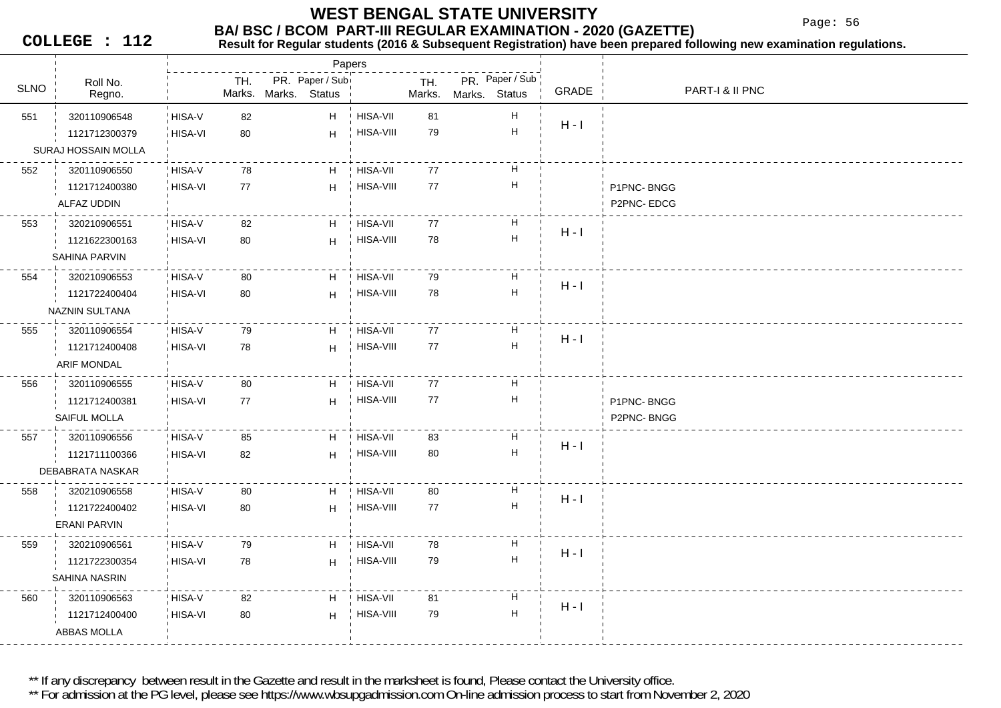Page: 56

**COLLEGE : 112**

## **Result for Regular students (2016 & Subsequent Registration) have been prepared following new examination regulations.**

|             |                       |         |               | Papers                           |                  |               |               |                           |         |                 |
|-------------|-----------------------|---------|---------------|----------------------------------|------------------|---------------|---------------|---------------------------|---------|-----------------|
| <b>SLNO</b> | Roll No.<br>Regno.    |         | TH.<br>Marks. | PR. Paper / Sub<br>Marks. Status |                  | TH.<br>Marks. | Marks. Status | PR. Paper / Sub           | GRADE   | PART-I & II PNC |
| 551         | 320110906548          | HISA-V  | 82            | H                                | HISA-VII         | 81            |               | H                         |         |                 |
|             | 1121712300379         | HISA-VI | 80            | H                                | HISA-VIII        | 79            |               | $\boldsymbol{\mathsf{H}}$ | $H - I$ |                 |
|             | SURAJ HOSSAIN MOLLA   |         |               |                                  |                  |               |               |                           |         |                 |
| 552         | 320110906550          | HISA-V  | 78            | H                                | HISA-VII         | 77            |               | H                         |         |                 |
|             | 1121712400380         | HISA-VI | 77            | H                                | HISA-VIII        | 77            |               | H                         |         | P1PNC-BNGG      |
|             | ALFAZ UDDIN           |         |               |                                  |                  |               |               |                           |         | P2PNC-EDCG      |
| 553         | 320210906551          | HISA-V  | 82            | H                                | HISA-VII         | 77            |               | H                         | $H - I$ |                 |
|             | 1121622300163         | HISA-VI | 80            | H                                | HISA-VIII        | 78            |               | $\boldsymbol{\mathsf{H}}$ |         |                 |
|             | SAHINA PARVIN         |         |               |                                  |                  |               |               |                           |         |                 |
| 554         | 320210906553          | HISA-V  | 80            | H                                | <b>HISA-VII</b>  | 79            |               | H                         | $H - I$ |                 |
|             | 1121722400404         | HISA-VI | 80            | H                                | <b>HISA-VIII</b> | 78            |               | $\boldsymbol{\mathsf{H}}$ |         |                 |
|             | <b>NAZNIN SULTANA</b> |         |               |                                  |                  |               |               |                           |         |                 |
| 555         | 320110906554          | HISA-V  | 79            | H                                | HISA-VII         | 77            |               | H                         | $H - I$ |                 |
|             | 1121712400408         | HISA-VI | 78            | H                                | HISA-VIII        | $77\,$        |               | H                         |         |                 |
|             | ARIF MONDAL           |         |               |                                  |                  |               |               |                           |         |                 |
| 556         | 320110906555          | HISA-V  | 80            | H                                | <b>HISA-VII</b>  | 77            |               | H                         |         |                 |
|             | 1121712400381         | HISA-VI | 77            | H                                | HISA-VIII        | 77            |               | $\boldsymbol{\mathsf{H}}$ |         | P1PNC-BNGG      |
|             | SAIFUL MOLLA          |         |               |                                  |                  |               |               |                           |         | P2PNC-BNGG      |
| 557         | 320110906556          | HISA-V  | 85            | H                                | <b>HISA-VII</b>  | 83            |               | H                         | $H - I$ |                 |
|             | 1121711100366         | HISA-VI | 82            | H                                | HISA-VIII        | 80            |               | $\boldsymbol{\mathsf{H}}$ |         |                 |
|             | DEBABRATA NASKAR      |         |               |                                  |                  |               |               |                           |         |                 |
| 558         | 320210906558          | HISA-V  | 80            | H                                | HISA-VII         | 80            |               | H                         | $H - I$ |                 |
|             | 1121722400402         | HISA-VI | 80            | H                                | <b>HISA-VIII</b> | 77            |               | $\boldsymbol{\mathsf{H}}$ |         |                 |
|             | <b>ERANI PARVIN</b>   |         |               |                                  |                  |               |               |                           |         |                 |
| 559         | 320210906561          | HISA-V  | 79            | H                                | HISA-VII         | 78            |               | H                         | $H - I$ |                 |
|             | 1121722300354         | HISA-VI | 78            | H                                | HISA-VIII        | 79            |               | $\boldsymbol{\mathsf{H}}$ |         |                 |
|             | <b>SAHINA NASRIN</b>  |         |               |                                  |                  |               |               |                           |         |                 |
| 560         | 320110906563          | HISA-V  | 82            | H                                | HISA-VII         | 81            |               | H                         | $H - I$ |                 |
|             | 1121712400400         | HISA-VI | 80            | H                                | <b>HISA-VIII</b> | 79            |               | H                         |         |                 |
|             | ABBAS MOLLA           |         |               |                                  |                  |               |               |                           |         |                 |
|             |                       |         |               |                                  |                  |               |               |                           |         |                 |

\*\* If any discrepancy between result in the Gazette and result in the marksheet is found, Please contact the University office.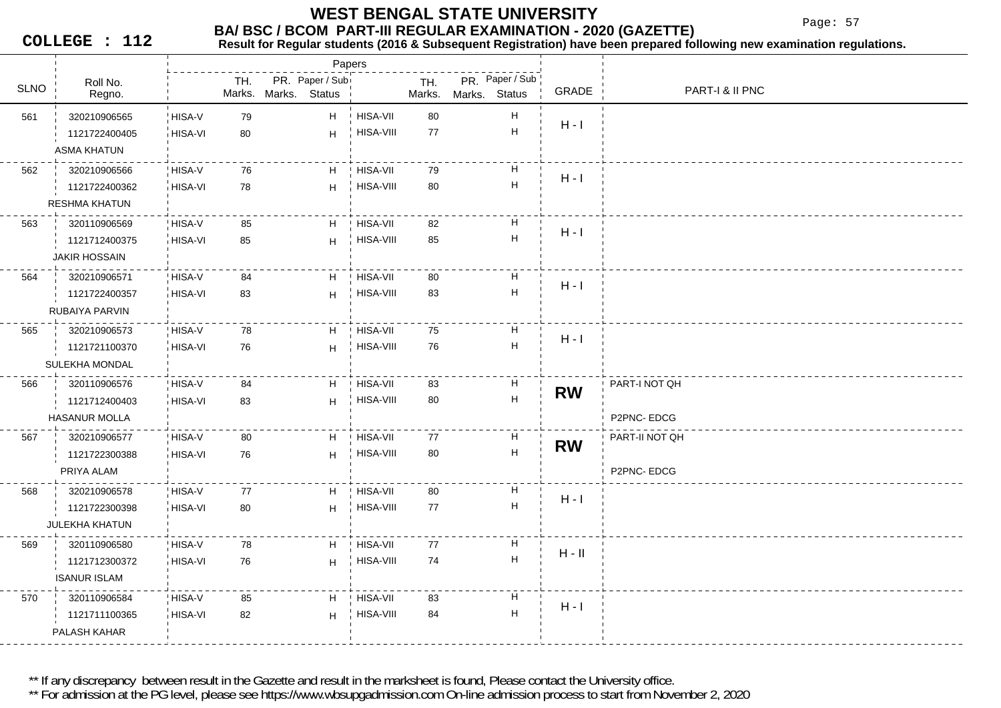Page: 57

**COLLEGE : 112**

## **Result for Regular students (2016 & Subsequent Registration) have been prepared following new examination regulations.**

|             |                       |                |     |                      | Papers          |                 |        |               |                           |           |                 |
|-------------|-----------------------|----------------|-----|----------------------|-----------------|-----------------|--------|---------------|---------------------------|-----------|-----------------|
| <b>SLNO</b> | Roll No.              |                | TH. |                      | PR. Paper / Sub |                 | TH.    |               | PR. Paper / Sub           | GRADE     | PART-I & II PNC |
|             | Regno.                |                |     | Marks. Marks. Status |                 |                 | Marks. | Marks. Status |                           |           |                 |
| 561         | 320210906565          | HISA-V         | 79  |                      | H               | <b>HISA-VII</b> | 80     |               | $\boldsymbol{\mathsf{H}}$ | $H - I$   |                 |
|             | 1121722400405         | HISA-VI        | 80  |                      | H               | HISA-VIII       | 77     |               | $\boldsymbol{\mathsf{H}}$ |           |                 |
|             | <b>ASMA KHATUN</b>    |                |     |                      |                 |                 |        |               |                           |           |                 |
| 562         | 320210906566          | HISA-V         | 76  |                      | H               | HISA-VII        | 79     |               | Н                         | $H - I$   |                 |
|             | 1121722400362         | HISA-VI        | 78  |                      | H.              | HISA-VIII       | 80     |               | $\mathsf H$               |           |                 |
|             | <b>RESHMA KHATUN</b>  |                |     |                      |                 |                 |        |               |                           |           |                 |
| 563         | 320110906569          | HISA-V         | 85  |                      | H               | HISA-VII        | 82     |               | Н                         | $H - I$   |                 |
|             | 1121712400375         | <b>HISA-VI</b> | 85  |                      | H               | HISA-VIII       | 85     |               | $\boldsymbol{\mathsf{H}}$ |           |                 |
|             | <b>JAKIR HOSSAIN</b>  |                |     |                      |                 |                 |        |               |                           |           |                 |
| 564         | 320210906571          | HISA-V         | 84  |                      | H               | HISA-VII        | 80     |               | H                         |           |                 |
|             | 1121722400357         | HISA-VI        | 83  |                      | H               | HISA-VIII       | 83     |               | $\boldsymbol{\mathsf{H}}$ | $H - I$   |                 |
|             | RUBAIYA PARVIN        |                |     |                      |                 |                 |        |               |                           |           |                 |
| 565         | 320210906573          | HISA-V         | 78  |                      | H               | <b>HISA-VII</b> | 75     |               | Н                         |           |                 |
|             | 1121721100370         | HISA-VI        | 76  |                      | H               | HISA-VIII       | 76     |               | $\boldsymbol{\mathsf{H}}$ | $H - I$   |                 |
|             | <b>SULEKHA MONDAL</b> |                |     |                      |                 |                 |        |               |                           |           |                 |
| 566         | 320110906576          | HISA-V         | 84  |                      | H               | HISA-VII        | 83     |               | H                         |           | PART-I NOT QH   |
|             | 1121712400403         | HISA-VI        | 83  |                      | H               | HISA-VIII       | 80     |               | $\boldsymbol{\mathsf{H}}$ | <b>RW</b> |                 |
|             | <b>HASANUR MOLLA</b>  |                |     |                      |                 |                 |        |               |                           |           | P2PNC-EDCG      |
| 567         | 320210906577          | HISA-V         | 80  |                      | H               | HISA-VII        | 77     |               | Н                         |           | PART-II NOT QH  |
|             | 1121722300388         | HISA-VI        | 76  |                      | H               | HISA-VIII       | 80     |               | $\boldsymbol{\mathsf{H}}$ | <b>RW</b> |                 |
|             | PRIYA ALAM            |                |     |                      |                 |                 |        |               |                           |           | P2PNC-EDCG      |
| 568         | 320210906578          | HISA-V         | 77  |                      | H.              | HISA-VII        | 80     |               | H                         |           |                 |
|             | 1121722300398         | <b>HISA-VI</b> | 80  |                      | H               | HISA-VIII       | 77     |               | $\boldsymbol{\mathsf{H}}$ | $H - I$   |                 |
|             | <b>JULEKHA KHATUN</b> |                |     |                      |                 |                 |        |               |                           |           |                 |
| 569         | 320110906580          | HISA-V         | 78  |                      | H               | HISA-VII        | 77     |               | H                         |           |                 |
|             | 1121712300372         | HISA-VI        | 76  |                      | H               | HISA-VIII       | 74     |               | $\boldsymbol{\mathsf{H}}$ | $H - II$  |                 |
|             | <b>ISANUR ISLAM</b>   |                |     |                      |                 |                 |        |               |                           |           |                 |
| 570         | 320110906584          | HISA-V         | 85  |                      | H               | HISA-VII        | 83     |               | Н                         |           |                 |
|             | 1121711100365         | <b>HISA-VI</b> | 82  |                      | H               | HISA-VIII       | 84     |               | $\boldsymbol{\mathsf{H}}$ | $H - I$   |                 |
|             | PALASH KAHAR          |                |     |                      |                 |                 |        |               |                           |           |                 |
|             |                       |                |     |                      |                 |                 |        |               |                           |           |                 |

\*\* If any discrepancy between result in the Gazette and result in the marksheet is found, Please contact the University office.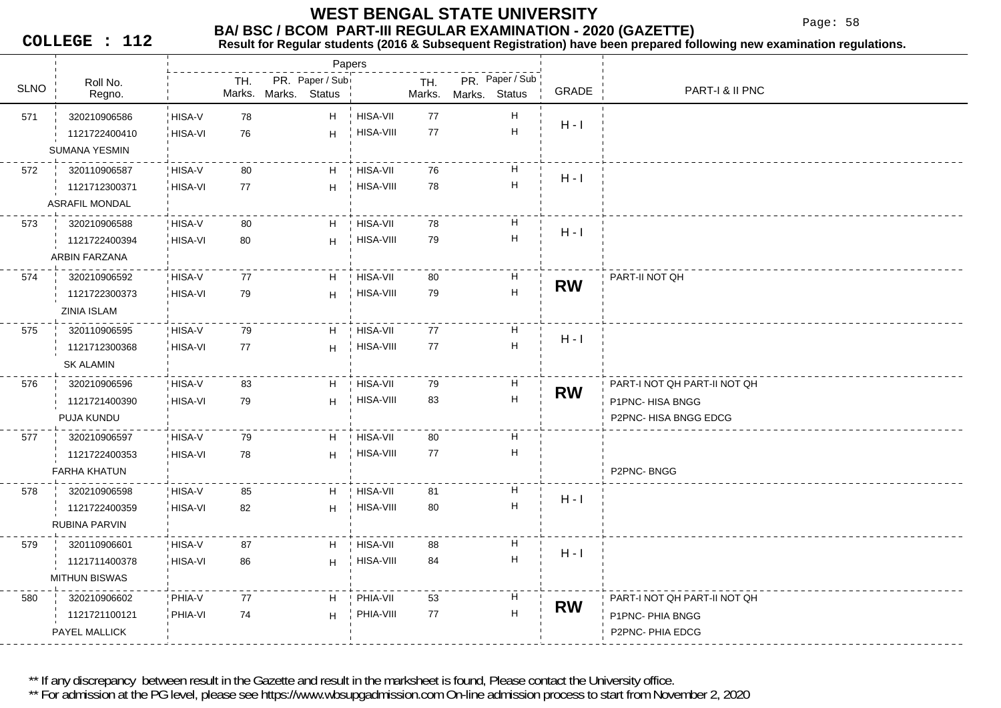Page: 58

**COLLEGE : 112**

**Result for Regular students (2016 & Subsequent Registration) have been prepared following new examination regulations.**

|             |                       |         |        |               | Papers          |                  |        |               |                           |           |                              |
|-------------|-----------------------|---------|--------|---------------|-----------------|------------------|--------|---------------|---------------------------|-----------|------------------------------|
| <b>SLNO</b> | Roll No.              |         | TH.    |               | PR. Paper / Sub |                  | TH.    |               | PR. Paper / Sub           | GRADE     | PART-I & II PNC              |
|             | Regno.                |         | Marks. | Marks. Status |                 |                  | Marks. | Marks. Status |                           |           |                              |
| 571         | 320210906586          | HISA-V  | 78     |               | H               | ! HISA-VII       | 77     |               | н                         | $H - I$   |                              |
|             | 1121722400410         | HISA-VI | 76     |               | H               | HISA-VIII        | 77     |               | $\mathsf{H}$              |           |                              |
|             | SUMANA YESMIN         |         |        |               |                 |                  |        |               |                           |           |                              |
| 572         | 320110906587          | HISA-V  | 80     |               | H               | ! HISA-VII       | 76     |               | н                         | $H - I$   |                              |
|             | 1121712300371         | HISA-VI | 77     |               | H               | HISA-VIII        | 78     |               | $\boldsymbol{\mathsf{H}}$ |           |                              |
|             | <b>ASRAFIL MONDAL</b> |         |        |               |                 |                  |        |               |                           |           |                              |
| 573         | 320210906588          | HISA-V  | 80     |               | H               | HISA-VII         | 78     |               | Н                         | $H - I$   |                              |
|             | 1121722400394         | HISA-VI | 80     |               | H               | HISA-VIII        | 79     |               | $\sf H$                   |           |                              |
|             | ARBIN FARZANA         |         |        |               |                 |                  |        |               |                           |           |                              |
| 574         | 320210906592          | HISA-V  | 77     |               | H               | HISA-VII         | 80     |               | Н                         | <b>RW</b> | PART-II NOT QH               |
|             | 1121722300373         | HISA-VI | 79     |               | H               | HISA-VIII        | 79     |               | $\overline{\mathsf{H}}$   |           |                              |
|             | ZINIA ISLAM           |         |        |               |                 |                  |        |               |                           |           |                              |
| 575         | 320110906595          | HISA-V  | 79     |               | H               | ! HISA-VII       | 77     |               | H                         | $H - I$   |                              |
|             | 1121712300368         | HISA-VI | 77     |               | H               | HISA-VIII        | 77     |               | $\sf H$                   |           |                              |
|             | <b>SK ALAMIN</b>      |         |        |               |                 |                  |        |               |                           |           |                              |
| 576         | 320210906596          | HISA-V  | 83     |               | H               | HISA-VII         | 79     |               | Н                         | <b>RW</b> | PART-I NOT QH PART-II NOT QH |
|             | 1121721400390         | HISA-VI | 79     |               | H               | HISA-VIII        | 83     |               | $\boldsymbol{\mathsf{H}}$ |           | P1PNC-HISA BNGG              |
|             | PUJA KUNDU            |         |        |               |                 |                  |        |               |                           |           | P2PNC-HISA BNGG EDCG         |
| 577         | 320210906597          | HISA-V  | 79     |               | H               | ! HISA-VII       | 80     |               | $\boldsymbol{\mathsf{H}}$ |           |                              |
|             | 1121722400353         | HISA-VI | 78     |               | H               | <b>HISA-VIII</b> | 77     |               | н                         |           |                              |
|             | <b>FARHA KHATUN</b>   |         |        |               |                 |                  |        |               |                           |           | P2PNC-BNGG                   |
| 578         | 320210906598          | HISA-V  | 85     |               | H               | <b>HISA-VII</b>  | 81     |               | Н                         | $H - I$   |                              |
|             | 1121722400359         | HISA-VI | 82     |               | H               | <b>HISA-VIII</b> | 80     |               | $\sf H$                   |           |                              |
|             | RUBINA PARVIN         |         |        |               |                 |                  |        |               |                           |           |                              |
| 579         | 320110906601          | HISA-V  | 87     |               | H               | <b>HISA-VII</b>  | 88     |               | Н                         | $H - I$   |                              |
|             | 1121711400378         | HISA-VI | 86     |               | H               | HISA-VIII        | 84     |               | $\sf H$                   |           |                              |
|             | <b>MITHUN BISWAS</b>  |         |        |               |                 |                  |        |               |                           |           |                              |
| 580         | 320210906602          | PHIA-V  | 77     |               | H               | PHIA-VII         | 53     |               | H                         | <b>RW</b> | PART-I NOT QH PART-II NOT QH |
|             | 1121721100121         | PHIA-VI | 74     |               | H               | PHIA-VIII        | 77     |               | H                         |           | P1PNC- PHIA BNGG             |
|             | PAYEL MALLICK         |         |        |               |                 |                  |        |               |                           |           | P2PNC-PHIA EDCG              |
|             |                       |         |        |               |                 |                  |        |               |                           |           |                              |

\*\* If any discrepancy between result in the Gazette and result in the marksheet is found, Please contact the University office.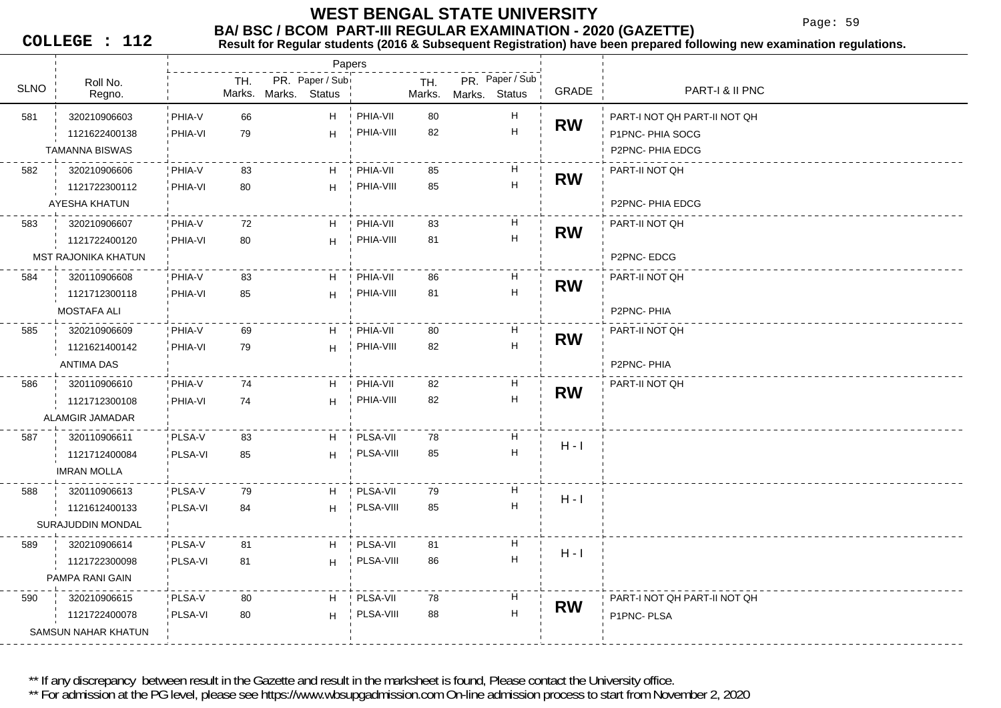Page: 59

**COLLEGE : 112**

#### **BA/ BSC / BCOM PART-III REGULAR EXAMINATION - 2020 (GAZETTE)**<br>Result for Requiar students (2016 & Subsequent Registration) have been prepared fo **Result for Regular students (2016 & Subsequent Registration) have been prepared following new examination regulations.**

|             |                            |         |               | Papers                           |           |               |               |                                                             |           |                              |
|-------------|----------------------------|---------|---------------|----------------------------------|-----------|---------------|---------------|-------------------------------------------------------------|-----------|------------------------------|
| <b>SLNO</b> | Roll No.<br>Regno.         |         | TH.<br>Marks. | PR. Paper / Sub<br>Marks. Status |           | TH.<br>Marks. | Marks. Status | PR. Paper / Sub                                             | GRADE     | PART-I & II PNC              |
| 581         | 320210906603               | PHIA-V  | 66            | H                                | PHIA-VII  | 80            |               | H                                                           |           | PART-I NOT QH PART-II NOT QH |
|             | 1121622400138              | PHIA-VI | 79            | H                                | PHIA-VIII | 82            |               | $\mathsf H$                                                 | <b>RW</b> | P1PNC-PHIA SOCG              |
|             | <b>TAMANNA BISWAS</b>      |         |               |                                  |           |               |               |                                                             |           | P2PNC-PHIA EDCG              |
| 582         | 320210906606               | PHIA-V  | 83            | H                                | PHIA-VII  | 85            |               | H                                                           | <b>RW</b> | PART-II NOT QH               |
|             | 1121722300112              | PHIA-VI | 80            | H                                | PHIA-VIII | 85            |               | $\boldsymbol{\mathsf{H}}$                                   |           |                              |
|             | AYESHA KHATUN              |         |               |                                  |           |               |               |                                                             |           | P2PNC- PHIA EDCG             |
| 583         | 320210906607               | PHIA-V  | 72            | H                                | PHIA-VII  | 83            |               | H                                                           | <b>RW</b> | PART-II NOT QH               |
|             | 1121722400120              | PHIA-VI | 80            | H                                | PHIA-VIII | 81            |               | $\mathsf{H}% _{\mathbb{R}}^{1}\left( \mathbb{R}^{2}\right)$ |           |                              |
|             | <b>MST RAJONIKA KHATUN</b> |         |               |                                  |           |               |               |                                                             |           | P2PNC-EDCG                   |
| 584         | 320110906608               | PHIA-V  | 83            | H.                               | PHIA-VII  | 86            |               | H                                                           | <b>RW</b> | PART-II NOT QH               |
|             | 1121712300118              | PHIA-VI | 85            | H                                | PHIA-VIII | 81            |               | $\mathsf{H}% _{\mathbb{R}}^{1}\left( \mathbb{R}^{2}\right)$ |           |                              |
|             | <b>MOSTAFA ALI</b>         |         |               |                                  |           |               |               |                                                             |           | P2PNC-PHIA                   |
| 585         | 320210906609               | PHIA-V  | 69            | H.                               | PHIA-VII  | 80            |               | H                                                           | <b>RW</b> | PART-II NOT QH               |
|             | 1121621400142              | PHIA-VI | 79            | H.                               | PHIA-VIII | 82            |               | $\mathsf H$                                                 |           |                              |
|             | ANTIMA DAS                 |         |               |                                  |           |               |               |                                                             |           | P2PNC-PHIA                   |
| 586         | 320110906610               | PHIA-V  | 74            | H.                               | PHIA-VII  | 82            |               | H                                                           | <b>RW</b> | PART-II NOT QH               |
|             | 1121712300108              | PHIA-VI | 74            | H                                | PHIA-VIII | 82            |               | H                                                           |           |                              |
|             | ALAMGIR JAMADAR            |         |               |                                  |           |               |               |                                                             |           |                              |
| 587         | 320110906611               | PLSA-V  | 83            | H                                | PLSA-VII  | 78            |               | H                                                           | $H - I$   |                              |
|             | 1121712400084              | PLSA-VI | 85            | H                                | PLSA-VIII | 85            |               | H                                                           |           |                              |
|             | <b>IMRAN MOLLA</b>         |         |               |                                  |           |               |               |                                                             |           |                              |
| 588         | 320110906613               | PLSA-V  | 79            | H                                | PLSA-VII  | 79            |               | H                                                           | $H - I$   |                              |
|             | 1121612400133              | PLSA-VI | 84            | H                                | PLSA-VIII | 85            |               | Н                                                           |           |                              |
|             | SURAJUDDIN MONDAL          |         |               |                                  |           |               |               |                                                             |           |                              |
| 589         | 320210906614               | PLSA-V  | 81            | H.                               | PLSA-VII  | 81            |               | н                                                           | $H - I$   |                              |
|             | 1121722300098              | PLSA-VI | 81            | H                                | PLSA-VIII | 86            |               | H                                                           |           |                              |
|             | PAMPA RANI GAIN            |         |               |                                  |           |               |               |                                                             |           |                              |
| 590         | 320210906615               | PLSA-V  | 80            | H.                               | PLSA-VII  | 78            |               | H                                                           | <b>RW</b> | PART-I NOT QH PART-II NOT QH |
|             | 1121722400078              | PLSA-VI | 80            | H                                | PLSA-VIII | 88            |               | H                                                           |           | P1PNC-PLSA                   |
|             | SAMSUN NAHAR KHATUN        |         |               |                                  |           |               |               |                                                             |           |                              |

\*\* If any discrepancy between result in the Gazette and result in the marksheet is found, Please contact the University office.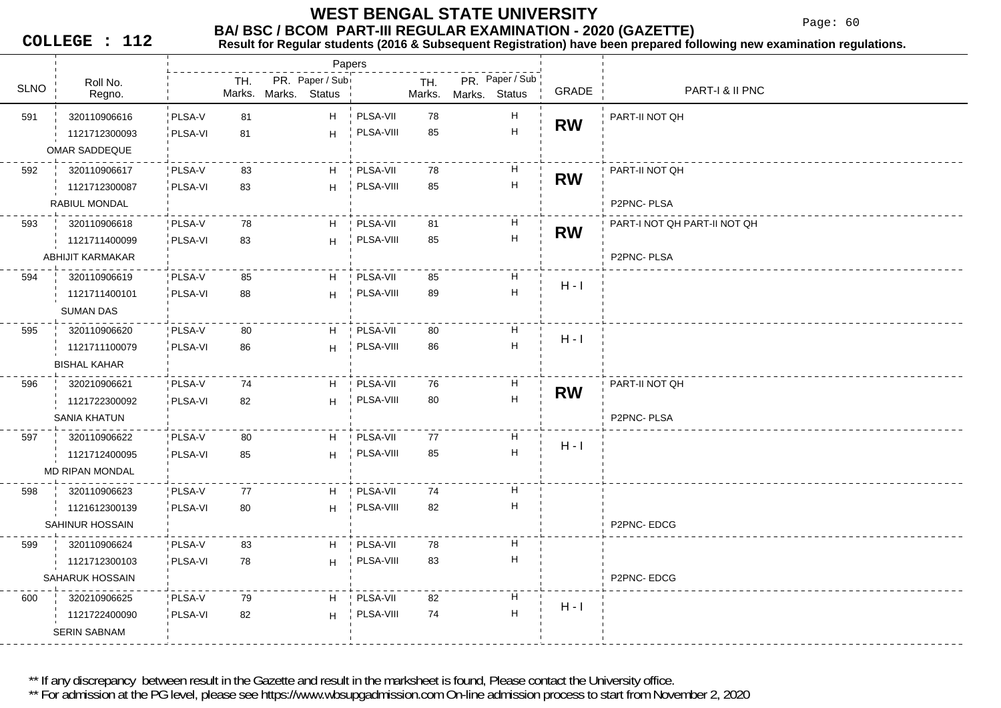Page: 60

**COLLEGE : 112**

## **BA/ BSC / BCOM PART-III REGULAR EXAMINATION - 2020 (GAZETTE)**<br>Result for Requiar students (2016 & Subsequent Registration) have been prepared fo

**Result for Regular students (2016 & Subsequent Registration) have been prepared following new examination regulations.**

|             |                     |                |     |                      |                 | Papers          |               |               |                           |           |                              |
|-------------|---------------------|----------------|-----|----------------------|-----------------|-----------------|---------------|---------------|---------------------------|-----------|------------------------------|
| <b>SLNO</b> | Roll No.<br>Regno.  |                | TH. | Marks. Marks. Status | PR. Paper / Sub |                 | TH.<br>Marks. | Marks. Status | PR. Paper / Sub           | GRADE     | PART-I & II PNC              |
| 591         | 320110906616        | PLSA-V         | 81  |                      | H.              | PLSA-VII        | 78            |               | H                         |           | PART-II NOT QH               |
|             | 1121712300093       | PLSA-VI        | 81  |                      | H.              | PLSA-VIII       | 85            |               | $\boldsymbol{\mathsf{H}}$ | <b>RW</b> |                              |
|             | OMAR SADDEQUE       |                |     |                      |                 |                 |               |               |                           |           |                              |
| 592         | 320110906617        | PLSA-V         | 83  |                      | H               | PLSA-VII        | 78            |               | H                         | <b>RW</b> | PART-II NOT QH               |
|             | 1121712300087       | PLSA-VI        | 83  |                      | H               | PLSA-VIII       | 85            |               | $\boldsymbol{\mathsf{H}}$ |           |                              |
|             | RABIUL MONDAL       |                |     |                      |                 |                 |               |               |                           |           | P2PNC-PLSA                   |
| 593         | 320110906618        | PLSA-V         | 78  |                      | H               | ! PLSA-VII      | 81            |               | H                         | <b>RW</b> | PART-I NOT QH PART-II NOT QH |
|             | 1121711400099       | PLSA-VI        | 83  |                      | H.              | PLSA-VIII       | 85            |               | $\boldsymbol{\mathsf{H}}$ |           |                              |
|             | ABHIJIT KARMAKAR    |                |     |                      |                 |                 |               |               |                           |           | P2PNC-PLSA                   |
| 594         | 320110906619        | PLSA-V         | 85  |                      | H               | PLSA-VII        | 85            |               | H                         | $H - I$   |                              |
|             | 1121711400101       | PLSA-VI        | 88  |                      | H               | PLSA-VIII       | 89            |               | $\boldsymbol{\mathsf{H}}$ |           |                              |
|             | SUMAN DAS           |                |     |                      |                 |                 |               |               |                           |           |                              |
| 595         | 320110906620        | PLSA-V         | 80  |                      | H               | PLSA-VII        | 80            |               | H                         | $H - I$   |                              |
|             | 1121711100079       | PLSA-VI        | 86  |                      | H               | PLSA-VIII       | 86            |               | $\boldsymbol{\mathsf{H}}$ |           |                              |
|             | <b>BISHAL KAHAR</b> |                |     |                      |                 |                 |               |               |                           |           |                              |
| 596         | 320210906621        | PLSA-V         | 74  |                      | H               | PLSA-VII        | 76            |               | Н                         | <b>RW</b> | PART-II NOT QH               |
|             | 1121722300092       | PLSA-VI        | 82  |                      | H               | PLSA-VIII       | 80            |               | $\boldsymbol{\mathsf{H}}$ |           |                              |
|             | SANIA KHATUN        |                |     |                      |                 |                 |               |               |                           |           | P2PNC-PLSA                   |
| 597         | 320110906622        | PLSA-V         | 80  |                      | H               | PLSA-VII        | 77            |               | Н                         |           |                              |
|             | 1121712400095       | PLSA-VI        | 85  |                      | H               | PLSA-VIII       | 85            |               | H                         | $H - I$   |                              |
|             | MD RIPAN MONDAL     |                |     |                      |                 |                 |               |               |                           |           |                              |
| 598         | 320110906623        | PLSA-V         | 77  |                      | H               | PLSA-VII        | 74            |               | Н                         |           |                              |
|             | 1121612300139       | PLSA-VI        | 80  |                      | H               | PLSA-VIII       | 82            |               | $\boldsymbol{\mathsf{H}}$ |           |                              |
|             | SAHINUR HOSSAIN     |                |     |                      |                 |                 |               |               |                           |           | P2PNC-EDCG                   |
| 599         | 320110906624        | PLSA-V         | 83  |                      | H               | <b>PLSA-VII</b> | 78            |               | H                         |           |                              |
|             | 1121712300103       | PLSA-VI        | 78  |                      | H               | PLSA-VIII       | 83            |               | Н                         |           |                              |
|             | SAHARUK HOSSAIN     |                |     |                      |                 |                 |               |               |                           |           | P2PNC-EDCG                   |
| 600         | 320210906625        | PLSA-V         | 79  |                      | H.              | PLSA-VII        | 82            |               | Н                         | $H - I$   |                              |
|             | 1121722400090       | <b>PLSA-VI</b> | 82  |                      | H               | PLSA-VIII       | 74            |               | $\boldsymbol{\mathsf{H}}$ |           |                              |
|             | <b>SERIN SABNAM</b> |                |     |                      |                 |                 |               |               |                           |           |                              |
|             |                     |                |     |                      |                 |                 |               |               |                           |           |                              |

\*\* If any discrepancy between result in the Gazette and result in the marksheet is found, Please contact the University office.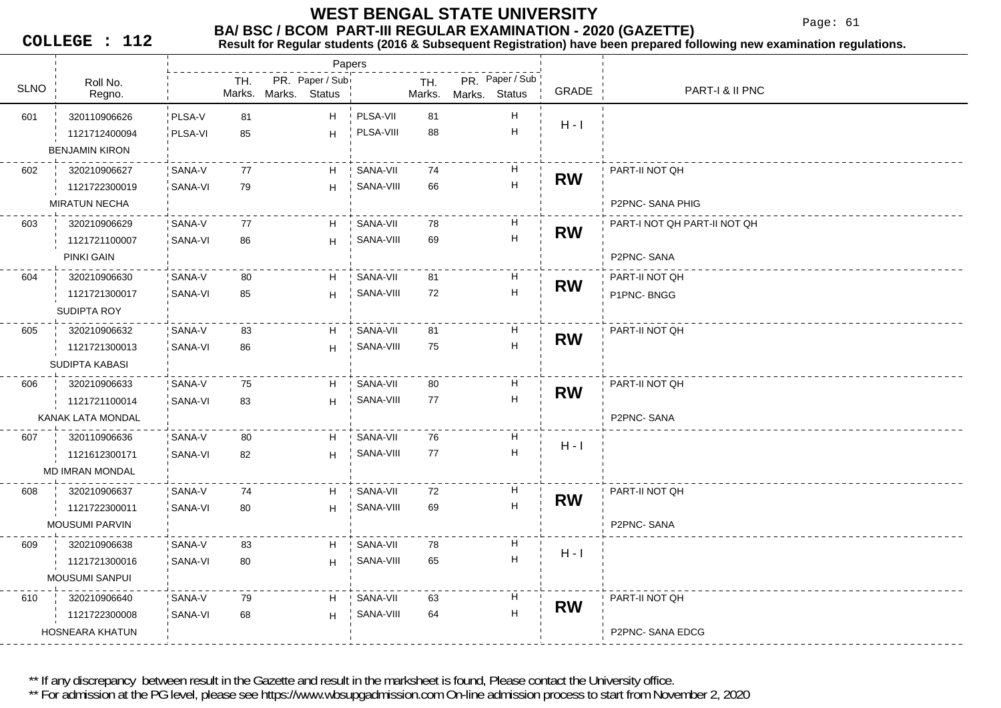Page: 61

**COLLEGE : 112**

## **BA/ BSC / BCOM PART-III REGULAR EXAMINATION - 2020 (GAZETTE)**<br>Result for Requiar students (2016 & Subsequent Registration) have been prepared fo

**Result for Regular students (2016 & Subsequent Registration) have been prepared following new examination regulations.**

|             |                        |          |     |                                  | Papers        |           |               |               |                           |           |                              |
|-------------|------------------------|----------|-----|----------------------------------|---------------|-----------|---------------|---------------|---------------------------|-----------|------------------------------|
| <b>SLNO</b> | Roll No.<br>Regno.     |          | TH. | PR. Paper / Sub<br>Marks. Marks. | <b>Status</b> |           | TH.<br>Marks. | Marks. Status | PR. Paper / Sub           | GRADE     | PART-I & II PNC              |
| 601         | 320110906626           | PLSA-V   | 81  |                                  | H             | PLSA-VII  | 81            |               | $\boldsymbol{\mathsf{H}}$ |           |                              |
|             | 1121712400094          | PLSA-VI  | 85  |                                  | H             | PLSA-VIII | 88            |               | $\mathsf H$               | $H - I$   |                              |
|             | <b>BENJAMIN KIRON</b>  |          |     |                                  |               |           |               |               |                           |           |                              |
| 602         | 320210906627           | SANA-V   | 77  |                                  | H.            | SANA-VII  | 74            |               | H                         |           | PART-II NOT QH               |
|             | 1121722300019          | SANA-VI  | 79  |                                  | H             | SANA-VIII | 66            |               | $\boldsymbol{\mathsf{H}}$ | <b>RW</b> |                              |
|             | <b>MIRATUN NECHA</b>   |          |     |                                  |               |           |               |               |                           |           | P2PNC-SANA PHIG              |
| 603         | 320210906629           | SANA-V   | 77  |                                  | H             | SANA-VII  | 78            |               | H                         | <b>RW</b> | PART-I NOT QH PART-II NOT QH |
|             | 1121721100007          | SANA-VI  | 86  |                                  | H             | SANA-VIII | 69            |               | $\overline{\mathsf{H}}$   |           |                              |
|             | PINKI GAIN             |          |     |                                  |               |           |               |               |                           |           | P2PNC-SANA                   |
| 604         | 320210906630           | SANA-V   | 80  |                                  | H             | SANA-VII  | 81            |               | H                         | <b>RW</b> | PART-II NOT QH               |
|             | 1121721300017          | SANA-VI  | 85  |                                  | H             | SANA-VIII | 72            |               | $\boldsymbol{\mathsf{H}}$ |           | P1PNC-BNGG                   |
|             | SUDIPTA ROY            |          |     |                                  |               |           |               |               |                           |           |                              |
| 605         | 320210906632           | SANA-V   | 83  |                                  | H             | SANA-VII  | 81            |               | H                         | <b>RW</b> | PART-II NOT QH               |
|             | 1121721300013          | SANA-VI  | 86  |                                  | H             | SANA-VIII | 75            |               | $\boldsymbol{\mathsf{H}}$ |           |                              |
|             | SUDIPTA KABASI         |          |     |                                  |               |           |               |               |                           |           |                              |
| 606         | 320210906633           | SANA-V   | 75  |                                  | H             | SANA-VII  | 80            |               | H                         | <b>RW</b> | PART-II NOT QH               |
|             | 1121721100014          | SANA-VI  | 83  |                                  | H             | SANA-VIII | 77            |               | $\boldsymbol{\mathsf{H}}$ |           |                              |
|             | KANAK LATA MONDAL      |          |     |                                  |               |           |               |               |                           |           | P2PNC-SANA                   |
| 607         | 320110906636           | ' SANA-V | 80  |                                  | H             | SANA-VII  | 76            |               | Н                         | $H - I$   |                              |
|             | 1121612300171          | SANA-VI  | 82  |                                  | H             | SANA-VIII | 77            |               | H                         |           |                              |
|             | <b>MD IMRAN MONDAL</b> |          |     |                                  |               |           |               |               |                           |           |                              |
| 608         | 320210906637           | SANA-V   | 74  |                                  | H.            | SANA-VII  | 72            |               | Н                         | <b>RW</b> | PART-II NOT QH               |
|             | 1121722300011          | SANA-VI  | 80  |                                  | H             | SANA-VIII | 69            |               | $\boldsymbol{\mathsf{H}}$ |           |                              |
|             | <b>MOUSUMI PARVIN</b>  |          |     |                                  |               |           |               |               |                           |           | P2PNC-SANA                   |
| 609         | 320210906638           | SANA-V   | 83  |                                  | H             | SANA-VII  | 78            |               | H                         | $H - I$   |                              |
|             | 1121721300016          | SANA-VI  | 80  |                                  | H             | SANA-VIII | 65            |               | $\boldsymbol{\mathsf{H}}$ |           |                              |
|             | <b>MOUSUMI SANPUI</b>  |          |     |                                  |               |           |               |               |                           |           |                              |
| 610         | 320210906640           | SANA-V   | 79  |                                  | H             | SANA-VII  | 63            |               | H                         | <b>RW</b> | PART-II NOT QH               |
|             | 1121722300008          | SANA-VI  | 68  |                                  | H             | SANA-VIII | 64            |               | $\boldsymbol{\mathsf{H}}$ |           |                              |
|             | <b>HOSNEARA KHATUN</b> |          |     |                                  |               |           |               |               |                           |           | P2PNC-SANA EDCG              |

\*\* If any discrepancy between result in the Gazette and result in the marksheet is found, Please contact the University office.